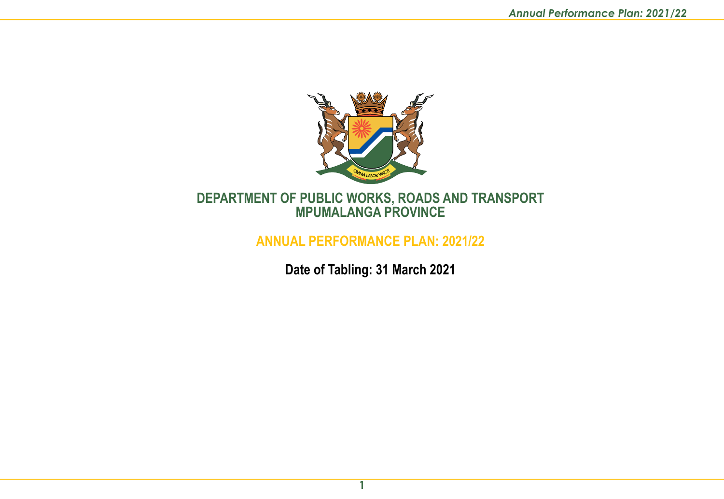

## **DEPARTMENT OF PUBLIC WORKS, ROADS AND TRANSPORT MPUMALANGA PROVINCE**

# **ANNUAL PERFORMANCE PLAN: 2021/22**

**Date of Tabling: 31 March 2021**

**1**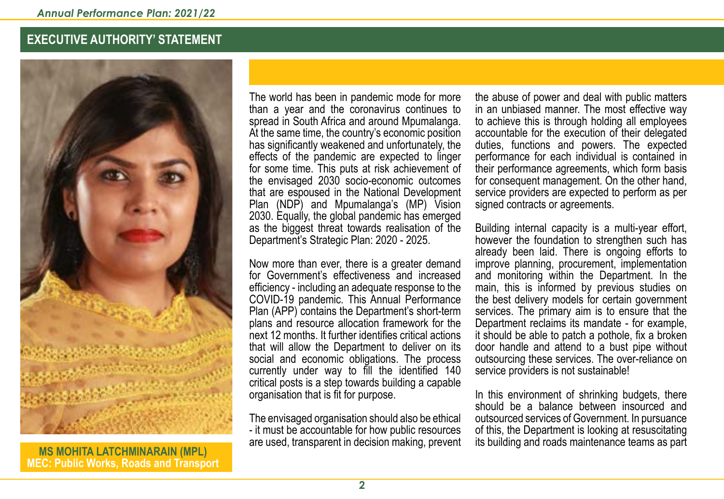# **EXECUTIVE AUTHORITY' STATEMENT**



**MEC: Public Works, Roads and Transport**

The world has been in pandemic mode for more than a year and the coronavirus continues to spread in South Africa and around Mpumalanga. At the same time, the country's economic position has significantly weakened and unfortunately, the effects of the pandemic are expected to linger for some time. This puts at risk achievement of the envisaged 2030 socio-economic outcomes that are espoused in the National Development Plan (NDP) and Mpumalanga's (MP) Vision 2030. Equally, the global pandemic has emerged as the biggest threat towards realisation of the Department's Strategic Plan: 2020 - 2025.

Now more than ever, there is a greater demand for Government's effectiveness and increased efficiency - including an adequate response to the COVID-19 pandemic. This Annual Performance Plan (APP) contains the Department's short-term plans and resource allocation framework for the next 12 months. It further identifies critical actions that will allow the Department to deliver on its social and economic obligations. The process currently under way to fill the identified 140 critical posts is a step towards building a capable organisation that is fit for purpose.

The envisaged organisation should also be ethical - it must be accountable for how public resources are used, transparent in decision making, prevent **INS MOHITA LATCHMINARAIN (MPL)** are used, transparent in decision making, prevent its building and roads maintenance teams as part

the abuse of power and deal with public matters in an unbiased manner. The most effective way to achieve this is through holding all employees accountable for the execution of their delegated duties, functions and powers. The expected performance for each individual is contained in their performance agreements, which form basis for consequent management. On the other hand, service providers are expected to perform as per signed contracts or agreements.

Building internal capacity is a multi-year effort, however the foundation to strengthen such has already been laid. There is ongoing efforts to improve planning, procurement, implementation and monitoring within the Department. In the main, this is informed by previous studies on the best delivery models for certain government services. The primary aim is to ensure that the Department reclaims its mandate - for example, it should be able to patch a pothole, fix a broken door handle and attend to a bust pipe without outsourcing these services. The over-reliance on service providers is not sustainable!

In this environment of shrinking budgets, there should be a balance between insourced and outsourced services of Government. In pursuance of this, the Department is looking at resuscitating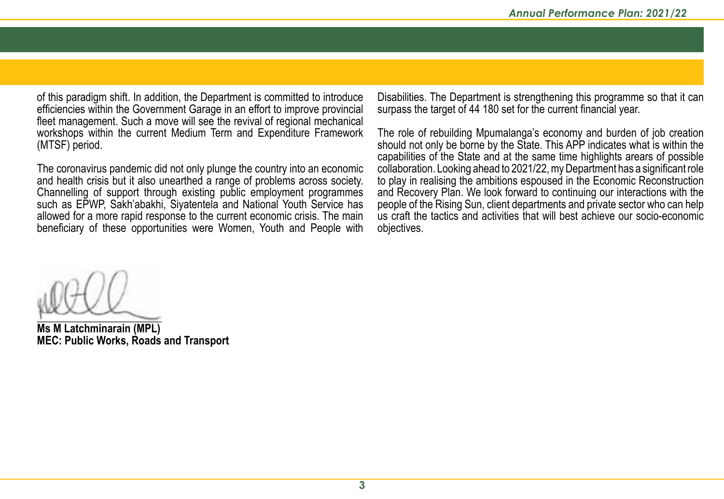of this paradigm shift. In addition, the Department is committed to introduce efficiencies within the Government Garage in an effort to improve provincial fleet management. Such a move will see the revival of regional mechanical workshops within the current Medium Term and Expenditure Framework (MTSF) period.

The coronavirus pandemic did not only plunge the country into an economic and health crisis but it also unearthed a range of problems across society. Channelling of support through existing public employment programmes such as EPWP, Sakh'abakhi, Siyatentela and National Youth Service has allowed for a more rapid response to the current economic crisis. The main beneficiary of these opportunities were Women, Youth and People with

Disabilities. The Department is strengthening this programme so that it can surpass the target of 44 180 set for the current financial year.

The role of rebuilding Mpumalanga's economy and burden of job creation should not only be borne by the State. This APP indicates what is within the capabilities of the State and at the same time highlights arears of possible collaboration. Looking ahead to 2021/22, my Department has a significant role to play in realising the ambitions espoused in the Economic Reconstruction and Recovery Plan. We look forward to continuing our interactions with the people of the Rising Sun, client departments and private sector who can help us craft the tactics and activities that will best achieve our socio-economic objectives.

 $\overbrace{\phantom{aaaaa}}^{\phantom{aaaaa}}$ 

**Ms M Latchminarain (MPL) MEC: Public Works, Roads and Transport**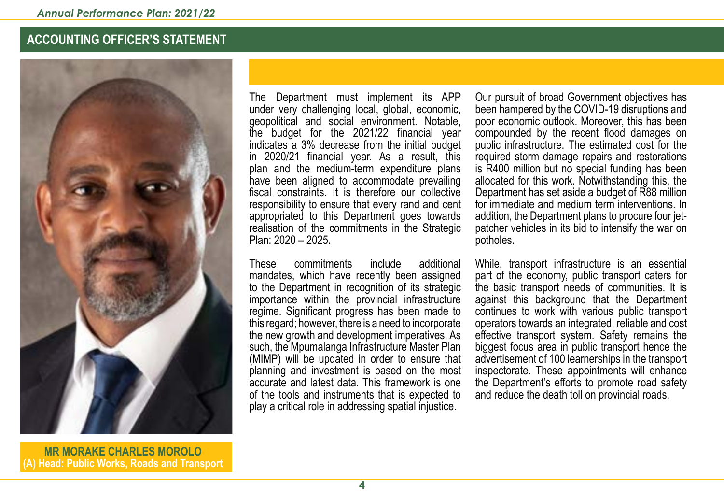# **ACCOUNTING OFFICER'S STATEMENT**



**MR MORAKE CHARLES MOROLO (A) Head: Public Works, Roads and Transport**

The Department must implement its APP under very challenging local, global, economic, geopolitical and social environment. Notable, the budget for the 2021/22 financial year indicates a 3% decrease from the initial budget in 2020/21 financial year. As a result, this plan and the medium-term expenditure plans have been aligned to accommodate prevailing fiscal constraints. It is therefore our collective responsibility to ensure that every rand and cent appropriated to this Department goes towards realisation of the commitments in the Strategic Plan: 2020 – 2025.

These commitments include additional mandates, which have recently been assigned to the Department in recognition of its strategic importance within the provincial infrastructure regime. Significant progress has been made to this regard; however, there is a need to incorporate the new growth and development imperatives. As such, the Mpumalanga Infrastructure Master Plan (MIMP) will be updated in order to ensure that planning and investment is based on the most accurate and latest data. This framework is one of the tools and instruments that is expected to play a critical role in addressing spatial injustice.

Our pursuit of broad Government objectives has been hampered by the COVID-19 disruptions and poor economic outlook. Moreover, this has been compounded by the recent flood damages on public infrastructure. The estimated cost for the required storm damage repairs and restorations is R400 million but no special funding has been allocated for this work. Notwithstanding this, the Department has set aside a budget of R88 million for immediate and medium term interventions. In addition, the Department plans to procure four jetpatcher vehicles in its bid to intensify the war on potholes.

While, transport infrastructure is an essential part of the economy, public transport caters for the basic transport needs of communities. It is against this background that the Department continues to work with various public transport operators towards an integrated, reliable and cost effective transport system. Safety remains the biggest focus area in public transport hence the advertisement of 100 learnerships in the transport inspectorate. These appointments will enhance the Department's efforts to promote road safety and reduce the death toll on provincial roads.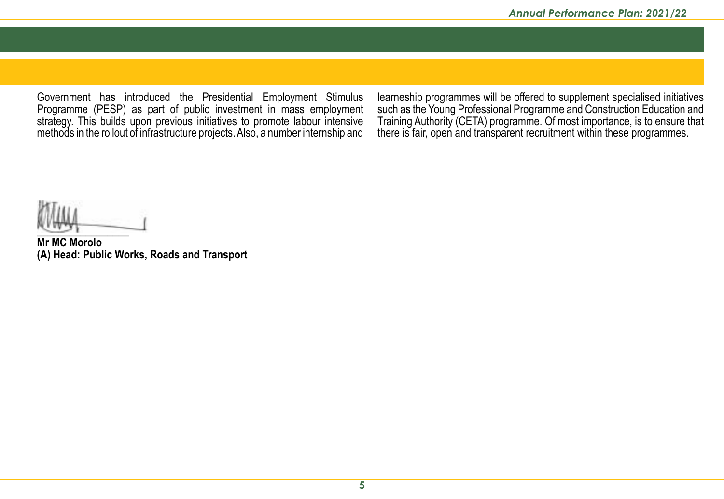Government has introduced the Presidential Employment Stimulus Programme (PESP) as part of public investment in mass employment strategy. This builds upon previous initiatives to promote labour intensive methods in the rollout of infrastructure projects. Also, a number internship and learneship programmes will be offered to supplement specialised initiatives such as the Young Professional Programme and Construction Education and Training Authority (CETA) programme. Of most importance, is to ensure that there is fair, open and transparent recruitment within these programmes.

 $\omega$ 

**Mr MC Morolo (A) Head: Public Works, Roads and Transport**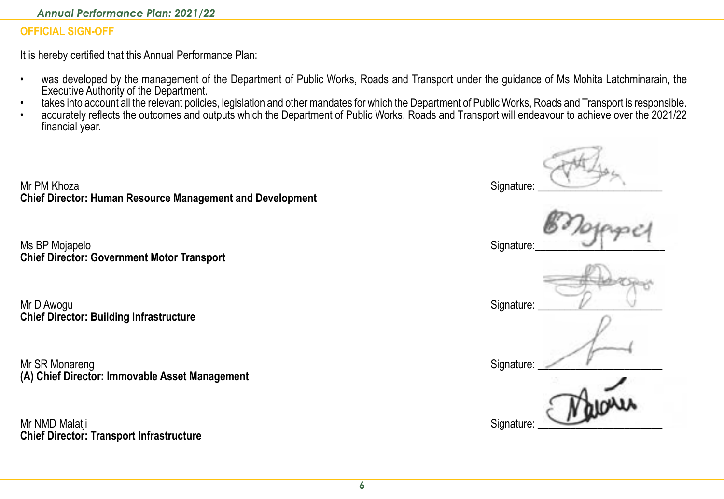#### **OFFICIAL SIGN-OFF**

It is hereby certified that this Annual Performance Plan:

- was developed by the management of the Department of Public Works, Roads and Transport under the guidance of Ms Mohita Latchminarain, the
- takes into account all the relevant policies, legislation and other mandates for which the Department of Public Works, Roads and Transport is responsible.<br>• accurately reflects the outcomes and outputs which the Department
- financial vear.

Mr PM Khoza Signature: \_\_\_\_\_\_\_\_\_\_\_\_\_\_\_\_\_\_\_\_\_\_\_ **Chief Director: Human Resource Management and Development**

Ms BP Mojapelo Signature:\_\_\_\_\_\_\_\_\_\_\_\_\_\_\_\_\_\_\_\_\_\_ **Chief Director: Government Motor Transport**

Mr D Awogu Signature: \_\_\_\_\_\_\_\_\_\_\_\_\_\_\_\_\_\_\_\_\_\_\_ **Chief Director: Building Infrastructure**

Mr SR Monareng Signature: \_\_\_\_\_\_\_\_\_\_\_\_\_\_\_\_\_\_\_\_\_\_ **(A) Chief Director: Immovable Asset Management**

Mr NMD Malatji Signature: \_\_\_\_\_\_\_\_\_\_\_\_\_\_\_\_\_\_\_\_\_\_\_ **Chief Director: Transport Infrastructure**

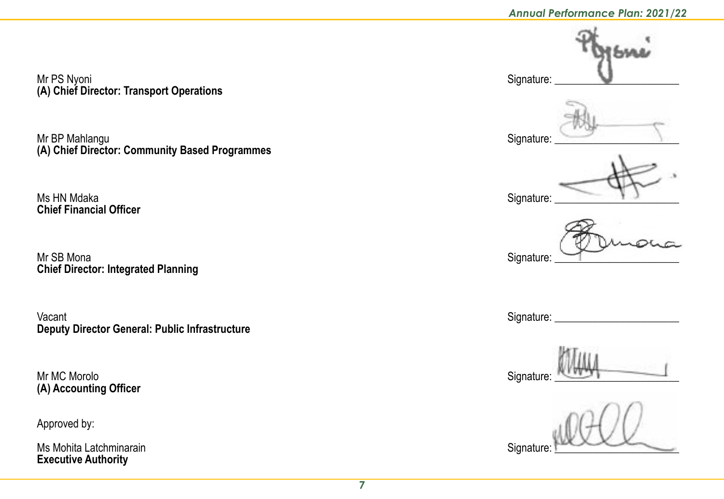Mr PS Nyoni Signature: \_\_\_\_\_\_\_\_\_\_\_\_\_\_\_\_\_\_\_\_\_\_\_ **(A) Chief Director: Transport Operations**

Mr BP Mahlangu Signature: \_\_\_\_\_\_\_\_\_\_\_\_\_\_\_\_\_\_\_\_\_\_\_ **(A) Chief Director: Community Based Programmes**

Ms HN Mdaka Signature: \_\_\_\_\_\_\_\_\_\_\_\_\_\_\_\_\_\_\_\_\_\_\_ **Chief Financial Officer** 

Mr SB Mona Signature: \_\_\_\_\_\_\_\_\_\_\_\_\_\_\_\_\_\_\_\_\_\_\_ **Chief Director: Integrated Planning**

Vacant Signature: \_\_\_\_\_\_\_\_\_\_\_\_\_\_\_\_\_\_\_\_\_\_\_ **Deputy Director General: Public Infrastructure**

**(A) Accounting Officer** 

Approved by:

Ms Mohita Latchminarain Signature:  $\blacksquare$  Signature:  $\blacksquare$  Signature:  $\blacksquare$  Signature:  $\blacksquare$ **Executive Authority** 





Mr MC Morolo Signature: \_\_\_\_\_\_\_\_\_\_\_\_\_\_\_\_\_\_\_\_\_\_\_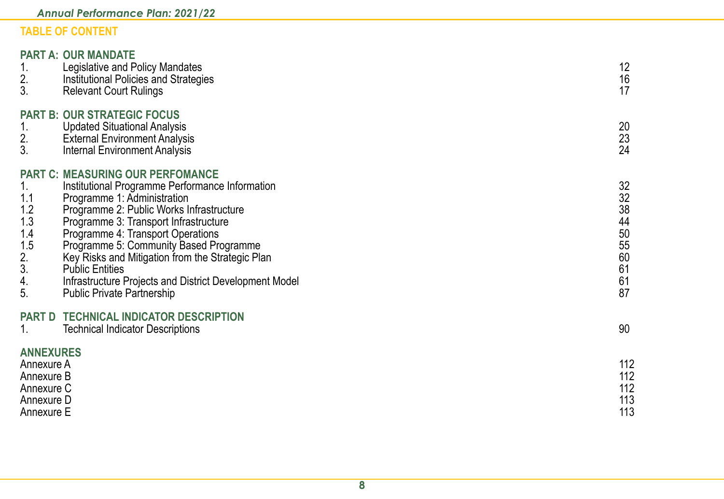# **TABLE OF CONTENT**

| <b>PART A: OUR MANDATE</b><br>1.<br>Legislative and Policy Mandates<br>$\frac{2}{3}$ .<br>Institutional Policies and Strategies<br><b>Relevant Court Rulings</b>                                                                                                                                                                                                                                                                                                                                                                                | 12<br>16<br>17                                                |
|-------------------------------------------------------------------------------------------------------------------------------------------------------------------------------------------------------------------------------------------------------------------------------------------------------------------------------------------------------------------------------------------------------------------------------------------------------------------------------------------------------------------------------------------------|---------------------------------------------------------------|
| <b>PART B: OUR STRATEGIC FOCUS</b><br>1.<br><b>Updated Situational Analysis</b><br>$\frac{2}{3}$ .<br><b>External Environment Analysis</b><br><b>Internal Environment Analysis</b>                                                                                                                                                                                                                                                                                                                                                              | 20<br>23<br>24                                                |
| <b>PART C: MEASURING OUR PERFOMANCE</b><br>1.<br>Institutional Programme Performance Information<br>1.1<br>Programme 1: Administration<br>1.2<br>Programme 2: Public Works Infrastructure<br>1.3<br>Programme 3: Transport Infrastructure<br>$1.4$<br>$1.5$<br>Programme 4: Transport Operations<br>Programme 5: Community Based Programme<br>$\frac{2}{3}$ .<br>Key Risks and Mitigation from the Strategic Plan<br><b>Public Entities</b><br>4.<br>Infrastructure Projects and District Development Model<br>5.<br>Public Private Partnership | 32<br>$rac{32}{38}$<br>44<br>50<br>55<br>60<br>61<br>61<br>87 |
| <b>TECHNICAL INDICATOR DESCRIPTION</b><br><b>PART D</b><br>1.<br><b>Technical Indicator Descriptions</b>                                                                                                                                                                                                                                                                                                                                                                                                                                        | 90                                                            |
| <b>ANNEXURES</b><br>Annexure A<br>Annexure B<br>Annexure C<br>Annexure D<br>Annexure E                                                                                                                                                                                                                                                                                                                                                                                                                                                          | 112<br>112<br>112<br>113<br>113                               |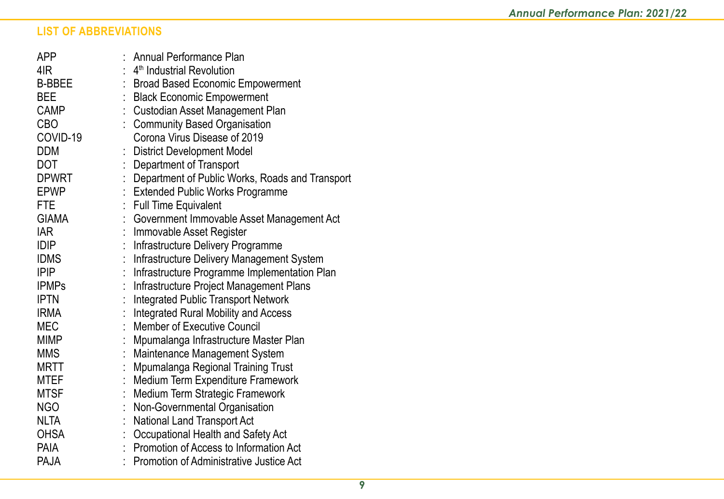# **LIST OF ABBREVIATIONS**

| APP          | Annual Performance Plan                         |
|--------------|-------------------------------------------------|
| 4IR          | 4 <sup>th</sup> Industrial Revolution           |
| B-BBEE       | <b>Broad Based Economic Empowerment</b>         |
| BEE          | <b>Black Economic Empowerment</b>               |
| CAMP         | Custodian Asset Management Plan                 |
| CBO          | Community Based Organisation                    |
| COVID-19     | Corona Virus Disease of 2019                    |
| DDM          | <b>District Development Model</b>               |
| DOT          | Department of Transport                         |
| DPWRT        | Department of Public Works, Roads and Transport |
| EPWP         | Extended Public Works Programme                 |
| FTE          | <b>Full Time Equivalent</b>                     |
| GIAMA        | Government Immovable Asset Management Act       |
| iar          | Immovable Asset Register                        |
| idip         | Infrastructure Delivery Programme               |
| idms         | Infrastructure Delivery Management System       |
| IPIP         | Infrastructure Programme Implementation Plan    |
| <b>IPMPs</b> | Infrastructure Project Management Plans         |
| iptn         | <b>Integrated Public Transport Network</b>      |
| irma         | Integrated Rural Mobility and Access            |
| MEC          | Member of Executive Council                     |
| MIMP         | Mpumalanga Infrastructure Master Plan           |
| MMS          | Maintenance Management System                   |
| MRTT         | Mpumalanga Regional Training Trust              |
| MTEF         | Medium Term Expenditure Framework               |
| MTSF         | Medium Term Strategic Framework                 |
| NGO          | Non-Governmental Organisation                   |
| nlta         | National Land Transport Act                     |
| OHSA         | Occupational Health and Safety Act              |
| PAIA         | Promotion of Access to Information Act          |
| PAJA         | Promotion of Administrative Justice Act         |
|              |                                                 |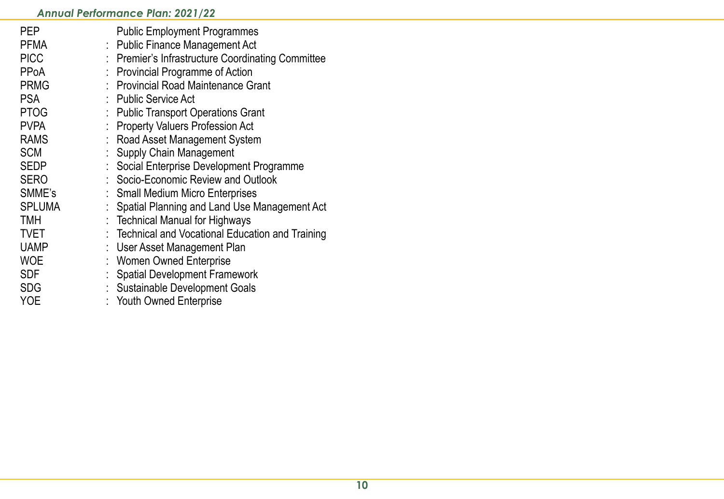| <b>PFP</b>    | <b>Public Employment Programmes</b>               |
|---------------|---------------------------------------------------|
| <b>PFMA</b>   | : Public Finance Management Act                   |
| <b>PICC</b>   | : Premier's Infrastructure Coordinating Committee |
| <b>PPoA</b>   | : Provincial Programme of Action                  |
| <b>PRMG</b>   | : Provincial Road Maintenance Grant               |
| <b>PSA</b>    | : Public Service Act                              |
| <b>PTOG</b>   | : Public Transport Operations Grant               |
| <b>PVPA</b>   | Property Valuers Profession Act                   |
| <b>RAMS</b>   | : Road Asset Management System                    |
| <b>SCM</b>    | Supply Chain Management                           |
| <b>SEDP</b>   | Social Enterprise Development Programme           |
| <b>SERO</b>   | Socio-Economic Review and Outlook                 |
| SMME's        | : Small Medium Micro Enterprises                  |
| <b>SPLUMA</b> | : Spatial Planning and Land Use Management Act    |
| TMH           | : Technical Manual for Highways                   |
| <b>TVET</b>   | : Technical and Vocational Education and Training |
| <b>UAMP</b>   | User Asset Management Plan                        |
| <b>WOE</b>    | : Women Owned Enterprise                          |
| <b>SDF</b>    | Spatial Development Framework                     |
| <b>SDG</b>    | Sustainable Development Goals                     |
| YOE           | Youth Owned Enterprise                            |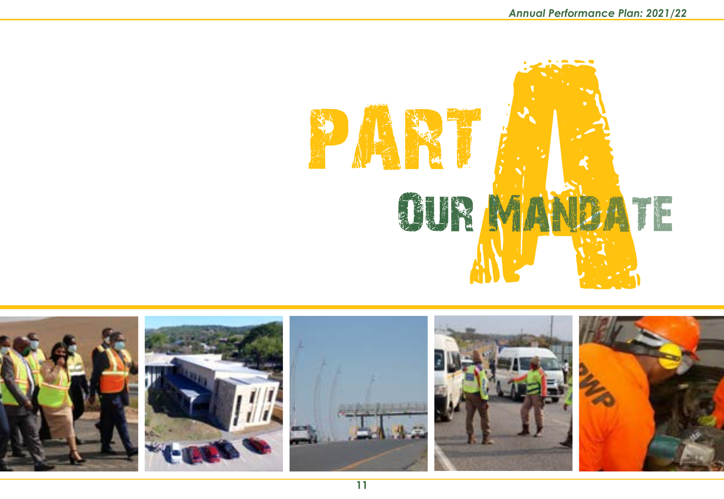

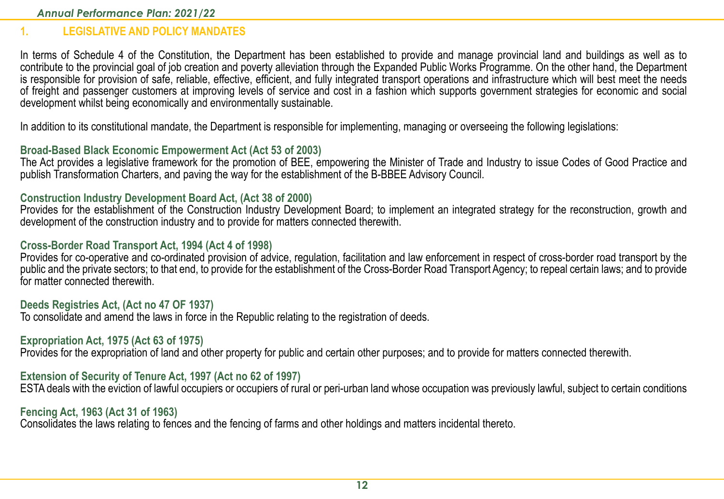## **1. LEGISLATIVE AND POLICY MANDATES**

In terms of Schedule 4 of the Constitution, the Department has been established to provide and manage provincial land and buildings as well as to contribute to the provincial goal of job creation and poverty alleviation through the Expanded Public Works Programme. On the other hand, the Department is responsible for provision of safe, reliable, effective, efficient, and fully integrated transport operations and infrastructure which will best meet the needs of freight and passenger customers at improving levels of service and cost in a fashion which supports government strategies for economic and social development whilst being economically and environmentally sustainable.

In addition to its constitutional mandate, the Department is responsible for implementing, managing or overseeing the following legislations:

#### **Broad-Based Black Economic Empowerment Act (Act 53 of 2003)**

The Act provides a legislative framework for the promotion of BEE, empowering the Minister of Trade and Industry to issue Codes of Good Practice and publish Transformation Charters, and paving the way for the establishment of the B-BBEE Advisory Council.

#### **Construction Industry Development Board Act, (Act 38 of 2000)**

Provides for the establishment of the Construction Industry Development Board; to implement an integrated strategy for the reconstruction, growth and development of the construction industry and to provide for matters connected therewith.

### **Cross-Border Road Transport Act, 1994 (Act 4 of 1998)**

Provides for co-operative and co-ordinated provision of advice, regulation, facilitation and law enforcement in respect of cross-border road transport by the public and the private sectors; to that end, to provide for the establishment of the Cross-Border Road Transport Agency; to repeal certain laws; and to provide for matter connected therewith

#### **Deeds Registries Act, (Act no 47 OF 1937)**

To consolidate and amend the laws in force in the Republic relating to the registration of deeds.

#### **Expropriation Act, 1975 (Act 63 of 1975)**

Provides for the expropriation of land and other property for public and certain other purposes; and to provide for matters connected therewith.

#### **Extension of Security of Tenure Act, 1997 (Act no 62 of 1997)**

ESTA deals with the eviction of lawful occupiers or occupiers of rural or peri-urban land whose occupation was previously lawful, subject to certain conditions

#### **Fencing Act, 1963 (Act 31 of 1963)**

Consolidates the laws relating to fences and the fencing of farms and other holdings and matters incidental thereto.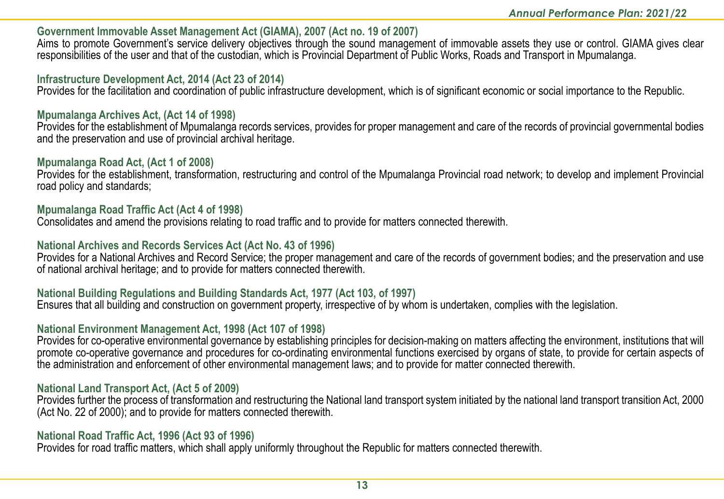#### **Government Immovable Asset Management Act (GIAMA), 2007 (Act no. 19 of 2007)**

Aims to promote Government's service delivery objectives through the sound management of immovable assets they use or control. GIAMA gives clear responsibilities of the user and that of the custodian, which is Provincial Department of Public Works, Roads and Transport in Mpumalanga.

#### **Infrastructure Development Act, 2014 (Act 23 of 2014)**

Provides for the facilitation and coordination of public infrastructure development, which is of significant economic or social importance to the Republic.

#### **Mpumalanga Archives Act, (Act 14 of 1998)**

Provides for the establishment of Mpumalanga records services, provides for proper management and care of the records of provincial governmental bodies and the preservation and use of provincial archival heritage.

### **Mpumalanga Road Act, (Act 1 of 2008)**

Provides for the establishment, transformation, restructuring and control of the Mpumalanga Provincial road network; to develop and implement Provincial road policy and standards;

#### **Mpumalanga Road Traffic Act (Act 4 of 1998)**

Consolidates and amend the provisions relating to road traffic and to provide for matters connected therewith.

#### **National Archives and Records Services Act (Act No. 43 of 1996)**

Provides for a National Archives and Record Service; the proper management and care of the records of government bodies; and the preservation and use of national archival heritage; and to provide for matters connected therewith.

#### **National Building Regulations and Building Standards Act, 1977 (Act 103, of 1997)**

Ensures that all building and construction on government property, irrespective of by whom is undertaken, complies with the legislation.

#### **National Environment Management Act, 1998 (Act 107 of 1998)**

Provides for co-operative environmental governance by establishing principles for decision-making on matters affecting the environment, institutions that will promote co-operative governance and procedures for co-ordinating environmental functions exercised by organs of state, to provide for certain aspects of the administration and enforcement of other environmental management laws; and to provide for matter connected therewith.

#### **National Land Transport Act, (Act 5 of 2009)**

Provides further the process of transformation and restructuring the National land transport system initiated by the national land transport transition Act, 2000 (Act No. 22 of 2000); and to provide for matters connected therewith.

#### **National Road Traffic Act, 1996 (Act 93 of 1996)**

Provides for road traffic matters, which shall apply uniformly throughout the Republic for matters connected therewith.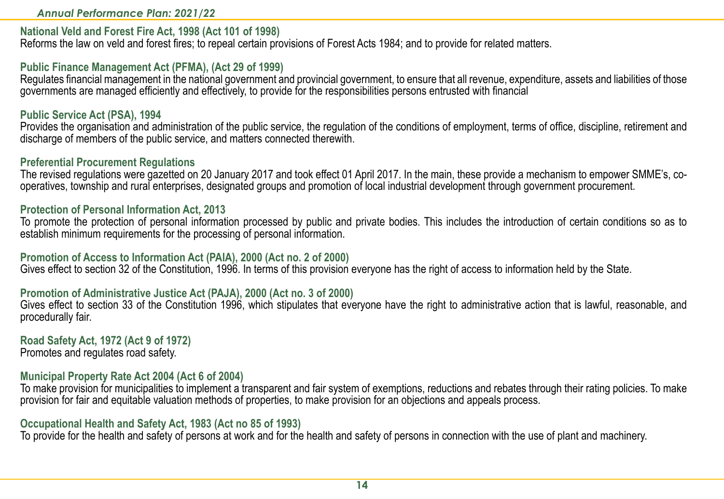## **National Veld and Forest Fire Act, 1998 (Act 101 of 1998)**

Reforms the law on veld and forest fires; to repeal certain provisions of Forest Acts 1984; and to provide for related matters.

## **Public Finance Management Act (PFMA), (Act 29 of 1999)**

Regulates financial management in the national government and provincial government, to ensure that all revenue, expenditure, assets and liabilities of those governments are managed efficiently and effectively, to provide for the responsibilities persons entrusted with financial

## **Public Service Act (PSA), 1994**

Provides the organisation and administration of the public service, the regulation of the conditions of employment, terms of office, discipline, retirement and discharge of members of the public service, and matters connected therewith.

## **Preferential Procurement Regulations**

The revised regulations were gazetted on 20 January 2017 and took effect 01 April 2017. In the main, these provide a mechanism to empower SMME's, cooperatives, township and rural enterprises, designated groups and promotion of local industrial development through government procurement.

### **Protection of Personal Information Act, 2013**

To promote the protection of personal information processed by public and private bodies. This includes the introduction of certain conditions so as to establish minimum requirements for the processing of personal information.

## **Promotion of Access to Information Act (PAIA), 2000 (Act no. 2 of 2000)**

Gives effect to section 32 of the Constitution, 1996. In terms of this provision everyone has the right of access to information held by the State.

## **Promotion of Administrative Justice Act (PAJA), 2000 (Act no. 3 of 2000)**

Gives effect to section 33 of the Constitution 1996, which stipulates that everyone have the right to administrative action that is lawful, reasonable, and procedurally fair.

# **Road Safety Act, 1972 (Act 9 of 1972)**

Promotes and regulates road safety.

## **Municipal Property Rate Act 2004 (Act 6 of 2004)**

To make provision for municipalities to implement a transparent and fair system of exemptions, reductions and rebates through their rating policies. To make provision for fair and equitable valuation methods of properties, to make provision for an objections and appeals process.

## **Occupational Health and Safety Act, 1983 (Act no 85 of 1993)**

To provide for the health and safety of persons at work and for the health and safety of persons in connection with the use of plant and machinery.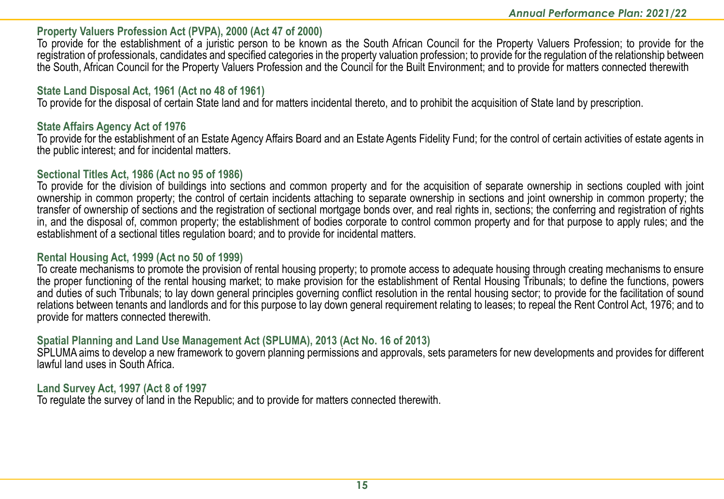## **Property Valuers Profession Act (PVPA), 2000 (Act 47 of 2000)**

To provide for the establishment of a juristic person to be known as the South African Council for the Property Valuers Profession; to provide for the registration of professionals, candidates and specified categories in the property valuation profession; to provide for the regulation of the relationship between the South, African Council for the Property Valuers Profession and the Council for the Built Environment; and to provide for matters connected therewith

#### **State Land Disposal Act, 1961 (Act no 48 of 1961)**

To provide for the disposal of certain State land and for matters incidental thereto, and to prohibit the acquisition of State land by prescription.

#### **State Affairs Agency Act of 1976**

To provide for the establishment of an Estate Agency Affairs Board and an Estate Agents Fidelity Fund; for the control of certain activities of estate agents in the public interest; and for incidental matters.

#### **Sectional Titles Act, 1986 (Act no 95 of 1986)**

To provide for the division of buildings into sections and common property and for the acquisition of separate ownership in sections coupled with joint ownership in common property; the control of certain incidents attaching to separate ownership in sections and joint ownership in common property; the transfer of ownership of sections and the registration of sectional mortgage bonds over, and real rights in, sections; the conferring and registration of rights in, and the disposal of, common property; the establishment of bodies corporate to control common property and for that purpose to apply rules; and the establishment of a sectional titles regulation board; and to provide for incidental matters.

#### **Rental Housing Act, 1999 (Act no 50 of 1999)**

To create mechanisms to promote the provision of rental housing property; to promote access to adequate housing through creating mechanisms to ensure the proper functioning of the rental housing market; to make provision for the establishment of Rental Housing Tribunals; to define the functions, powers and duties of such Tribunals; to lay down general principles governing conflict resolution in the rental housing sector; to provide for the facilitation of sound relations between tenants and landlords and for this purpose to lay down general requirement relating to leases; to repeal the Rent Control Act, 1976; and to provide for matters connected therewith.

## **Spatial Planning and Land Use Management Act (SPLUMA), 2013 (Act No. 16 of 2013)**

SPLUMA aims to develop a new framework to govern planning permissions and approvals, sets parameters for new developments and provides for different lawful land uses in South Africa.

#### **Land Survey Act, 1997 (Act 8 of 1997**

To regulate the survey of land in the Republic; and to provide for matters connected therewith.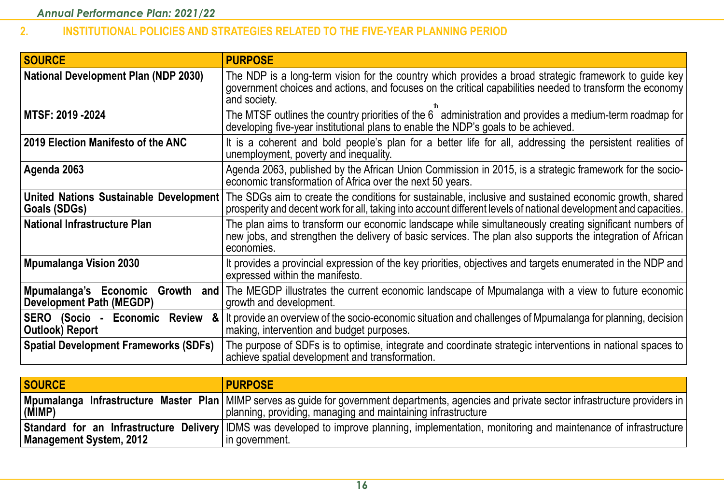## **2. INSTITUTIONAL POLICIES AND STRATEGIES RELATED TO THE FIVE-YEAR PLANNING PERIOD**

| <b>SOURCE</b>                                                | <b>PURPOSE</b>                                                                                                                                                                                                                     |
|--------------------------------------------------------------|------------------------------------------------------------------------------------------------------------------------------------------------------------------------------------------------------------------------------------|
| National Development Plan (NDP 2030)                         | The NDP is a long-term vision for the country which provides a broad strategic framework to guide key<br>government choices and actions, and focuses on the critical capabilities needed to transform the economy<br>and society.  |
| MTSF: 2019 -2024                                             | The MTSF outlines the country priorities of the 6 administration and provides a medium-term roadmap for<br>developing five-year institutional plans to enable the NDP's goals to be achieved.                                      |
| 2019 Election Manifesto of the ANC                           | It is a coherent and bold people's plan for a better life for all, addressing the persistent realities of<br>unemployment, poverty and inequality.                                                                                 |
| Agenda 2063                                                  | Agenda 2063, published by the African Union Commission in 2015, is a strategic framework for the socio-<br>economic transformation of Africa over the next 50 years.                                                               |
| United Nations Sustainable Development<br>Goals (SDGs)       | The SDGs aim to create the conditions for sustainable, inclusive and sustained economic growth, shared<br>prosperity and decent work for all, taking into account different levels of national development and capacities.         |
| National Infrastructure Plan                                 | The plan aims to transform our economic landscape while simultaneously creating significant numbers of<br>new jobs, and strengthen the delivery of basic services. The plan also supports the integration of African<br>economies. |
| Mpumalanga Vision 2030                                       | It provides a provincial expression of the key priorities, objectives and targets enumerated in the NDP and<br>expressed within the manifesto.                                                                                     |
| Mpumalanga's Economic Growth and<br>Development Path (MEGDP) | The MEGDP illustrates the current economic landscape of Mpumalanga with a view to future economic<br>growth and development.                                                                                                       |
| SERO (Socio - Economic Review &<br><b>Outlook</b> ) Report   | It provide an overview of the socio-economic situation and challenges of Mpumalanga for planning, decision<br>making, intervention and budget purposes.                                                                            |
| <b>Spatial Development Frameworks (SDFs)</b>                 | The purpose of SDFs is to optimise, integrate and coordinate strategic interventions in national spaces to<br>achieve spatial development and transformation.                                                                      |

| <b>SOURCE</b>           | <b>PURPOSE</b>                                                                                                                                                                                                   |
|-------------------------|------------------------------------------------------------------------------------------------------------------------------------------------------------------------------------------------------------------|
| (MIMP)                  | Mpumalanga Infrastructure Master Plan MIMP serves as guide for government departments, agencies and private sector infrastructure providers in  <br>planning, providing, managing and maintaining infrastructure |
| Management System, 2012 | Standard for an Infrastructure Delivery DDMS was developed to improve planning, implementation, monitoring and maintenance of infrastructure<br>  in government.                                                 |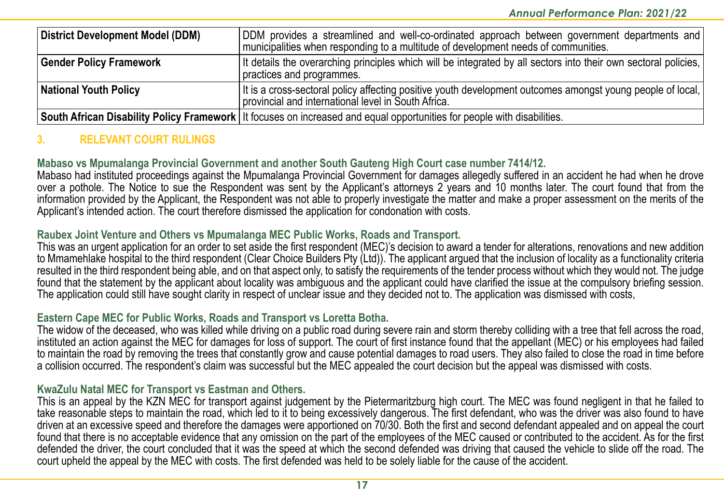| <b>District Development Model (DDM)</b> | DDM provides a streamlined and well-co-ordinated approach between government departments and<br>municipalities when responding to a multitude of development needs of communities. |
|-----------------------------------------|------------------------------------------------------------------------------------------------------------------------------------------------------------------------------------|
| <b>Gender Policy Framework</b>          | It details the overarching principles which will be integrated by all sectors into their own sectoral policies,<br>practices and programmes.                                       |
| <b>National Youth Policy</b>            | It is a cross-sectoral policy affecting positive youth development outcomes amongst young people of local,  <br>provincial and international level in South Africa.                |
|                                         | South African Disability Policy Framework   It focuses on increased and equal opportunities for people with disabilities.                                                          |

## **3. RELEVANT COURT RULINGS**

## **Mabaso vs Mpumalanga Provincial Government and another South Gauteng High Court case number 7414/12.**

Mabaso had instituted proceedings against the Mpumalanga Provincial Government for damages allegedly suffered in an accident he had when he drove over a pothole. The Notice to sue the Respondent was sent by the Applicant's attorneys 2 years and 10 months later. The court found that from the information provided by the Applicant, the Respondent was not able to properly investigate the matter and make a proper assessment on the merits of the Applicant's intended action. The court therefore dismissed the application for condonation with costs.

### **Raubex Joint Venture and Others vs Mpumalanga MEC Public Works, Roads and Transport.**

This was an urgent application for an order to set aside the first respondent (MEC)'s decision to award a tender for alterations, renovations and new addition to Mmamehlake hospital to the third respondent (Clear Choice Builders Pty (Ltd)). The applicant argued that the inclusion of locality as a functionality criteria resulted in the third respondent being able, and on that aspect only, to satisfy the requirements of the tender process without which they would not. The judge found that the statement by the applicant about locality was ambiguous and the applicant could have clarified the issue at the compulsory briefing session. The application could still have sought clarity in respect of unclear issue and they decided not to. The application was dismissed with costs,

## **Eastern Cape MEC for Public Works, Roads and Transport vs Loretta Botha.**

The widow of the deceased, who was killed while driving on a public road during severe rain and storm thereby colliding with a tree that fell across the road. instituted an action against the MEC for damages for loss of support. The court of first instance found that the appellant (MEC) or his employees had failed to maintain the road by removing the trees that constantly grow and cause potential damages to road users. They also failed to close the road in time before a collision occurred. The respondent's claim was successful but the MEC appealed the court decision but the appeal was dismissed with costs.

#### **KwaZulu Natal MEC for Transport vs Eastman and Others.**

This is an appeal by the KZN MEC for transport against judgement by the Pietermaritzburg high court. The MEC was found negligent in that he failed to take reasonable steps to maintain the road, which led to it to being excessively dangerous. The first defendant, who was the driver was also found to have driven at an excessive speed and therefore the damages were apportioned on 70/30. Both the first and second defendant appealed and on appeal the court found that there is no acceptable evidence that any omission on the part of the employees of the MEC caused or contributed to the accident. As for the first defended the driver, the court concluded that it was the speed at which the second defended was driving that caused the vehicle to slide off the road. The court upheld the appeal by the MEC with costs. The first defended was held to be solely liable for the cause of the accident.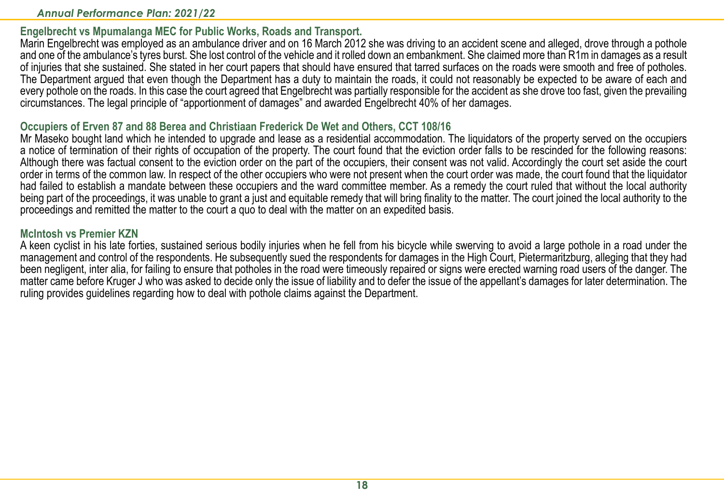## **Engelbrecht vs Mpumalanga MEC for Public Works, Roads and Transport.**

Marin Engelbrecht was employed as an ambulance driver and on 16 March 2012 she was driving to an accident scene and alleged, drove through a pothole and one of the ambulance's tyres burst. She lost control of the vehicle and it rolled down an embankment. She claimed more than R1m in damages as a result of injuries that she sustained. She stated in her court papers that should have ensured that tarred surfaces on the roads were smooth and free of potholes. The Department argued that even though the Department has a duty to maintain the roads, it could not reasonably be expected to be aware of each and every pothole on the roads. In this case the court agreed that Engelbrecht was partially responsible for the accident as she drove too fast, given the prevailing circumstances. The legal principle of "apportionment of damages" and awarded Engelbrecht 40% of her damages.

## **Occupiers of Erven 87 and 88 Berea and Christiaan Frederick De Wet and Others, CCT 108/16**

Mr Maseko bought land which he intended to upgrade and lease as a residential accommodation. The liquidators of the property served on the occupiers a notice of termination of their rights of occupation of the property. The court found that the eviction order falls to be rescinded for the following reasons: Although there was factual consent to the eviction order on the part of the occupiers, their consent was not valid. Accordingly the court set aside the court order in terms of the common law. In respect of the other occupiers who were not present when the court order was made, the court found that the liquidator had failed to establish a mandate between these occupiers and the ward committee member. As a remedy the court ruled that without the local authority being part of the proceedings, it was unable to grant a just and equitable remedy that will bring finality to the matter. The court joined the local authority to the proceedings and remitted the matter to the court a quo to deal with the matter on an expedited basis.

### **McIntosh vs Premier KZN**

A keen cyclist in his late forties, sustained serious bodily injuries when he fell from his bicycle while swerving to avoid a large pothole in a road under the management and control of the respondents. He subsequently sued the respondents for damages in the High Court, Pietermaritzburg, alleging that they had been negligent, inter alia, for failing to ensure that potholes in the road were timeously repaired or signs were erected warning road users of the danger. The matter came before Kruger J who was asked to decide only the issue of liability and to defer the issue of the appellant's damages for later determination. The ruling provides guidelines regarding how to deal with pothole claims against the Department.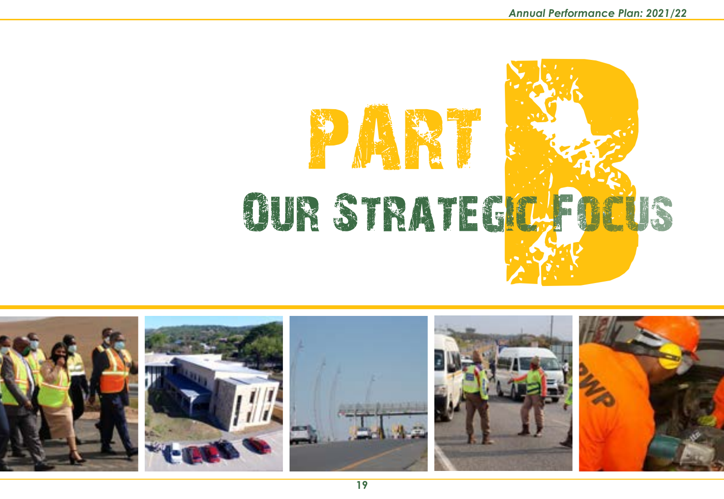

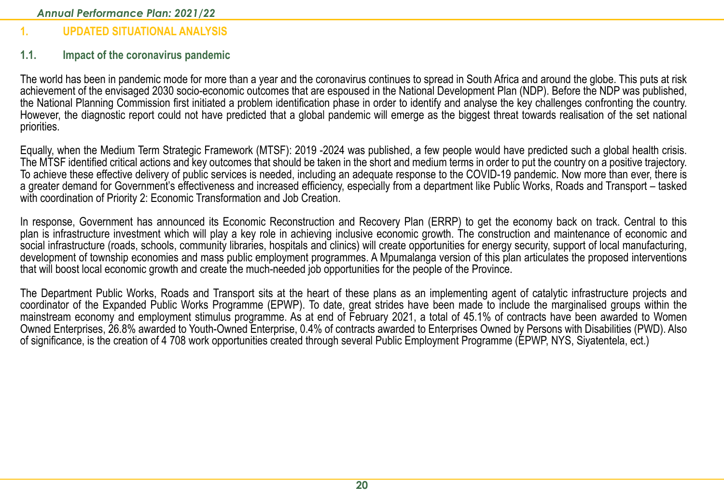## **1. UPDATED SITUATIONAL ANALYSIS**

#### **1.1. Impact of the coronavirus pandemic**

The world has been in pandemic mode for more than a year and the coronavirus continues to spread in South Africa and around the globe. This puts at risk achievement of the envisaged 2030 socio-economic outcomes that are espoused in the National Development Plan (NDP). Before the NDP was published, the National Planning Commission first initiated a problem identification phase in order to identify and analyse the key challenges confronting the country. However, the diagnostic report could not have predicted that a global pandemic will emerge as the biggest threat towards realisation of the set national priorities.

Equally, when the Medium Term Strategic Framework (MTSF): 2019 -2024 was published, a few people would have predicted such a global health crisis. The MTSF identified critical actions and key outcomes that should be taken in the short and medium terms in order to put the country on a positive trajectory. To achieve these effective delivery of public services is needed, including an adequate response to the COVID-19 pandemic. Now more than ever, there is a greater demand for Government's effectiveness and increased efficiency, especially from a department like Public Works, Roads and Transport – tasked with coordination of Priority 2: Economic Transformation and Job Creation.

In response, Government has announced its Economic Reconstruction and Recovery Plan (ERRP) to get the economy back on track. Central to this plan is infrastructure investment which will play a key role in achieving inclusive economic growth. The construction and maintenance of economic and social infrastructure (roads, schools, community libraries, hospitals and clinics) will create opportunities for energy security, support of local manufacturing, development of township economies and mass public employment programmes. A Mpumalanga version of this plan articulates the proposed interventions that will boost local economic growth and create the much-needed job opportunities for the people of the Province.

The Department Public Works, Roads and Transport sits at the heart of these plans as an implementing agent of catalytic infrastructure projects and coordinator of the Expanded Public Works Programme (EPWP). To date, great strides have been made to include the marginalised groups within the mainstream economy and employment stimulus programme. As at end of February 2021, a total of 45.1% of contracts have been awarded to Women Owned Enterprises, 26.8% awarded to Youth-Owned Enterprise, 0.4% of contracts awarded to Enterprises Owned by Persons with Disabilities (PWD). Also of significance, is the creation of 4 708 work opportunities created through several Public Employment Programme (EPWP, NYS, Siyatentela, ect.)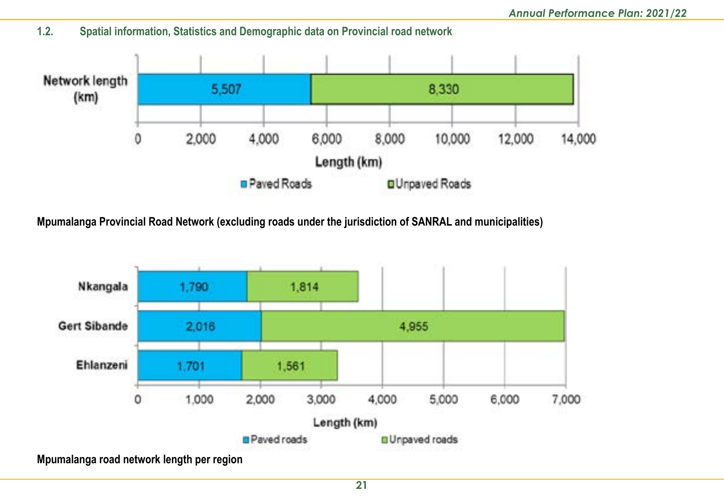

## **1.2. Spatial information, Statistics and Demographic data on Provincial road network**

**Mpumalanga Provincial Road Network (excluding roads under the jurisdiction of SANRAL and municipalities)**

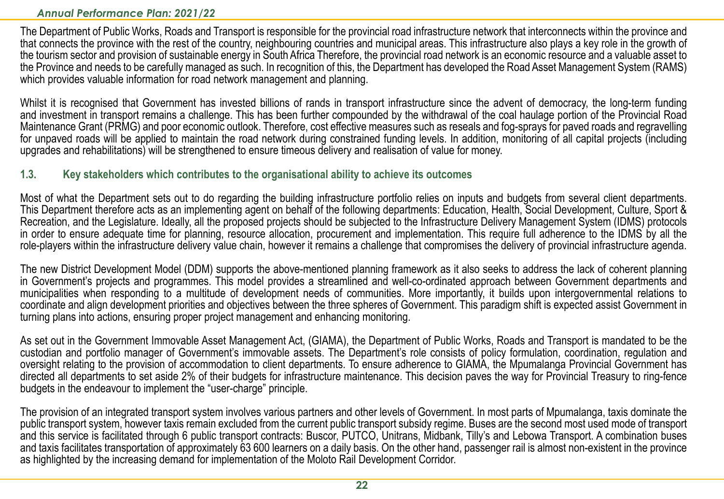The Department of Public Works, Roads and Transport is responsible for the provincial road infrastructure network that interconnects within the province and that connects the province with the rest of the country, neighbouring countries and municipal areas. This infrastructure also plays a key role in the growth of the tourism sector and provision of sustainable energy in South Africa Therefore, the provincial road network is an economic resource and a valuable asset to the Province and needs to be carefully managed as such. In recognition of this, the Department has developed the Road Asset Management System (RAMS) which provides valuable information for road network management and planning.

Whilst it is recognised that Government has invested billions of rands in transport infrastructure since the advent of democracy, the long-term funding and investment in transport remains a challenge. This has been further compounded by the withdrawal of the coal haulage portion of the Provincial Road Maintenance Grant (PRMG) and poor economic outlook. Therefore, cost effective measures such as reseals and fog-sprays for paved roads and regravelling for unpaved roads will be applied to maintain the road network during constrained funding levels. In addition, monitoring of all capital projects (including upgrades and rehabilitations) will be strengthened to ensure timeous delivery and realisation of value for money.

## **1.3. Key stakeholders which contributes to the organisational ability to achieve its outcomes**

Most of what the Department sets out to do regarding the building infrastructure portfolio relies on inputs and budgets from several client departments. This Department therefore acts as an implementing agent on behalf of the following departments: Education, Health, Social Development, Culture, Sport & Recreation, and the Legislature. Ideally, all the proposed projects should be subjected to the Infrastructure Delivery Management System (IDMS) protocols in order to ensure adequate time for planning, resource allocation, procurement and implementation. This require full adherence to the IDMS by all the role-players within the infrastructure delivery value chain, however it remains a challenge that compromises the delivery of provincial infrastructure agenda.

The new District Development Model (DDM) supports the above-mentioned planning framework as it also seeks to address the lack of coherent planning in Government's projects and programmes. This model provides a streamlined and well-co-ordinated approach between Government departments and municipalities when responding to a multitude of development needs of communities. More importantly, it builds upon intergovernmental relations to coordinate and align development priorities and objectives between the three spheres of Government. This paradigm shift is expected assist Government in turning plans into actions, ensuring proper project management and enhancing monitoring.

As set out in the Government Immovable Asset Management Act, (GIAMA), the Department of Public Works, Roads and Transport is mandated to be the custodian and portfolio manager of Government's immovable assets. The Department's role consists of policy formulation, coordination, regulation and oversight relating to the provision of accommodation to client departments. To ensure adherence to GIAMA, the Mpumalanga Provincial Government has directed all departments to set aside 2% of their budgets for infrastructure maintenance. This decision paves the way for Provincial Treasury to ring-fence budgets in the endeavour to implement the "user-charge" principle.

The provision of an integrated transport system involves various partners and other levels of Government. In most parts of Mpumalanga, taxis dominate the public transport system, however taxis remain excluded from the current public transport subsidy regime. Buses are the second most used mode of transport and this service is facilitated through 6 public transport contracts: Buscor, PUTCO, Unitrans, Midbank, Tilly's and Lebowa Transport. A combination buses and taxis facilitates transportation of approximately 63 600 learners on a daily basis. On the other hand, passenger rail is almost non-existent in the province as highlighted by the increasing demand for implementation of the Moloto Rail Development Corridor.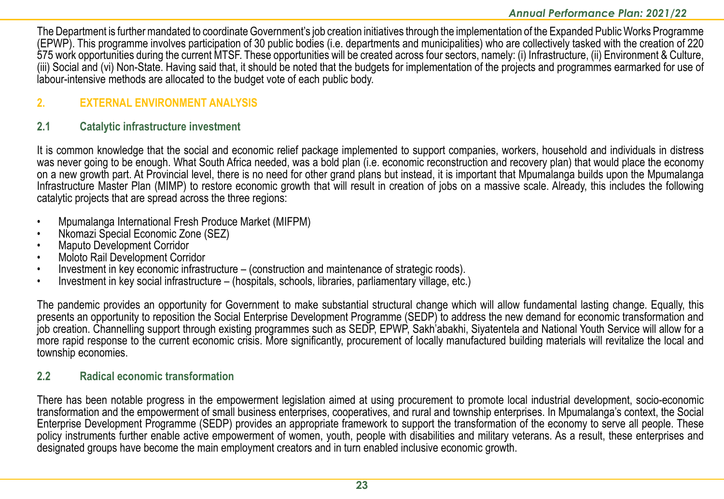The Department is further mandated to coordinate Government's job creation initiatives through the implementation of the Expanded Public Works Programme (EPWP). This programme involves participation of 30 public bodies (i.e. departments and municipalities) who are collectively tasked with the creation of 220 575 work opportunities during the current MTSF. These opportunities will be created across four sectors, namely: (i) Infrastructure, (ii) Environment & Culture, (iii) Social and (vi) Non-State. Having said that, it should be noted that the budgets for implementation of the projects and programmes earmarked for use of labour-intensive methods are allocated to the budget vote of each public body.

## **2. EXTERNAL ENVIRONMENT ANALYSIS**

## **2.1 Catalytic infrastructure investment**

It is common knowledge that the social and economic relief package implemented to support companies, workers, household and individuals in distress was never going to be enough. What South Africa needed, was a bold plan (i.e. economic reconstruction and recovery plan) that would place the economy on a new growth part. At Provincial level, there is no need for other grand plans but instead, it is important that Mpumalanga builds upon the Mpumalanga Infrastructure Master Plan (MIMP) to restore economic growth that will result in creation of jobs on a massive scale. Already, this includes the following catalytic projects that are spread across the three regions:

- 
- 
- 
- 
- Mpumalanga International Fresh Produce Market (MIFPM)<br>• Nkomazi Special Economic Zone (SEZ)<br>• Maputo Development Corridor<br>• Moloto Rail Development Corridor<br>• Investment in key economic infrastructure (construction and
- 

The pandemic provides an opportunity for Government to make substantial structural change which will allow fundamental lasting change. Equally, this presents an opportunity to reposition the Social Enterprise Development Programme (SEDP) to address the new demand for economic transformation and job creation. Channelling support through existing programmes such as SEDP, EPWP, Sakh'abakhi, Siyatentela and National Youth Service will allow for a more rapid response to the current economic crisis. More significantly, procurement of locally manufactured building materials will revitalize the local and township economies.

## **2.2 Radical economic transformation**

There has been notable progress in the empowerment legislation aimed at using procurement to promote local industrial development, socio-economic transformation and the empowerment of small business enterprises, cooperatives, and rural and township enterprises. In Mpumalanga's context, the Social Enterprise Development Programme (SEDP) provides an appropriate framework to support the transformation of the economy to serve all people. These policy instruments further enable active empowerment of women, youth, people with disabilities and military veterans. As a result, these enterprises and designated groups have become the main employment creators and in turn enabled inclusive economic growth.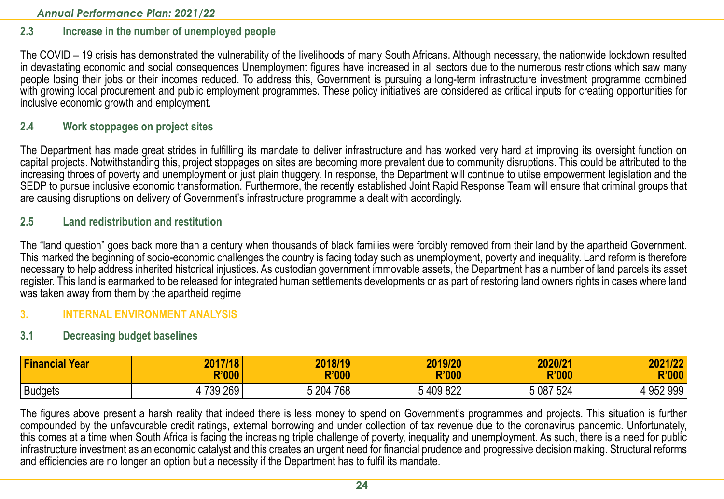## **2.3 Increase in the number of unemployed people**

The COVID – 19 crisis has demonstrated the vulnerability of the livelihoods of many South Africans. Although necessary, the nationwide lockdown resulted in devastating economic and social consequences Unemployment figures have increased in all sectors due to the numerous restrictions which saw many people losing their jobs or their incomes reduced. To address this, Government is pursuing a long-term infrastructure investment programme combined with growing local procurement and public employment programmes. These policy initiatives are considered as critical inputs for creating opportunities for inclusive economic growth and employment.

## **2.4 Work stoppages on project sites**

The Department has made great strides in fulfilling its mandate to deliver infrastructure and has worked very hard at improving its oversight function on capital projects. Notwithstanding this, project stoppages on sites are becoming more prevalent due to community disruptions. This could be attributed to the increasing throes of poverty and unemployment or just plain thuggery. In response, the Department will continue to utilse empowerment legislation and the SEDP to pursue inclusive economic transformation. Furthermore, the recently established Joint Rapid Response Team will ensure that criminal groups that are causing disruptions on delivery of Government's infrastructure programme a dealt with accordingly.

## **2.5 Land redistribution and restitution**

The "land question" goes back more than a century when thousands of black families were forcibly removed from their land by the apartheid Government. This marked the beginning of socio-economic challenges the country is facing today such as unemployment, poverty and inequality. Land reform is therefore necessary to help address inherited historical injustices. As custodian government immovable assets, the Department has a number of land parcels its asset register. This land is earmarked to be released for integrated human settlements developments or as part of restoring land owners rights in cases where land was taken away from them by the apartheid regime

## **3. INTERNAL ENVIRONMENT ANALYSIS**

## **3.1 Decreasing budget baselines**

| <b>Financial Year</b> | 2017/18    | 2018/19      | 2019/20   | 2020/21      | 2021/22 |
|-----------------------|------------|--------------|-----------|--------------|---------|
|                       | R'000      | <b>R'000</b> | R'000     | <b>R'000</b> | R'000   |
| Budgets               | 269<br>739 | 768<br>5 204 | 5 409 822 | 5 087 524    | 952 999 |

The figures above present a harsh reality that indeed there is less money to spend on Government's programmes and projects. This situation is further compounded by the unfavourable credit ratings, external borrowing and under collection of tax revenue due to the coronavirus pandemic. Unfortunately, this comes at a time when South Africa is facing the increasing triple challenge of poverty, inequality and unemployment. As such, there is a need for public infrastructure investment as an economic catalyst and this creates an urgent need for financial prudence and progressive decision making. Structural reforms and efficiencies are no longer an option but a necessity if the Department has to fulfil its mandate.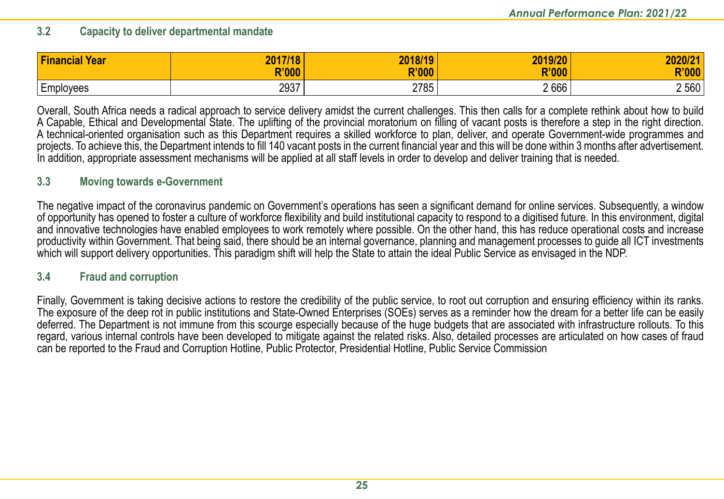#### **3.2 Capacity to deliver departmental mandate**

| <b>Financial Year</b>                   | 0047/40 | 2040/40<br>2010/ | 2019/20      | 2020/21      |
|-----------------------------------------|---------|------------------|--------------|--------------|
|                                         | R'000   | <b>R'000</b>     | <b>R'000</b> | <b>R'000</b> |
| $\overline{\phantom{0}}$<br>  Employees | 2937    | 2785             | 2666         | 2560'        |

Overall, South Africa needs a radical approach to service delivery amidst the current challenges. This then calls for a complete rethink about how to build A Capable, Ethical and Developmental State. The uplifting of the provincial moratorium on filling of vacant posts is therefore a step in the right direction. A technical-oriented organisation such as this Department requires a skilled workforce to plan, deliver, and operate Government-wide programmes and projects. To achieve this, the Department intends to fill 140 vacant posts in the current financial year and this will be done within 3 months after advertisement. In addition, appropriate assessment mechanisms will be applied at all staff levels in order to develop and deliver training that is needed.

#### **3.3 Moving towards e-Government**

The negative impact of the coronavirus pandemic on Government's operations has seen a significant demand for online services. Subsequently, a window of opportunity has opened to foster a culture of workforce flexibility and build institutional capacity to respond to a digitised future. In this environment, digital and innovative technologies have enabled employees to work remotely where possible. On the other hand, this has reduce operational costs and increase productivity within Government. That being said, there should be an internal governance, planning and management processes to guide all ICT investments which will support delivery opportunities. This paradigm shift will help the State to attain the ideal Public Service as envisaged in the NDP.

#### **3.4 Fraud and corruption**

Finally, Government is taking decisive actions to restore the credibility of the public service, to root out corruption and ensuring efficiency within its ranks. The exposure of the deep rot in public institutions and State-Owned Enterprises (SOEs) serves as a reminder how the dream for a better life can be easily deferred. The Department is not immune from this scourge especially because of the huge budgets that are associated with infrastructure rollouts. To this regard, various internal controls have been developed to mitigate against the related risks. Also, detailed processes are articulated on how cases of fraud can be reported to the Fraud and Corruption Hotline, Public Protector, Presidential Hotline, Public Service Commission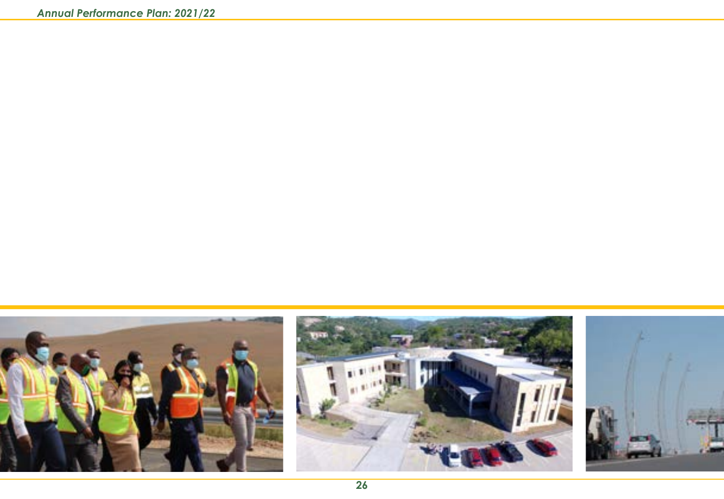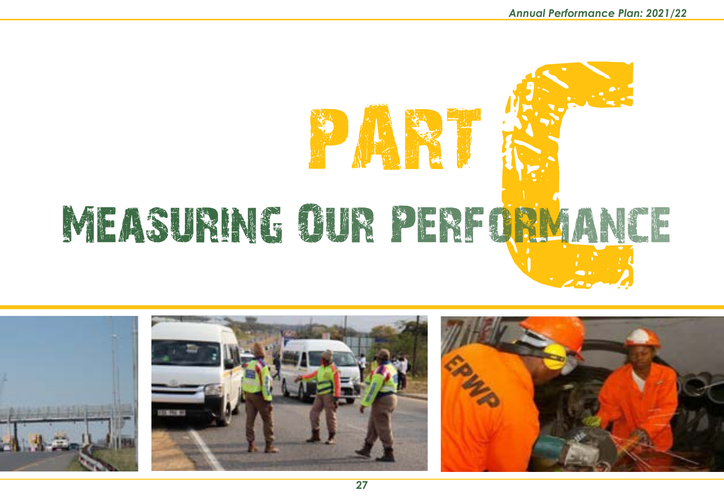# PART RE Measuring Our Performance

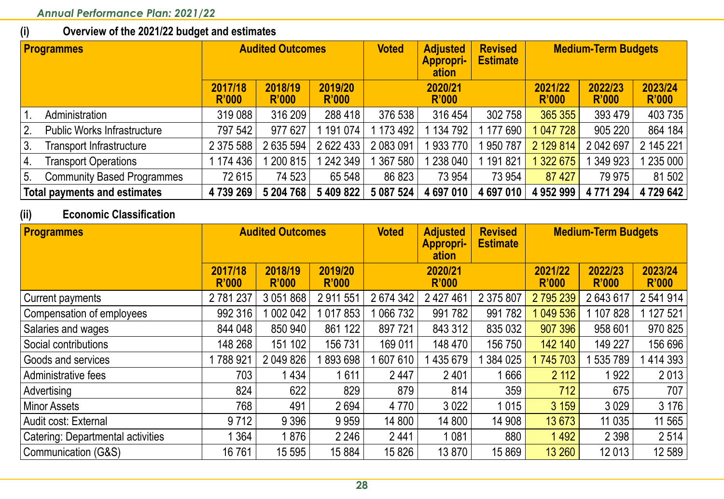# **(i) Overview of the 2021/22 budget and estimates**

| <b>Programmes</b> |                                     |                         | <b>Audited Outcomes</b> |                         | <b>Voted</b>     | <b>Adjusted</b><br><b>Appropri-</b><br>ation | <b>Revised</b><br><b>Medium-Term Budgets</b><br><b>Estimate</b> |                         |                  |                  |
|-------------------|-------------------------------------|-------------------------|-------------------------|-------------------------|------------------|----------------------------------------------|-----------------------------------------------------------------|-------------------------|------------------|------------------|
|                   |                                     | 2017/18<br><b>R'000</b> | 2018/19<br><b>R'000</b> | 2019/20<br><b>R'000</b> | 2020/21<br>R'000 |                                              |                                                                 | 2021/22<br><b>R'000</b> | 2022/23<br>R'000 | 2023/24<br>R'000 |
|                   | Administration                      | 319 088                 | 316 209                 | 288 418                 | 376 538          | 316 454                                      | 302 758                                                         | 365 355                 | 393 479          | 403 735          |
| $^{\prime}$ 2.    | <b>Public Works Infrastructure</b>  | 797 542                 | 977 627                 | 191 074                 | 173 492          | 134 792                                      | 177 690                                                         | 047 728                 | 905 220          | 864 184          |
| 3.                | Transport Infrastructure            | 2 375 588               | 2 635 594               | 2622433                 | 2 083 091        | 933 770                                      | 950 787                                                         | 2 129 814               | 2 042 697        | 2 145 221        |
| '4.               | <b>Transport Operations</b>         | 174 436                 | 200 815                 | 242 349                 | 367 580          | 238 040                                      | 191821                                                          | 322 675                 | 349 923          | 235 000          |
| I 5.              | <b>Community Based Programmes</b>   | 72 615                  | 74 523                  | 65 548                  | 86 823           | 73 954                                       | 73 954                                                          | 87 427                  | 79 975           | 81 502           |
|                   | <b>Total payments and estimates</b> | 4739269                 | 5 204 768               | 5 409 822               | 5 087 524        | 4 697 010                                    | 4 697 010                                                       | 4952999                 | 4 771 294        | 4729642          |

# **(ii) Economic Classification**

| <b>Programmes</b>                 |                  | <b>Audited Outcomes</b> |                  | <b>Adjusted</b><br><b>Voted</b><br><b>Revised</b><br><b>Estimate</b><br><b>Appropri-</b><br>ation |                  |           | <b>Medium-Term Budgets</b> |                  |                  |  |
|-----------------------------------|------------------|-------------------------|------------------|---------------------------------------------------------------------------------------------------|------------------|-----------|----------------------------|------------------|------------------|--|
|                                   | 2017/18<br>R'000 | 2018/19<br>R'000        | 2019/20<br>R'000 |                                                                                                   | 2020/21<br>R'000 |           | 2021/22<br>R'000           | 2022/23<br>R'000 | 2023/24<br>R'000 |  |
| Current payments                  | 2 781 237        | 3 051 868               | 2911551          | 2 674 342                                                                                         | 2 427 461        | 2 375 807 | 2795239                    | 2 643 617        | 2 541 914        |  |
| Compensation of employees         | 992 316          | 002 042                 | 017 853          | 1 066 732                                                                                         | 991 782          | 991 782   | 049 536                    | 1 107 828        | 127 521          |  |
| Salaries and wages                | 844 048          | 850 940                 | 861 122          | 897 721                                                                                           | 843 312          | 835 032   | 907 396                    | 958 601          | 970 825          |  |
| Social contributions              | 148 268          | 151 102                 | 156 731          | 169 011                                                                                           | 148 470          | 156 750   | 142 140                    | 149 227          | 156 696          |  |
| Goods and services                | 788 921          | 2 049 826               | 893 698          | 607 610                                                                                           | 435 679          | 384 025   | 745 703                    | 535 789          | 414 393          |  |
| Administrative fees               | 703              | 434                     | 611              | 2 4 4 7                                                                                           | 2 4 0 1          | 666       | 2 112                      | 1922             | 2013             |  |
| Advertising                       | 824              | 622                     | 829              | 879                                                                                               | 814              | 359       | 712                        | 675              | 707              |  |
| <b>Minor Assets</b>               | 768              | 491                     | 2694             | 4 7 7 0                                                                                           | 3 0 2 2          | 1015      | 3 1 5 9                    | 3029             | 3 1 7 6          |  |
| Audit cost: External              | 9712             | 9 3 9 6                 | 9 9 5 9          | 14 800                                                                                            | 14 800           | 14 908    | 13 673                     | 11 0 35          | 11 565           |  |
| Catering: Departmental activities | 364              | 1876                    | 2 2 4 6          | 2 4 4 1                                                                                           | 1081             | 880       | 1492                       | 2 3 9 8          | 2514             |  |
| Communication (G&S)               | 16761            | 15 5 95                 | 15884            | 15826                                                                                             | 13870            | 15869     | 13 260                     | 12013            | 12 589           |  |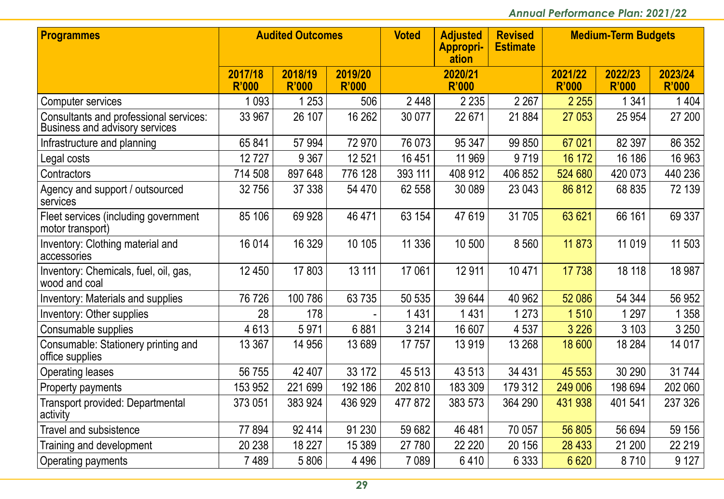| Programmes                                                               | <b>Audited Outcomes</b> |                         |                         | <b>Voted</b> | <b>Revised</b><br><b>Adjusted</b><br><b>Estimate</b><br><b>Appropri-</b><br>ation |         |                         | <b>Medium-Term Budgets</b> |                         |  |  |
|--------------------------------------------------------------------------|-------------------------|-------------------------|-------------------------|--------------|-----------------------------------------------------------------------------------|---------|-------------------------|----------------------------|-------------------------|--|--|
|                                                                          | 2017/18<br>R'000        | 2018/19<br><b>R'000</b> | 2019/20<br><b>R'000</b> |              | 2020/21<br>R'000                                                                  |         | 2021/22<br><b>R'000</b> | 2022/23<br><b>R'000</b>    | 2023/24<br><b>R'000</b> |  |  |
| Computer services                                                        | 1 0 9 3                 | 1 2 5 3                 | 506                     | 2 4 4 8      | 2 2 3 5                                                                           | 2 2 6 7 | 2 2 5 5                 | 1 3 4 1                    | 1 4 0 4                 |  |  |
| Consultants and professional services:<br>Business and advisory services | 33 967                  | 26 107                  | 16 26 2                 | 30 077       | 22 671                                                                            | 21 884  | 27 053                  | 25 9 54                    | 27 200                  |  |  |
| Infrastructure and planning                                              | 65 841                  | 57 994                  | 72 970                  | 76 073       | 95 347                                                                            | 99 850  | 67 021                  | 82 397                     | 86 352                  |  |  |
| Legal costs                                                              | 12727                   | 9 3 6 7                 | 12 5 21                 | 16 451       | 11 969                                                                            | 9719    | 16 172                  | 16 186                     | 16 963                  |  |  |
| Contractors                                                              | 714 508                 | 897 648                 | 776 128                 | 393 111      | 408 912                                                                           | 406 852 | 524 680                 | 420 073                    | 440 236                 |  |  |
| Agency and support / outsourced<br>services                              | 32756                   | 37 338                  | 54 470                  | 62 558       | 30 089                                                                            | 23 043  | 86812                   | 68 835                     | 72 139                  |  |  |
| Fleet services (including government<br>motor transport)                 | 85 106                  | 69 928                  | 46 471                  | 63 154       | 47 619                                                                            | 31 705  | 63 621                  | 66 161                     | 69 337                  |  |  |
| Inventory: Clothing material and<br>accessories                          | 16 0 14                 | 16 329                  | 10 10 5                 | 11 336       | 10 500                                                                            | 8 5 6 0 | 11 873                  | 11 019                     | 11 503                  |  |  |
| Inventory: Chemicals, fuel, oil, gas,<br>wood and coal                   | 12 450                  | 17803                   | 13 111                  | 17 061       | 12911                                                                             | 10 471  | 17 738                  | 18 118                     | 18 987                  |  |  |
| Inventory: Materials and supplies                                        | 76 726                  | 100 786                 | 63735                   | 50 535       | 39 644                                                                            | 40 962  | 52 086                  | 54 344                     | 56 952                  |  |  |
| Inventory: Other supplies                                                | 28                      | 178                     |                         | 1431         | 1431                                                                              | 1 2 7 3 | 1510                    | 1 2 9 7                    | 1 3 5 8                 |  |  |
| Consumable supplies                                                      | 4613                    | 5971                    | 6881                    | 3 2 1 4      | 16 607                                                                            | 4537    | 3 2 2 6                 | 3 1 0 3                    | 3 2 5 0                 |  |  |
| Consumable: Stationery printing and<br>office supplies                   | 13 367                  | 14 956                  | 13 689                  | 17757        | 13919                                                                             | 13 268  | 18 600                  | 18 2 84                    | 14 017                  |  |  |
| Operating leases                                                         | 56 755                  | 42 407                  | 33 172                  | 45 513       | 43 513                                                                            | 34 431  | 45 553                  | 30 290                     | 31 744                  |  |  |
| Property payments                                                        | 153 952                 | 221 699                 | 192 186                 | 202 810      | 183 309                                                                           | 179 312 | 249 006                 | 198 694                    | 202 060                 |  |  |
| Transport provided: Departmental<br>activity                             | 373 051                 | 383 924                 | 436 929                 | 477872       | 383 573                                                                           | 364 290 | 431 938                 | 401 541                    | 237 326                 |  |  |
| Travel and subsistence                                                   | 77 894                  | 92 414                  | 91 230                  | 59 682       | 46 481                                                                            | 70 057  | 56 805                  | 56 694                     | 59 156                  |  |  |
| Training and development                                                 | 20 238                  | 18 227                  | 15 389                  | 27 780       | 22 2 20                                                                           | 20 15 6 | 28 4 33                 | 21 200                     | 22 219                  |  |  |
| Operating payments                                                       | 7489                    | 5806                    | 4 4 9 6                 | 7 0 8 9      | 6410                                                                              | 6 3 3 3 | 6620                    | 8710                       | 9 1 2 7                 |  |  |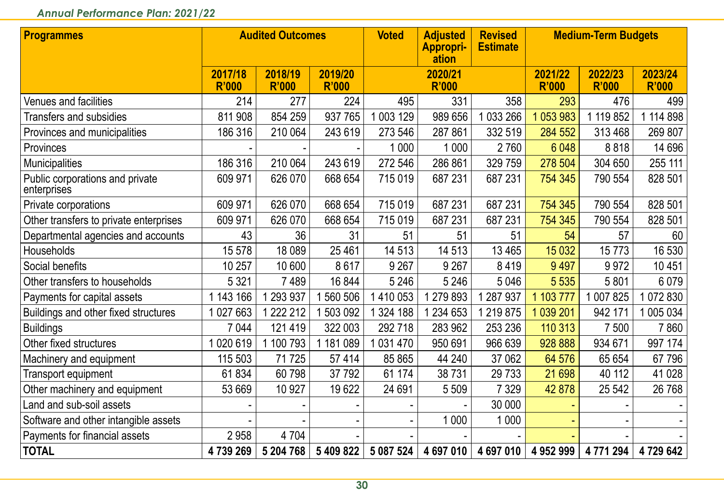| Programmes                                     |                  | <b>Audited Outcomes</b> |                         | <b>Voted</b><br><b>Adjusted</b><br><b>Revised</b><br><b>Estimate</b><br><b>Appropri-</b><br>ation |           |                         | <b>Medium-Term Budgets</b> |                         |           |  |
|------------------------------------------------|------------------|-------------------------|-------------------------|---------------------------------------------------------------------------------------------------|-----------|-------------------------|----------------------------|-------------------------|-----------|--|
|                                                | 2017/18<br>R'000 | 2018/19<br><b>R'000</b> | 2019/20<br><b>R'000</b> | 2020/21<br><b>R'000</b>                                                                           |           | 2021/22<br><b>R'000</b> | 2022/23<br><b>R'000</b>    | 2023/24<br><b>R'000</b> |           |  |
| Venues and facilities                          | 214              | 277                     | 224                     | 495                                                                                               | 331       | 358                     | 293                        | 476                     | 499       |  |
| <b>Transfers and subsidies</b>                 | 811 908          | 854 259                 | 937 765                 | 1 003 129                                                                                         | 989 656   | 1 033 266               | 1053983                    | 1 119 852               | 1 114 898 |  |
| Provinces and municipalities                   | 186 316          | 210 064                 | 243 619                 | 273 546                                                                                           | 287 861   | 332 519                 | 284 552                    | 313 468                 | 269 807   |  |
| Provinces                                      |                  |                         |                         | 1 000                                                                                             | 000       | 2760                    | 6 0 48                     | 8818                    | 14 696    |  |
| Municipalities                                 | 186 316          | 210 064                 | 243 619                 | 272 546                                                                                           | 286 861   | 329 759                 | 278 504                    | 304 650                 | 255 111   |  |
| Public corporations and private<br>enterprises | 609 971          | 626 070                 | 668 654                 | 715 019                                                                                           | 687 231   | 687 231                 | 754 345                    | 790 554                 | 828 501   |  |
| Private corporations                           | 609 971          | 626 070                 | 668 654                 | 715 019                                                                                           | 687 231   | 687 231                 | 754 345                    | 790 554                 | 828 501   |  |
| Other transfers to private enterprises         | 609 971          | 626 070                 | 668 654                 | 715 019                                                                                           | 687 231   | 687 231                 | 754 345                    | 790 554                 | 828 501   |  |
| Departmental agencies and accounts             | 43               | 36                      | 31                      | 51                                                                                                | 51        | 51                      | 54                         | 57                      | 60        |  |
| Households                                     | 15 578           | 18 089                  | 25 4 61                 | 14 513                                                                                            | 14 513    | 13 4 65                 | 15 0 32                    | 15773                   | 16 530    |  |
| Social benefits                                | 10 257           | 10 600                  | 8617                    | 9 2 6 7                                                                                           | 9 2 6 7   | 8419                    | 9497                       | 9972                    | 10 451    |  |
| Other transfers to households                  | 5 3 21           | 7489                    | 16 844                  | 5 2 4 6                                                                                           | 5 2 4 6   | 5 0 46                  | 5 5 3 5                    | 5801                    | 6079      |  |
| Payments for capital assets                    | 1 143 166        | 1 293 937               | 560 506                 | 1 410 053                                                                                         | 1 279 893 | 1 287 937               | 1 103 777                  | 1 007 825               | 1072830   |  |
| Buildings and other fixed structures           | 1 027 663        | 1 222 212               | 503 092                 | 324 188                                                                                           | 1 234 653 | 1 219 875               | 1 039 201                  | 942 171                 | 1 005 034 |  |
| <b>Buildings</b>                               | 7044             | 121 419                 | 322 003                 | 292 718                                                                                           | 283 962   | 253 236                 | 110 313                    | 7 500                   | 7860      |  |
| Other fixed structures                         | 1020619          | 1 100 793               | 181 089                 | 031 470<br>1                                                                                      | 950 691   | 966 639                 | 928 888                    | 934 671                 | 997 174   |  |
| Machinery and equipment                        | 115 503          | 71725                   | 57 414                  | 85 865                                                                                            | 44 240    | 37 062                  | 64 576                     | 65 654                  | 67 796    |  |
| Transport equipment                            | 61834            | 60798                   | 37 792                  | 61 174                                                                                            | 38731     | 29733                   | 21 698                     | 40 112                  | 41 0 28   |  |
| Other machinery and equipment                  | 53 669           | 10 927                  | 19622                   | 24 691                                                                                            | 5 5 0 9   | 7 3 2 9                 | 42878                      | 25 542                  | 26 768    |  |
| Land and sub-soil assets                       |                  |                         |                         |                                                                                                   |           | 30 000                  |                            |                         |           |  |
| Software and other intangible assets           |                  |                         |                         |                                                                                                   | 1 0 0 0   | 1 0 0 0                 |                            |                         |           |  |
| Payments for financial assets                  | 2958             | 4 7 0 4                 |                         |                                                                                                   |           |                         |                            |                         |           |  |
| <b>TOTAL</b>                                   | 4739269          | 5 204 768               | 5 409 822               | 5 087 524                                                                                         | 4 697 010 | 4 697 010               | 4 9 5 2 9 9 9              | 4771294                 | 4729642   |  |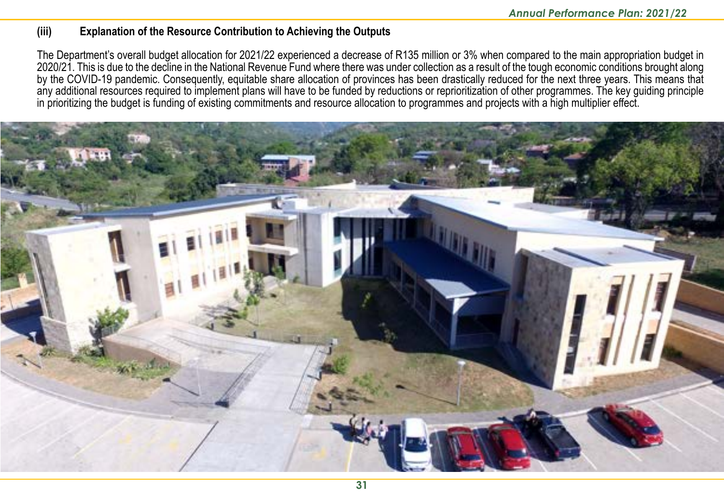## **(iii) Explanation of the Resource Contribution to Achieving the Outputs**

The Department's overall budget allocation for 2021/22 experienced a decrease of R135 million or 3% when compared to the main appropriation budget in 2020/21. This is due to the decline in the National Revenue Fund where there was under collection as a result of the tough economic conditions brought along by the COVID-19 pandemic. Consequently, equitable share allocation of provinces has been drastically reduced for the next three years. This means that any additional resources required to implement plans will have to be funded by reductions or reprioritization of other programmes. The key guiding principle in prioritizing the budget is funding of existing commitments and resource allocation to programmes and projects with a high multiplier effect.

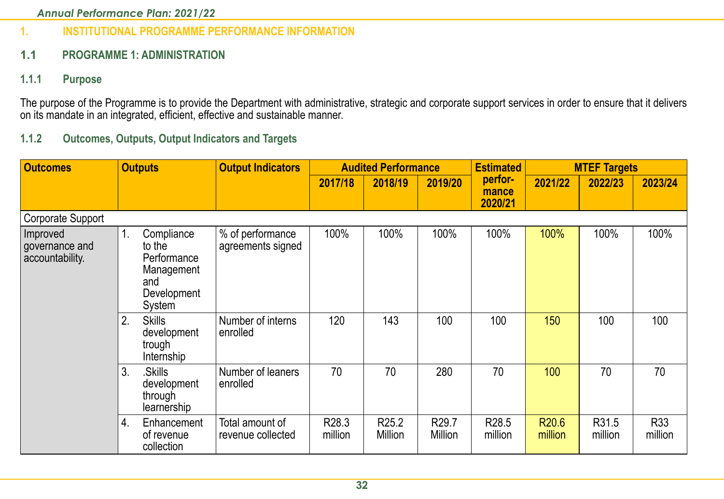**1. INSTITUTIONAL PROGRAMME PERFORMANCE INFORMATION**

## **1.1 PROGRAMME 1: ADMINISTRATION**

## **1.1.1 Purpose**

The purpose of the Programme is to provide the Department with administrative, strategic and corporate support services in order to ensure that it delivers on its mandate in an integrated, efficient, effective and sustainable manner.

## **1.1.2 Outcomes, Outputs, Output Indicators and Targets**

| <b>Outcomes</b>                               | <b>Outputs</b>                                                                                      |                                       |                  | <b>Audited Performance</b>   |                  | <b>Estimated</b>            |                              | <b>MTEF Targets</b> |                |
|-----------------------------------------------|-----------------------------------------------------------------------------------------------------|---------------------------------------|------------------|------------------------------|------------------|-----------------------------|------------------------------|---------------------|----------------|
|                                               |                                                                                                     |                                       | 2017/18          | 2018/19                      | 2019/20          | perfor-<br>mance<br>2020/21 | 2021/22                      | 2022/23             | 2023/24        |
| Corporate Support                             |                                                                                                     |                                       |                  |                              |                  |                             |                              |                     |                |
| Improved<br>governance and<br>accountability. | $\mathbf{1}$ .<br>Compliance<br>to the<br>Performance<br>Management<br>and<br>Development<br>System | % of performance<br>agreements signed | 100%             | 100%                         | 100%             | 100%                        | 100%                         | 100%                | 100%           |
|                                               | 2.<br><b>Skills</b><br>development<br>trough<br>Internship                                          | Number of interns<br>enrolled         | 120              | 143                          | 100              | 100                         | 150                          | 100                 | 100            |
|                                               | 3.<br>.Skills<br>development<br>through<br>learnership                                              | Number of leaners<br>enrolled         | 70               | 70                           | 280              | 70                          | 100                          | 70                  | 70             |
|                                               | 4.<br>Enhancement<br>of revenue<br>collection                                                       | Total amount of<br>revenue collected  | R28.3<br>million | R <sub>25.2</sub><br>Million | R29.7<br>Million | R28.5<br>million            | R <sub>20.6</sub><br>million | R31.5<br>million    | R33<br>million |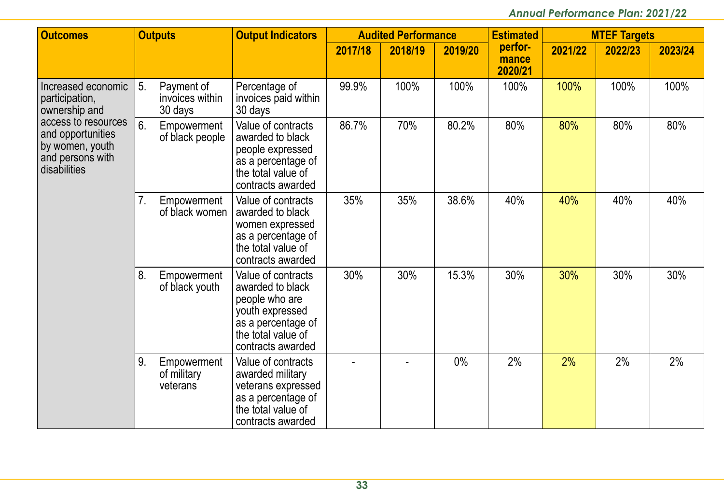| <b>Outcomes</b><br><b>Outputs</b>                                                                                                                        |    |                                          | <b>Output Indicators</b>                                                                                                                     |         | <b>Audited Performance</b> |         | <b>Estimated</b>            | <b>MTEF Targets</b> |         |         |
|----------------------------------------------------------------------------------------------------------------------------------------------------------|----|------------------------------------------|----------------------------------------------------------------------------------------------------------------------------------------------|---------|----------------------------|---------|-----------------------------|---------------------|---------|---------|
|                                                                                                                                                          |    |                                          |                                                                                                                                              | 2017/18 | 2018/19                    | 2019/20 | perfor-<br>mance<br>2020/21 | 2021/22             | 2022/23 | 2023/24 |
| Increased economic<br>participation,<br>ownership and<br>access to resources<br>and opportunities<br>by women, youth<br>and persons with<br>disabilities | 5. | Payment of<br>invoices within<br>30 days | Percentage of<br>invoices paid within<br>30 days                                                                                             | 99.9%   | 100%                       | 100%    | 100%                        | 100%                | 100%    | 100%    |
|                                                                                                                                                          | 6. | Empowerment<br>of black people           | Value of contracts<br>awarded to black<br>people expressed<br>as a percentage of<br>the total value of<br>contracts awarded                  | 86.7%   | 70%                        | 80.2%   | 80%                         | 80%                 | 80%     | 80%     |
|                                                                                                                                                          | 7. | Empowerment<br>of black women            | Value of contracts<br>awarded to black<br>women expressed<br>as a percentage of<br>the total value of<br>contracts awarded                   | 35%     | 35%                        | 38.6%   | 40%                         | 40%                 | 40%     | 40%     |
|                                                                                                                                                          | 8. | Empowerment<br>of black youth            | Value of contracts<br>awarded to black<br>people who are<br>youth expressed<br>as a percentage of<br>the total value of<br>contracts awarded | 30%     | 30%                        | 15.3%   | 30%                         | 30%                 | 30%     | 30%     |
|                                                                                                                                                          | 9. | Empowerment<br>of military<br>veterans   | Value of contracts<br>awarded military<br>veterans expressed<br>as a percentage of<br>the total value of<br>contracts awarded                |         |                            | $0\%$   | 2%                          | 2%                  | 2%      | 2%      |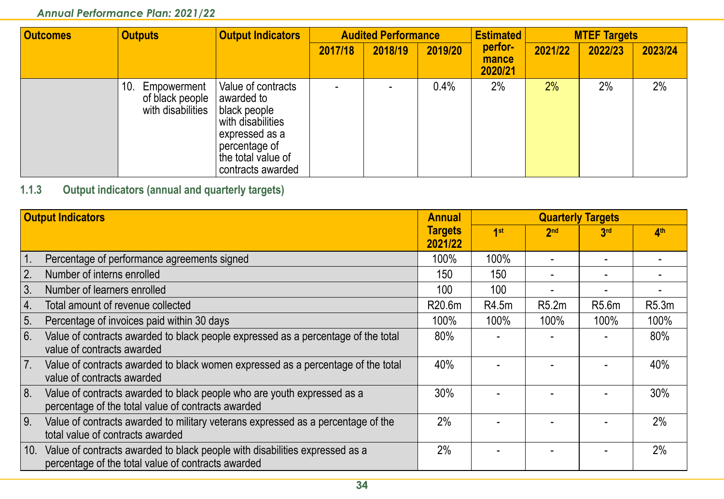*Annual Performance Plan: 2021/22*

| <b>Outcomes</b> | <b>Outputs</b>                                             |                                                                                                                                                     | <b>Audited Performance</b> |         | <b>Estimated</b> | <b>MTEF Targets</b>         |         |         |         |
|-----------------|------------------------------------------------------------|-----------------------------------------------------------------------------------------------------------------------------------------------------|----------------------------|---------|------------------|-----------------------------|---------|---------|---------|
|                 |                                                            |                                                                                                                                                     | 2017/18                    | 2018/19 | 2019/20          | perfor-<br>mance<br>2020/21 | 2021/22 | 2022/23 | 2023/24 |
|                 | 10.<br>Empowerment<br>of black people<br>with disabilities | Value of contracts<br>awarded to<br>black people<br>with disabilities<br>expressed as a<br>percentage of<br>the total value of<br>contracts awarded |                            |         | 0.4%             | 2%                          | 2%      | 2%      | 2%      |

# **1.1.3 Output indicators (annual and quarterly targets)**

|              | <b>Output Indicators</b>                                                                                                          | <b>Annual</b>             | <b>Quarterly Targets</b> |                    |                    |                          |  |
|--------------|-----------------------------------------------------------------------------------------------------------------------------------|---------------------------|--------------------------|--------------------|--------------------|--------------------------|--|
|              |                                                                                                                                   | <b>Targets</b><br>2021/22 | 1st                      | 2 <sub>nd</sub>    | 3 <sub>rd</sub>    | $\mathbf{A}^{\text{th}}$ |  |
| $\mathbf{1}$ | Percentage of performance agreements signed                                                                                       | 100%                      | 100%                     |                    |                    |                          |  |
| 2.           | Number of interns enrolled                                                                                                        | 150                       | 150                      |                    |                    |                          |  |
| 3.           | Number of learners enrolled                                                                                                       | 100                       | 100                      |                    |                    |                          |  |
| 4.           | Total amount of revenue collected                                                                                                 | R20.6m                    | R4.5m                    | R <sub>5.2</sub> m | R <sub>5.6</sub> m | R <sub>5</sub> .3m       |  |
| 5.           | Percentage of invoices paid within 30 days                                                                                        | 100%                      | 100%                     | 100%               | 100%               | 100%                     |  |
| 6.           | Value of contracts awarded to black people expressed as a percentage of the total<br>value of contracts awarded                   | 80%                       |                          |                    |                    | 80%                      |  |
| 7.           | Value of contracts awarded to black women expressed as a percentage of the total<br>value of contracts awarded                    | 40%                       |                          |                    |                    | 40%                      |  |
| 8            | Value of contracts awarded to black people who are youth expressed as a<br>percentage of the total value of contracts awarded     | 30%                       |                          |                    |                    | 30%                      |  |
| I9.          | Value of contracts awarded to military veterans expressed as a percentage of the<br>total value of contracts awarded              | 2%                        |                          |                    |                    | 2%                       |  |
| 10.          | Value of contracts awarded to black people with disabilities expressed as a<br>percentage of the total value of contracts awarded | 2%                        |                          |                    |                    | 2%                       |  |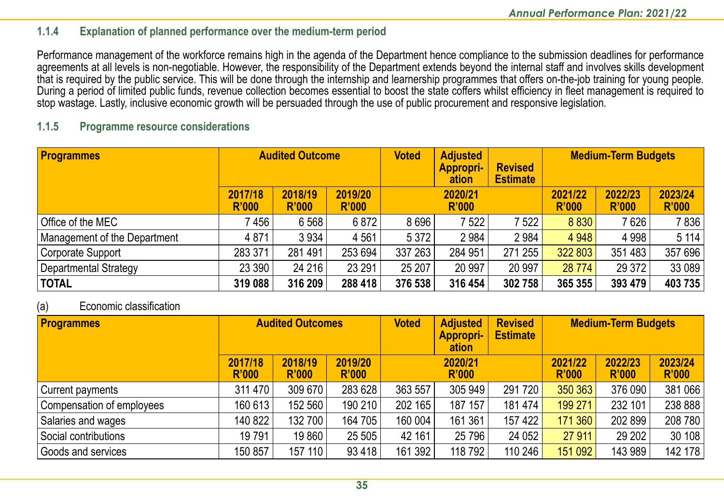## **1.1.4 Explanation of planned performance over the medium-term period**

Performance management of the workforce remains high in the agenda of the Department hence compliance to the submission deadlines for performance agreements at all levels is non-negotiable. However, the responsibility of the Department extends beyond the internal staff and involves skills development that is required by the public service. This will be done through the internship and learnership programmes that offers on-the-job training for young people. During a period of limited public funds, revenue collection becomes essential to boost the state coffers whilst efficiency in fleet management is required to stop wastage. Lastly, inclusive economic growth will be persuaded through the use of public procurement and responsive legislation.

## **1.1.5 Programme resource considerations**

| <b>Programmes</b>            | <b>Audited Outcome</b> |                  | <b>Voted</b>     | <b>Adjusted</b><br><b>Appropri-</b><br>ation | <b>Revised</b><br><b>Estimate</b> |         | <b>Medium-Term Budgets</b> |                  |                  |
|------------------------------|------------------------|------------------|------------------|----------------------------------------------|-----------------------------------|---------|----------------------------|------------------|------------------|
|                              | 2017/18<br>R'000       | 2018/19<br>R'000 | 2019/20<br>R'000 |                                              | 2020/21<br>R'000                  |         | 2021/22<br>R'000           | 2022/23<br>R'000 | 2023/24<br>R'000 |
| Office of the MEC            | 456'                   | 6 5 6 8          | 6872             | 8696                                         | 7522                              | 7 522   | 8 8 3 0                    | 7 626            | 7836             |
| Management of the Department | 4871                   | 3 9 3 4          | 4 5 61           | 5 3 7 2                                      | 2984                              | 2984    | 4 9 4 8                    | 4 9 98           | 5 1 1 4          |
| Corporate Support            | 283 371                | 281 491          | 253 694          | 337 263                                      | 284 951                           | 271 255 | 322 803                    | 351 483          | 357 696          |
| Departmental Strategy        | 23 390                 | 24 216           | 23 291           | 25 207                                       | 20 997                            | 20 997  | 28 7 74                    | 29 372           | 33 089           |
| <b>TOTAL</b>                 | 319 088                | 316 209          | 288 418          | 376 538                                      | 316 454                           | 302758  | 365 355                    | 393 479          | 403 735          |

#### (a) Economic classification

| <b>Programmes</b>         | <b>Audited Outcomes</b> |                  | <b>Voted</b>     | <b>Adjusted</b><br><b>Appropri-</b><br>ation | <b>Revised</b><br><b>Estimate</b> |         | <b>Medium-Term Budgets</b> |                  |                  |
|---------------------------|-------------------------|------------------|------------------|----------------------------------------------|-----------------------------------|---------|----------------------------|------------------|------------------|
|                           | 2017/18<br>R'000        | 2018/19<br>R'000 | 2019/20<br>R'000 | 2020/21<br>R'000                             |                                   |         | 2021/22<br>R'000           | 2022/23<br>R'000 | 2023/24<br>R'000 |
| Current payments          | 311 470                 | 309 670          | 283 628          | 363 557                                      | 305 949                           | 291 720 | 350 363                    | 376 090          | 381 066          |
| Compensation of employees | 160 613                 | 152 560          | 190 210          | 202 165                                      | 187 157                           | 181 474 | 199 271                    | 232 101          | 238 888          |
| Salaries and wages        | 140 822                 | 132 700          | 164 705          | 160 004                                      | 161 361                           | 157 422 | 171 360                    | 202 899          | 208 780          |
| Social contributions      | 19791                   | 19 860           | 25 505           | 42 161                                       | 25 796                            | 24 052  | 27 911                     | 29 20 2          | 30 108           |
| Goods and services        | 150 857                 | 157 110          | 93 418           | 161 392                                      | 118 792                           | 110 246 | 151 092                    | 143 989          | 142 178          |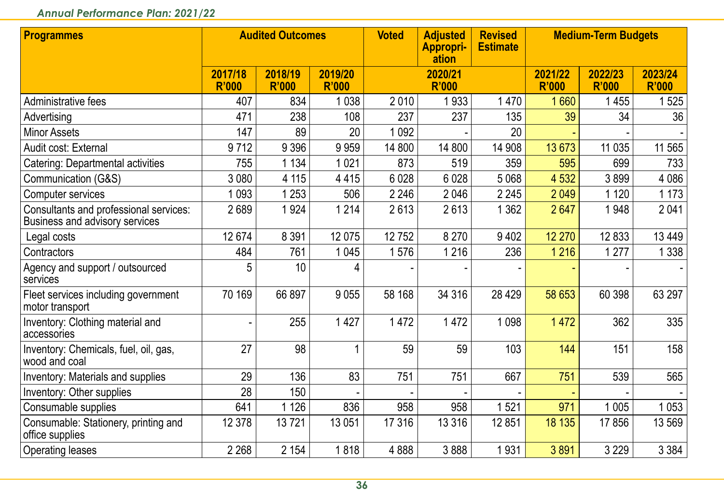| <b>Programmes</b>                                                        | <b>Audited Outcomes</b> |                  |                         | <b>Voted</b><br><b>Revised</b><br><b>Adjusted</b><br><b>Estimate</b><br><b>Appropri-</b><br>ation |         |         | <b>Medium-Term Budgets</b> |                         |                         |  |
|--------------------------------------------------------------------------|-------------------------|------------------|-------------------------|---------------------------------------------------------------------------------------------------|---------|---------|----------------------------|-------------------------|-------------------------|--|
|                                                                          | 2017/18<br>R'000        | 2018/19<br>R'000 | 2019/20<br><b>R'000</b> | 2020/21<br><b>R'000</b>                                                                           |         |         | 2021/22<br><b>R'000</b>    | 2022/23<br><b>R'000</b> | 2023/24<br><b>R'000</b> |  |
| Administrative fees                                                      | 407                     | 834              | 038                     | 2010                                                                                              | 1933    | 470     | 1660                       | 455                     | 525                     |  |
| Advertising                                                              | 471                     | 238              | 108                     | 237                                                                                               | 237     | 135     | 39                         | 34                      | 36                      |  |
| <b>Minor Assets</b>                                                      | 147                     | 89               | 20                      | 1 0 9 2                                                                                           |         | 20      |                            |                         |                         |  |
| Audit cost: External                                                     | 9712                    | 9 3 9 6          | 9959                    | 14 800                                                                                            | 14 800  | 14 908  | 13 673                     | 11 0 35                 | 11 565                  |  |
| Catering: Departmental activities                                        | 755                     | 1 1 3 4          | 1021                    | 873                                                                                               | 519     | 359     | 595                        | 699                     | 733                     |  |
| Communication (G&S)                                                      | 3 0 8 0                 | 4 1 1 5          | 4 4 1 5                 | 6 0 28                                                                                            | 6028    | 5 0 68  | 4 5 3 2                    | 3899                    | 4 0 8 6                 |  |
| Computer services                                                        | 1 0 9 3                 | 1 2 5 3          | 506                     | 2 2 4 6                                                                                           | 2 0 4 6 | 2 2 4 5 | 2 0 4 9                    | 1 1 2 0                 | 1 1 7 3                 |  |
| Consultants and professional services:<br>Business and advisory services | 2689                    | 1924             | 1214                    | 2613                                                                                              | 2613    | 1 3 6 2 | 2647                       | 1948                    | 2041                    |  |
| Legal costs                                                              | 12 674                  | 8 3 9 1          | 12 0 75                 | 12752                                                                                             | 8 2 7 0 | 9402    | 12 270                     | 12833                   | 13 4 4 9                |  |
| Contractors                                                              | 484                     | 761              | 1 0 4 5                 | 1576                                                                                              | 1 2 1 6 | 236     | 1 2 1 6                    | 1 277                   | 1 3 3 8                 |  |
| Agency and support / outsourced<br>services                              | 5                       | 10               |                         |                                                                                                   |         |         |                            |                         |                         |  |
| Fleet services including government<br>motor transport                   | 70 169                  | 66897            | 9055                    | 58 168                                                                                            | 34 316  | 28 4 29 | 58 653                     | 60 398                  | 63 297                  |  |
| Inventory: Clothing material and<br>accessories                          |                         | 255              | 1 4 2 7                 | 1 4 7 2                                                                                           | 1 4 7 2 | 1 0 9 8 | 1472                       | 362                     | 335                     |  |
| Inventory: Chemicals, fuel, oil, gas,<br>wood and coal                   | 27                      | 98               |                         | 59                                                                                                | 59      | 103     | 144                        | 151                     | 158                     |  |
| Inventory: Materials and supplies                                        | 29                      | 136              | 83                      | 751                                                                                               | 751     | 667     | 751                        | 539                     | 565                     |  |
| Inventory: Other supplies                                                | 28                      | 150              |                         |                                                                                                   |         |         |                            |                         |                         |  |
| Consumable supplies                                                      | 641                     | 1 1 2 6          | 836                     | 958                                                                                               | 958     | 1521    | 971                        | 1 0 0 5                 | 1 0 5 3                 |  |
| Consumable: Stationery, printing and<br>office supplies                  | 12 378                  | 13721            | 13 051                  | 17 316                                                                                            | 13 3 16 | 12 851  | 18 135                     | 17856                   | 13 569                  |  |
| Operating leases                                                         | 2 2 6 8                 | 2 1 5 4          | 1818                    | 4888                                                                                              | 3888    | 1931    | 3891                       | 3 2 2 9                 | 3 3 8 4                 |  |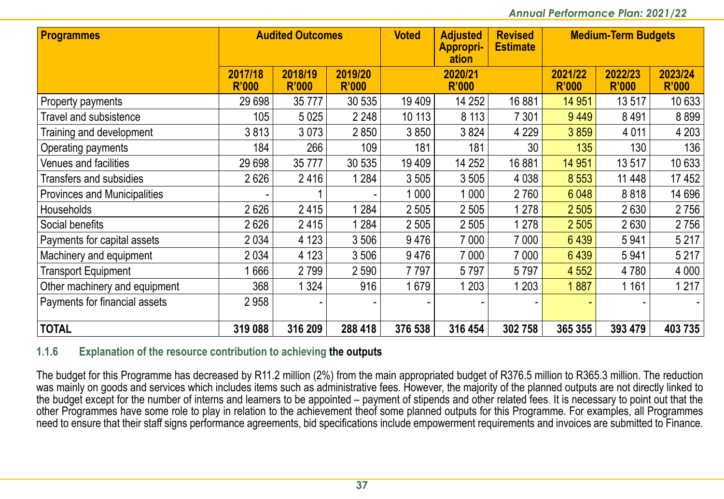| <b>Programmes</b>                   |                  | <b>Audited Outcomes</b><br><b>Voted</b><br><b>Adjusted</b><br><b>Revised</b><br><b>Estimate</b><br><b>Appropri-</b><br>ation |                         |         |                  |         |                  | <b>Medium-Term Budgets</b> |                  |  |
|-------------------------------------|------------------|------------------------------------------------------------------------------------------------------------------------------|-------------------------|---------|------------------|---------|------------------|----------------------------|------------------|--|
|                                     | 2017/18<br>R'000 | 2018/19<br>R'000                                                                                                             | 2019/20<br><b>R'000</b> |         | 2020/21<br>R'000 |         | 2021/22<br>R'000 | 2022/23<br>R'000           | 2023/24<br>R'000 |  |
| Property payments                   | 29 698           | 35 777                                                                                                                       | 30 535                  | 19 409  | 14 252           | 16881   | 14 951           | 13517                      | 10 633           |  |
| Travel and subsistence              | 105              | 5025                                                                                                                         | 2 2 4 8                 | 10 113  | 8 1 1 3          | 7 3 0 1 | 9449             | 8491                       | 8899             |  |
| Training and development            | 3813             | 3073                                                                                                                         | 2850                    | 3850    | 3824             | 4 2 2 9 | 3859             | 4 0 1 1                    | 4 2 0 3          |  |
| Operating payments                  | 184              | 266                                                                                                                          | 109                     | 181     | 181              | 30      | 135              | 130                        | 136              |  |
| Venues and facilities               | 29 698           | 35 777                                                                                                                       | 30 535                  | 19 409  | 14 25 2          | 16881   | 14 951           | 13517                      | 10 633           |  |
| <b>Transfers and subsidies</b>      | 2626             | 2416                                                                                                                         | 284                     | 3505    | 3505             | 4 0 38  | 8 5 5 3          | 11 448                     | 17 452           |  |
| <b>Provinces and Municipalities</b> |                  |                                                                                                                              |                         | 1 000   | 1 000            | 2760    | 6 0 48           | 8818                       | 14 696           |  |
| Households                          | 2626             | 2415                                                                                                                         | 1 2 8 4                 | 2 5 0 5 | 2 5 0 5          | 278     | 2 5 0 5          | 2630                       | 2756             |  |
| Social benefits                     | 2626             | 2415                                                                                                                         | 1 284                   | 2 5 0 5 | 2 5 0 5          | 1 278   | 2 5 0 5          | 2630                       | 2756             |  |
| Payments for capital assets         | 2 0 3 4          | 4 1 2 3                                                                                                                      | 3 506                   | 9476    | 7 000            | 7 000   | 6 4 3 9          | 5941                       | 5 2 1 7          |  |
| Machinery and equipment             | 2034             | 4 1 2 3                                                                                                                      | 3 506                   | 9476    | 7 000            | 7 000   | 6 4 3 9          | 5941                       | 5 2 1 7          |  |
| <b>Transport Equipment</b>          | 666              | 2799                                                                                                                         | 2 5 9 0                 | 7797    | 5797             | 5797    | 4 5 5 2          | 4780                       | 4 0 0 0          |  |
| Other machinery and equipment       | 368              | 1 3 2 4                                                                                                                      | 916                     | 1679    | 1 203            | 1 203   | 887              | 1 1 6 1                    | 1 2 1 7          |  |
| Payments for financial assets       | 2958             |                                                                                                                              |                         |         |                  |         |                  |                            |                  |  |
| <b>TOTAL</b>                        | 319 088          | 316 209                                                                                                                      | 288 418                 | 376 538 | 316 454          | 302 758 | 365 355          | 393 479                    | 403 735          |  |

#### **1.1.6 Explanation of the resource contribution to achieving the outputs**

The budget for this Programme has decreased by R11.2 million (2%) from the main appropriated budget of R376.5 million to R365.3 million. The reduction was mainly on goods and services which includes items such as administrative fees. However, the majority of the planned outputs are not directly linked to the budget except for the number of interns and learners to be appointed – payment of stipends and other related fees. It is necessary to point out that the other Programmes have some role to play in relation to the achievement theof some planned outputs for this Programme. For examples, all Programmes need to ensure that their staff signs performance agreements, bid specifications include empowerment requirements and invoices are submitted to Finance.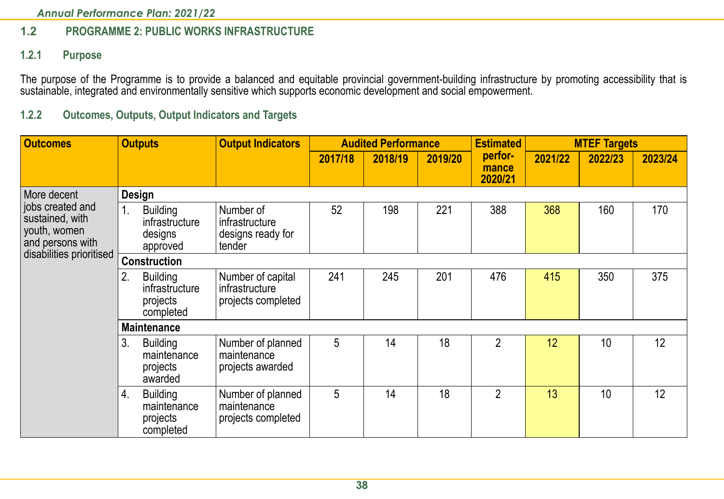### **1.2 PROGRAMME 2: PUBLIC WORKS INFRASTRUCTURE**

### **1.2.1 Purpose**

The purpose of the Programme is to provide a balanced and equitable provincial government-building infrastructure by promoting accessibility that is sustainable, integrated and environmentally sensitive which supports economic development and social empowerment.

### **1.2.2 Outcomes, Outputs, Output Indicators and Targets**

| <b>Outcomes</b>                                                         | <b>Outputs</b>                                                   | <b>Output Indicators</b>                                   |         | <b>Audited Performance</b> |         | <b>Estimated</b>            | <b>MTEF Targets</b> |         |         |  |  |
|-------------------------------------------------------------------------|------------------------------------------------------------------|------------------------------------------------------------|---------|----------------------------|---------|-----------------------------|---------------------|---------|---------|--|--|
|                                                                         |                                                                  |                                                            | 2017/18 | 2018/19                    | 2019/20 | perfor-<br>mance<br>2020/21 | 2021/22             | 2022/23 | 2023/24 |  |  |
| More decent                                                             | Design                                                           |                                                            |         |                            |         |                             |                     |         |         |  |  |
| jobs created and<br>sustained, with<br>youth, women<br>and persons with | <b>Building</b><br>infrastructure<br>designs<br>approved         | Number of<br>infrastructure<br>designs ready for<br>tender | 52      | 198                        | 221     | 388                         | 368                 | 160     | 170     |  |  |
| disabilities prioritised                                                | Construction                                                     |                                                            |         |                            |         |                             |                     |         |         |  |  |
|                                                                         | 2.<br><b>Building</b><br>infrastructure<br>projects<br>completed | Number of capital<br>infrastructure<br>projects completed  | 241     | 245                        | 201     | 476                         | 415                 | 350     | 375     |  |  |
|                                                                         | Maintenance                                                      |                                                            |         |                            |         |                             |                     |         |         |  |  |
|                                                                         | 3.<br><b>Building</b><br>maintenance<br>projects<br>awarded      | Number of planned<br>maintenance<br>projects awarded       | 5       | 14                         | 18      | $\overline{2}$              | 12                  | 10      | 12      |  |  |
|                                                                         | 4.<br><b>Building</b><br>maintenance<br>projects<br>completed    | Number of planned<br>maintenance<br>projects completed     | 5       | 14                         | 18      | $\overline{2}$              | 13                  | 10      | 12      |  |  |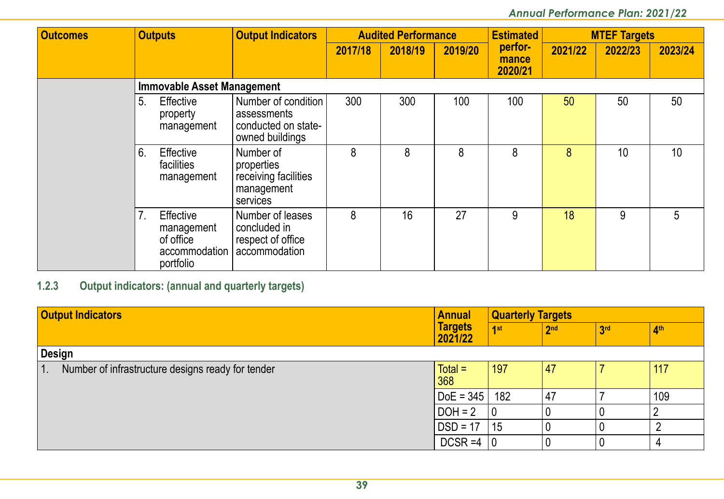| <b>Outcomes</b> | <b>Outputs</b>                                                             | <b>Output Indicators</b>                                                     |         | <b>Audited Performance</b> |         | <b>Estimated</b>            |         | <b>MTEF Targets</b> |         |
|-----------------|----------------------------------------------------------------------------|------------------------------------------------------------------------------|---------|----------------------------|---------|-----------------------------|---------|---------------------|---------|
|                 |                                                                            |                                                                              | 2017/18 | 2018/19                    | 2019/20 | perfor-<br>mance<br>2020/21 | 2021/22 | 2022/23             | 2023/24 |
|                 | <b>Immovable Asset Management</b>                                          |                                                                              |         |                            |         |                             |         |                     |         |
|                 | 5.<br>Effective<br>property<br>management                                  | Number of condition<br>assessments<br>conducted on state-<br>owned buildings | 300     | 300                        | 100     | 100                         | 50      | 50                  | 50      |
|                 | 6.<br>Effective<br>facilities<br>management                                | Number of<br>properties<br>receiving facilities<br>management<br>services    | 8       | 8                          | 8       | 8                           | 8       | 10                  | 10      |
|                 | 7.<br>Effective<br>management<br>of office<br>accommodation  <br>portfolio | Number of leases<br>concluded in<br>respect of office<br>accommodation       | 8       | 16                         | 27      | 9                           | 18      | 9                   | 5       |

## **1.2.3 Output indicators: (annual and quarterly targets)**

| <b>Output Indicators</b>                                    |                           | <b>Quarterly Targets</b> |                 |                 |                 |  |
|-------------------------------------------------------------|---------------------------|--------------------------|-----------------|-----------------|-----------------|--|
|                                                             | <b>Targets</b><br>2021/22 | 4 <sub>st</sub>          | 2 <sub>nd</sub> | 3 <sup>rd</sup> | 4 <sup>th</sup> |  |
| Design                                                      |                           |                          |                 |                 |                 |  |
| Number of infrastructure designs ready for tender<br>$\P$ . | $Total =$<br>368          | 197                      | 47              |                 | 117             |  |
|                                                             | $ DoE = 345 $             | 182                      | , 47            |                 | 109             |  |
|                                                             | $DOH = 2$                 | 0                        |                 |                 |                 |  |
|                                                             | $DSD = 17$                | 15                       |                 |                 |                 |  |
|                                                             | DCSR = $4 \mid 0$         |                          |                 |                 |                 |  |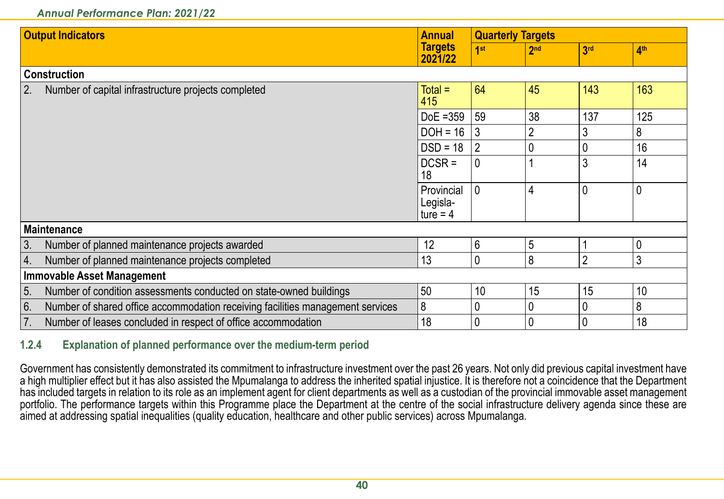*Annual Performance Plan: 2021/22*

|     | <b>Output Indicators</b>                                                       | <b>Annual</b>                        | <b>Quarterly Targets</b> |                 |     |                 |
|-----|--------------------------------------------------------------------------------|--------------------------------------|--------------------------|-----------------|-----|-----------------|
|     |                                                                                | <b>Targets</b><br>2021/22            | 1st                      | 2 <sub>nd</sub> | 3rd | 4 <sup>th</sup> |
|     | Construction                                                                   |                                      |                          |                 |     |                 |
| 2.  | Number of capital infrastructure projects completed                            | $Total =$<br>415                     | 64                       | 45              | 143 | 163             |
|     |                                                                                | DoE = 359                            | 59                       | 38              | 137 | 125             |
|     |                                                                                | $DOH = 16$                           | 3                        | n               |     | 8               |
|     |                                                                                | $DSD = 18$                           | 2                        | 0               |     | 16              |
|     |                                                                                |                                      | 0                        |                 | 3   | 14              |
|     |                                                                                | Provincial<br>Legisla-<br>ture = $4$ | $\Omega$                 | 4               | 0   | 0               |
|     | <b>Maintenance</b>                                                             |                                      |                          |                 |     |                 |
| 3.  | Number of planned maintenance projects awarded                                 | 12                                   | 6                        | 5               |     | 0               |
| 14. | Number of planned maintenance projects completed                               | 13                                   | 0                        | 8               | 2   | 3               |
|     | Immovable Asset Management                                                     |                                      |                          |                 |     |                 |
| 5.  | Number of condition assessments conducted on state-owned buildings             | 50                                   | 10                       | 15              | 15  | 10              |
| 6.  | Number of shared office accommodation receiving facilities management services | 8                                    |                          |                 |     | 8               |
| 7.  | Number of leases concluded in respect of office accommodation                  | 18                                   |                          |                 |     | 18              |

#### **1.2.4 Explanation of planned performance over the medium-term period**

Government has consistently demonstrated its commitment to infrastructure investment over the past 26 years. Not only did previous capital investment have a high multiplier effect but it has also assisted the Mpumalanga to address the inherited spatial injustice. It is therefore not a coincidence that the Department has included targets in relation to its role as an implement agent for client departments as well as a custodian of the provincial immovable asset management portfolio. The performance targets within this Programme place the Department at the centre of the social infrastructure delivery agenda since these are aimed at addressing spatial inequalities (quality education, healthcare and other public services) across Mpumalanga.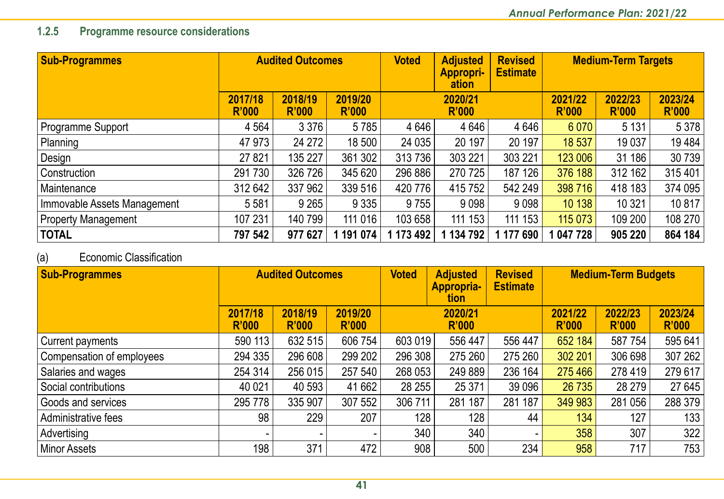### **1.2.5 Programme resource considerations**

| <b>Sub-Programmes</b>       |                  | <b>Audited Outcomes</b> |                         | <b>Revised</b><br><b>Adjusted</b><br><b>Voted</b><br><b>Estimate</b><br><b>Appropri-</b><br>ation<br>2020/21<br>R'000 |           |                  | <b>Medium-Term Targets</b> |                         |         |
|-----------------------------|------------------|-------------------------|-------------------------|-----------------------------------------------------------------------------------------------------------------------|-----------|------------------|----------------------------|-------------------------|---------|
|                             | 2017/18<br>R'000 | 2018/19<br><b>R'000</b> | 2019/20<br><b>R'000</b> |                                                                                                                       |           | 2021/22<br>R'000 | 2022/23<br><b>R'000</b>    | 2023/24<br><b>R'000</b> |         |
| Programme Support           | 4 5 6 4          | 3376                    | 5785                    | 4 6 4 6                                                                                                               | 4 6 4 6   | 4 6 4 6          | 6 0 7 0                    | 5 1 3 1                 | 5 3 7 8 |
| Planning                    | 47 973           | 24 27 2                 | 18 500                  | 24 0 35                                                                                                               | 20 197    | 20 197           | 18 5 37                    | 19 0 37                 | 19484   |
| Design                      | 27 821           | 135 227                 | 361 302                 | 313736                                                                                                                | 303 221   | 303 221          | 123 006                    | 31 186                  | 30 739  |
| Construction                | 291 730          | 326 726                 | 345 620                 | 296 886                                                                                                               | 270 725   | 187 126          | 376 188                    | 312 162                 | 315 401 |
| Maintenance                 | 312 642          | 337 962                 | 339 516                 | 420 776                                                                                                               | 415 752   | 542 249          | 398 716                    | 418 183                 | 374 095 |
| Immovable Assets Management | 5581             | 9 2 6 5                 | 9 3 3 5                 | 9755                                                                                                                  | 9098      | 9098             | 10 138                     | 10 321                  | 10817   |
| Property Management         | 107 231          | 140 799                 | 111 016                 | 103 658                                                                                                               | 111 153   | 111 153          | 115 073                    | 109 200                 | 108 270 |
| <b>TOTAL</b>                | 797 542          | 977 627                 | 191 074                 | 1 173 492                                                                                                             | 1 134 792 | 1 177 690        | 047 728                    | 905 220                 | 864 184 |

# (a) Economic Classification

| <b>Sub-Programmes</b>     |                         | <b>Audited Outcomes</b> |                  | <b>Adjusted</b><br><b>Voted</b><br><b>Revised</b><br><b>Estimate</b><br><b>Appropria-</b><br>tion<br>2020/21<br>R'000 |            |         | <b>Medium-Term Budgets</b> |                  |                         |
|---------------------------|-------------------------|-------------------------|------------------|-----------------------------------------------------------------------------------------------------------------------|------------|---------|----------------------------|------------------|-------------------------|
|                           | 2017/18<br><b>R'000</b> | 2018/19<br>R'000        | 2019/20<br>R'000 |                                                                                                                       |            |         | 2021/22<br>R'000           | 2022/23<br>R'000 | 2023/24<br><b>R'000</b> |
| Current payments          | 590 113                 | 632 515                 | 606 754          | 603 019                                                                                                               | 556 447    | 556 447 | 652 184                    | 587 754          | 595 641                 |
| Compensation of employees | 294 335                 | 296 608                 | 299 202          | 296 308                                                                                                               | 275 260    | 275 260 | 302 201                    | 306 698          | 307 262                 |
| Salaries and wages        | 254 314                 | 256 015                 | 257 540          | 268 053                                                                                                               | 249 889    | 236 164 | 275466                     | 278 419          | 279 617                 |
| Social contributions      | 40 0 21                 | 40 593                  | 41 662           | 28 255                                                                                                                | 25 371     | 39 096  | 26 735                     | 28 279           | 27 645                  |
| Goods and services        | 295 778                 | 335 907                 | 307 552          | 306 711                                                                                                               | 187<br>281 | 281 187 | 349 983                    | 281 056          | 288 379                 |
| Administrative fees       | 98                      | 229                     | 207              | 128                                                                                                                   | 128        | 44      | 134                        | 127              | 133                     |
| Advertising               |                         |                         |                  | 340                                                                                                                   | 340        |         | 358                        | 307              | 322                     |
| Minor Assets              | 198                     | 371                     | 472              | 908                                                                                                                   | 500        | 234     | 958                        | 717              | 753                     |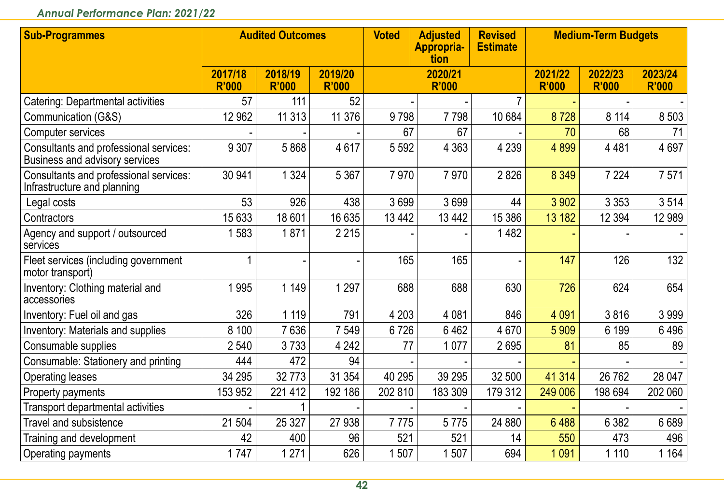| <b>Sub-Programmes</b>                                                    |                  | <b>Audited Outcomes</b> |                         | <b>Voted</b><br><b>Adjusted</b><br>Appropria-<br>tion |                         | <b>Revised</b><br><b>Estimate</b> | <b>Medium-Term Budgets</b> |                         |                         |
|--------------------------------------------------------------------------|------------------|-------------------------|-------------------------|-------------------------------------------------------|-------------------------|-----------------------------------|----------------------------|-------------------------|-------------------------|
|                                                                          | 2017/18<br>R'000 | 2018/19<br><b>R'000</b> | 2019/20<br><b>R'000</b> |                                                       | 2020/21<br><b>R'000</b> |                                   | 2021/22<br><b>R'000</b>    | 2022/23<br><b>R'000</b> | 2023/24<br><b>R'000</b> |
| Catering: Departmental activities                                        | 57               | 111                     | 52                      |                                                       |                         |                                   |                            |                         |                         |
| Communication (G&S)                                                      | 12 962           | 11 313                  | 11 376                  | 9798                                                  | 7798                    | 10 684                            | 8728                       | 8 1 1 4                 | 8 5 0 3                 |
| Computer services                                                        |                  |                         |                         | 67                                                    | 67                      |                                   | 70                         | 68                      | 71                      |
| Consultants and professional services:<br>Business and advisory services | 9 3 0 7          | 5868                    | 4617                    | 5 5 9 2                                               | 4 3 6 3                 | 4 2 3 9                           | 4899                       | 4 4 8 1                 | 4 6 9 7                 |
| Consultants and professional services:<br>Infrastructure and planning    | 30 941           | 1 3 2 4                 | 5 3 6 7                 | 7970                                                  | 7970                    | 2826                              | 8 3 4 9                    | 7 2 2 4                 | 7571                    |
| Legal costs                                                              | 53               | 926                     | 438                     | 3699                                                  | 3699                    | 44                                | 3 9 0 2                    | 3 3 5 3                 | 3514                    |
| Contractors                                                              | 15 633           | 18 601                  | 16 635                  | 13 4 42                                               | 13 4 42                 | 15 386                            | 13 182                     | 12 3 94                 | 12 989                  |
| Agency and support / outsourced<br>services                              | 1583             | 1871                    | 2 2 1 5                 |                                                       |                         | 1482                              |                            |                         |                         |
| Fleet services (including government<br>motor transport)                 |                  |                         |                         | 165                                                   | 165                     |                                   | 147                        | 126                     | 132                     |
| Inventory: Clothing material and<br>accessories                          | 1995             | 1 1 4 9                 | 1 2 9 7                 | 688                                                   | 688                     | 630                               | 726                        | 624                     | 654                     |
| Inventory: Fuel oil and gas                                              | 326              | 1 1 1 9                 | 791                     | 4 2 0 3                                               | 4 0 8 1                 | 846                               | 4 0 9 1                    | 3816                    | 3 9 9 9                 |
| Inventory: Materials and supplies                                        | 8 100            | 7636                    | 7549                    | 6726                                                  | 6462                    | 4 6 7 0                           | 5 9 0 9                    | 6 199                   | 6496                    |
| Consumable supplies                                                      | 2540             | 3733                    | 4 2 4 2                 | 77                                                    | 1 0 7 7                 | 2695                              | 81                         | 85                      | 89                      |
| Consumable: Stationery and printing                                      | 444              | 472                     | 94                      |                                                       |                         |                                   |                            |                         |                         |
| Operating leases                                                         | 34 295           | 32773                   | 31 354                  | 40 295                                                | 39 29 5                 | 32 500                            | 41 314                     | 26 762                  | 28 047                  |
| Property payments                                                        | 153 952          | 221 412                 | 192 186                 | 202 810                                               | 183 309                 | 179 312                           | 249 006                    | 198 694                 | 202 060                 |
| <b>Transport departmental activities</b>                                 |                  |                         |                         |                                                       |                         |                                   |                            |                         |                         |
| Travel and subsistence                                                   | 21 504           | 25 3 27                 | 27 938                  | 7775                                                  | 5775                    | 24 880                            | 6488                       | 6 3 8 2                 | 6689                    |
| Training and development                                                 | 42               | 400                     | 96                      | 521                                                   | 521                     | 14                                | 550                        | 473                     | 496                     |
| Operating payments                                                       | 1747             | 1 2 7 1                 | 626                     | 1507                                                  | 1507                    | 694                               | 1 0 9 1                    | 1 1 1 0                 | 1 1 6 4                 |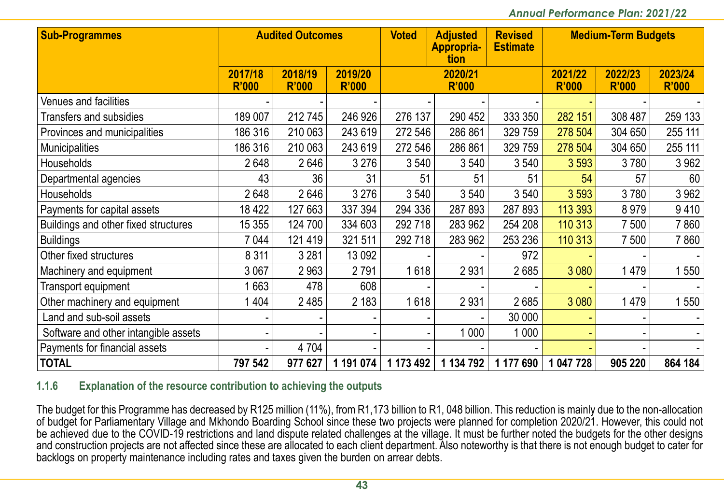| <b>Sub-Programmes</b>                |                  | <b>Audited Outcomes</b> |                         | <b>Voted</b><br><b>Adjusted</b><br><b>Appropria-</b><br>tion |                         | <b>Revised</b><br><b>Estimate</b> |                         | <b>Medium-Term Budgets</b> |                         |  |
|--------------------------------------|------------------|-------------------------|-------------------------|--------------------------------------------------------------|-------------------------|-----------------------------------|-------------------------|----------------------------|-------------------------|--|
|                                      | 2017/18<br>R'000 | 2018/19<br>R'000        | 2019/20<br><b>R'000</b> |                                                              | 2020/21<br><b>R'000</b> |                                   | 2021/22<br><b>R'000</b> | 2022/23<br><b>R'000</b>    | 2023/24<br><b>R'000</b> |  |
| Venues and facilities                |                  |                         |                         |                                                              |                         |                                   |                         |                            |                         |  |
| <b>Transfers and subsidies</b>       | 189 007          | 212745                  | 246 926                 | 276 137                                                      | 290 452                 | 333 350                           | 282 151                 | 308 487                    | 259 133                 |  |
| Provinces and municipalities         | 186 316          | 210 063                 | 243 619                 | 272 546                                                      | 286 861                 | 329 759                           | 278 504                 | 304 650                    | 255 111                 |  |
| Municipalities                       | 186 316          | 210 063                 | 243 619                 | 272 546                                                      | 286 861                 | 329 759                           | 278 504                 | 304 650                    | 255 111                 |  |
| Households                           | 2648             | 2646                    | 3 2 7 6                 | 3540                                                         | 3540                    | 3540                              | 3 5 9 3                 | 3780                       | 3 9 6 2                 |  |
| Departmental agencies                | 43               | 36                      | 31                      | 51                                                           | 51                      | 51                                | 54                      | 57                         | 60                      |  |
| Households                           | 2648             | 2646                    | 3 2 7 6                 | 3540                                                         | 3540                    | 3540                              | 3593                    | 3780                       | 3 9 6 2                 |  |
| Payments for capital assets          | 18 4 22          | 127 663                 | 337 394                 | 294 336                                                      | 287 893                 | 287 893                           | 113 393                 | 8979                       | 9410                    |  |
| Buildings and other fixed structures | 15 355           | 124 700                 | 334 603                 | 292 718                                                      | 283 962                 | 254 208                           | 110 313                 | 7 500                      | 7860                    |  |
| <b>Buildings</b>                     | 7044             | 121 419                 | 321 511                 | 292718                                                       | 283 962                 | 253 236                           | 110 313                 | 7 500                      | 7860                    |  |
| Other fixed structures               | 8 3 1 1          | 3 2 8 1                 | 13 092                  |                                                              |                         | 972                               |                         |                            |                         |  |
| Machinery and equipment              | 3 0 6 7          | 2963                    | 2791                    | 1618                                                         | 2931                    | 2685                              | 3 0 8 0                 | 1479                       | 550                     |  |
| Transport equipment                  | 663              | 478                     | 608                     |                                                              |                         |                                   |                         |                            |                         |  |
| Other machinery and equipment        | 1 4 0 4          | 2485                    | 2 1 8 3                 | 1618                                                         | 2931                    | 2685                              | 3 0 8 0                 | 1479                       | 550                     |  |
| Land and sub-soil assets             |                  |                         |                         |                                                              |                         | 30 000                            |                         |                            |                         |  |
| Software and other intangible assets |                  |                         |                         |                                                              | 000                     | 000                               |                         |                            |                         |  |
| Payments for financial assets        |                  | 4 7 0 4                 |                         |                                                              |                         |                                   |                         |                            |                         |  |
| <b>TOTAL</b>                         | 797 542          | 977 627                 | 1 191 074               | 1 173 492                                                    | 1 134 792               | 1 177 690                         | 1 047 728               | 905 220                    | 864 184                 |  |

#### **1.1.6 Explanation of the resource contribution to achieving the outputs**

The budget for this Programme has decreased by R125 million (11%), from R1,173 billion to R1, 048 billion. This reduction is mainly due to the non-allocation of budget for Parliamentary Village and Mkhondo Boarding School since these two projects were planned for completion 2020/21. However, this could not be achieved due to the COVID-19 restrictions and land dispute related challenges at the village. It must be further noted the budgets for the other designs and construction projects are not affected since these are allocated to each client department. Also noteworthy is that there is not enough budget to cater for backlogs on property maintenance including rates and taxes given the burden on arrear debts.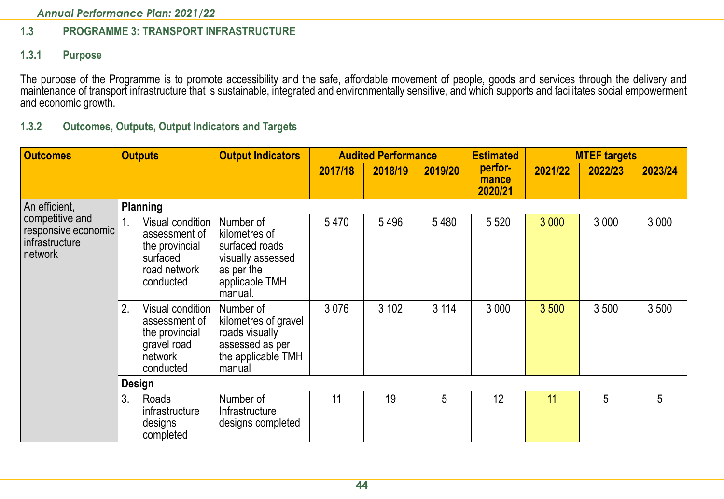### **1.3 PROGRAMME 3: TRANSPORT INFRASTRUCTURE**

### **1.3.1 Purpose**

The purpose of the Programme is to promote accessibility and the safe, affordable movement of people, goods and services through the delivery and maintenance of transport infrastructure that is sustainable, integrated and environmentally sensitive, and which supports and facilitates social empowerment and economic growth.

### **1.3.2 Outcomes, Outputs, Output Indicators and Targets**

| <b>Outcomes</b>                                                     | <b>Outputs</b>                                                                                   | <b>Output Indicators</b>                                                                                     |         | <b>Audited Performance</b> |         | <b>Estimated</b>            | <b>MTEF targets</b> |         |         |  |
|---------------------------------------------------------------------|--------------------------------------------------------------------------------------------------|--------------------------------------------------------------------------------------------------------------|---------|----------------------------|---------|-----------------------------|---------------------|---------|---------|--|
|                                                                     |                                                                                                  |                                                                                                              | 2017/18 | 2018/19                    | 2019/20 | perfor-<br>mance<br>2020/21 | 2021/22             | 2022/23 | 2023/24 |  |
| An efficient,                                                       | <b>Planning</b>                                                                                  |                                                                                                              |         |                            |         |                             |                     |         |         |  |
| competitive and<br>responsive economic<br>infrastructure<br>network | Visual condition<br>assessment of<br>the provincial<br>surfaced<br>road network<br>conducted     | Number of<br>kilometres of<br>surfaced roads<br>visually assessed<br>as per the<br>applicable TMH<br>manual. | 5470    | 5496                       | 5480    | 5 5 20                      | 3 0 0 0             | 3 0 0 0 | 3 0 0 0 |  |
|                                                                     | 2.<br>Visual condition<br>assessment of<br>the provincial<br>gravel road<br>network<br>conducted | Number of<br>kilometres of gravel<br>roads visually<br>assessed as per<br>the applicable TMH<br>manual       | 3076    | 3 10 2                     | 3 1 1 4 | 3 0 0 0                     | 3 500               | 3 500   | 3 500   |  |
|                                                                     | Design                                                                                           |                                                                                                              |         |                            |         |                             |                     |         |         |  |
|                                                                     | 3.<br>Roads<br>infrastructure<br>designs<br>completed                                            | Number of<br>Infrastructure<br>designs completed                                                             | 11      | 19                         | 5       | 12                          | 11                  | 5       | 5       |  |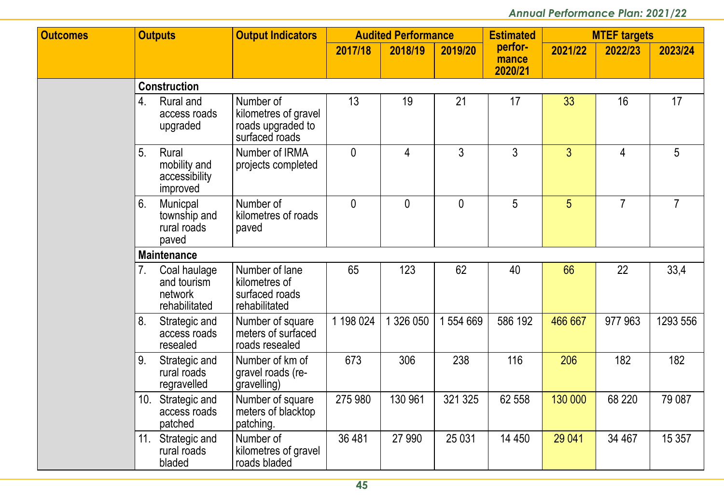| <b>Outcomes</b> | <b>Output Indicators</b><br><b>Outputs</b>                    |                                                                          |           | <b>Audited Performance</b> |              | <b>Estimated</b>            |         |                | <b>MTEF targets</b> |  |
|-----------------|---------------------------------------------------------------|--------------------------------------------------------------------------|-----------|----------------------------|--------------|-----------------------------|---------|----------------|---------------------|--|
|                 |                                                               |                                                                          | 2017/18   | 2018/19                    | 2019/20      | perfor-<br>mance<br>2020/21 | 2021/22 | 2022/23        | 2023/24             |  |
|                 | Construction                                                  |                                                                          |           |                            |              |                             |         |                |                     |  |
|                 | 4.<br>Rural and<br>access roads<br>upgraded                   | Number of<br>kilometres of gravel<br>roads upgraded to<br>surfaced roads | 13        | 19                         | 21           | 17                          | 33      | 16             | 17                  |  |
|                 | 5.<br>Rural<br>mobility and<br>accessibility<br>improved      | Number of IRMA<br>projects completed                                     | 0         | $\overline{\mathbf{4}}$    | 3            | 3                           | 3       | 4              | 5                   |  |
|                 | 6.<br>Municpal<br>township and<br>rural roads<br>paved        | Number of<br>kilometres of roads<br>paved                                | 0         | $\mathbf{0}$               | $\mathbf{0}$ | 5                           | 5       | $\overline{7}$ | $\overline{7}$      |  |
|                 | <b>Maintenance</b>                                            |                                                                          |           |                            |              |                             |         |                |                     |  |
|                 | 7.<br>Coal haulage<br>and tourism<br>network<br>rehabilitated | Number of lane<br>kilometres of<br>surfaced roads<br>rehabilitated       | 65        | 123                        | 62           | 40                          | 66      | 22             | 33,4                |  |
|                 | 8.<br>Strategic and<br>access roads<br>resealed               | Number of square<br>meters of surfaced<br>roads resealed                 | 1 198 024 | 1 326 050                  | 1 554 669    | 586 192                     | 466 667 | 977 963        | 1293 556            |  |
|                 | 9.<br>Strategic and<br>rural roads<br>regravelled             | Number of km of<br>gravel roads (re-<br>gravelling)                      | 673       | 306                        | 238          | 116                         | 206     | 182            | 182                 |  |
|                 | 10. Strategic and<br>access roads<br>patched                  | Number of square<br>meters of blacktop<br>patching.                      | 275 980   | 130 961                    | 321 325      | 62 558                      | 130 000 | 68 220         | 79 087              |  |
|                 | 11.<br>Strategic and<br>rural roads<br>bladed                 | Number of<br>kilometres of gravel<br>roads bladed                        | 36 481    | 27 990                     | 25 031       | 14 450                      | 29 041  | 34 467         | 15 357              |  |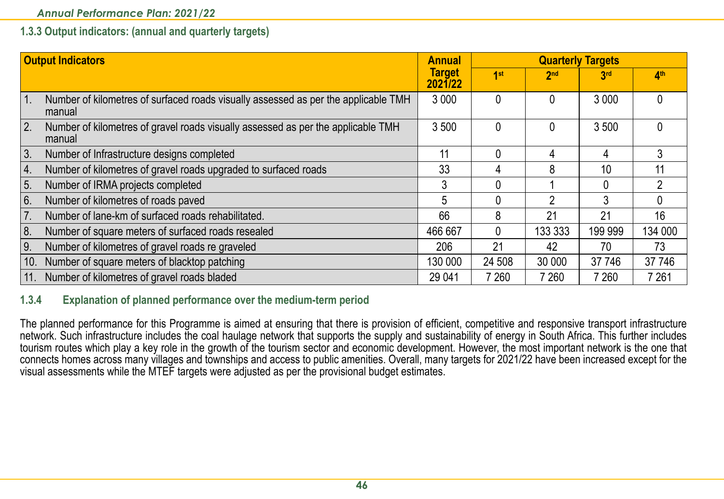#### **1.3.3 Output indicators: (annual and quarterly targets)**

|      | <b>Output Indicators</b>                                                                     | <b>Annual</b>            |          | <b>Quarterly Targets</b> |                 |                          |
|------|----------------------------------------------------------------------------------------------|--------------------------|----------|--------------------------|-----------------|--------------------------|
|      |                                                                                              | <b>Target</b><br>2021/22 | 1st      | 2 <sub>nd</sub>          | 3 <sub>rd</sub> | $\mathbf{A}^{\text{th}}$ |
| 1.   | Number of kilometres of surfaced roads visually assessed as per the applicable TMH<br>manual | 3 0 0 0                  | 0        | $\Omega$                 | 3 0 0 0         | 0                        |
| 2.   | Number of kilometres of gravel roads visually assessed as per the applicable TMH<br>manual   | 3 500                    | 0        | 0                        | 3 500           | 0                        |
| 3.   | Number of Infrastructure designs completed                                                   | 11                       | $\Omega$ | 4                        | 4               | 3                        |
| 4.   | Number of kilometres of gravel roads upgraded to surfaced roads                              | 33                       | 4        | 8                        | 10              | 11                       |
| 5.   | Number of IRMA projects completed                                                            | 3                        | 0        |                          | 0               | 2                        |
| 6.   | Number of kilometres of roads paved                                                          | 5                        | 0        | っ                        | 3               | 0                        |
| 7.   | Number of lane-km of surfaced roads rehabilitated.                                           | 66                       | 8        | 21                       | 21              | 16                       |
| 8.   | Number of square meters of surfaced roads resealed                                           | 466 667                  | 0        | 133 333                  | 199 999         | 134 000                  |
| l 9. | Number of kilometres of gravel roads re graveled                                             | 206                      | 21       | 42                       | 70              | 73                       |
| 10.  | Number of square meters of blacktop patching                                                 | 130 000                  | 24 508   | 30 000                   | 37 746          | 37 746                   |
| 11.  | Number of kilometres of gravel roads bladed                                                  | 29 041                   | 7 2 6 0  | 7 2 6 0                  | 7 260           | 7 261                    |

#### **1.3.4 Explanation of planned performance over the medium-term period**

The planned performance for this Programme is aimed at ensuring that there is provision of efficient, competitive and responsive transport infrastructure network. Such infrastructure includes the coal haulage network that supports the supply and sustainability of energy in South Africa. This further includes tourism routes which play a key role in the growth of the tourism sector and economic development. However, the most important network is the one that connects homes across many villages and townships and access to public amenities. Overall, many targets for 2021/22 have been increased except for the visual assessments while the MTEF targets were adjusted as per the provisional budget estimates.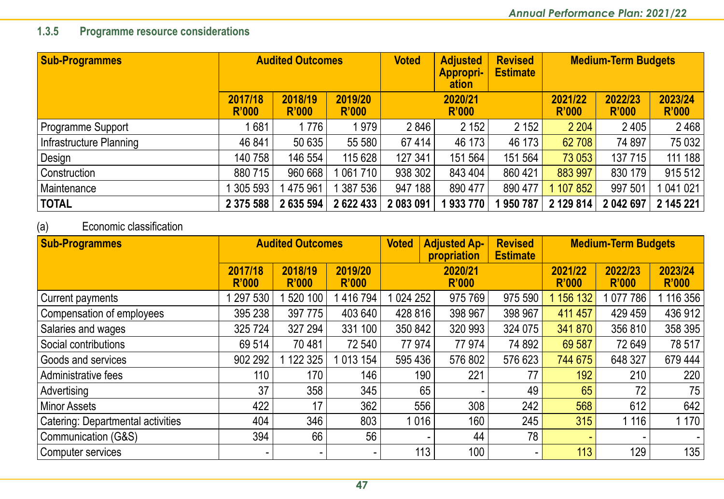### **1.3.5 Programme resource considerations**

| <b>Sub-Programmes</b>   | <b>Audited Outcomes</b> |                         |                  | <b>Voted</b> | <b>Adjusted</b><br><b>Appropri-</b><br>ation | <b>Revised</b><br><b>Estimate</b> | <b>Medium-Term Budgets</b> |                  |                  |  |
|-------------------------|-------------------------|-------------------------|------------------|--------------|----------------------------------------------|-----------------------------------|----------------------------|------------------|------------------|--|
|                         | 2017/18<br>R'000        | 2018/19<br><b>R'000</b> | 2019/20<br>R'000 |              | 2020/21<br>R'000                             |                                   | 2021/22<br>R'000           | 2022/23<br>R'000 | 2023/24<br>R'000 |  |
| Programme Support       | 681                     | 1 776                   | 1 979            | 2846         | 2 1 5 2                                      | 2 1 5 2                           | 2 2 0 4                    | 2405             | 2468             |  |
| Infrastructure Planning | 46 841                  | 50 635                  | 55 580           | 67414        | 46 173                                       | 46 173                            | 62 708                     | 74 897           | 75 032           |  |
| Design                  | 140 758                 | 146 554                 | 115 628          | 127 341      | 151 564                                      | 151 564                           | 73 053                     | 137 715          | 111 188          |  |
| Construction            | 880 715                 | 960 668                 | 061 710          | 938 302      | 843 404                                      | 860 421                           | 883 997                    | 830 179          | 915 512          |  |
| Maintenance             | 305 593                 | 475 961                 | 387 536          | 947 188      | 890 477                                      | 890 477                           | 107 852                    | 997 501          | 041 021          |  |
| <b>TOTAL</b>            | 2 375 588               | 2 635 594               | 2 622 433        | 2 083 091    | 933 770                                      | 950 787                           | 2 129 814                  | 2 042 697        | 2 145 221        |  |

# (a) Economic classification

| <b>Sub-Programmes</b>             |                         | <b>Audited Outcomes</b> |                  | <b>Adjusted Ap-</b><br><b>Voted</b><br>propriation |                  | <b>Revised</b><br><b>Estimate</b> | <b>Medium-Term Budgets</b> |                  |                  |
|-----------------------------------|-------------------------|-------------------------|------------------|----------------------------------------------------|------------------|-----------------------------------|----------------------------|------------------|------------------|
|                                   | 2017/18<br><b>R'000</b> | 2018/19<br>R'000        | 2019/20<br>R'000 |                                                    | 2020/21<br>R'000 |                                   | 2021/22<br>R'000           | 2022/23<br>R'000 | 2023/24<br>R'000 |
| Current payments                  | 297 530                 | 520 100                 | 416 794          | 024 252                                            | 975 769          | 975 590                           | 156 132                    | 077 786          | 1 116 356        |
| Compensation of employees         | 395 238                 | 397 775                 | 403 640          | 428 816                                            | 398 967          | 398 967                           | 411 457                    | 429 459          | 436 912          |
| Salaries and wages                | 325 724                 | 327 294                 | 331 100          | 350 842                                            | 320 993          | 324 075                           | 341870                     | 356 810          | 358 395          |
| Social contributions              | 69 514                  | 70 481                  | 72 540           | 77 974                                             | 77 974           | 74 892                            | 69 587                     | 72 649           | 78 517           |
| Goods and services                | 902 292                 | 122 325                 | 013 154          | 595 436                                            | 576 802          | 576 623                           | 744 675                    | 648 327          | 679 444          |
| Administrative fees               | 110                     | 170                     | 146              | 190                                                | 221              | 77                                | 192                        | 210              | 220              |
| Advertising                       | 37                      | 358                     | 345              | 65                                                 |                  | 49                                | 65                         | 72               | 75               |
| Minor Assets                      | 422                     | 17                      | 362              | 556                                                | 308              | 242                               | 568                        | 612              | 642              |
| Catering: Departmental activities | 404                     | 346                     | 803              | 1016                                               | 160              | 245                               | 315                        | 1 1 1 6          | 1 1 7 0          |
| Communication (G&S)               | 394                     | 66                      | 56               |                                                    | 44               | 78                                |                            |                  |                  |
| Computer services                 |                         |                         |                  | 113                                                | 100              |                                   | 113                        | 129              | 135              |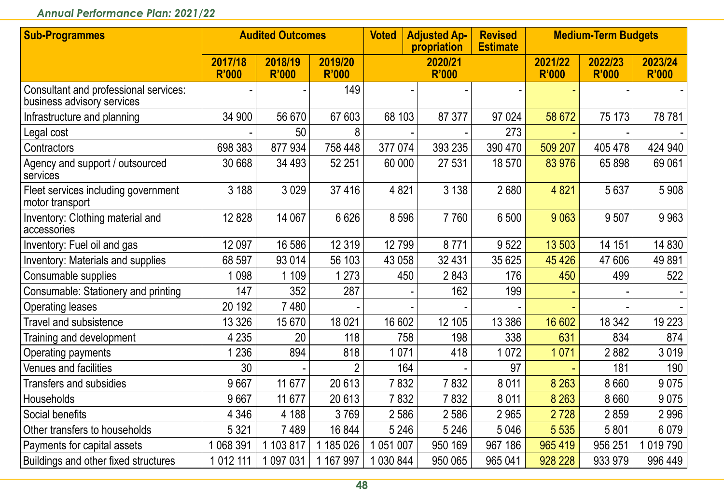| <b>Sub-Programmes</b>                                               |                         | <b>Audited Outcomes</b> |                         | <b>Voted</b> | <b>Adjusted Ap-</b><br>propriation | <b>Revised</b><br><b>Estimate</b> | <b>Medium-Term Budgets</b> |                         |                         |
|---------------------------------------------------------------------|-------------------------|-------------------------|-------------------------|--------------|------------------------------------|-----------------------------------|----------------------------|-------------------------|-------------------------|
|                                                                     | 2017/18<br><b>R'000</b> | 2018/19<br><b>R'000</b> | 2019/20<br><b>R'000</b> |              | 2020/21<br><b>R'000</b>            |                                   | 2021/22<br><b>R'000</b>    | 2022/23<br><b>R'000</b> | 2023/24<br><b>R'000</b> |
| Consultant and professional services:<br>business advisory services |                         |                         | 149                     |              |                                    |                                   |                            |                         |                         |
| Infrastructure and planning                                         | 34 900                  | 56 670                  | 67 603                  | 68 103       | 87 377                             | 97 0 24                           | 58 672                     | 75 173                  | 78781                   |
| Legal cost                                                          |                         | 50                      | 8                       |              |                                    | 273                               |                            |                         |                         |
| Contractors                                                         | 698 383                 | 877 934                 | 758 448                 | 377 074      | 393 235                            | 390 470                           | 509 207                    | 405 478                 | 424 940                 |
| Agency and support / outsourced<br>services                         | 30 668                  | 34 493                  | 52 251                  | 60 000       | 27 531                             | 18 570                            | 83 976                     | 65898                   | 69 061                  |
| Fleet services including government<br>motor transport              | 3 1 8 8                 | 3029                    | 37 4 16                 | 4821         | 3 1 3 8                            | 2680                              | 4 8 21                     | 5637                    | 5 9 0 8                 |
| Inventory: Clothing material and<br>accessories                     | 12 8 28                 | 14 067                  | 6626                    | 8596         | 7760                               | 6 500                             | 9 0 63                     | 9507                    | 9 9 6 3                 |
| Inventory: Fuel oil and gas                                         | 12 097                  | 16 586                  | 12 3 19                 | 12799        | 8771                               | 9522                              | 13 503                     | 14 151                  | 14 830                  |
| Inventory: Materials and supplies                                   | 68 597                  | 93 014                  | 56 103                  | 43 058       | 32 431                             | 35 625                            | 45 4 26                    | 47 606                  | 49891                   |
| Consumable supplies                                                 | 1 0 9 8                 | 1 1 0 9                 | 1 2 7 3                 | 450          | 2843                               | 176                               | 450                        | 499                     | 522                     |
| Consumable: Stationery and printing                                 | 147                     | 352                     | 287                     |              | 162                                | 199                               |                            |                         |                         |
| Operating leases                                                    | 20 192                  | 7480                    |                         |              |                                    |                                   |                            |                         |                         |
| Travel and subsistence                                              | 13 3 26                 | 15 670                  | 18 0 21                 | 16 602       | 12 105                             | 13 386                            | 16 602                     | 18 342                  | 19 2 23                 |
| Training and development                                            | 4 2 3 5                 | 20                      | 118                     | 758          | 198                                | 338                               | 631                        | 834                     | 874                     |
| Operating payments                                                  | 1 2 3 6                 | 894                     | 818                     | 1071         | 418                                | 1072                              | 1 0 7 1                    | 2882                    | 3019                    |
| Venues and facilities                                               | 30                      |                         | $\overline{2}$          | 164          |                                    | 97                                |                            | 181                     | 190                     |
| <b>Transfers and subsidies</b>                                      | 9667                    | 11 677                  | 20 613                  | 7832         | 7832                               | 8011                              | 8 2 6 3                    | 8660                    | 9075                    |
| Households                                                          | 9667                    | 11 677                  | 20 613                  | 7832         | 7832                               | 8 0 1 1                           | 8 2 6 3                    | 8 6 6 0                 | 9075                    |
| Social benefits                                                     | 4 3 4 6                 | 4 188                   | 3769                    | 2586         | 2586                               | 2 9 6 5                           | 2728                       | 2859                    | 2 9 9 6                 |
| Other transfers to households                                       | 5 3 2 1                 | 7489                    | 16 844                  | 5 2 4 6      | 5 2 4 6                            | 5 0 46                            | 5 5 3 5                    | 5801                    | 6 0 7 9                 |
| Payments for capital assets                                         | 1 068 391               | 1 103 817               | 185 0 26                | 1 051 007    | 950 169                            | 967 186                           | 965 419                    | 956 251                 | 1019790                 |
| Buildings and other fixed structures                                | 1 0 1 2 1 1 1           | 1 097 031               | 1 167 997               | 030 844      | 950 065                            | 965 041                           | 928 228                    | 933 979                 | 996 449                 |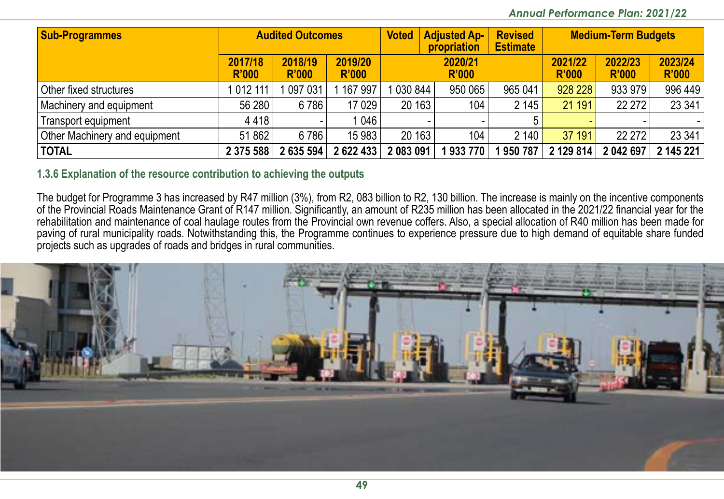| Sub-Programmes                |                         | <b>Audited Outcomes</b> |                  | <b>Revised</b><br><b>Voted</b><br><b>Adjusted Ap-</b><br><b>Estimate</b><br>propriation |                  |         | <b>Medium-Term Budgets</b> |                  |                  |
|-------------------------------|-------------------------|-------------------------|------------------|-----------------------------------------------------------------------------------------|------------------|---------|----------------------------|------------------|------------------|
|                               | 2017/18<br><b>R'000</b> | 2018/19<br>R'000        | 2019/20<br>R'000 |                                                                                         | 2020/21<br>R'000 |         | 2021/22<br>R'000           | 2022/23<br>R'000 | 2023/24<br>R'000 |
| Other fixed structures        | 012 111                 | 097 031                 | 167 997          | 1030844                                                                                 | 950 065          | 965 041 | 928 228                    | 933 979          | 996 449          |
| Machinery and equipment       | 56 280                  | 6786                    | 17 029           | 20 163                                                                                  | 104              | 2 1 4 5 | 21 191                     | 22 27 2          | 23 341           |
| Transport equipment           | 4418                    |                         | l 046            |                                                                                         |                  |         |                            |                  |                  |
| Other Machinery and equipment | 51 862                  | 6786                    | 15 983           | 20 163                                                                                  | 104 <sub>1</sub> | 2 140   | 37 191                     | 22 27 2          | 23 341           |
| <b>TOTAL</b>                  | 2 375 588               | 2 635 594               | 2 622 433        | 2 083 091                                                                               | 1 933 770        | 950 787 | 2 129 814                  | 2 042 697        | 2 145 221        |

#### **1.3.6 Explanation of the resource contribution to achieving the outputs**

The budget for Programme 3 has increased by R47 million (3%), from R2, 083 billion to R2, 130 billion. The increase is mainly on the incentive components of the Provincial Roads Maintenance Grant of R147 million. Significantly, an amount of R235 million has been allocated in the 2021/22 financial year for the rehabilitation and maintenance of coal haulage routes from the Provincial own revenue coffers. Also, a special allocation of R40 million has been made for paving of rural municipality roads. Notwithstanding this, the Programme continues to experience pressure due to high demand of equitable share funded projects such as upgrades of roads and bridges in rural communities.

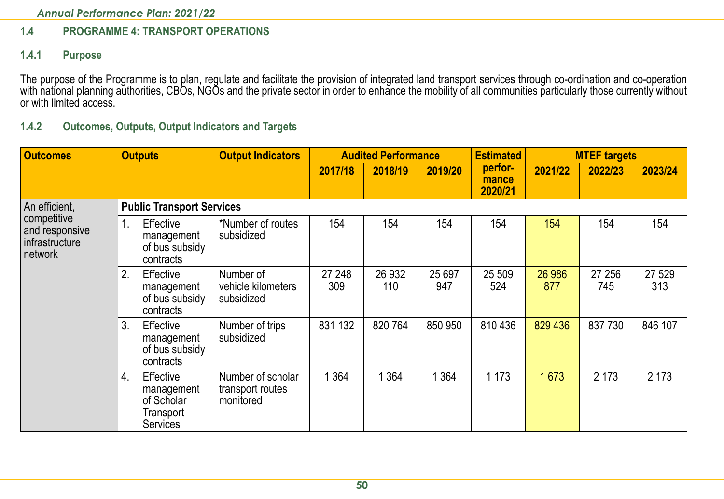### **1.4 PROGRAMME 4: TRANSPORT OPERATIONS**

### **1.4.1 Purpose**

The purpose of the Programme is to plan, regulate and facilitate the provision of integrated land transport services through co-ordination and co-operation with national planning authorities, CBOs, NGOs and the private sector in order to enhance the mobility of all communities particularly those currently without or with limited access.

## **1.4.2 Outcomes, Outputs, Output Indicators and Targets**

| <b>Outcomes</b>                                            | <b>Outputs</b>                                                       | <b>Output Indicators</b>                           |               | <b>Audited Performance</b> |               | <b>Estimated</b>            | <b>MTEF targets</b> |               |               |
|------------------------------------------------------------|----------------------------------------------------------------------|----------------------------------------------------|---------------|----------------------------|---------------|-----------------------------|---------------------|---------------|---------------|
|                                                            |                                                                      |                                                    | 2017/18       | 2018/19                    | 2019/20       | perfor-<br>mance<br>2020/21 | 2021/22             | 2022/23       | 2023/24       |
| An efficient,                                              | <b>Public Transport Services</b>                                     |                                                    |               |                            |               |                             |                     |               |               |
| competitive<br>and responsive<br>infrastructure<br>network | Effective<br>1.<br>management<br>of bus subsidy<br>contracts         | *Number of routes<br>subsidized                    | 154           | 154                        | 154           | 154                         | 154                 | 154           | 154           |
|                                                            | 2.<br>Effective<br>management<br>of bus subsidy<br>contracts         | Number of<br>vehicle kilometers<br>subsidized      | 27 248<br>309 | 26 932<br>110              | 25 697<br>947 | 25 509<br>524               | 26 986<br>877       | 27 256<br>745 | 27 529<br>313 |
|                                                            | 3.<br>Effective<br>management<br>of bus subsidy<br>contracts         | Number of trips<br>subsidized                      | 831 132       | 820 764                    | 850 950       | 810 436                     | 829 436             | 837 730       | 846 107       |
|                                                            | 4.<br>Effective<br>management<br>of Scholar<br>Transport<br>Services | Number of scholar<br>transport routes<br>monitored | 1 3 6 4       | 1 3 6 4                    | 1 3 6 4       | 1 1 7 3                     | 1673                | 2 1 7 3       | 2 1 7 3       |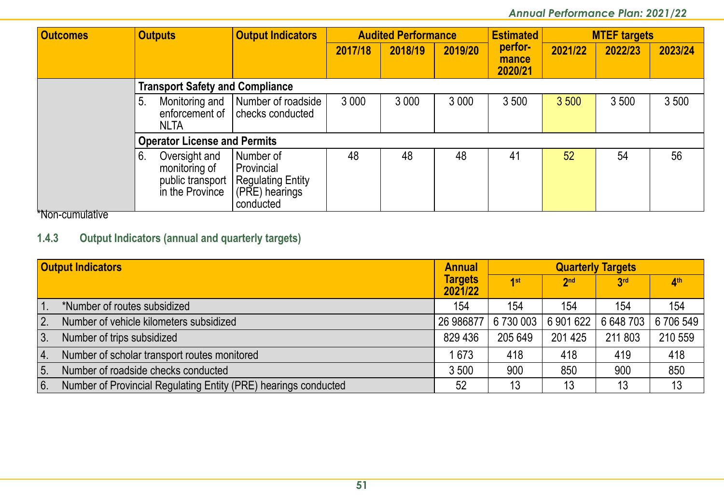| <b>Outcomes</b> | <b>Outputs</b>                                          | <b>Output Indicators</b>                                                                       |         | <b>Audited Performance</b> |         | <b>Estimated</b>            |         | <b>MTEF targets</b> |         |
|-----------------|---------------------------------------------------------|------------------------------------------------------------------------------------------------|---------|----------------------------|---------|-----------------------------|---------|---------------------|---------|
|                 |                                                         |                                                                                                | 2017/18 | 2018/19                    | 2019/20 | perfor-<br>mance<br>2020/21 | 2021/22 | 2022/23             | 2023/24 |
|                 | <b>Transport Safety and Compliance</b>                  |                                                                                                |         |                            |         |                             |         |                     |         |
|                 | 5.<br><b>NLTA</b>                                       | Monitoring and   Number of roadside<br>enforcement of   checks conducted                       | 3 0 0 0 | 3 0 0 0                    | 3 0 0 0 | 3 500                       | 3500    | 3 500               | 3 500   |
|                 | <b>Operator License and Permits</b>                     |                                                                                                |         |                            |         |                             |         |                     |         |
| $^{***}$        | Oversight and<br>6.<br>monitoring of<br>in the Province | Number of<br>Provincial<br>public transport   Regulating Entity<br>(PRE) hearings<br>conducted | 48      | 48                         | 48      | 41                          | 52      | 54                  | 56      |

\*Non-cumulative

## **1.4.3 Output Indicators (annual and quarterly targets)**

|                  | <b>Output Indicators</b>                                        | <b>Annual</b>             |                 | <b>Quarterly Targets</b> |                 |                 |
|------------------|-----------------------------------------------------------------|---------------------------|-----------------|--------------------------|-----------------|-----------------|
|                  |                                                                 | <b>Targets</b><br>2021/22 | 1 <sub>st</sub> | 2 <sub>nd</sub>          | 3 <sub>rd</sub> | 4 <sup>th</sup> |
| $\overline{1}$ . | *Number of routes subsidized                                    | 154                       | 154             | 154                      | 154             | 154             |
| 2.               | Number of vehicle kilometers subsidized                         | 26 986877                 | 6730003         | 6 901 622                | 6648703         | 6706549         |
| I3.              | Number of trips subsidized                                      | 829 436                   | 205 649         | 201 425                  | 211 803         | 210 559         |
| 14.              | Number of scholar transport routes monitored                    | 673                       | 418             | 418                      | 419             | 418             |
| 5.               | Number of roadside checks conducted                             | 3 500                     | 900             | 850                      | 900             | 850             |
| 6.               | Number of Provincial Regulating Entity (PRE) hearings conducted | 52                        | 13              | 13                       | 13              | 13              |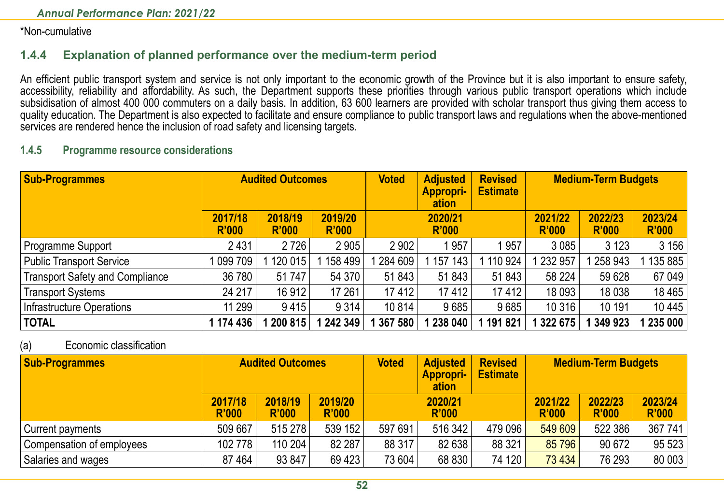\*Non-cumulative

### **1.4.4 Explanation of planned performance over the medium-term period**

An efficient public transport system and service is not only important to the economic growth of the Province but it is also important to ensure safety, accessibility, reliability and affordability. As such, the Department supports these priorities through various public transport operations which include subsidisation of almost 400 000 commuters on a daily basis. In addition, 63 600 learners are provided with scholar transport thus giving them access to quality education. The Department is also expected to facilitate and ensure compliance to public transport laws and regulations when the above-mentioned services are rendered hence the inclusion of road safety and licensing targets.

#### **1.4.5 Programme resource considerations**

| <b>Sub-Programmes</b>                  |                  | <b>Audited Outcomes</b> |                  | <b>Voted</b><br><b>Adjusted</b><br><b>Revised</b><br><b>Estimate</b><br><b>Appropri-</b><br>ation |                  | <b>Medium-Term Budgets</b> |                  |                         |                  |
|----------------------------------------|------------------|-------------------------|------------------|---------------------------------------------------------------------------------------------------|------------------|----------------------------|------------------|-------------------------|------------------|
|                                        | 2017/18<br>R'000 | 2018/19<br>R'000        | 2019/20<br>R'000 |                                                                                                   | 2020/21<br>R'000 |                            | 2021/22<br>R'000 | 2022/23<br><b>R'000</b> | 2023/24<br>R'000 |
| Programme Support                      | 2431             | 2 7 2 6                 | 2 9 0 5          | 2 9 0 2                                                                                           | 957              | 957                        | 3085             | 3 1 2 3                 | 3156             |
| Public Transport Service               | 099 709          | 120 015                 | 158 499          | 284 609                                                                                           | 157 143          | 110 924                    | 232 957          | 258 943                 | 135 885          |
| <b>Transport Safety and Compliance</b> | 36 780           | 51 747                  | 54 370           | 51843                                                                                             | 51843            | 51843                      | 58 224           | 59 628                  | 67 049           |
| <b>Transport Systems</b>               | 24 217           | 16912                   | 17 261           | 17412                                                                                             | 17412            | 17412                      | 18 093           | 18 0 38                 | 18 4 65          |
| Infrastructure Operations              | 11 299           | 9415                    | 9 3 1 4          | 10 8 14                                                                                           | 9685             | 9685                       | 10 316           | 10 191                  | 10445            |
| <b>TOTAL</b>                           | 1 174 436        | 200 815                 | 242 349          | 367 580                                                                                           | 238 040          | 191821                     | 1 322 675        | 349 923                 | 235000           |

#### (a) Economic classification

| <b>Sub-Programmes</b>     | <b>Audited Outcomes</b> |                  |                  | <b>Voted</b> | <b>Adjusted</b><br><b>Appropri-</b><br>ation | <b>Revised</b><br><b>Estimate</b> |                  | <b>Medium-Term Budgets</b> |                  |
|---------------------------|-------------------------|------------------|------------------|--------------|----------------------------------------------|-----------------------------------|------------------|----------------------------|------------------|
|                           | 2017/18<br>R'000        | 2018/19<br>R'000 | 2019/20<br>R'000 |              | 2020/21<br>R'000                             |                                   | 2021/22<br>R'000 | 2022/23<br>R'000           | 2023/24<br>R'000 |
| Current payments          | 509 667                 | 515 278          | 539 152          | 597 691      | 516 342                                      | 479 096                           | 549 609          | 522 386                    | 367 741          |
| Compensation of employees | 102 778                 | 110 204          | 82 287           | 88 317       | 82 638                                       | 88 321                            | 85 796           | 90 672                     | 95 523           |
| Salaries and wages        | 87 464                  | 93 847           | 69423            | 73 604       | 68 830                                       | 74 120                            | 73 4 34          | 76 293                     | 80 003           |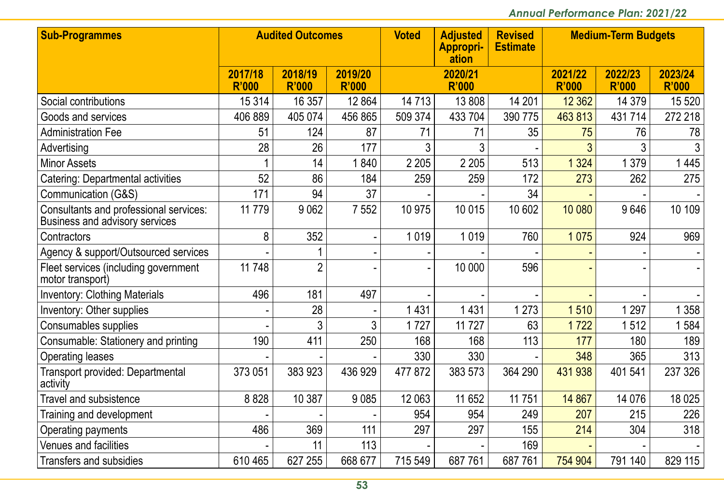| <b>Sub-Programmes</b>                                                    |                         | <b>Audited Outcomes</b> |                         | <b>Voted</b> | <b>Adjusted</b><br><b>Appropri-</b><br>ation | <b>Revised</b><br><b>Estimate</b> |                         | <b>Medium-Term Budgets</b> |                         |
|--------------------------------------------------------------------------|-------------------------|-------------------------|-------------------------|--------------|----------------------------------------------|-----------------------------------|-------------------------|----------------------------|-------------------------|
|                                                                          | 2017/18<br><b>R'000</b> | 2018/19<br><b>R'000</b> | 2019/20<br><b>R'000</b> |              | 2020/21<br><b>R'000</b>                      |                                   | 2021/22<br><b>R'000</b> | 2022/23<br><b>R'000</b>    | 2023/24<br><b>R'000</b> |
| Social contributions                                                     | 15 3 14                 | 16 357                  | 12 8 64                 | 14 713       | 13 808                                       | 14 201                            | 12 3 62                 | 14 379                     | 15 5 20                 |
| Goods and services                                                       | 406 889                 | 405 074                 | 456 865                 | 509 374      | 433 704                                      | 390 775                           | 463813                  | 431714                     | 272 218                 |
| <b>Administration Fee</b>                                                | 51                      | 124                     | 87                      | 71           | 71                                           | 35                                | 75                      | 76                         | 78                      |
| Advertising                                                              | 28                      | 26                      | 177                     | 3            | 3                                            |                                   | 3                       | 3                          | 3                       |
| <b>Minor Assets</b>                                                      |                         | 14                      | 1840                    | 2 2 0 5      | 2 2 0 5                                      | 513                               | 1 3 2 4                 | 379                        | 1445                    |
| Catering: Departmental activities                                        | 52                      | 86                      | 184                     | 259          | 259                                          | 172                               | 273                     | 262                        | 275                     |
| Communication (G&S)                                                      | 171                     | 94                      | 37                      |              |                                              | 34                                |                         |                            |                         |
| Consultants and professional services:<br>Business and advisory services | 11 779                  | 9 0 6 2                 | 7 5 5 2                 | 10 975       | 10 0 15                                      | 10 602                            | 10 080                  | 9646                       | 10 109                  |
| Contractors                                                              | 8                       | 352                     |                         | 1019         | 1019                                         | 760                               | 1075                    | 924                        | 969                     |
| Agency & support/Outsourced services                                     |                         |                         |                         |              |                                              |                                   |                         |                            |                         |
| Fleet services (including government<br>motor transport)                 | 11 748                  | $\overline{2}$          |                         |              | 10 000                                       | 596                               |                         |                            |                         |
| Inventory: Clothing Materials                                            | 496                     | 181                     | 497                     |              |                                              |                                   |                         |                            |                         |
| Inventory: Other supplies                                                |                         | 28                      |                         | 1431         | 1431                                         | 1 2 7 3                           | 1510                    | 1 2 9 7                    | 1 3 5 8                 |
| Consumables supplies                                                     |                         | 3                       | 3                       | 1727         | 11 727                                       | 63                                | 1722                    | 512                        | 584                     |
| Consumable: Stationery and printing                                      | 190                     | 411                     | 250                     | 168          | 168                                          | 113                               | 177                     | 180                        | 189                     |
| Operating leases                                                         |                         |                         |                         | 330          | 330                                          |                                   | 348                     | 365                        | 313                     |
| Transport provided: Departmental<br>activity                             | 373 051                 | 383 923                 | 436 929                 | 477 872      | 383 573                                      | 364 290                           | 431938                  | 401 541                    | 237 326                 |
| Travel and subsistence                                                   | 8828                    | 10 387                  | 9085                    | 12 063       | 11 652                                       | 11 751                            | 14 867                  | 14 0 76                    | 18 0 25                 |
| Training and development                                                 |                         |                         |                         | 954          | 954                                          | 249                               | 207                     | 215                        | 226                     |
| Operating payments                                                       | 486                     | 369                     | 111                     | 297          | 297                                          | 155                               | 214                     | 304                        | 318                     |
| Venues and facilities                                                    |                         | 11                      | 113                     |              |                                              | 169                               |                         |                            |                         |
| Transfers and subsidies                                                  | 610 465                 | 627 255                 | 668 677                 | 715 549      | 687 761                                      | 687 761                           | 754 904                 | 791 140                    | 829 115                 |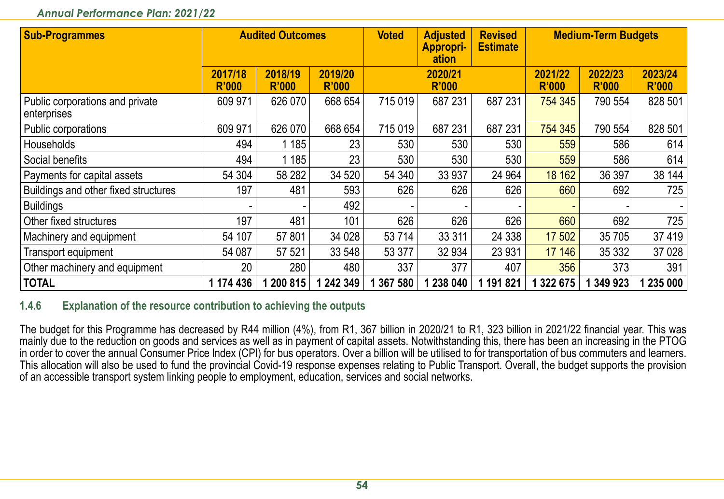| <b>Sub-Programmes</b>                          | <b>Audited Outcomes</b><br><b>Voted</b><br><b>Revised</b><br><b>Estimate</b><br><b>Appropri-</b><br>ation |                  |                  |           |                  | <b>Adjusted</b> |                  |                  | <b>Medium-Term Budgets</b> |
|------------------------------------------------|-----------------------------------------------------------------------------------------------------------|------------------|------------------|-----------|------------------|-----------------|------------------|------------------|----------------------------|
|                                                | 2017/18<br>R'000                                                                                          | 2018/19<br>R'000 | 2019/20<br>R'000 |           | 2020/21<br>R'000 |                 | 2021/22<br>R'000 | 2022/23<br>R'000 | 2023/24<br>R'000           |
| Public corporations and private<br>enterprises | 609 971                                                                                                   | 626 070          | 668 654          | 715019    | 687 231          | 687 231         | 754 345          | 790 554          | 828 501                    |
| Public corporations                            | 609 971                                                                                                   | 626 070          | 668 654          | 715 019   | 687 231          | 687 231         | 754 345          | 790 554          | 828 501                    |
| Households                                     | 494                                                                                                       | 1 1 8 5          | 23               | 530       | 530              | 530             | 559              | 586              | 614                        |
| Social benefits                                | 494                                                                                                       | 1 1 8 5          | 23               | 530       | 530              | 530             | 559              | 586              | 614                        |
| Payments for capital assets                    | 54 304                                                                                                    | 58 282           | 34 520           | 54 340    | 33 937           | 24 964          | 18 162           | 36 397           | 38 144                     |
| Buildings and other fixed structures           | 197                                                                                                       | 481              | 593              | 626       | 626              | 626             | 660              | 692              | 725                        |
| Buildings                                      |                                                                                                           |                  | 492              |           |                  |                 |                  |                  |                            |
| Other fixed structures                         | 197                                                                                                       | 481              | 101              | 626       | 626              | 626             | 660              | 692              | 725                        |
| Machinery and equipment                        | 54 107                                                                                                    | 57 801           | 34 0 28          | 53 714    | 33 311           | 24 338          | 17 502           | 35 705           | 37 419                     |
| Transport equipment                            | 54 087                                                                                                    | 57 521           | 33 548           | 53 377    | 32 934           | 23 931          | 17 146           | 35 332           | 37 0 28                    |
| Other machinery and equipment                  | 20                                                                                                        | 280              | 480              | 337       | 377              | 407             | 356              | 373              | 391                        |
| <b>TOTAL</b>                                   | 1 174 436                                                                                                 | 1 200 815        | 1 242 349        | 1 367 580 | 1 238 040        | 1 191 821       | 1 322 675        | 1 349 923        | 1 235 000                  |

#### **1.4.6 Explanation of the resource contribution to achieving the outputs**

The budget for this Programme has decreased by R44 million (4%), from R1, 367 billion in 2020/21 to R1, 323 billion in 2021/22 financial year. This was mainly due to the reduction on goods and services as well as in payment of capital assets. Notwithstanding this, there has been an increasing in the PTOG in order to cover the annual Consumer Price Index (CPI) for bus operators. Over a billion will be utilised to for transportation of bus commuters and learners. This allocation will also be used to fund the provincial Covid-19 response expenses relating to Public Transport. Overall, the budget supports the provision of an accessible transport system linking people to employment, education, services and social networks.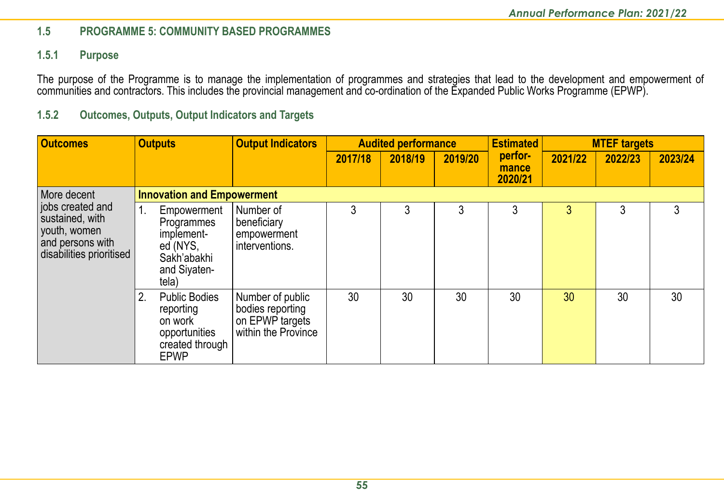### **1.5 PROGRAMME 5: COMMUNITY BASED PROGRAMMES**

#### **1.5.1 Purpose**

The purpose of the Programme is to manage the implementation of programmes and strategies that lead to the development and empowerment of communities and contractors. This includes the provincial management and co-ordination of the Expanded Public Works Programme (EPWP).

### **1.5.2 Outcomes, Outputs, Output Indicators and Targets**

| <b>Outcomes</b>                                                                                       | <b>Outputs</b>                                                                                        | <b>Output Indicators</b>                                                       |         | <b>Audited performance</b> |         | <b>Estimated</b>            |         | <b>MTEF targets</b> |         |
|-------------------------------------------------------------------------------------------------------|-------------------------------------------------------------------------------------------------------|--------------------------------------------------------------------------------|---------|----------------------------|---------|-----------------------------|---------|---------------------|---------|
|                                                                                                       |                                                                                                       |                                                                                | 2017/18 | 2018/19                    | 2019/20 | perfor-<br>mance<br>2020/21 | 2021/22 | 2022/23             | 2023/24 |
| More decent                                                                                           | <b>Innovation and Empowerment</b>                                                                     |                                                                                |         |                            |         |                             |         |                     |         |
| l jobs created and<br>sustained, with<br>vouth, women<br>and persons with<br>disabilities prioritised | Empowerment<br>Programmes<br>implement-<br>ed (NYS,<br>Sakh'abakhi<br>and Siyaten-<br>tela)           | Number of<br>beneficiary<br>empowerment<br>interventions.                      |         |                            |         |                             | 3       | 3                   | 3       |
|                                                                                                       | 2.<br><b>Public Bodies</b><br>reporting<br>on work<br>opportunities<br>created through<br><b>EPWP</b> | Number of public<br>bodies reporting<br>on EPWP targets<br>within the Province | 30      | 30                         | 30      | 30                          | 30      | 30                  | 30      |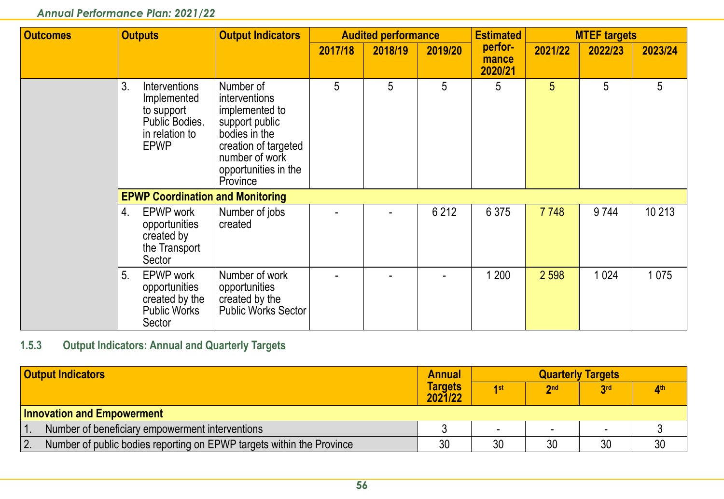*Annual Performance Plan: 2021/22*

| <b>Outcomes</b> | <b>Outputs</b>                                                                                      | <b>Output Indicators</b>                                                                                                                                      |         | <b>Audited performance</b> |         | <b>Estimated</b>            | <b>MTEF targets</b> |         |         |  |
|-----------------|-----------------------------------------------------------------------------------------------------|---------------------------------------------------------------------------------------------------------------------------------------------------------------|---------|----------------------------|---------|-----------------------------|---------------------|---------|---------|--|
|                 |                                                                                                     |                                                                                                                                                               | 2017/18 | 2018/19                    | 2019/20 | perfor-<br>mance<br>2020/21 | 2021/22             | 2022/23 | 2023/24 |  |
|                 | 3.<br>Interventions<br>Implemented<br>to support<br>Public Bodies.<br>in relation to<br><b>EPWP</b> | Number of<br>interventions<br>implemented to<br>support public<br>bodies in the<br>creation of targeted<br>number of work<br>opportunities in the<br>Province | 5       | 5                          | 5       | 5                           | 5                   | 5       | 5       |  |
|                 | <b>EPWP Coordination and Monitoring</b>                                                             |                                                                                                                                                               |         |                            |         |                             |                     |         |         |  |
|                 | EPWP work<br>4.<br>opportunities<br>created by<br>the Transport<br>Sector                           | Number of jobs<br>created                                                                                                                                     |         |                            | 6 2 1 2 | 6 3 7 5                     | 7748                | 9744    | 10 213  |  |
|                 | 5.<br>EPWP work<br>opportunities<br>created by the<br><b>Public Works</b><br>Sector                 | Number of work<br>opportunities<br>created by the<br><b>Public Works Sector</b>                                                                               |         |                            |         | 1 200                       | 2 5 9 8             | 1 0 2 4 | 1075    |  |

# **1.5.3 Output Indicators: Annual and Quarterly Targets**

| <b>Output Indicators</b>                                                   | <b>Annual</b>             | <b>Quarterly Targets</b> |                          |                          |                          |  |  |
|----------------------------------------------------------------------------|---------------------------|--------------------------|--------------------------|--------------------------|--------------------------|--|--|
|                                                                            | <b>Targets</b><br>2021/22 | 4 <sub>st</sub>          | 2nd                      | 2rd                      | $\mathbf{A}^{\text{th}}$ |  |  |
| <b>Innovation and Empowerment</b>                                          |                           |                          |                          |                          |                          |  |  |
| Number of beneficiary empowerment interventions                            |                           | $\sim$                   | $\overline{\phantom{0}}$ | $\overline{\phantom{0}}$ |                          |  |  |
| 2<br>Number of public bodies reporting on EPWP targets within the Province | 30                        | 30                       | 30                       | 30                       | 30                       |  |  |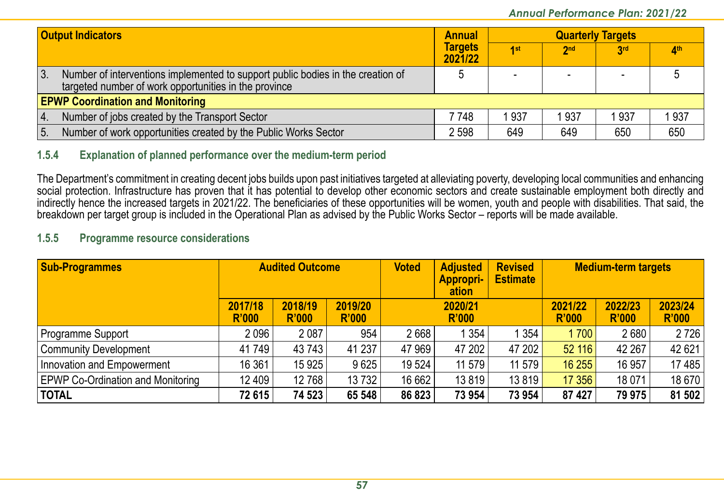|                | <b>Output Indicators</b>                                                                                                                 | <b>Annual</b>             | <b>Quarterly Targets</b> |                 |                 |                 |  |  |
|----------------|------------------------------------------------------------------------------------------------------------------------------------------|---------------------------|--------------------------|-----------------|-----------------|-----------------|--|--|
|                |                                                                                                                                          | <b>Targets</b><br>2021/22 | 4st                      | 2 <sub>nd</sub> | 3 <sup>rd</sup> | 4 <sup>th</sup> |  |  |
| 3.             | Number of interventions implemented to support public bodies in the creation of<br>targeted number of work opportunities in the province |                           |                          |                 |                 |                 |  |  |
|                | <b>EPWP Coordination and Monitoring</b>                                                                                                  |                           |                          |                 |                 |                 |  |  |
| 14.            | Number of jobs created by the Transport Sector                                                                                           | 748 ً                     | 937                      | 937             | 937             | 1937            |  |  |
| <sup>15.</sup> | Number of work opportunities created by the Public Works Sector                                                                          | 2 598                     | 649                      | 649             | 650             | 650             |  |  |

#### **1.5.4 Explanation of planned performance over the medium-term period**

The Department's commitment in creating decent jobs builds upon past initiatives targeted at alleviating poverty, developing local communities and enhancing social protection. Infrastructure has proven that it has potential to develop other economic sectors and create sustainable employment both directly and indirectly hence the increased targets in 2021/22. The beneficiaries of these opportunities will be women, youth and people with disabilities. That said, the breakdown per target group is included in the Operational Plan as advised by the Public Works Sector – reports will be made available.

#### **1.5.5 Programme resource considerations**

| <b>Sub-Programmes</b>                      | <b>Audited Outcome</b>      |                  |                  | <b>Voted</b> | <b>Adjusted</b><br><b>Appropri-</b><br>ation | <b>Revised</b><br><b>Estimate</b> | <b>Medium-term targets</b> |                  |                  |
|--------------------------------------------|-----------------------------|------------------|------------------|--------------|----------------------------------------------|-----------------------------------|----------------------------|------------------|------------------|
|                                            | 2017/18<br>R'000            | 2018/19<br>R'000 | 2019/20<br>R'000 |              | 2020/21<br>R'000                             |                                   | 2021/22<br>R'000           | 2022/23<br>R'000 | 2023/24<br>R'000 |
| Programme Support                          | 2096                        | 2 0 8 7          | 954              | 2668         | 354                                          | 354                               | 1 700                      | 2680             | 2726             |
| Community Development                      | 41749                       | 43 743           | 41 237           | 47 969       | 47 202                                       | 47 202                            | 52 116                     | 42 267           | 42 621           |
| Innovation and Empowerment                 | 16 361                      | 15 9 25          | 9625             | 19 5 24      | 11 579                                       | 11 579                            | 16 255                     | 16 957           | 17485            |
| <b>EPWP Co-Ordination and Monitoring</b>   | 12 409<br>12 768<br>13 7 32 |                  | 16 662           | 13819        | 13819                                        | 17 356                            | 18 071                     | 18 670           |                  |
| 72 615<br>74 523<br><b>TOTAL</b><br>65 548 |                             |                  |                  | 86823        | 73 954                                       | 73 954                            | 87 427                     | 79 975           | 81 502           |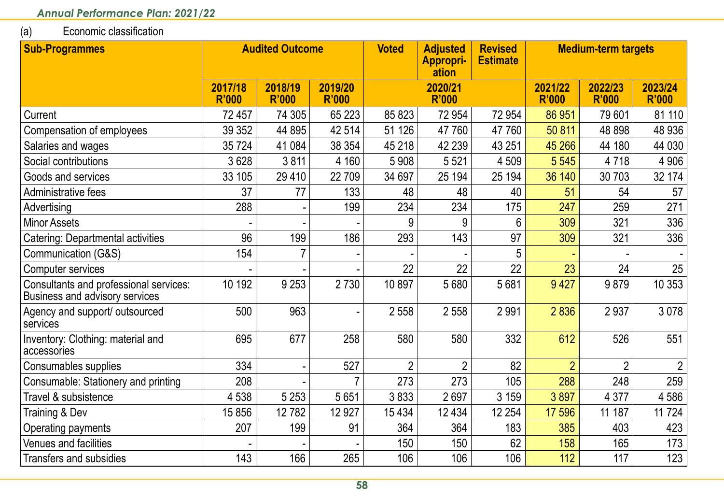# (a) Economic classification

| <b>Sub-Programmes</b>                                                    |                  | <b>Audited Outcome</b> |                         | <b>Voted</b>   | <b>Adjusted</b><br><b>Appropri-</b><br>ation | <b>Revised</b><br><b>Estimate</b> | <b>Medium-term targets</b> |                         |                         |
|--------------------------------------------------------------------------|------------------|------------------------|-------------------------|----------------|----------------------------------------------|-----------------------------------|----------------------------|-------------------------|-------------------------|
|                                                                          | 2017/18<br>R'000 | 2018/19<br>R'000       | 2019/20<br><b>R'000</b> |                | 2020/21<br><b>R'000</b>                      |                                   | 2021/22<br><b>R'000</b>    | 2022/23<br><b>R'000</b> | 2023/24<br><b>R'000</b> |
| Current                                                                  | 72457            | 74 305                 | 65 223                  | 85 823         | 72 954                                       | 72 954                            | 86 951                     | 79601                   | 81 110                  |
| Compensation of employees                                                | 39 352           | 44 895                 | 42 514                  | 51 126         | 47 760                                       | 47 760                            | 50 811                     | 48 898                  | 48 936                  |
| Salaries and wages                                                       | 35 7 24          | 41 084                 | 38 354                  | 45 218         | 42 239                                       | 43 251                            | 45 266                     | 44 180                  | 44 030                  |
| Social contributions                                                     | 3628             | 3811                   | 4 160                   | 5 9 0 8        | 5521                                         | 4 5 0 9                           | 5 5 4 5                    | 4718                    | 4 9 0 6                 |
| Goods and services                                                       | 33 105           | 29 4 10                | 22 709                  | 34 697         | 25 194                                       | 25 194                            | 36 140                     | 30 703                  | 32 174                  |
| Administrative fees                                                      | 37               | 77                     | 133                     | 48             | 48                                           | 40                                | 51                         | 54                      | 57                      |
| Advertising                                                              | 288              |                        | 199                     | 234            | 234                                          | 175                               | 247                        | 259                     | 271                     |
| <b>Minor Assets</b>                                                      |                  |                        |                         | q              | 9                                            | 6                                 | 309                        | 321                     | 336                     |
| Catering: Departmental activities                                        | 96               | 199                    | 186                     | 293            | 143                                          | 97                                | 309                        | 321                     | 336                     |
| Communication (G&S)                                                      | 154              |                        |                         |                |                                              | 5                                 |                            |                         |                         |
| Computer services                                                        |                  |                        |                         | 22             | 22                                           | 22                                | 23                         | 24                      | 25                      |
| Consultants and professional services:<br>Business and advisory services | 10 192           | 9 2 5 3                | 2 7 3 0                 | 10897          | 5680                                         | 5681                              | 9427                       | 9879                    | 10 353                  |
| Agency and support/ outsourced<br>services                               | 500              | 963                    |                         | 2 5 5 8        | 2 5 5 8                                      | 2991                              | 2836                       | 2937                    | 3078                    |
| Inventory: Clothing: material and<br>accessories                         | 695              | 677                    | 258                     | 580            | 580                                          | 332                               | 612                        | 526                     | 551                     |
| Consumables supplies                                                     | 334              |                        | 527                     | $\overline{2}$ | 2                                            | 82                                | $\overline{2}$             |                         | $\overline{2}$          |
| Consumable: Stationery and printing                                      | 208              |                        |                         | 273            | 273                                          | 105                               | 288                        | 248                     | 259                     |
| Travel & subsistence                                                     | 4538             | 5 2 5 3                | 5651                    | 3833           | 2697                                         | 3 1 5 9                           | 3897                       | 4 3 7 7                 | 4586                    |
| Training & Dev                                                           | 15 856           | 12782                  | 12 9 27                 | 15 4 34        | 12 4 34                                      | 12 2 54                           | 17 596                     | 11 187                  | 11 724                  |
| Operating payments                                                       | 207              | 199                    | 91                      | 364            | 364                                          | 183                               | 385                        | 403                     | 423                     |
| Venues and facilities                                                    |                  |                        |                         | 150            | 150                                          | 62                                | 158                        | 165                     | 173                     |
| Transfers and subsidies                                                  | 143              | 166                    | 265                     | 106            | 106                                          | 106                               | 112                        | 117                     | 123                     |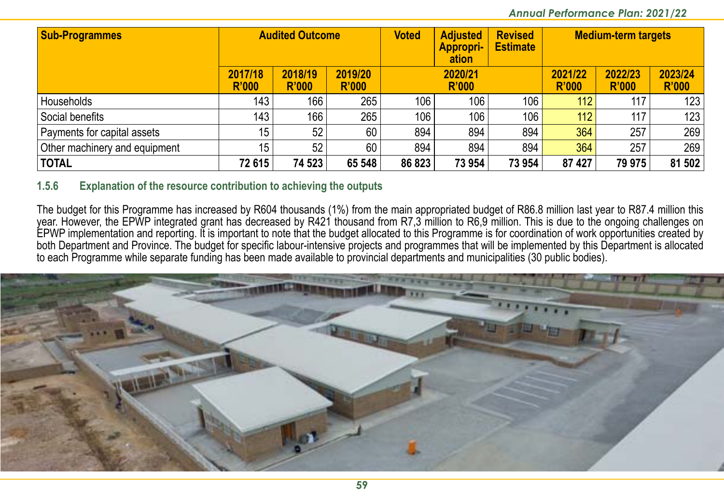| <b>Sub-Programmes</b>         | <b>Audited Outcome</b>     |                  |                  | <b>Voted</b> | <b>Adjusted</b><br><b>Appropri-</b><br>ation | <b>Revised</b><br><b>Estimate</b> | <b>Medium-term targets</b> |                  |                         |
|-------------------------------|----------------------------|------------------|------------------|--------------|----------------------------------------------|-----------------------------------|----------------------------|------------------|-------------------------|
|                               | 2017/18<br>R'000           | 2018/19<br>R'000 | 2019/20<br>R'000 |              | 2020/21<br>R'000                             |                                   | 2021/22<br>R'000           | 2022/23<br>R'000 | 2023/24<br><b>R'000</b> |
| Households                    | 143                        | 166              | 265              | 106          | 106                                          | 106                               | 112                        | 117              | 123                     |
| Social benefits               | 143                        | 166              | 265              | 106          | 106                                          | 106                               | 112                        | 117              | 123                     |
| Payments for capital assets   | 15                         | 52               | 60               | 894          | 894                                          | 894                               | 364                        | 257              | 269                     |
| Other machinery and equipment | 52<br>60<br>15             |                  |                  | 894          | 894                                          | 894                               | 364                        | 257              | 269                     |
| <b>TOTAL</b>                  | 72 615<br>74 523<br>65 548 |                  |                  | 86823        | 73 954                                       | 73 954                            | 87 427                     | 79 975           | 81 502                  |

#### **1.5.6 Explanation of the resource contribution to achieving the outputs**

The budget for this Programme has increased by R604 thousands (1%) from the main appropriated budget of R86.8 million last year to R87.4 million this year. However, the EPWP integrated grant has decreased by R421 thousand from R7,3 million to R6,9 million. This is due to the ongoing challenges on EPWP implementation and reporting. It is important to note that the budget allocated to this Programme is for coordination of work opportunities created by both Department and Province. The budget for specific labour-intensive projects and programmes that will be implemented by this Department is allocated to each Programme while separate funding has been made available to provincial departments and municipalities (30 public bodies).

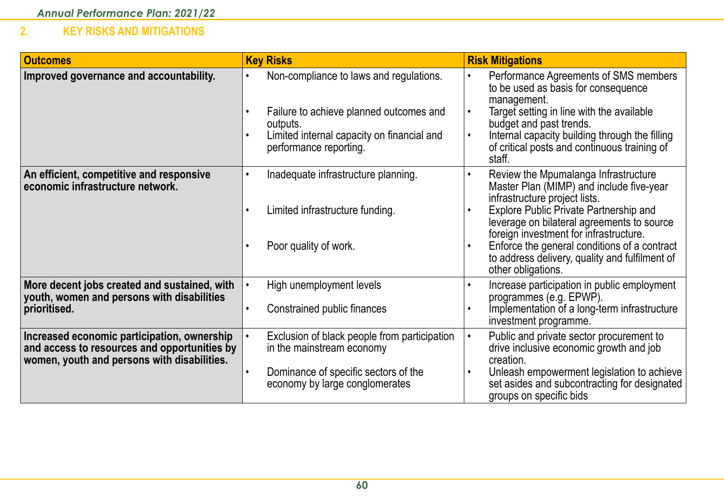### **2. KEY RISKS AND MITIGATIONS**

| <b>Outcomes</b>                                                                                                                            | <b>Key Risks</b>                                                                                                                                                       | <b>Risk Mitigations</b>                                                                                                                                                                                                                                                                                                                                                     |
|--------------------------------------------------------------------------------------------------------------------------------------------|------------------------------------------------------------------------------------------------------------------------------------------------------------------------|-----------------------------------------------------------------------------------------------------------------------------------------------------------------------------------------------------------------------------------------------------------------------------------------------------------------------------------------------------------------------------|
| Improved governance and accountability.                                                                                                    | Non-compliance to laws and regulations.<br>Failure to achieve planned outcomes and<br>outputs.<br>Limited internal capacity on financial and<br>performance reporting. | Performance Agreements of SMS members<br>$\bullet$<br>to be used as basis for consequence<br>management.<br>Target setting in line with the available<br>budget and past trends.<br>Internal capacity building through the filling<br>$\bullet$<br>of critical posts and continuous training of<br>staff.                                                                   |
| An efficient, competitive and responsive<br>economic infrastructure network.                                                               | Inadequate infrastructure planning.<br>٠<br>Limited infrastructure funding.<br>Poor quality of work.                                                                   | Review the Mpumalanga Infrastructure<br>Master Plan (MIMP) and include five-year<br>infrastructure project lists.<br>Explore Public Private Partnership and<br>leverage on bilateral agreements to source<br>foreign investment for infrastructure.<br>Enforce the general conditions of a contract<br>to address delivery, quality and fulfilment of<br>other obligations. |
| More decent jobs created and sustained, with<br>youth, women and persons with disabilities<br>prioritised.                                 | High unemployment levels<br>Constrained public finances                                                                                                                | Increase participation in public employment<br>$\bullet$<br>programmes (e.g. EPWP).<br>Implementation of a long-term infrastructure<br>investment programme.                                                                                                                                                                                                                |
| Increased economic participation, ownership<br>and access to resources and opportunities by<br>women, youth and persons with disabilities. | Exclusion of black people from participation<br>in the mainstream economy<br>Dominance of specific sectors of the<br>٠<br>economy by large conglomerates               | Public and private sector procurement to<br>drive inclusive economic growth and job<br>creation.<br>Unleash empowerment legislation to achieve<br>set asides and subcontracting for designated<br>groups on specific bids                                                                                                                                                   |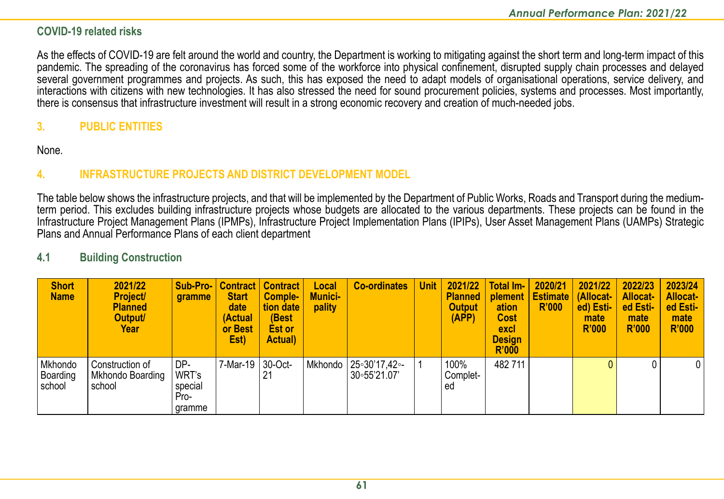#### **COVID-19 related risks**

As the effects of COVID-19 are felt around the world and country, the Department is working to mitigating against the short term and long-term impact of this pandemic. The spreading of the coronavirus has forced some of the workforce into physical confinement, disrupted supply chain processes and delayed several government programmes and projects. As such, this has exposed the need to adapt models of organisational operations, service delivery, and interactions with citizens with new technologies. It has also stressed the need for sound procurement policies, systems and processes. Most importantly, there is consensus that infrastructure investment will result in a strong economic recovery and creation of much-needed jobs.

#### **3. PUBLIC ENTITIES**

None.

#### **4. INFRASTRUCTURE PROJECTS AND DISTRICT DEVELOPMENT MODEL**

The table below shows the infrastructure projects, and that will be implemented by the Department of Public Works, Roads and Transport during the mediumterm period. This excludes building infrastructure projects whose budgets are allocated to the various departments. These projects can be found in the Infrastructure Project Management Plans (IPMPs), Infrastructure Project Implementation Plans (IPIPs), User Asset Management Plans (UAMPs) Strategic Plans and Annual Performance Plans of each client department

#### **4.1 Building Construction**

| <b>Short</b><br><b>Name</b>       | 2021/22<br><b>Project/</b><br><b>Planned</b><br>Output/<br>Year | <b>gramme</b>                             | <b>Sub-Pro-   Contract   Contract  </b><br><b>Start</b><br>date<br>(Actual<br>or Best<br>Est) | Comple-<br>tion date<br>(Best<br><b>Est or</b><br>Actual) | Local<br><b>Munici-</b><br>pality | <b>Co-ordinates</b>             | <b>Unit</b> | 2021/22<br><b>Planned</b><br><b>Output</b><br>(APP) | <b>Total Im-</b><br>plement  <br>ation<br>Cost<br>excl<br><b>Design</b><br>R'000 | 2020/21<br><b>Estimate</b><br><b>R'000</b> | 2021/22<br>(Allocat-<br>ed) Esti-<br>mate<br>R'000 | 2022/23<br>Allocat-<br>ed Esti-<br>mate<br><b>R'000</b> | 2023/24<br>Allocat-<br>ed Esti-<br>mate<br>R'000 |
|-----------------------------------|-----------------------------------------------------------------|-------------------------------------------|-----------------------------------------------------------------------------------------------|-----------------------------------------------------------|-----------------------------------|---------------------------------|-------------|-----------------------------------------------------|----------------------------------------------------------------------------------|--------------------------------------------|----------------------------------------------------|---------------------------------------------------------|--------------------------------------------------|
| l Mkhondo<br>Boarding<br>l school | Construction of<br>Mkhondo Boarding<br>school                   | DP-<br>WRT's<br>special<br>Pro-<br>gramme | 7-Mar-19 30-Oct-                                                                              | 21                                                        | Mkhondo                           | l 25∘30'17.42∘-<br>30-55'21.07' |             | 100%<br>Complet-<br>ed                              | 482711                                                                           |                                            |                                                    |                                                         | $\mathbf{0}$                                     |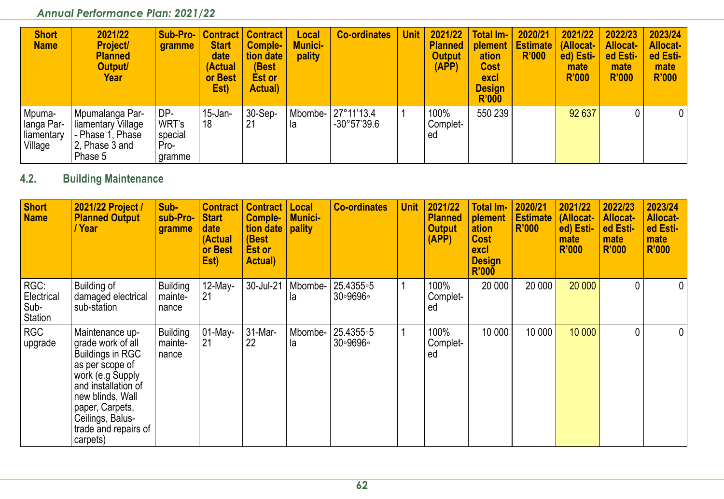*Annual Performance Plan: 2021/22*

| <b>Short</b><br><b>Name</b>                   | 2021/22<br>Project/<br><b>Planned</b><br>Output/<br>Year                               | Sub-Pro-<br><b>gramme</b>                 | Contract   Contract  <br><b>Start</b><br>date<br>(Actual<br>or Best<br>Est) | Comple-<br>tion date<br>(Best<br><b>Est or</b><br>Actual) | Local<br><b>Munici-</b><br>pality | <b>Co-ordinates</b>                          | <b>Unit</b> | 2021/22<br><b>Planned</b><br><b>Output</b><br>(APP) | <b>Total Im-</b><br>plement<br>ation<br><b>Cost</b><br>excl<br><b>Design</b><br>R'000 | 2020/21<br><b>Estimate</b><br>R'000 | 2021/22<br>(Allocat-<br>ed) Esti-<br>mate<br>R'000 | 2022/23<br><b>Allocat-</b><br>ed Esti-<br>mate<br><b>R'000</b> | 2023/24<br><b>Allocat-</b><br>ed Esti-<br>mate<br><b>R'000</b> |
|-----------------------------------------------|----------------------------------------------------------------------------------------|-------------------------------------------|-----------------------------------------------------------------------------|-----------------------------------------------------------|-----------------------------------|----------------------------------------------|-------------|-----------------------------------------------------|---------------------------------------------------------------------------------------|-------------------------------------|----------------------------------------------------|----------------------------------------------------------------|----------------------------------------------------------------|
| Mpuma-<br>langa Par-<br>liamentary<br>Village | Mpumalanga Par-<br>liamentary Village<br>- Phase 1, Phase<br>2, Phase 3 and<br>Phase 5 | DP-<br>WRT's<br>special<br>Pro-<br>gramme | $15$ -Jan-<br>18                                                            | $30-Sep-$<br>21                                           | Mbombe-<br>la                     | $ 27^{\circ}11'13.4$<br>$-30^{\circ}57'39.6$ |             | 100%<br>Complet-<br>ed                              | 550 239                                                                               |                                     | 92 637                                             |                                                                | $\mathbf{0}$                                                   |

## **4.2. Building Maintenance**

| Short<br>Name                         | 2021/22 Project /<br><b>Planned Output</b><br>/Year                                                                                                                                                                          | Sub-<br>sub-Pro-<br>gramme   | <b>Contract</b><br><b>Start</b><br>date<br>(Actual<br>or Best<br>Est) | <b>Contract</b><br>Comple-<br>tion date<br>(Best<br><b>Est or</b><br><b>Actual</b> ) | Local<br><b>Munici-</b><br>pality | <b>Co-ordinates</b>    | <b>Unit</b> | 2021/22<br><b>Planned</b><br><b>Output</b><br>(APP) | <b>Total Im-</b><br>plement<br>ation<br><b>Cost</b><br>excl<br><b>Design</b><br>R'000 | 2020/21<br><b>Estimate</b><br>R'000 | 2021/22<br>(Allocat-<br>ed) Esti-<br>mate<br>R'000 | 2022/23<br><b>Allocat-</b><br>ed Esti-<br>mate<br><b>R'000</b> | 2023/24<br>Allocat-<br>ed Esti-<br>mate<br><b>R'000</b> |
|---------------------------------------|------------------------------------------------------------------------------------------------------------------------------------------------------------------------------------------------------------------------------|------------------------------|-----------------------------------------------------------------------|--------------------------------------------------------------------------------------|-----------------------------------|------------------------|-------------|-----------------------------------------------------|---------------------------------------------------------------------------------------|-------------------------------------|----------------------------------------------------|----------------------------------------------------------------|---------------------------------------------------------|
| RGC:<br>Electrical<br>Sub-<br>Station | Building of<br>damaged electrical<br>sub-station                                                                                                                                                                             | Building<br>mainte-<br>nance | $12$ -May-<br>21                                                      | 30-Jul-21                                                                            | Mbombe-<br>la                     | 25.4355 - 5<br>30.9696 |             | 100%<br>Complet-<br>ed                              | 20 000                                                                                | 20 000                              | 20 000                                             | 0                                                              | $\mathbf{0}$                                            |
| RGC<br>upgrade                        | Maintenance up-<br>grade work of all<br><b>Buildings in RGC</b><br>as per scope of<br>work (e.g Supply<br>and installation of<br>new blinds, Wall<br>paper, Carpets,<br>Ceilings, Balus-<br>trade and repairs of<br>carpets) | Building<br>mainte-<br>nance | 01-May-<br>21                                                         | 31-Mar-<br>22                                                                        | Mbombe-<br>la                     | 25.4355 - 5<br>30.9696 |             | 100%<br>Complet-<br>ed                              | 10 000                                                                                | 10 000                              | 10 000                                             | $\Omega$                                                       | $\overline{0}$                                          |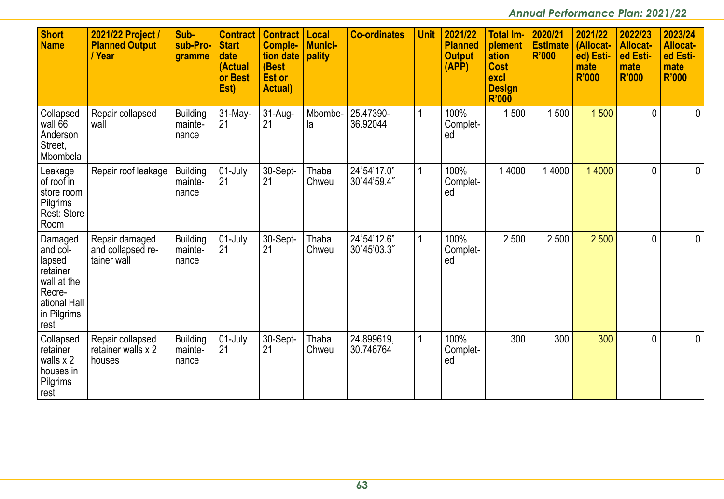| <b>Short</b><br><b>Name</b>                                                                               | 2021/22 Project /<br><b>Planned Output</b><br>/Year | Sub-<br>sub-Pro-<br>gramme          | <b>Contract</b><br><b>Start</b><br>date<br>(Actual<br>or Best<br>Est) | <b>Contract</b><br>Comple-<br>tion date<br>(Best<br><b>Est or</b><br><b>Actual</b> ) | Local<br><b>Munici-</b><br>pality | <b>Co-ordinates</b>        | <b>Unit</b> | 2021/22<br><b>Planned</b><br><b>Output</b><br>(APP) | <b>Total Im-</b><br>plement<br>ation<br><b>Cost</b><br>excl<br><b>Design</b><br><b>R'000</b> | 2020/21<br><b>Estimate</b><br>R'000 | 2021/22<br>(Allocat-<br>ed) Esti-<br>mate<br><b>R'000</b> | 2022/23<br><b>Allocat-</b><br>ed Esti-<br>mate<br><b>R'000</b> | 2023/24<br>Allocat-<br>ed Esti-<br>mate<br><b>R'000</b> |
|-----------------------------------------------------------------------------------------------------------|-----------------------------------------------------|-------------------------------------|-----------------------------------------------------------------------|--------------------------------------------------------------------------------------|-----------------------------------|----------------------------|-------------|-----------------------------------------------------|----------------------------------------------------------------------------------------------|-------------------------------------|-----------------------------------------------------------|----------------------------------------------------------------|---------------------------------------------------------|
| Collapsed<br>wall 66<br>Anderson<br>Street,<br>Mbombela                                                   | Repair collapsed<br>wall                            | <b>Building</b><br>mainte-<br>nance | 31-May-<br>21                                                         | 31-Aug-<br>21                                                                        | Mbombe-<br>la                     | 25.47390-<br>36.92044      |             | 100%<br>Complet-<br>ed                              | 1500                                                                                         | 1500                                | 1 500                                                     | 0                                                              | 0                                                       |
| Leakage<br>of roof in<br>store room<br>Pilgrims<br>Rest: Store<br>Room                                    | Repair roof leakage                                 | <b>Building</b><br>mainte-<br>nance | 01-July<br>21                                                         | 30-Sept-<br>21                                                                       | Thaba<br>Chweu                    | 24°54'17.0"<br>30°44'59.4" |             | 100%<br>Complet-<br>ed                              | 1 4000                                                                                       | 1 4000                              | 14000                                                     | 0                                                              | 0                                                       |
| Damaged<br>and col-<br>lapsed<br>retainer<br>wall at the<br>Recre-<br>ational Hall<br>in Pilgrims<br>rest | Repair damaged<br>and collapsed re-<br>tainer wall  | <b>Building</b><br>mainte-<br>nance | 01-July<br>21                                                         | 30-Sept-<br>21                                                                       | Thaba<br>Chweu                    | 24°54'12.6"<br>30°45'03.3" | 1           | 100%<br>Complet-<br>ed                              | 2 500                                                                                        | 2 500                               | 2 500                                                     | 0                                                              | 0                                                       |
| Collapsed<br>retainer<br>walls x 2<br>houses in<br>Pilgrims<br>l rest                                     | Repair collapsed<br>retainer walls x 2<br>houses    | <b>Building</b><br>mainte-<br>nance | 01-July<br>21                                                         | 30-Sept-<br>21                                                                       | Thaba<br>Chweu                    | 24.899619,<br>30.746764    | 1           | 100%<br>Complet-<br>ed                              | 300                                                                                          | 300                                 | 300                                                       | 0                                                              | 0                                                       |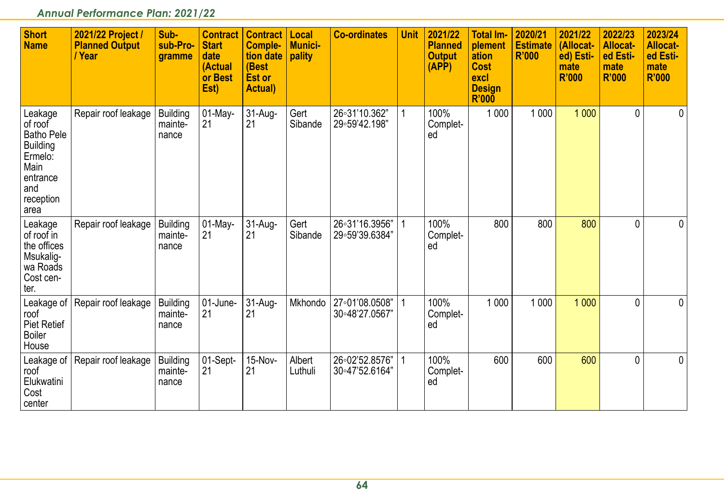*Annual Performance Plan: 2021/22*

| <b>Short</b><br><b>Name</b>                                                                                    | 2021/22 Project /<br><b>Planned Output</b><br>/Year | Sub-<br>sub-Pro-<br>gramme          | <b>Contract</b><br><b>Start</b><br>date<br><b>(Actual</b><br>or Best<br>Est) | Contract  <br>Comple-<br>tion date<br>(Best<br><b>Est or</b><br><b>Actual</b> ) | Local<br><b>Munici-</b><br>pality | <b>Co-ordinates</b>              | <b>Unit</b> | 2021/22<br><b>Planned</b><br><b>Output</b><br>(APP) | <b>Total Im-</b><br>plement<br>ation<br><b>Cost</b><br>excl<br><b>Design</b><br>R'000 | 2020/21<br><b>Estimate</b><br>R'000 | 2021/22<br>(Allocat-<br>ed) Esti-<br>mate<br>R'000 | 2022/23<br><b>Allocat-</b><br>ed Esti-<br>mate<br>R'000 | 2023/24<br>Allocat-<br>ed Esti-<br>mate<br><b>R'000</b> |
|----------------------------------------------------------------------------------------------------------------|-----------------------------------------------------|-------------------------------------|------------------------------------------------------------------------------|---------------------------------------------------------------------------------|-----------------------------------|----------------------------------|-------------|-----------------------------------------------------|---------------------------------------------------------------------------------------|-------------------------------------|----------------------------------------------------|---------------------------------------------------------|---------------------------------------------------------|
| Leakage<br>of roof<br><b>Batho Pele</b><br>Building<br>Ermelo:<br>Main<br>entrance<br>and<br>reception<br>area | Repair roof leakage                                 | <b>Building</b><br>mainte-<br>nance | 01-May-<br>21                                                                | 31-Aug-<br>21                                                                   | Gert<br>Sibande                   | 26-31'10.362"<br>29-59'42.198"   |             | 100%<br>Complet-<br>ed                              | 1 0 0 0                                                                               | 1 0 0 0                             | 1 0 0 0                                            | 0                                                       | $\mathbf{0}$                                            |
| Leakage<br>of roof in<br>the offices<br>Msukalig-<br>wa Roads<br>Cost cen-<br>ter.                             | Repair roof leakage                                 | <b>Building</b><br>mainte-<br>nance | 01-May-<br>21                                                                | 31-Aug-<br>21                                                                   | Gert<br>Sibande                   | 26-31'16.3956"<br>29-59'39.6384" |             | 100%<br>Complet-<br>ed                              | 800                                                                                   | 800                                 | 800                                                | 0                                                       | 0                                                       |
| Leakage of<br>roof<br>Piet Retief<br><b>Boiler</b><br>House                                                    | Repair roof leakage                                 | <b>Building</b><br>mainte-<br>nance | 01-June-<br>21                                                               | 31-Aug-<br>21                                                                   | Mkhondo                           | 27-01'08.0508"<br>30-48'27.0567" |             | 100%<br>Complet-<br>ed                              | 1 000                                                                                 | 1 0 0 0                             | 1 0 0 0                                            | 0                                                       | $\mathbf{0}$                                            |
| Leakage of<br>roof<br>Elukwatini<br>Cost<br>center                                                             | Repair roof leakage                                 | <b>Building</b><br>mainte-<br>nance | 01-Sept-<br>21                                                               | 15-Nov-<br>21                                                                   | Albert<br>Luthuli                 | 26-02'52.8576"<br>30-47'52.6164" |             | 100%<br>Complet-<br>ed                              | 600                                                                                   | 600                                 | 600                                                | 0                                                       | $\mathbf{0}$                                            |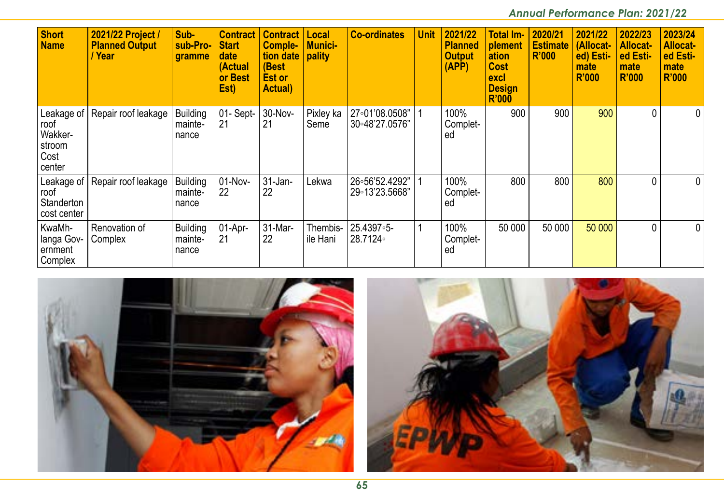| <b>Short</b><br><b>Name</b>                 | 2021/22 Project /<br><b>Planned Output</b><br>/ Year | Sub-<br>sub-Pro-<br>gramme          | <b>Contract</b><br><b>Start</b><br>date<br>(Actual<br>or Best<br>Est) | <b>Contract</b><br>Comple-<br>tion date<br>(Best<br><b>Est or</b><br><b>Actual</b> ) | Local<br><b>Munici-</b><br>pality | <b>Co-ordinates</b>                 | <b>Unit</b> | 2021/22<br><b>Planned</b><br><b>Output</b><br>(APP) | Total Im-<br>plement<br>ation<br>Cost<br>excl<br><b>Design</b><br>R'000 | 2020/21<br><b>Estimate</b><br>R'000 | 2021/22<br>(Allocat-<br>ed) Esti-<br>mate<br>R'000 | 2022/23<br><b>Allocat-</b><br>ed Esti-<br>mate<br><b>R'000</b> | 2023/24<br>Allocat-<br>ed Esti-<br>mate<br>R'000 |
|---------------------------------------------|------------------------------------------------------|-------------------------------------|-----------------------------------------------------------------------|--------------------------------------------------------------------------------------|-----------------------------------|-------------------------------------|-------------|-----------------------------------------------------|-------------------------------------------------------------------------|-------------------------------------|----------------------------------------------------|----------------------------------------------------------------|--------------------------------------------------|
| roof<br>Wakker-<br>stroom<br>Cost<br>center | Leakage of   Repair roof leakage                     | <b>Building</b><br>mainte-<br>nance | $01 - Sept-$<br>21                                                    | 30-Nov-<br>21                                                                        | Pixley ka<br>Seme                 | 27∘01'08.0508"<br>30-48'27.0576"    |             | 100%<br>Complet-<br>ed                              | 900                                                                     | 900                                 | 900                                                | 0                                                              | 0                                                |
| roof<br>Standerton<br>cost center           | Leakage of   Repair roof leakage                     | Building<br>mainte-<br>nance        | 01-Nov-<br>22                                                         | $31$ -Jan-<br>22                                                                     | Lekwa                             | 26∘56'52.4292"<br>29 - 13' 23.5668" |             | 100%<br>Complet-<br>ed                              | 800                                                                     | 800                                 | 800                                                | $\mathbf{0}$                                                   | 0                                                |
| KwaMh-<br>langa Gov-<br>ernment<br>Complex  | Renovation of<br>Complex                             | <b>Building</b><br>mainte-<br>nance | 01-Apr-<br>21                                                         | 31-Mar-<br>22                                                                        | Thembis-<br>ile Hani              | 25.4397 - 5-<br>28.7124             |             | 100%<br>Complet-<br>ed                              | 50 000                                                                  | 50 000                              | 50 000                                             | 0                                                              | $\mathbf{0}$                                     |



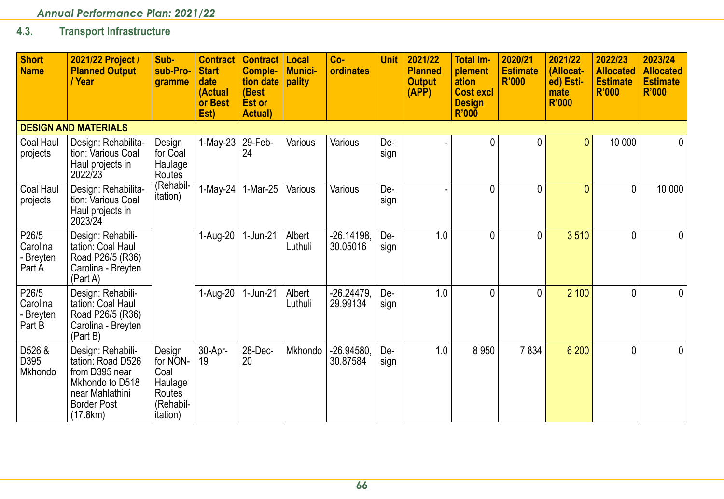## **4.3. Transport Infrastructure**

| <b>Short</b><br><b>Name</b>              | 2021/22 Project /<br><b>Planned Output</b><br>/Year                                                                              | Sub-<br>sub-Pro-<br>gramme                                                       | <b>Contract</b><br><b>Start</b><br>date<br>(Actual<br>or Best<br>Est) | <b>Contract</b><br>Comple-<br>tion date<br>(Best<br><b>Est or</b><br><b>Actual</b> ) | Local<br><b>Munici-</b><br>pality | $Co-$<br>ordinates       | <b>Unit</b> | 2021/22<br><b>Planned</b><br><b>Output</b><br>(APP) | <b>Total Im-</b><br>plement<br>ation<br><b>Cost excl</b><br><b>Design</b><br>R'000 | 2020/21<br><b>Estimate</b><br>R'000 | 2021/22<br>(Allocat-<br>ed) Esti-<br>mate<br>R'000 | 2022/23<br><b>Allocated</b><br><b>Estimate</b><br>R'000 | 2023/24<br><b>Allocated</b><br><b>Estimate</b><br><b>R'000</b> |
|------------------------------------------|----------------------------------------------------------------------------------------------------------------------------------|----------------------------------------------------------------------------------|-----------------------------------------------------------------------|--------------------------------------------------------------------------------------|-----------------------------------|--------------------------|-------------|-----------------------------------------------------|------------------------------------------------------------------------------------|-------------------------------------|----------------------------------------------------|---------------------------------------------------------|----------------------------------------------------------------|
|                                          | <b>DESIGN AND MATERIALS</b>                                                                                                      |                                                                                  |                                                                       |                                                                                      |                                   |                          |             |                                                     |                                                                                    |                                     |                                                    |                                                         |                                                                |
| Coal Haul<br>projects                    | Design: Rehabilita-<br>tion: Various Coal<br>Haul projects in<br>2022/23                                                         | Design<br>for Coal<br>Haulage<br>Routes<br>(Rehabil-<br><i>itation</i> )         | 1-May-23                                                              | 29-Feb-<br>24                                                                        | Various                           | Various                  | De-<br>sign |                                                     | 0                                                                                  | 0                                   | 0                                                  | 10 000                                                  | 0 <sup>1</sup>                                                 |
| Coal Haul<br>projects                    | Design: Rehabilita-<br>tion: Various Coal<br>Haul projects in<br>2023/24                                                         |                                                                                  | 1-May-24                                                              | 1-Mar-25                                                                             | Various                           | Various                  | De-<br>sign |                                                     | 0                                                                                  | 0                                   | $\mathbf{0}$                                       | 0                                                       | 10 000                                                         |
| P26/5<br>Carolina<br>- Breyten<br>Part A | Design: Rehabili-<br>tation: Coal Haul<br>Road P26/5 (R36)<br>Carolina - Breyten<br>(Part A)                                     |                                                                                  | 1-Aug-20                                                              | 1-Jun-21                                                                             | Albert<br>Luthuli                 | -26.14198.<br>30.05016   | De-<br>sign | 1.0                                                 | 0                                                                                  | 0                                   | 3510                                               | 0                                                       | 0 <sup>1</sup>                                                 |
| P26/5<br>Carolina<br>- Brevten<br>Part B | Design: Rehabili-<br>tation: Coal Haul<br>Road P26/5 (R36)<br>Carolina - Breyten<br>(Part B)                                     |                                                                                  | 1-Aug-20                                                              | $1-Jun-21$                                                                           | Albert<br>Luthuli                 | -26.24479,<br>29.99134   | De-<br>sign | 1.0                                                 | 0                                                                                  | 0                                   | 2 100                                              | 0                                                       | 0 <sup>1</sup>                                                 |
| D526 &<br>D395<br>Mkhondo                | Design: Rehabili-<br>tation: Road D526<br>from D395 near<br>Mkhondo to D518<br>near Mahlathini<br><b>Border Post</b><br>(17.8km) | Design<br>for NON-<br>Coal<br>Haulage<br>Routes<br>(Rehabil-<br><i>itation</i> ) | 30-Apr-<br>19                                                         | 28-Dec-<br>20                                                                        | Mkhondo                           | $-26.94580,$<br>30.87584 | De-<br>sign | 1.0                                                 | 8 9 5 0                                                                            | 7834                                | 6 200                                              | 0                                                       | 0 <sup>1</sup>                                                 |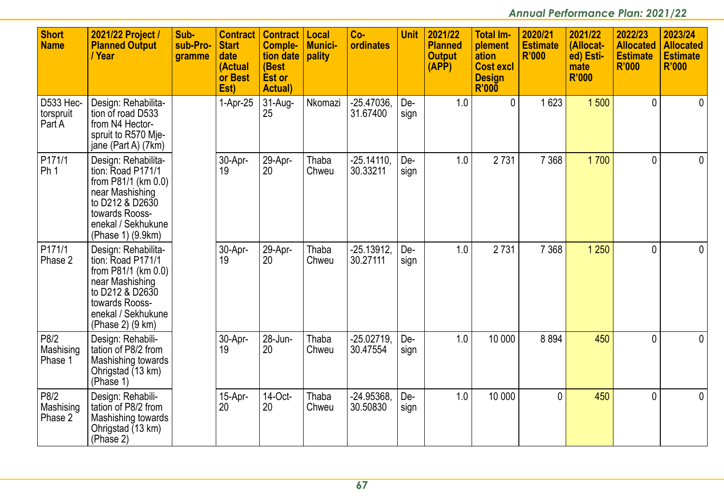| <b>Short</b><br><b>Name</b>      | 2021/22 Project /<br><b>Planned Output</b><br>/Year                                                                                                                | Sub-<br>sub-Pro-<br>gramme | <b>Contract</b><br><b>Start</b><br>date<br>(Actual<br>or Best<br>Est) | <b>Contract</b><br>Comple-<br>tion date<br>(Best<br><b>Est or</b><br><b>Actual</b> ) | Local<br><b>Munici-</b><br>pality | $Co-$<br>ordinates        | <b>Unit</b> | 2021/22<br><b>Planned</b><br><b>Output</b><br>(APP) | <b>Total Im-</b><br>plement<br>ation<br><b>Cost excl</b><br><b>Design</b><br>R'000 | 2020/21<br><b>Estimate</b><br><b>R'000</b> | 2021/22<br>(Allocat-<br>ed) Esti-<br>mate<br>R'000 | 2022/23<br><b>Allocated</b><br><b>Estimate</b><br>R'000 | 2023/24<br><b>Allocated</b><br><b>Estimate</b><br>R'000 |
|----------------------------------|--------------------------------------------------------------------------------------------------------------------------------------------------------------------|----------------------------|-----------------------------------------------------------------------|--------------------------------------------------------------------------------------|-----------------------------------|---------------------------|-------------|-----------------------------------------------------|------------------------------------------------------------------------------------|--------------------------------------------|----------------------------------------------------|---------------------------------------------------------|---------------------------------------------------------|
| D533 Hec-<br>torspruit<br>Part A | Design: Rehabilita-<br>tion of road D533<br>from N4 Hector-<br>spruit to R570 Mie-<br>jane (Part A) (7km)                                                          |                            | 1-Apr-25                                                              | 31-Aug-<br>25                                                                        | Nkomazi                           | $-25.47036$ .<br>31.67400 | De-<br>sign | 1.0                                                 | 0                                                                                  | 1623                                       | 1500                                               | $\Omega$                                                | $\mathbf{0}$                                            |
| P171/1<br>Ph <sub>1</sub>        | Design: Rehabilita-<br>tion: Road P171/1<br>from P81/1 (km 0.0)<br>near Mashishing<br>to D212 & D2630<br>towards Rooss-<br>enekal / Sekhukune<br>(Phase 1) (9.9km) |                            | 30-Apr-<br>19                                                         | 29-Apr-<br>20                                                                        | Thaba<br>Chweu                    | $-25.14110,$<br>30.33211  | De-<br>sign | 1.0                                                 | 2731                                                                               | 7 3 6 8                                    | 1700                                               | $\Omega$                                                | 0                                                       |
| P171/1<br>Phase 2                | Design: Rehabilita-<br>tion: Road P171/1<br>from P81/1 (km 0.0)<br>near Mashishing<br>to D212 & D2630<br>towards Rooss-<br>enekal / Sekhukune<br>(Phase 2) (9 km)  |                            | 30-Apr-<br>19                                                         | 29-Apr-<br>20                                                                        | Thaba<br>Chweu                    | $-25.13912,$<br>30.27111  | De-<br>sign | 1.0                                                 | 2731                                                                               | 7 3 6 8                                    | 1 2 5 0                                            | $\Omega$                                                | 0                                                       |
| P8/2<br>Mashising<br>Phase 1     | Design: Rehabili-<br>tation of P8/2 from<br>Mashishing towards<br>Ohrigstad (13 km)<br>(Phase 1)                                                                   |                            | 30-Apr-<br>19                                                         | 28-Jun-<br>20                                                                        | Thaba<br>Chweu                    | $-25.02719$<br>30.47554   | De-<br>sign | 1.0                                                 | 10 000                                                                             | 8894                                       | 450                                                | $\Omega$                                                | 0                                                       |
| P8/2<br>Mashising<br>Phase 2     | Design: Rehabili-<br>tation of P8/2 from<br>Mashishing towards<br>Ohrigstad (13 km)<br>(Phase 2)                                                                   |                            | 15-Apr-<br>20                                                         | 14-Oct-<br>20                                                                        | Thaba<br>Chweu                    | $-24.95368,$<br>30.50830  | De-<br>sign | 1.0                                                 | 10 000                                                                             | 0                                          | 450                                                | $\mathbf{0}$                                            | 0                                                       |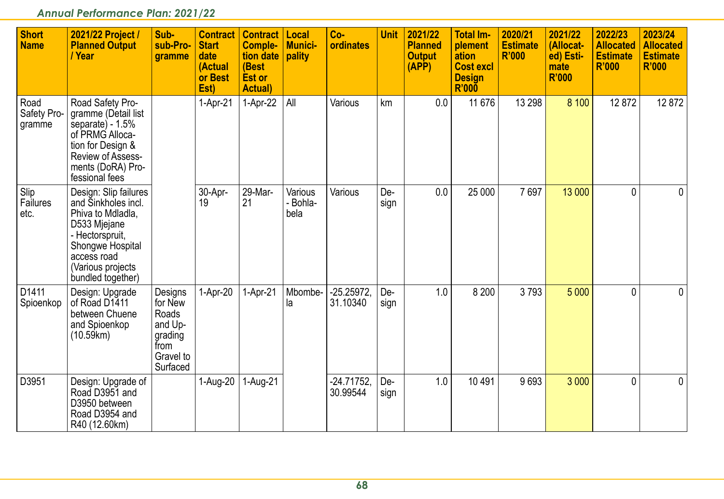**Short Name 2021/22 Project / Planned Output / Year** Sub-<br>sub-Pro**sub-Pro- gramme Contract Start date (Actual or Best Est) Contract Local Comple-** Municition date pality **(Best Est or Actual) Munici- pality Coordinates Unit 2021/22 Planned Output (APP) Total Im- plement ation Cost excl Design R'000 2020/21 Estimate R'000 2021/22 (Allocat- ed) Esti- mate R'000 2022/23 Allocated Estimate R'000 2023/24 Allocated Estimate R'000** Road Safety Pro- gramme Road Safety Pro- gramme (Detail list separate) - 1.5%<br>of PRMG Allocation for Design & Review of Assessments (DoRA) Professional fees 1-Apr-21 | 1-Apr-22 | All | Various | km | 0.0 | 11 676 | 13 298 | <mark>8 100 |</mark> 12 872 | 12 872 Slip **Failures** etc. Design: Slip failures and Sinkholes incl. Phiva to Mdladla, D533 Mjejane - Hectorspruit. Shongwe Hospital access road (Various projects bundled together) 30-Apr-19 29-Mar-21 Various - Bohlabela Various Design 0.0 | 25 000 | 7 697 <mark>| 13 000 |</mark> 0 | 0 D1411 Spioenkop Design: Upgrade of Road D1411 between Chuene and Spioenkop (10.59km) **Designs** for New Roads and Upgrading from Gravel to Surfaced 1-Apr-20 1-Apr-21 Mbombela -25.25972, 31 10340 Design 1.0 8 200 3 793 5 000 0 0 0 0 D3951 | Design: Upgrade of Road D3951 and D3950 between Road D3954 and R40 (12.60km)  $1-Aug-20$  |  $1-Aug-21$  |  $-24.71752$ , 30.99544 Design 1.0 | 10 491 | 9 693 | 3 <mark>000 |</mark> 0 | 0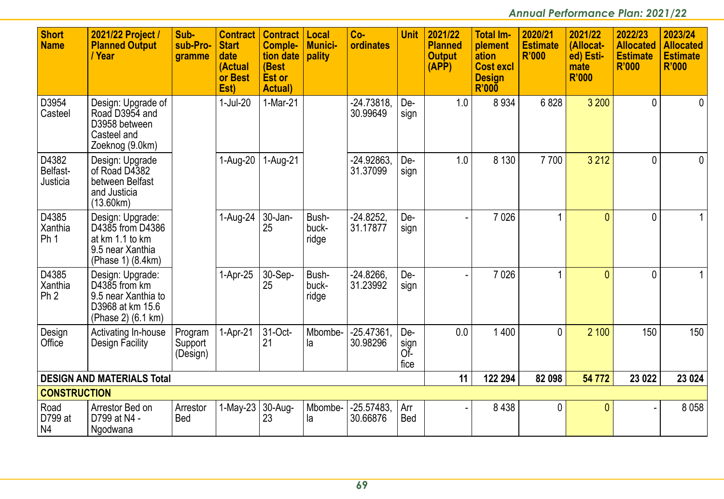| <b>Short</b><br><b>Name</b>         | 2021/22 Project /<br><b>Planned Output</b><br>/Year                                                | Sub-<br>sub-Pro-<br>gramme     | <b>Contract</b><br><b>Start</b><br>date<br>(Actual<br>or Best<br>Est) | <b>Contract</b><br><b>Comple-</b><br>tion date<br>(Best<br><b>Est or</b><br><b>Actual</b> ) | Local<br><b>Munici-</b><br>pality | $Co-$<br>ordinates       | <b>Unit</b>                | 2021/22<br><b>Planned</b><br><b>Output</b><br>(APP) | <b>Total Im-</b><br>plement<br>ation<br><b>Cost excl</b><br><b>Design</b><br>R'000 | 2020/21<br><b>Estimate</b><br>R'000 | 2021/22<br>(Allocat-<br>ed) Esti-<br>mate<br>R'000 | 2022/23<br><b>Allocated</b><br><b>Estimate</b><br>R'000 | 2023/24<br><b>Allocated</b><br><b>Estimate</b><br><b>R'000</b> |
|-------------------------------------|----------------------------------------------------------------------------------------------------|--------------------------------|-----------------------------------------------------------------------|---------------------------------------------------------------------------------------------|-----------------------------------|--------------------------|----------------------------|-----------------------------------------------------|------------------------------------------------------------------------------------|-------------------------------------|----------------------------------------------------|---------------------------------------------------------|----------------------------------------------------------------|
| D3954<br>Casteel                    | Design: Upgrade of<br>Road D3954 and<br>D3958 between<br>Casteel and<br>Zoeknog (9.0km)            |                                | 1-Jul-20                                                              | 1-Mar-21                                                                                    |                                   | $-24.73818.$<br>30.99649 | De-<br>sign                | 1.0                                                 | 8934                                                                               | 6828                                | 3 2 0 0                                            | $\Omega$                                                | 0                                                              |
| D4382<br>Belfast-<br>Justicia       | Design: Upgrade<br>of Road D4382<br>between Belfast<br>and Justicia<br>(13.60km)                   |                                | 1-Aug-20                                                              | 1-Aug-21                                                                                    |                                   | -24.92863.<br>31.37099   | De-<br>sign                | 1.0                                                 | 8 1 3 0                                                                            | 7700                                | 3 2 1 2                                            | $\Omega$                                                | 0                                                              |
| D4385<br>Xanthia<br>Ph <sub>1</sub> | Design: Upgrade:<br>D4385 from D4386<br>at km 1.1 to km<br>9.5 near Xanthia<br>(Phase 1) (8.4km)   |                                | 1-Aug-24                                                              | $30$ -Jan-<br>25                                                                            | Bush-<br>buck-<br>ridge           | $-24.8252,$<br>31.17877  | De-<br>sign                |                                                     | 7026                                                                               | 1                                   | $\Omega$                                           | $\Omega$                                                |                                                                |
| D4385<br>Xanthia<br>Ph <sub>2</sub> | Design: Upgrade:<br>D4385 from km<br>9.5 near Xanthia to<br>D3968 at km 15.6<br>(Phase 2) (6.1 km) |                                | 1-Apr-25                                                              | 30-Sep-<br>25                                                                               | Bush-<br>buck-<br>ridge           | $-24.8266$<br>31.23992   | De-<br>sign                |                                                     | 7026                                                                               |                                     | $\mathbf{0}$                                       | $\Omega$                                                |                                                                |
| Design<br>Office                    | Activating In-house<br>Design Facility                                                             | Program<br>Support<br>(Design) | 1-Apr-21                                                              | 31-Oct-<br>21                                                                               | Mbombe-<br>la                     | $-25.47361$<br>30.98296  | De-<br>sign<br>Of-<br>fice | 0.0                                                 | 1 4 0 0                                                                            | 0                                   | 2 100                                              | 150                                                     | 150                                                            |
|                                     | <b>DESIGN AND MATERIALS Total</b>                                                                  |                                |                                                                       |                                                                                             |                                   |                          |                            | 11                                                  | 122 294                                                                            | 82 098                              | 54 772                                             | 23 0 22                                                 | 23 0 24                                                        |
| <b>CONSTRUCTION</b>                 |                                                                                                    |                                |                                                                       |                                                                                             |                                   |                          |                            |                                                     |                                                                                    |                                     |                                                    |                                                         |                                                                |
| Road<br>D799 at<br>  N4             | Arrestor Bed on<br>D799 at N4 -<br>Ngodwana                                                        | Arrestor<br>Bed                | $1-May-23$                                                            | 30-Aug-<br>23                                                                               | Mbombe-<br>la                     | $-25.57483,$<br>30.66876 | Arr<br>Bed                 |                                                     | 8 4 3 8                                                                            | 0                                   | $\mathbf{0}$                                       |                                                         | 8 0 5 8                                                        |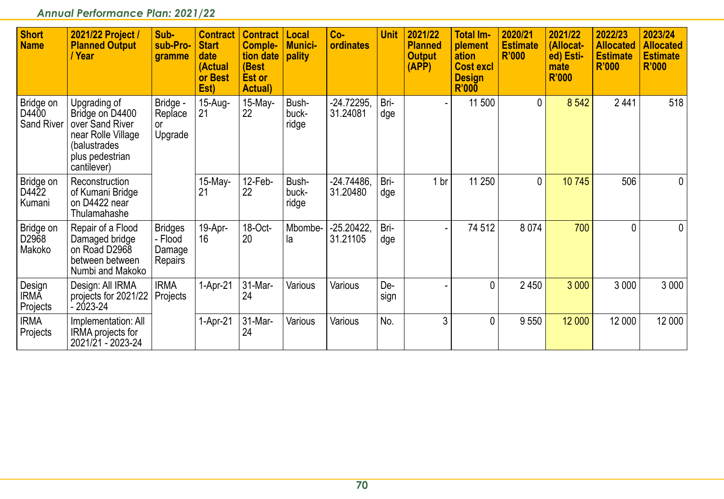**Short Name 2021/22 Project / Planned Output / Year Subsub-Pro- gramme Contract Start date (Actual or Best Est) Contract Local Comple-** Municition date pality **(Best Est or Actual) Munici- pality Coordinates Unit 2021/22 Planned Output (APP) Total Im- plement ation Cost excl Design R'000 2020/21 Estimate R'000 2021/22 (Allocat- ed) Esti- mate R'000 2022/23 Allocated Estimate R'000 2023/24 Allocated Estimate R'000** Bridge on D<sub>4400</sub> Sand River Upgrading of Bridge on D4400 over Sand River near Rolle Village (balustrades plus pedestrian cantilever) Bridge - Replace or Upgrade 15-Aug-21 15-May-22 Bush-<br>buck-<br>ridge -24.72295, 31.24081 Bridge -| 11 500 | 0 <mark>| 8 542 |</mark> 2 441 | 518 Bridge on D4422 Kumani **Reconstruction** of Kumani Bridge on D4422 near Thulamahashe 15-May-21 12-Feb-22 Bushbuckridge -24.74486, 31.20480 Bridge 1 br | 11 250 | 0 | 1<mark>0 745 |</mark> 506 | 0 Bridge on D2968 Makoko Repair of a Flood Damaged bridge on Road D2968 between between Numbi and Makoko Bridges - Flood Damage **Repairs** 19-Apr-16 18-Oct-20 Mbombela -25.20422, 31.21105 Bridge -| 74 512 | 8 074 | <mark>700 |</mark> 0 | 0 **Design** IRMA Projects Design: All IRMA projects for 2021/22 Projects  $-2023 - 24$ IRMA 1-Apr-21 31-Mar-24 Various Various De-- | 0 | 2 450 <mark>| 3 000 |</mark> 3 000 | 3 000 IRMA Projects Implementation: All IRMA projects for 2021/21 - 2023-24 1-Apr-21 31-Mar-24 Various |Various |No. | 3| 0| 9 550 <mark>| 12 000 |</mark> 12 000 | 12 000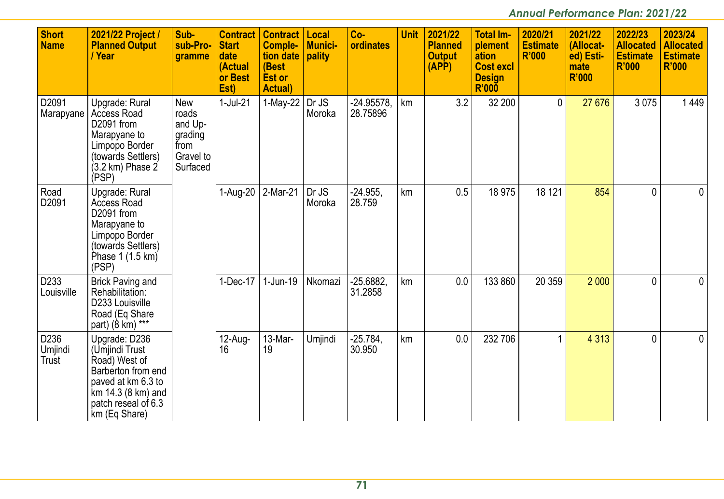| <b>Short</b><br><b>Name</b>          | 2021/22 Project /<br><b>Planned Output</b><br>/Year                                                                                                        | Sub-<br>sub-Pro-<br>gramme                                                 | <b>Contract</b><br><b>Start</b><br>date<br>(Actual<br>or Best<br>Est) | <b>Contract</b><br>Comple-<br>tion date<br>(Best<br><b>Est or</b><br><b>Actual</b> ) | Local<br><b>Munici-</b><br>pality | $Co-$<br>ordinates        | <b>Unit</b> | 2021/22<br><b>Planned</b><br><b>Output</b><br>(APP) | <b>Total Im-</b><br>plement<br>ation<br><b>Cost excl</b><br><b>Design</b><br>R'000 | 2020/21<br><b>Estimate</b><br><b>R'000</b> | 2021/22<br>(Allocat-<br>ed) Esti-<br>mate<br><b>R'000</b> | 2022/23<br><b>Allocated</b><br><b>Estimate</b><br>R'000 | 2023/24<br><b>Allocated</b><br><b>Estimate</b><br><b>R'000</b> |
|--------------------------------------|------------------------------------------------------------------------------------------------------------------------------------------------------------|----------------------------------------------------------------------------|-----------------------------------------------------------------------|--------------------------------------------------------------------------------------|-----------------------------------|---------------------------|-------------|-----------------------------------------------------|------------------------------------------------------------------------------------|--------------------------------------------|-----------------------------------------------------------|---------------------------------------------------------|----------------------------------------------------------------|
| D2091<br>Marapyane                   | Upgrade: Rural<br>Access Road<br>D2091 from<br>Marapyane to<br>Limpopo Border<br>(towards Settlers)<br>$(3.2 \text{ km})$ Phase 2<br>(PSP)                 | <b>New</b><br>roads<br>and Up-<br>grading<br>from<br>Gravel to<br>Surfaced | 1-Jul-21                                                              | 1-May-22                                                                             | Dr JS<br>Moroka                   | $-24.95578$ .<br>28.75896 | km          | 3.2                                                 | 32 200                                                                             | $\mathbf{0}$                               | 27 676                                                    | 3075                                                    | 1449                                                           |
| Road<br>D2091                        | Upgrade: Rural<br>Access Road<br>D2091 from<br>Marapyane to<br>Limpopo Border<br>(towards Settlers)<br>Phase 1 (1.5 km)<br>(PSP)                           |                                                                            | 1-Aug-20                                                              | 2-Mar-21                                                                             | Dr JS<br>Moroka                   | $-24.955,$<br>28.759      | km          | 0.5                                                 | 18 975                                                                             | 18 121                                     | 854                                                       | $\Omega$                                                | $\mathbf{0}$                                                   |
| D233<br>Louisville                   | Brick Paving and<br>Rehabilitation:<br>D233 Louisville<br>Road (Eq Share<br>part) (8 km) ***                                                               |                                                                            | 1-Dec-17                                                              | 1-Jun-19                                                                             | Nkomazi                           | $-25.6882,$<br>31.2858    | km          | 0.0                                                 | 133 860                                                                            | 20 359                                     | 2 0 0 0                                                   | $\Omega$                                                | 0                                                              |
| D <sub>236</sub><br>Umjindi<br>Trust | Upgrade: D236<br>(Umjindi Trust<br>Road) West of<br>Barberton from end<br>payed at km 6.3 to<br>km 14.3 (8 km) and<br>patch reseal of 6.3<br>km (Eq Share) |                                                                            | 12-Aug-<br>16                                                         | 13-Mar-<br>19                                                                        | Umjindi                           | $-25.784.$<br>30.950      | km          | 0.0                                                 | 232 706                                                                            | 1                                          | 4 3 1 3                                                   | $\Omega$                                                | 0                                                              |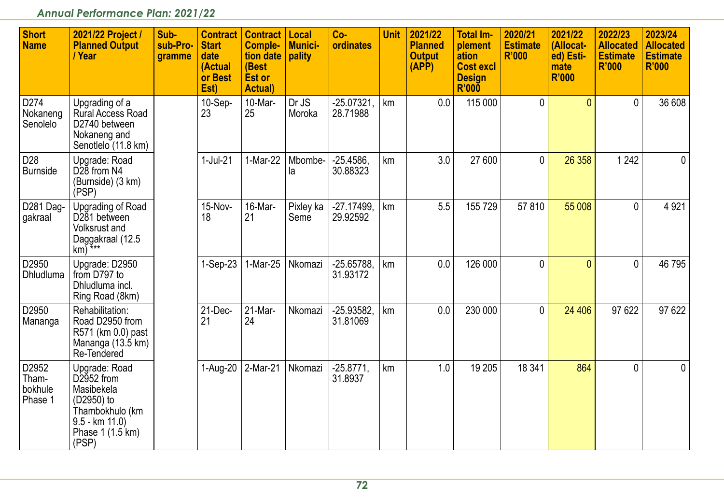| <b>Short</b><br><b>Name</b>          | 2021/22 Project /<br><b>Planned Output</b><br>/Year                                                                                                 | Sub-<br>sub-Pro-<br>gramme | <b>Contract</b><br><b>Start</b><br>date<br>(Actual<br>or Best<br>Est) | <b>Contract</b><br><b>Comple-</b><br>tion date<br>(Best<br><b>Est or</b><br><b>Actual</b> ) | Local<br><b>Munici-</b><br>pality | $Co-$<br>ordinates        | <b>Unit</b> | 2021/22<br><b>Planned</b><br><b>Output</b><br>(APP) | <b>Total Im-</b><br>plement<br>ation<br><b>Cost excl</b><br><b>Design</b><br>R'000 | 2020/21<br><b>Estimate</b><br>R'000 | 2021/22<br>(Allocat-<br>ed) Esti-<br>mate<br>R'000 | 2022/23<br><b>Allocated</b><br><b>Estimate</b><br>R'000 | 2023/24<br><b>Allocated</b><br><b>Estimate</b><br><b>R'000</b> |
|--------------------------------------|-----------------------------------------------------------------------------------------------------------------------------------------------------|----------------------------|-----------------------------------------------------------------------|---------------------------------------------------------------------------------------------|-----------------------------------|---------------------------|-------------|-----------------------------------------------------|------------------------------------------------------------------------------------|-------------------------------------|----------------------------------------------------|---------------------------------------------------------|----------------------------------------------------------------|
| D274<br>Nokaneng<br>Senolelo         | Upgrading of a<br>Rural Access Road<br>D2740 between<br>Nokaneng and<br>Senotlelo (11.8 km)                                                         |                            | 10-Sep-<br>23                                                         | 10-Mar-<br>25                                                                               | Dr JS<br>Moroka                   | $-25.07321,$<br>28.71988  | km          | 0.0                                                 | 115 000                                                                            | 0                                   | 0                                                  | 0                                                       | 36 608                                                         |
| D <sub>28</sub><br><b>Burnside</b>   | Upgrade: Road<br>D28 from N4<br>(Burnside) (3 km)<br>(PSP)                                                                                          |                            | 1-Jul-21                                                              | 1-Mar-22                                                                                    | Mbombe-<br>la                     | $-25.4586,$<br>30.88323   | km          | 3.0                                                 | 27 600                                                                             | 0                                   | 26 358                                             | 1 2 4 2                                                 | 0                                                              |
| D281 Dag-<br>gakraal                 | Upgrading of Road<br>D281 between<br>Volksrust and<br>Daggakraal (12.5<br>km)                                                                       |                            | 15-Nov-<br>18                                                         | 16-Mar-<br>21                                                                               | Pixley ka<br>Seme                 | $-27.17499.$<br>29.92592  | km          | 5.5                                                 | 155 729                                                                            | 57810                               | 55 008                                             | 0                                                       | 4 9 21                                                         |
| D2950<br><b>Dhludluma</b>            | Upgrade: D2950<br>from D797 to<br>Dhludluma incl.<br>Ring Road (8km)                                                                                |                            | 1-Sep-23                                                              | 1-Mar-25                                                                                    | Nkomazi                           | $-25.65788$ .<br>31.93172 | km          | 0.0                                                 | 126 000                                                                            | 0                                   | $\mathbf{0}$                                       | $\Omega$                                                | 46795                                                          |
| D2950<br>Mananga                     | Rehabilitation:<br>Road D2950 from<br>R571 (km 0.0) past<br>Mananga (13.5 km)<br>Re-Tendered                                                        |                            | 21-Dec-<br>21                                                         | 21-Mar-<br>24                                                                               | Nkomazi                           | $-25.93582$<br>31.81069   | km          | 0.0                                                 | 230 000                                                                            | 0                                   | 24 40 6                                            | 97 622                                                  | 97 622                                                         |
| D2952<br>Tham-<br>bokhule<br>Phase 1 | Upgrade: Road<br>$D\overline{2}\overline{9}52$ from<br>Masibekela<br>(D2950) to<br>Thambokhulo (km<br>$9.5 - km$ 11.0)<br>Phase 1 (1.5 km)<br>(PSP) |                            | 1-Aug-20                                                              | 2-Mar-21                                                                                    | Nkomazi                           | $-25.8771,$<br>31.8937    | km          | 1.0                                                 | 19 20 5                                                                            | 18 341                              | 864                                                | $\Omega$                                                | 0                                                              |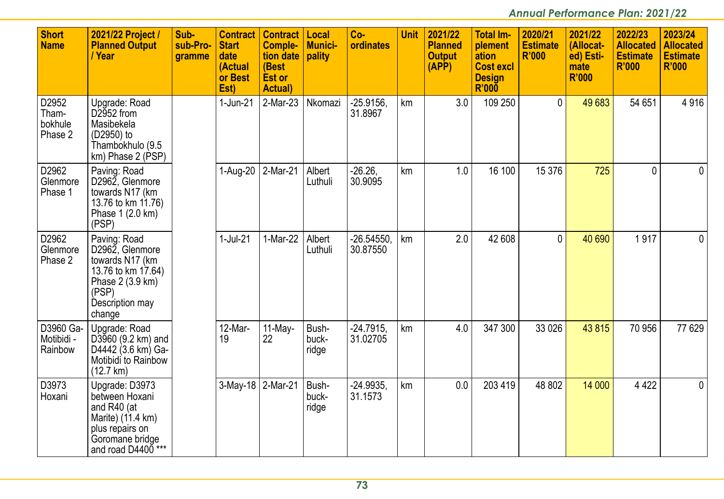| <b>Short</b><br><b>Name</b>          | 2021/22 Project /<br><b>Planned Output</b><br>/Year                                                                                | Sub-<br>sub-Pro-<br>gramme | <b>Contract</b><br><b>Start</b><br>date<br>(Actual<br>or Best<br>Est) | <b>Contract</b><br>Comple-<br>tion date<br>(Best<br><b>Est or</b><br>Actual) | Local<br><b>Munici-</b><br>pality | $Co-$<br>ordinates       | <b>Unit</b> | 2021/22<br><b>Planned</b><br><b>Output</b><br>(APP) | <b>Total Im-</b><br>plement<br>ation<br><b>Cost excl</b><br><b>Design</b><br><b>R'000</b> | 2020/21<br><b>Estimate</b><br>R'000 | 2021/22<br>(Allocat-<br>ed) Esti-<br>mate<br>R'000 | 2022/23<br><b>Allocated</b><br><b>Estimate</b><br>R'000 | 2023/24<br><b>Allocated</b><br><b>Estimate</b><br>R'000 |
|--------------------------------------|------------------------------------------------------------------------------------------------------------------------------------|----------------------------|-----------------------------------------------------------------------|------------------------------------------------------------------------------|-----------------------------------|--------------------------|-------------|-----------------------------------------------------|-------------------------------------------------------------------------------------------|-------------------------------------|----------------------------------------------------|---------------------------------------------------------|---------------------------------------------------------|
| D2952<br>Tham-<br>bokhule<br>Phase 2 | Upgrade: Road<br>D2952 from<br>Masibekela<br>(D2950) to<br>Thambokhulo (9.5<br>km) Phase 2 (PSP)                                   |                            | 1-Jun-21                                                              | 2-Mar-23                                                                     | Nkomazi                           | $-25.9156$<br>31.8967    | km          | 3.0                                                 | 109 250                                                                                   | 0                                   | 49 683                                             | 54 651                                                  | 4916                                                    |
| D2962<br>Glenmore<br>Phase 1         | Paving: Road<br>D2962, Glenmore<br>towards N17 (km<br>13.76 to km 11.76)<br>Phase 1 (2.0 km)<br>(PSP)                              |                            | 1-Aug-20                                                              | 2-Mar-21                                                                     | Albert<br>Luthuli                 | $-26.26$<br>30.9095      | km          | 1.0                                                 | 16 100                                                                                    | 15 3 76                             | 725                                                | $\Omega$                                                | 0                                                       |
| D2962<br>Glenmore<br>Phase 2         | Paving: Road<br>D2962, Glenmore<br>towards N17 (km<br>13.76 to km 17.64)<br>Phase 2 (3.9 km)<br>(PSP)<br>Description may<br>change |                            | 1-Jul-21                                                              | 1-Mar-22                                                                     | Albert<br>Luthuli                 | $-26.54550,$<br>30.87550 | km          | 2.0                                                 | 42 608                                                                                    | $\Omega$                            | 40 690                                             | 1917                                                    | 0                                                       |
| D3960 Ga-<br>Motibidi -<br>Rainbow   | Upgrade: Road<br>D3960 (9.2 km) and<br>D4442 (3.6 km) Ga-<br>Motibidi to Rainbow<br>$(12.7 \text{ km})$                            |                            | 12-Mar-<br>19                                                         | 11-May-<br>22                                                                | Bush-<br>buck-<br>ridge           | $-24.7915$<br>31.02705   | km          | 4.0                                                 | 347 300                                                                                   | 33 0 26                             | 43815                                              | 70 956                                                  | 77 629                                                  |
| D3973<br>Hoxani                      | Upgrade: D3973<br>between Hoxani<br>and R40 (at<br>Marite) (11.4 km)<br>plus repairs on<br>Goromane bridge<br>and road D4400 ***   |                            | 3-May-18 2-Mar-21                                                     |                                                                              | Bush-<br>buck-<br>ridge           | $-24.9935,$<br>31.1573   | km          | 0.0                                                 | 203 419                                                                                   | 48 802                              | 14 000                                             | 4 4 2 2                                                 | $\Omega$                                                |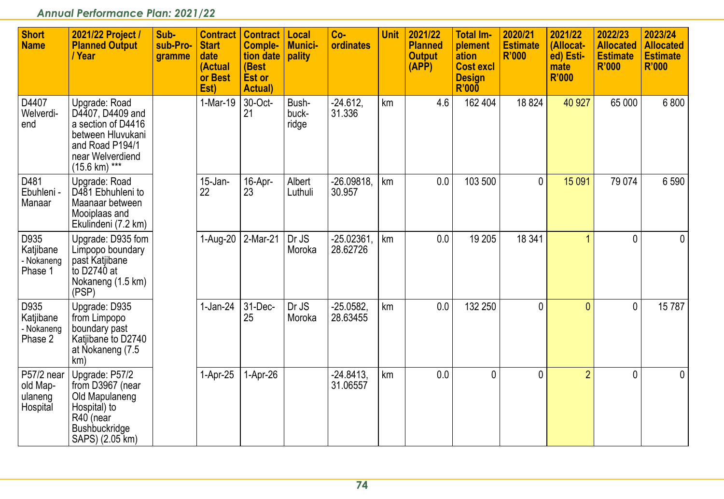| <b>Short</b><br><b>Name</b>                   | 2021/22 Project /<br><b>Planned Output</b><br>/Year                                                                                  | Sub-<br>sub-Pro-<br>gramme | <b>Contract</b><br><b>Start</b><br>date<br><b>(Actual</b><br>or Best<br>Est) | <b>Contract</b><br>Comple-<br>tion date $ $ pality<br>(Best<br><b>Est or</b><br><b>Actual</b> ) | Local<br><b>Munici-</b> | $Co-$<br>ordinates       | <b>Unit</b> | 2021/22<br><b>Planned</b><br><b>Output</b><br>(APP) | <b>Total Im-</b><br>plement<br>ation<br><b>Cost excl</b><br><b>Design</b><br>R'000 | 2020/21<br><b>Estimate</b><br><b>R'000</b> | 2021/22<br>(Allocat-<br>ed) Esti-<br>mate<br><b>R'000</b> | 2022/23<br><b>Allocated</b><br><b>Estimate</b><br>R'000 | 2023/24<br><b>Allocated</b><br><b>Estimate</b><br><b>R'000</b> |
|-----------------------------------------------|--------------------------------------------------------------------------------------------------------------------------------------|----------------------------|------------------------------------------------------------------------------|-------------------------------------------------------------------------------------------------|-------------------------|--------------------------|-------------|-----------------------------------------------------|------------------------------------------------------------------------------------|--------------------------------------------|-----------------------------------------------------------|---------------------------------------------------------|----------------------------------------------------------------|
| D4407<br>Welverdi-<br>end                     | Upgrade: Road<br>D4407, D4409 and<br>a section of D4416<br>between Hluvukani<br>and Road P194/1<br>near Welverdiend<br>(15.6 km) *** |                            | 1-Mar-19                                                                     | 30-Oct-<br>21                                                                                   | Bush-<br>buck-<br>ridge | $-24.612,$<br>31.336     | km          | 4.6                                                 | 162 404                                                                            | 18824                                      | 40 927                                                    | 65 000                                                  | 6800                                                           |
| D481<br>Ebuhleni -<br>Manaar                  | Upgrade: Road<br>D481 Ebhuhleni to<br>Maanaar between<br>Mooiplaas and<br>Ekulindeni (7.2 km)                                        |                            | $15$ -Jan-<br>22                                                             | 16-Apr-<br>23                                                                                   | Albert<br>Luthuli       | $-26.09818,$<br>30.957   | km          | 0.0                                                 | 103 500                                                                            | 0                                          | 15 091                                                    | 79 0 74                                                 | 6 5 9 0                                                        |
| D935<br>Katjibane<br>- Nokaneng<br>Phase 1    | Upgrade: D935 fom<br>Limpopo boundary<br>past Katjibane<br>to D <sub>2740</sub> at<br>Nokaneng (1.5 km)<br>(PSP)                     |                            | 1-Aug-20                                                                     | 2-Mar-21                                                                                        | Dr JS<br>Moroka         | $-25.02361,$<br>28.62726 | km          | 0.0                                                 | 19 20 5                                                                            | 18 341                                     |                                                           | $\Omega$                                                | 0                                                              |
| D935<br>Katjibane<br>- Nokaneng<br>Phase 2    | Upgrade: D935<br>from Limpopo<br>boundary past<br>Katjibane to D2740<br>at Nokaneng (7.5<br>km)                                      |                            | 1-Jan-24                                                                     | 31-Dec-<br>25                                                                                   | Dr JS<br>Moroka         | $-25.0582$<br>28.63455   | km          | 0.0                                                 | 132 250                                                                            | $\Omega$                                   | $\Omega$                                                  | $\Omega$                                                | 15787                                                          |
| P57/2 near<br>old Map-<br>ulaneng<br>Hospital | Upgrade: P57/2<br>from D3967 (near<br>Old Mapulaneng<br>Hospital) to<br>R40 (near<br><b>Bushbuckridge</b><br>SAPS) (2.05 km)         |                            | 1-Apr-25                                                                     | 1-Apr-26                                                                                        |                         | $-24.8413.$<br>31.06557  | km          | 0.0                                                 | 0                                                                                  | $\mathbf{0}$                               | $\overline{2}$                                            | $\Omega$                                                | 0                                                              |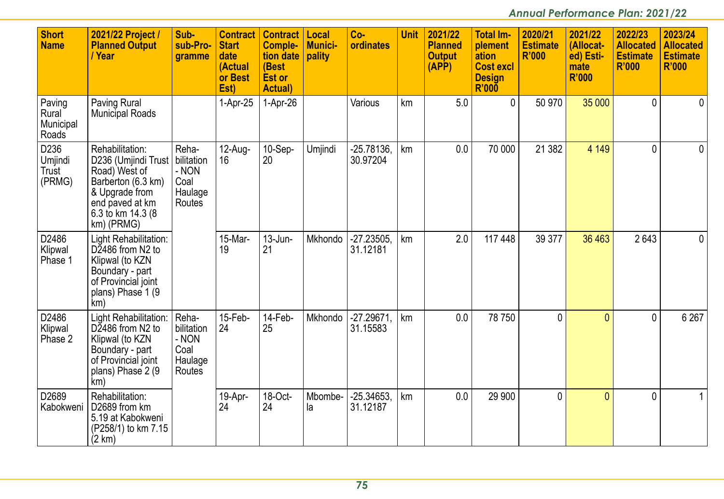| <b>Short</b><br><b>Name</b>           | 2021/22 Project /<br><b>Planned Output</b><br>/Year                                                                                                    | Sub-<br>sub-Pro-<br>gramme                                | <b>Contract</b><br><b>Start</b><br>date<br>(Actual<br>or Best<br>Est) | <b>Contract</b><br>Comple-<br>tion date<br>(Best<br><b>Est or</b><br><b>Actual</b> ) | Local<br><b>Munici-</b><br>pality | $Co-$<br>ordinates       | <b>Unit</b> | 2021/22<br><b>Planned</b><br><b>Output</b><br>(APP) | <b>Total Im-</b><br>plement<br>ation<br><b>Cost excl</b><br><b>Design</b><br>R'000 | 2020/21<br><b>Estimate</b><br><b>R'000</b> | 2021/22<br>(Allocat-<br>ed) Esti-<br>mate<br><b>R'000</b> | 2022/23<br><b>Allocated</b><br><b>Estimate</b><br><b>R'000</b> | 2023/24<br><b>Allocated</b><br><b>Estimate</b><br><b>R'000</b> |
|---------------------------------------|--------------------------------------------------------------------------------------------------------------------------------------------------------|-----------------------------------------------------------|-----------------------------------------------------------------------|--------------------------------------------------------------------------------------|-----------------------------------|--------------------------|-------------|-----------------------------------------------------|------------------------------------------------------------------------------------|--------------------------------------------|-----------------------------------------------------------|----------------------------------------------------------------|----------------------------------------------------------------|
| Paving<br>Rural<br>Municipal<br>Roads | Paving Rural<br>Municipal Roads                                                                                                                        |                                                           | 1-Apr-25                                                              | 1-Apr-26                                                                             |                                   | Various                  | km          | 5.0                                                 | 0                                                                                  | 50 970                                     | 35 000                                                    | $\Omega$                                                       | $\mathbf{0}$                                                   |
| D236<br>Umjindi<br>Trust<br>(PRMG)    | Rehabilitation:<br>D236 (Umjindi Trust<br>Road) West of<br>Barberton (6.3 km)<br>& Upgrade from<br>end paved at km<br>6.3 to km 14.3 (8)<br>km) (PRMG) | Reha-<br>bilitation<br>- NON<br>Coal<br>Haulage<br>Routes | $12-Auq-$<br>16                                                       | 10-Sep-<br>20                                                                        | Umjindi                           | $-25.78136,$<br>30.97204 | km          | 0.0                                                 | 70 000                                                                             | 21 382                                     | 4 1 4 9                                                   | $\Omega$                                                       | 0                                                              |
| D2486<br>Klipwal<br>Phase 1           | Light Rehabilitation:<br>D2486 from N2 to<br>Klipwal (to KZN<br>Boundary - part<br>of Provincial joint<br>plans) Phase 1 (9<br>km                      |                                                           | 15-Mar-<br>19                                                         | $13$ -Jun-<br>21                                                                     | Mkhondo                           | $-27.23505,$<br>31.12181 | km          | 2.0                                                 | 117 448                                                                            | 39 377                                     | 36 463                                                    | 2643                                                           | $\mathbf{0}$                                                   |
| D2486<br>Klipwal<br>Phase 2           | Light Rehabilitation:<br>$D\bar{2}486$ from N2 to<br>Klipwal (to KZN<br>Boundary - part<br>of Provincial joint<br>plans) Phase 2 (9<br>km)             | Reha-<br>bilitation<br>- NON<br>Coal<br>Haulage<br>Routes | 15-Feb-<br>24                                                         | 14-Feb-<br>25                                                                        | Mkhondo                           | $-27.29671,$<br>31.15583 | km          | 0.0                                                 | 78 750                                                                             | 0                                          | $\mathbf{0}$                                              | $\Omega$                                                       | 6 2 6 7                                                        |
| D2689<br>Kabokweni                    | Rehabilitation:<br>D2689 from km<br>5.19 at Kabokweni<br>(P258/1) to km 7.15<br>(2 km)                                                                 |                                                           | 19-Apr-<br>24                                                         | 18-Oct-<br>24                                                                        | Mbombe-<br>la                     | $-25.34653,$<br>31.12187 | km          | 0.0                                                 | 29 900                                                                             | 0                                          | $\mathbf{0}$                                              | $\mathbf{0}$                                                   |                                                                |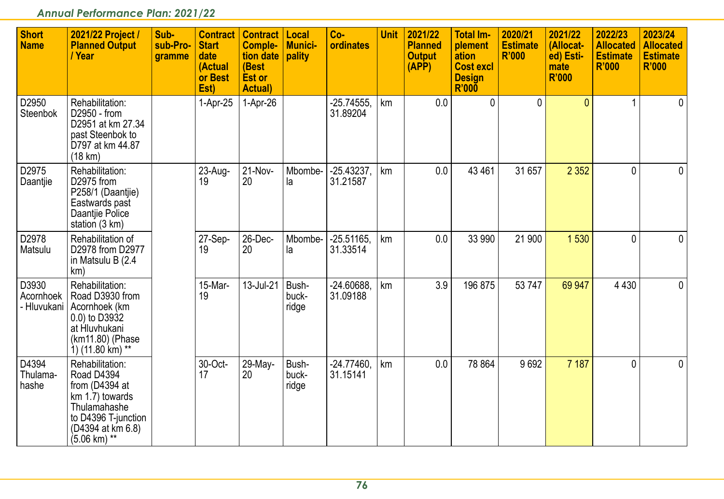| <b>Short</b><br><b>Name</b>       | 2021/22 Project /<br><b>Planned Output</b><br>/Year                                                                                               | Sub-<br>sub-Pro-<br>gramme | <b>Contract</b><br><b>Start</b><br>date<br>(Actual<br>or Best<br>Est) | <b>Contract</b><br>Comple-<br>tion date<br>(Best<br><b>Est or</b><br><b>Actual</b> ) | Local<br><b>Munici-</b><br>pality | $Co-$<br>ordinates        | <b>Unit</b> | 2021/22<br><b>Planned</b><br><b>Output</b><br>(APP) | <b>Total Im-</b><br>plement<br>ation<br><b>Cost excl</b><br><b>Design</b><br>R'000 | 2020/21<br><b>Estimate</b><br>R'000 | 2021/22<br>(Allocat-<br>ed) Esti-<br>mate<br><b>R'000</b> | 2022/23<br><b>Allocated</b><br><b>Estimate</b><br><b>R'000</b> | 2023/24<br><b>Allocated</b><br><b>Estimate</b><br><b>R'000</b> |
|-----------------------------------|---------------------------------------------------------------------------------------------------------------------------------------------------|----------------------------|-----------------------------------------------------------------------|--------------------------------------------------------------------------------------|-----------------------------------|---------------------------|-------------|-----------------------------------------------------|------------------------------------------------------------------------------------|-------------------------------------|-----------------------------------------------------------|----------------------------------------------------------------|----------------------------------------------------------------|
| D2950<br>Steenbok                 | Rehabilitation:<br>D2950 - from<br>D2951 at km 27.34<br>past Steenbok to<br>D797 at km 44.87<br>(18 km)                                           |                            | 1-Apr-25                                                              | 1-Apr-26                                                                             |                                   | $-25.74555.$<br>31.89204  | km          | 0.0                                                 | 0                                                                                  | 0                                   | $\mathbf{0}$                                              |                                                                | 0                                                              |
| D2975<br>Daantiie                 | Rehabilitation:<br>D2975 from<br>P258/1 (Daantjie)<br>Eastwards past<br>Daantjie Police<br>station (3 km)                                         |                            | 23-Aug-<br>19                                                         | 21-Nov-<br>20                                                                        | Mbombe-<br>la                     | $-25.43237,$<br>31.21587  | km          | 0.0                                                 | 43 4 61                                                                            | 31 657                              | 2 3 5 2                                                   | $\Omega$                                                       | 0                                                              |
| D2978<br>Matsulu                  | Rehabilitation of<br>D2978 from D2977<br>in Matsulu B (2.4<br>km)                                                                                 |                            | 27-Sep-<br>19                                                         | 26-Dec-<br>20                                                                        | Mbombe-<br>la                     | $-25.51165$ .<br>31.33514 | km          | 0.0                                                 | 33 990                                                                             | 21 900                              | 1530                                                      | $\Omega$                                                       | 0                                                              |
| D3930<br>Acornhoek<br>- Hluvukani | Rehabilitation:<br>Road D3930 from<br>Acornhoek (km<br>$(0.0)$ to D3932<br>at Hluvhukani<br>(km11.80) (Phase<br>1) $(11.80 \text{ km})$ **        |                            | 15-Mar-<br>19                                                         | 13-Jul-21                                                                            | Bush-<br>buck-<br>ridge           | $-24.60688.$<br>31.09188  | km          | 3.9                                                 | 196 875                                                                            | 53 747                              | 69 947                                                    | 4 4 3 0                                                        | 0                                                              |
| D4394<br>Thulama-<br>hashe        | Rehabilitation:<br>Road D4394<br>from (D4394 at<br>$km 1.7$ ) towards<br>Thulamahashe<br>to D4396 T-junction<br>(D4394 at km 6.8)<br>(5.06 km) ** |                            | 30-Oct-<br>17                                                         | 29-May-<br>20                                                                        | Bush-<br>buck-<br>ridge           | $-24.77460$ ,<br>31.15141 | km          | 0.0                                                 | 78 864                                                                             | 9692                                | 7 187                                                     | $\Omega$                                                       | $\mathbf{0}$                                                   |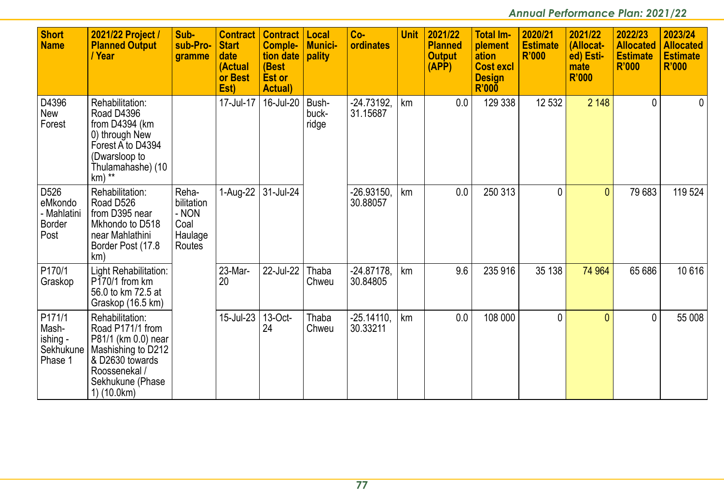| <b>Short</b><br><b>Name</b>                         | 2021/22 Project /<br><b>Planned Output</b><br>/Year                                                                                                     | Sub-<br>sub-Pro-<br>gramme                                 | <b>Contract</b><br><b>Start</b><br>date<br>(Actual<br>or Best<br>Est) | <b>Contract</b><br>Comple-<br>tion date<br>(Best<br><b>Est or</b><br><b>Actual</b> ) | Local<br><b>Munici-</b><br>pality | $Co-$<br>ordinates       | <b>Unit</b> | 2021/22<br><b>Planned</b><br><b>Output</b><br>(APP) | <b>Total Im-</b><br>plement<br>ation<br><b>Cost excl</b><br><b>Design</b><br>R'000 | 2020/21<br><b>Estimate</b><br>R'000 | 2021/22<br>(Allocat-<br>ed) Esti-<br>mate<br>R'000 | 2022/23<br><b>Allocated</b><br><b>Estimate</b><br>R'000 | 2023/24<br><b>Allocated</b><br><b>Estimate</b><br>R'000 |
|-----------------------------------------------------|---------------------------------------------------------------------------------------------------------------------------------------------------------|------------------------------------------------------------|-----------------------------------------------------------------------|--------------------------------------------------------------------------------------|-----------------------------------|--------------------------|-------------|-----------------------------------------------------|------------------------------------------------------------------------------------|-------------------------------------|----------------------------------------------------|---------------------------------------------------------|---------------------------------------------------------|
| D4396<br>New<br>Forest                              | Rehabilitation:<br>Road D4396<br>from D4394 (km)<br>0) through New<br>Forest A to D4394<br>(Dwarsloop to<br>Thulamahashe) (10<br>$km)$ **               |                                                            | 17-Jul-17                                                             | 16-Jul-20                                                                            | Bush-<br>buck-<br>ridge           | $-24.73192,$<br>31.15687 | km          | 0.0                                                 | 129 338                                                                            | 12 532                              | 2 1 4 8                                            | $\Omega$                                                | $\mathbf{0}$                                            |
| D526<br>eMkondo<br>- Mahlatini<br>Border<br>Post    | Rehabilitation:<br>Road D526<br>from D395 near<br>Mkhondo to D518<br>near Mahlathini<br>Border Post (17.8<br>km)                                        | Reha-<br>bilitation<br>$-NON$<br>Coal<br>Haulage<br>Routes | 1-Aug-22                                                              | 31-Jul-24                                                                            |                                   | $-26.93150,$<br>30.88057 | km          | 0.0                                                 | 250 313                                                                            | $\mathbf{0}$                        | $\mathbf{0}$                                       | 79 683                                                  | 119 524                                                 |
| P170/1<br>Graskop                                   | Light Rehabilitation:<br>$P\overline{170/1}$ from km<br>56.0 to km 72.5 at<br>Graskop (16.5 km)                                                         |                                                            | 23-Mar-<br>20                                                         | 22-Jul-22                                                                            | Thaba<br>Chweu                    | $-24.87178,$<br>30.84805 | km          | 9.6                                                 | 235 916                                                                            | 35 138                              | 74 964                                             | 65 686                                                  | 10 616                                                  |
| P171/1<br>Mash-<br>ishing -<br>Sekhukune<br>Phase 1 | Rehabilitation:<br>Road P171/1 from<br>P81/1 (km 0.0) near<br>Mashishing to D212<br>& D2630 towards<br>Roossenekal /<br>Sekhukune (Phase<br>1) (10.0km) |                                                            | 15-Jul-23                                                             | 13-Oct-<br>24                                                                        | Thaba<br>Chweu                    | $-25.14110,$<br>30.33211 | km          | 0.0                                                 | 108 000                                                                            | 0                                   | $\Omega$                                           | 0                                                       | 55 008                                                  |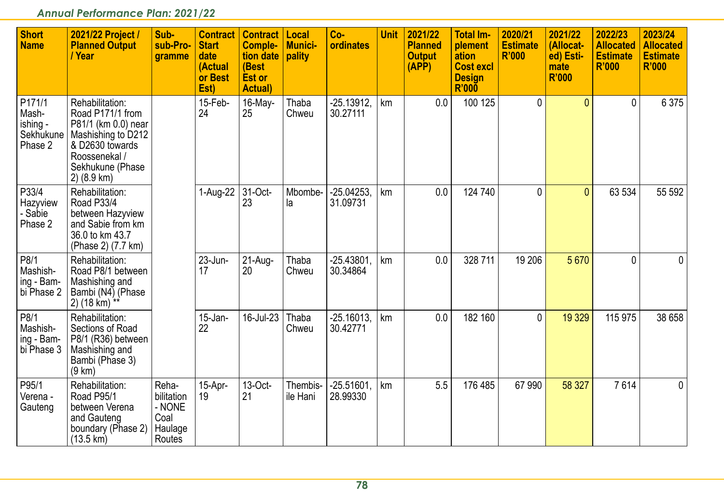#### **Short Name 2021/22 Project / Planned Output / Year** Sub-<br>sub-Pro**sub-Pro- gramme Contract Start date (Actual or Best Est) Contract Local Comple- tion date (Best Est or Actual) Comple-** Municition date pality **Coordinates Unit 2021/22 Planned Output (APP) Total Im- plement ation Cost excl Design R'000 2020/21 Estimate R'000 2021/22 (Allocat- ed) Esti- mate R'000 2022/23 Allocated Estimate R'000 2023/24 Allocated Estimate R'000** P171/1<br>Mashishing -Sekhukune Mashishing to D212 Phase 2 Rehabilitation: Road P171/1 from P81/1 (km 0.0) near & D2630 towards Roossenekal / Sekhukune (Phase 2) (8.9 km) 15-Feb-24 16-May-25 Thaba **Chweu** -25.13912, 30.27111 km | 0.0 | 100 125 | 0 | 0 | 0 | 6 375 P33/4 **Hazyview** - Sabie Phase 2 Rehabilitation: Road P33/4 between Hazyview and Sabie from km 36.0 to km 43.7 (Phase 2) (7.7 km) 1-Aug-22 31-Oct-23 Mbombela -25.04253, 31.09731 km | 0.0 | 124 740 | 0 | 0 | 63 534 | 55 592 P8/1 Mashishing - Bambi Phase 2 Rehabilitation: Road P8/1 between Mashishing and Bambi (N4) (Phase 2) (18 km) $*$ 23-Jun-17  $\overline{2}$ 1-Aug-20 **Thaba** Chweu  $-25.43801$ 30.34864 km | 0.0 | 328 711 | 19 206 <mark>| 5 670 |</mark> 0 | 0 P8/1<br>Mashishing - Bam-<br>bi Phase 3 Rehabilitation: Sections of Road P8/1 (R36) between Mashishing and Bambi (Phase 3) (9 km) 15-Jan-22 16-Jul-23 Thaba **Chweu** -25.16013, 30.42771 km | 0.0 | 182 160 | 0 | <mark>19 329 |</mark> 115 975 | 38 658 P95/1 Verena - **Gauteng** Rehabilitation: Road P95/1 between Verena and Gauteng boundary (Phase 2) (13.5 km) Rehabilitation - NONE Coal Haulage **Routes** 15-Apr-19 13-Oct-21 Thembisile Hani -25.51601, 28.99330 km | 5.5 | 176 485 | 67 990 <mark>| 58 327 |</mark> 7 614 | 0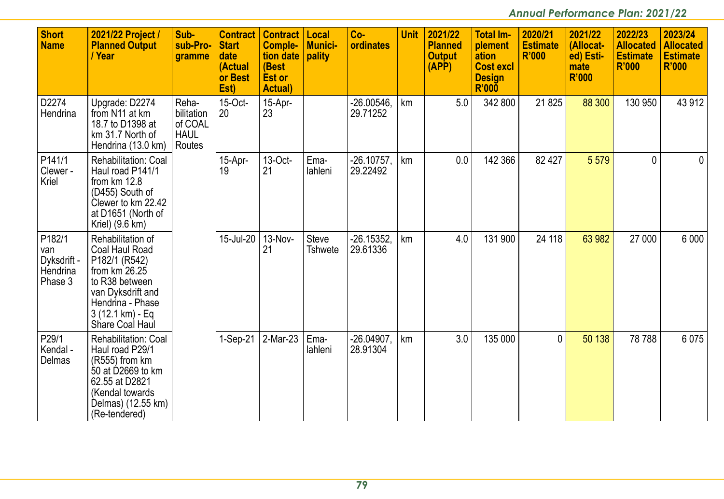| <b>Short</b><br><b>Name</b>                         | 2021/22 Project /<br><b>Planned Output</b><br>/Year                                                                                                                                                 | Sub-<br>sub-Pro-<br>gramme                              | <b>Contract</b><br><b>Start</b><br>date<br>(Actual<br>or Best<br>Est) | <b>Contract</b><br>Comple-<br>tion date<br>(Best<br><b>Est or</b><br><b>Actual</b> ) | Local<br><b>Munici-</b><br>pality | $Co-$<br>ordinates       | <b>Unit</b> | 2021/22<br><b>Planned</b><br><b>Output</b><br>(APP) | Total Im-<br>plement<br>ation<br><b>Cost excl</b><br><b>Design</b><br>R'000 | 2020/21<br><b>Estimate</b><br><b>R'000</b> | 2021/22<br>(Allocat-<br>ed) Esti-<br>mate<br>R'000 | 2022/23<br><b>Allocated</b><br><b>Estimate</b><br><b>R'000</b> | 2023/24<br><b>Allocated</b><br><b>Estimate</b><br><b>R'000</b> |
|-----------------------------------------------------|-----------------------------------------------------------------------------------------------------------------------------------------------------------------------------------------------------|---------------------------------------------------------|-----------------------------------------------------------------------|--------------------------------------------------------------------------------------|-----------------------------------|--------------------------|-------------|-----------------------------------------------------|-----------------------------------------------------------------------------|--------------------------------------------|----------------------------------------------------|----------------------------------------------------------------|----------------------------------------------------------------|
| D2274<br>Hendrina                                   | Upgrade: D2274<br>from N <sub>11</sub> at km<br>18.7 to D1398 at<br>km 31.7 North of<br>Hendrina (13.0 km)                                                                                          | Reha-<br>bilitation<br>of COAL<br><b>HAUL</b><br>Routes | 15-Oct-<br>20                                                         | 15-Apr-<br>23                                                                        |                                   | $-26.00546,$<br>29.71252 | km          | 5.0                                                 | 342 800                                                                     | 21825                                      | 88 300                                             | 130 950                                                        | 43 912                                                         |
| P141/1<br>Clewer -<br>Kriel                         | Rehabilitation: Coal<br>Haul road P141/1<br>from $km$ 12.8<br>(D455) South of<br>Clewer to km 22.42<br>at D1651 (North of<br>Kriel) (9.6 km)                                                        |                                                         | 15-Apr-<br>19                                                         | 13-Oct-<br>21                                                                        | Ema-<br>lahleni                   | $-26.10757,$<br>29.22492 | km          | 0.0                                                 | 142 366                                                                     | 82 4 27                                    | 5 5 7 9                                            | $\Omega$                                                       | $\Omega$                                                       |
| P182/1<br>van<br>Dyksdrift -<br>Hendrina<br>Phase 3 | Rehabilitation of<br>Coal Haul Road<br>P <sub>182</sub> /1 (R <sub>542</sub> )<br>from $km$ 26.25<br>to R38 between<br>van Dyksdrift and<br>Hendrina - Phase<br>3 (12.1 km) - Eq<br>Share Coal Haul |                                                         | 15-Jul-20                                                             | $13-Nov-$<br>21                                                                      | Steve<br>Tshwete                  | $-26.15352$<br>29.61336  | km          | 4.0                                                 | 131 900                                                                     | 24 118                                     | 63 982                                             | 27 000                                                         | 6 0 0 0                                                        |
| P29/1<br>Kendal -<br>Delmas                         | Rehabilitation: Coal<br>Haul road P29/1<br>$(R555)$ from km<br>50 at D2669 to km<br>62.55 at D2821<br>(Kendal towards)<br>Delmas) (12.55 km)<br>(Re-tendered)                                       |                                                         | 1-Sep-21                                                              | 2-Mar-23                                                                             | Ema-<br>lahleni                   | $-26.04907,$<br>28.91304 | km          | 3.0                                                 | 135 000                                                                     | $\mathbf{0}$                               | 50 138                                             | 78788                                                          | 6075                                                           |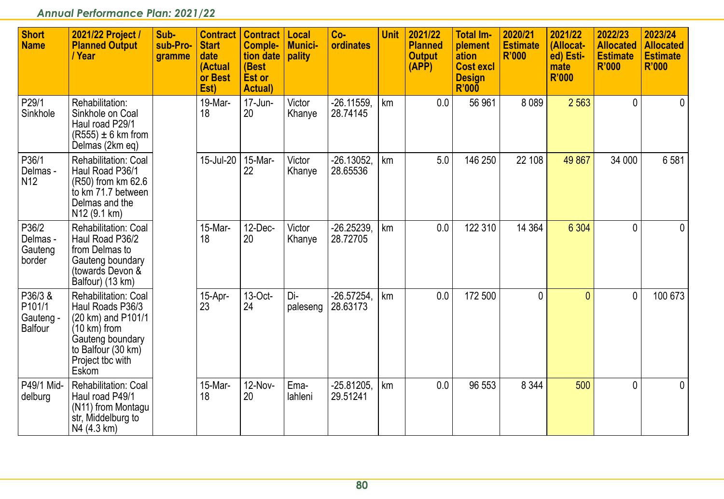| <b>Short</b><br><b>Name</b>                      | 2021/22 Project /<br><b>Planned Output</b><br>/Year                                                                                                             | Sub-<br>sub-Pro-<br>gramme | <b>Contract</b><br><b>Start</b><br>date<br>(Actual<br>or Best<br>Est) | <b>Contract</b><br>Comple-<br>tion date<br>(Best<br><b>Est or</b><br><b>Actual</b> ) | Local<br><b>Munici-</b><br>pality | $Co-$<br>ordinates       | <b>Unit</b> | 2021/22<br><b>Planned</b><br><b>Output</b><br>(APP) | <b>Total Im-</b><br>plement<br>ation<br><b>Cost excl</b><br><b>Design</b><br>R'000 | 2020/21<br><b>Estimate</b><br>R'000 | 2021/22<br>(Allocat-<br>ed) Esti-<br>mate<br><b>R'000</b> | 2022/23<br><b>Allocated</b><br><b>Estimate</b><br><b>R'000</b> | 2023/24<br><b>Allocated</b><br><b>Estimate</b><br><b>R'000</b> |
|--------------------------------------------------|-----------------------------------------------------------------------------------------------------------------------------------------------------------------|----------------------------|-----------------------------------------------------------------------|--------------------------------------------------------------------------------------|-----------------------------------|--------------------------|-------------|-----------------------------------------------------|------------------------------------------------------------------------------------|-------------------------------------|-----------------------------------------------------------|----------------------------------------------------------------|----------------------------------------------------------------|
| P <sub>29</sub> /1<br>Sinkhole                   | Rehabilitation:<br>Sinkhole on Coal<br>Haul road P29/1<br>$(R555) \pm 6$ km from<br>Delmas (2km eq)                                                             |                            | 19-Mar-<br>18                                                         | $17 - Jun -$<br>20                                                                   | Victor<br>Khanye                  | $-26.11559,$<br>28.74145 | km          | 0.0                                                 | 56 961                                                                             | 8089                                | 2 5 6 3                                                   | $\Omega$                                                       | 0                                                              |
| P36/1<br>Delmas -<br>N <sub>12</sub>             | Rehabilitation: Coal<br>Haul Road P36/1<br>(R50) from km 62.6<br>to km 71.7 between<br>Delmas and the<br>N12 (9.1 km)                                           |                            | 15-Jul-20                                                             | 15-Mar-<br>22                                                                        | Victor<br>Khanye                  | $-26.13052,$<br>28.65536 | km          | 5.0                                                 | 146 250                                                                            | 22 108                              | 49 867                                                    | 34 000                                                         | 6 5 8 1                                                        |
| P36/2<br>Delmas -<br>Gauteng<br>border           | Rehabilitation: Coal<br>Haul Road P36/2<br>from Delmas to<br>Gauteng boundary<br>(towards Devon &<br>Balfour) (13 km)                                           |                            | 15-Mar-<br>18                                                         | 12-Dec-<br>20                                                                        | Victor<br>Khanye                  | $-26.25239,$<br>28.72705 | km          | 0.0                                                 | 122 310                                                                            | 14 3 64                             | 6 3 0 4                                                   | $\Omega$                                                       | $\mathbf{0}$                                                   |
| P36/3 &<br>P101/1<br>Gauteng -<br><b>Balfour</b> | Rehabilitation: Coal<br>Haul Roads P36/3<br>(20 km) and P101/1<br>$(10 \text{ km})$ from<br>Gauteng boundary<br>to Balfour (30 km)<br>Project tbc with<br>Eskom |                            | 15-Apr-<br>23                                                         | 13-Oct-<br>24                                                                        | Di-<br>paleseng                   | $-26.57254,$<br>28.63173 | km          | 0.0                                                 | 172 500                                                                            | $\mathbf{0}$                        | $\overline{0}$                                            | $\Omega$                                                       | 100 673                                                        |
| P49/1 Mid-<br>delburg                            | Rehabilitation: Coal<br>Haul road P49/1<br>(N11) from Montagu<br>str, Middelburg to<br>N4 (4.3 km)                                                              |                            | 15-Mar-<br>18                                                         | 12-Nov-<br>20                                                                        | Ema-<br>lahleni                   | $-25.81205,$<br>29.51241 | km          | 0.0                                                 | 96 553                                                                             | 8 3 4 4                             | 500                                                       | $\Omega$                                                       | $\mathbf{0}$                                                   |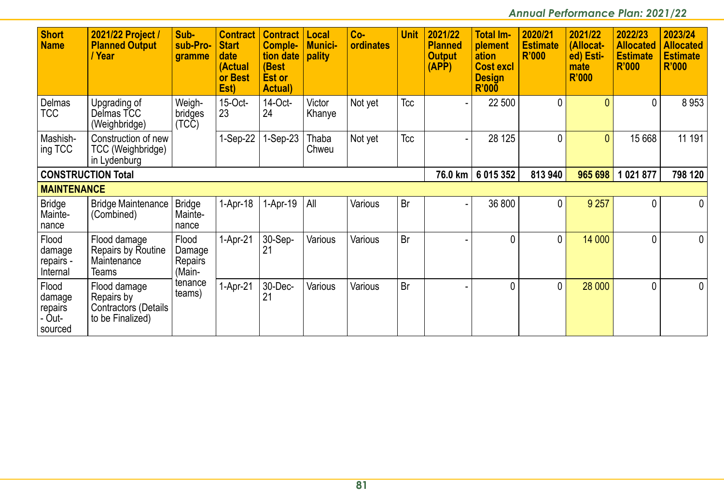| <b>Short</b><br><b>Name</b>                     | 2021/22 Project /<br><b>Planned Output</b><br>/Year                    | Sub-<br>sub-Pro-<br>gramme           | <b>Contract</b><br><b>Start</b><br>date<br>(Actual<br>or Best<br>Est) | <b>Contract</b><br>Comple-<br>tion date<br>(Best<br><b>Est or</b><br><b>Actual</b> ) | Local<br><b>Munici-</b><br>pality | $Co-$<br>ordinates | <b>Unit</b> | 2021/22<br><b>Planned</b><br><b>Output</b><br>(APP) | <b>Total Im-</b><br>plement<br>ation<br><b>Cost excl</b><br><b>Design</b><br>R'000 | 2020/21<br><b>Estimate</b><br>R'000 | 2021/22<br>(Allocat-<br>ed) Esti-<br>mate<br>R'000 | 2022/23<br><b>Allocated</b><br><b>Estimate</b><br>R'000 | 2023/24<br><b>Allocated</b><br><b>Estimate</b><br>R'000 |
|-------------------------------------------------|------------------------------------------------------------------------|--------------------------------------|-----------------------------------------------------------------------|--------------------------------------------------------------------------------------|-----------------------------------|--------------------|-------------|-----------------------------------------------------|------------------------------------------------------------------------------------|-------------------------------------|----------------------------------------------------|---------------------------------------------------------|---------------------------------------------------------|
| Delmas<br><b>TCC</b>                            | Upgrading of<br>Delmas TCC<br>(Weighbridge)                            | Weigh-<br>bridges<br>$(TC\tilde{C})$ | $15$ -Oct-<br>23                                                      | 14-Oct-<br>24                                                                        | Victor<br>Khanye                  | Not yet            | <b>Tcc</b>  |                                                     | 22 500                                                                             | 0                                   | $\Omega$                                           | $\Omega$                                                | 8953                                                    |
| Mashish-<br>ing TCC                             | Construction of new<br>TCC (Weighbridge)<br>in Lydenburg               |                                      | 1-Sep-22                                                              | 1-Sep-23                                                                             | Thaba<br>Chweu                    | Not yet            | <b>Tcc</b>  |                                                     | 28 1 25                                                                            | 0                                   | $\mathbf{0}$                                       | 15 668                                                  | 11 191                                                  |
| <b>CONSTRUCTION Total</b>                       |                                                                        |                                      |                                                                       |                                                                                      |                                   |                    |             | 76.0 km                                             | 6 015 352                                                                          | 813 940                             | 965 698                                            | 1 021 877                                               | 798 120                                                 |
| <b>MAINTENANCE</b>                              |                                                                        |                                      |                                                                       |                                                                                      |                                   |                    |             |                                                     |                                                                                    |                                     |                                                    |                                                         |                                                         |
| Bridge<br>Mainte-<br>nance                      | <b>Bridge Maintenance</b><br>(Combined)                                | <b>Bridge</b><br>Mainte-<br>nance    | 1-Apr-18                                                              | 1-Apr-19                                                                             | All                               | Various            | <b>Br</b>   |                                                     | 36 800                                                                             | 0                                   | 9 2 5 7                                            |                                                         | 0                                                       |
| Flood<br>damage<br>repairs -<br>Internal        | Flood damage<br>Repairs by Routine<br>Maintenance<br>Teams             | Flood<br>Damage<br>Repairs<br>(Main- | 1-Apr-21                                                              | 30-Sep-<br>21                                                                        | Various                           | Various            | <b>Br</b>   |                                                     | 0                                                                                  | 0                                   | 14 000                                             | $\Omega$                                                | 0                                                       |
| Flood<br>damage<br>repairs<br>- Out-<br>sourced | Flood damage<br>Repairs by<br>Contractors (Details<br>to be Finalized) | tenance<br>teams)                    | 1-Apr-21                                                              | 30-Dec-<br>21                                                                        | Various                           | Various            | <b>Br</b>   |                                                     | U                                                                                  | 0                                   | 28 000                                             | 0                                                       | 0                                                       |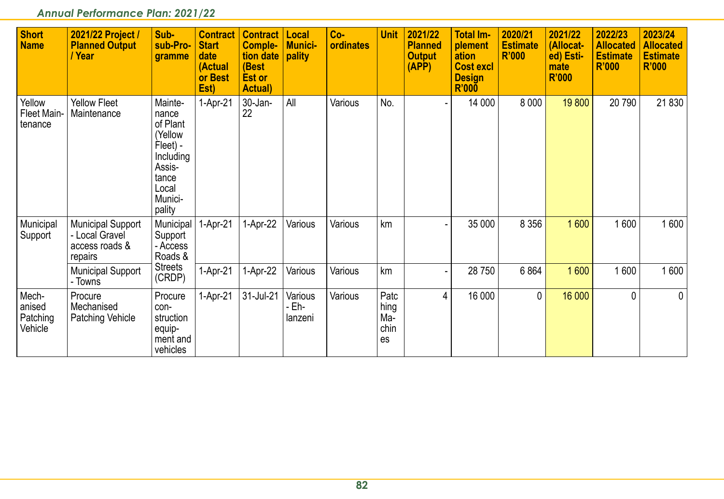**Short Name 2021/22 Project / Planned Output / Year** Sub-<br>sub-Pro**sub-Pro- gramme Contract Start date (Actual or Best Est) Contract Local Comple-** Municition date pality **(Best Est or Actual) Munici- pality Coordinates Unit 2021/22 Planned Output (APP) Total Im- plement ation Cost excl Design R'000 2020/21 Estimate R'000 2021/22 (Allocat- ed) Esti- mate R'000 2022/23 Allocated Estimate R'000 2023/24 Allocated Estimate R'000** Yellow Fleet Main-<br>tenance Yellow Fleet Maintenance Mainte-<br>nance of Plant (Yellow Fleet) - Including Assistance Local Municipality 1-Apr-21 30-Jan-22 All | Various | No. | - | 14 000 | 8 000 <mark>| 19 800 |</mark> 20 790 | 21 830 **Municipal Support** Municipal Support - Local Gravel access roads & repairs Municipal Support - Access Roads & **Streets** (CRDP) 1-Apr-21 | 1-Apr-22 | Various | Various | km | | 35 000 | 8 356 | 1 600 | 1 600 | 1 600 Municipal Support - Towns 1-Apr-21 | 1-Apr-22 | Various | Various | km | - | 28 750 | 6 864 | 1 600 | 1 600 | 1 600 Mech- anised Patching Vehicle Procure Mechanised Patching Vehicle Procure<br>construction<br>equipment and vehicles 1-Apr-21  $\begin{vmatrix} 31 \text{-}$  Jul-21  $\end{vmatrix}$  Various lanzeni Various Patc hing Machin es 4 16 000 0 16 000 0 0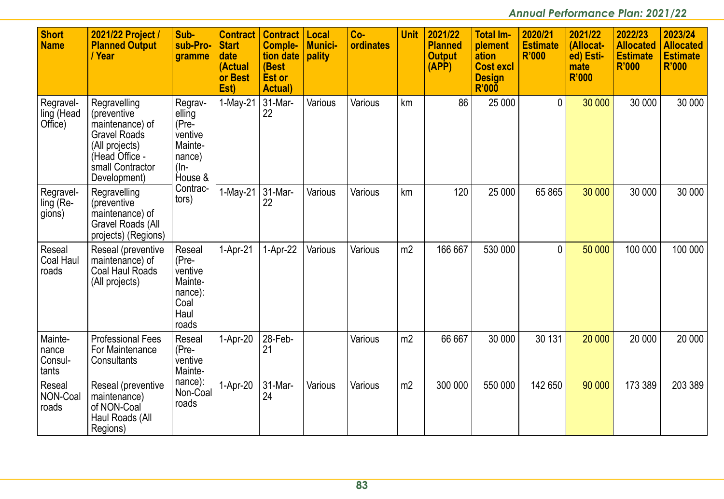| <b>Short</b><br><b>Name</b>          | 2021/22 Project /<br><b>Planned Output</b><br>/Year                                                                                            | Sub-<br>sub-Pro-<br>gramme                                                       | <b>Contract</b><br><b>Start</b><br>date<br>(Actual<br>or Best<br>Est) | <b>Contract</b><br><b>Comple-</b><br>tion date<br>(Best<br><b>Est or</b><br><b>Actual</b> ) | Local<br><b>Munici-</b><br>pality | $Co-$<br>ordinates | <b>Unit</b>    | 2021/22<br><b>Planned</b><br><b>Output</b><br>(APP) | <b>Total Im-</b><br>plement<br>ation<br><b>Cost excl</b><br><b>Design</b><br><b>R'000</b> | 2020/21<br><b>Estimate</b><br>R'000 | 2021/22<br>(Allocat-<br>ed) Esti-<br>mate<br><b>R'000</b> | 2022/23<br><b>Allocated</b><br><b>Estimate</b><br>R'000 | 2023/24<br><b>Allocated</b><br><b>Estimate</b><br><b>R'000</b> |
|--------------------------------------|------------------------------------------------------------------------------------------------------------------------------------------------|----------------------------------------------------------------------------------|-----------------------------------------------------------------------|---------------------------------------------------------------------------------------------|-----------------------------------|--------------------|----------------|-----------------------------------------------------|-------------------------------------------------------------------------------------------|-------------------------------------|-----------------------------------------------------------|---------------------------------------------------------|----------------------------------------------------------------|
| Regravel-<br>ling (Head<br>Office)   | Regravelling<br><i>(preventive)</i><br>maintenance) of<br>Gravel Roads<br>(All projects)<br>(Head Office -<br>small Contractor<br>Development) | Regrav-<br>elling<br>(Pre-<br>ventive<br>Mainte-<br>nance)<br>$($ In-<br>House & | 1-May-21                                                              | 31-Mar-<br>22                                                                               | Various                           | Various            | km             | 86                                                  | 25 000                                                                                    | $\mathbf{0}$                        | 30 000                                                    | 30 000                                                  | 30 000                                                         |
| Regravel-<br>ling (Re-<br>gions)     | Regravelling<br>(preventive<br>maintenance) of<br>Gravel Roads (All<br>projects) (Regions)                                                     | Contrac-<br>tors)                                                                | 1-May-21                                                              | 31-Mar-<br>22                                                                               | Various                           | Various            | km             | 120                                                 | 25 000                                                                                    | 65 865                              | 30 000                                                    | 30 000                                                  | 30 000                                                         |
| Reseal<br>Coal Haul<br>roads         | Reseal (preventive<br>maintenance) of<br>Coal Haul Roads<br>(All projects)                                                                     | Reseal<br>(Pre-<br>ventive<br>Mainte-<br>nance):<br>Coal<br>Haul<br>roads        | 1-Apr-21                                                              | 1-Apr-22                                                                                    | Various                           | Various            | m <sub>2</sub> | 166 667                                             | 530 000                                                                                   | $\Omega$                            | 50 000                                                    | 100 000                                                 | 100 000                                                        |
| Mainte-<br>nance<br>Consul-<br>tants | <b>Professional Fees</b><br>For Maintenance<br>Consultants                                                                                     | Reseal<br>(Pre-<br>ventive<br>Mainte-                                            | 1-Apr-20                                                              | 28-Feb-<br>21                                                                               |                                   | Various            | m <sub>2</sub> | 66 667                                              | 30 000                                                                                    | 30 131                              | 20 000                                                    | 20 000                                                  | 20 000                                                         |
| Reseal<br>NON-Coal<br>roads          | Reseal (preventive<br>maintenance)<br>of NON-Coal<br>Haul Roads (All<br>Regions)                                                               | nance):<br>Non-Coal<br>roads                                                     | 1-Apr-20                                                              | 31-Mar-<br>24                                                                               | Various                           | Various            | m <sub>2</sub> | 300 000                                             | 550 000                                                                                   | 142 650                             | 90 000                                                    | 173 389                                                 | 203 389                                                        |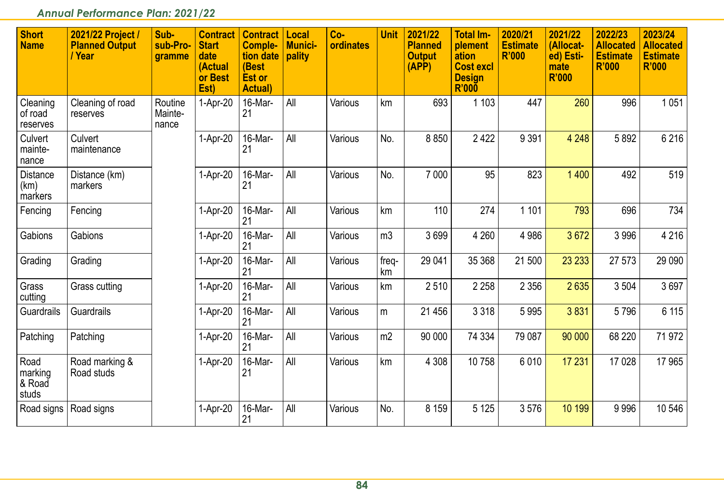| <b>Short</b><br><b>Name</b>        | 2021/22 Project /<br><b>Planned Output</b><br>/Year | Sub-<br>sub-Pro-<br>gramme  | <b>Contract</b><br><b>Start</b><br>date<br>(Actual<br>or Best<br>Est) | <b>Contract</b><br>Comple-<br>tion date<br>(Best<br><b>Est or</b><br><b>Actual</b> ) | Local<br><b>Munici-</b><br>pality | $Co-$<br>ordinates | <b>Unit</b>    | 2021/22<br><b>Planned</b><br><b>Output</b><br>(APP) | <b>Total Im-</b><br>plement<br>ation<br><b>Cost excl</b><br><b>Design</b><br>R'000 | 2020/21<br><b>Estimate</b><br><b>R'000</b> | 2021/22<br>(Allocat-<br>ed) Esti-<br>mate<br><b>R'000</b> | 2022/23<br><b>Allocated</b><br><b>Estimate</b><br><b>R'000</b> | 2023/24<br><b>Allocated</b><br><b>Estimate</b><br><b>R'000</b> |
|------------------------------------|-----------------------------------------------------|-----------------------------|-----------------------------------------------------------------------|--------------------------------------------------------------------------------------|-----------------------------------|--------------------|----------------|-----------------------------------------------------|------------------------------------------------------------------------------------|--------------------------------------------|-----------------------------------------------------------|----------------------------------------------------------------|----------------------------------------------------------------|
| Cleaning<br>of road<br>reserves    | Cleaning of road<br>reserves                        | Routine<br>Mainte-<br>nance | 1-Apr-20                                                              | 16-Mar-<br>21                                                                        | All                               | Various            | km             | 693                                                 | 1 1 0 3                                                                            | 447                                        | 260                                                       | 996                                                            | 1 0 5 1                                                        |
| Culvert<br>mainte-<br>nance        | Culvert<br>maintenance                              |                             | 1-Apr-20                                                              | 16-Mar-<br>21                                                                        | All                               | Various            | No.            | 8850                                                | 2 4 2 2                                                                            | 9 3 9 1                                    | 4 2 4 8                                                   | 5892                                                           | 6216                                                           |
| Distance<br>(km)<br>markers        | Distance (km)<br>markers                            |                             | 1-Apr-20                                                              | 16-Mar-<br>21                                                                        | All                               | Various            | No.            | 7 0 0 0                                             | 95                                                                                 | 823                                        | 1 4 0 0                                                   | 492                                                            | 519                                                            |
| Fencing                            | Fencing                                             |                             | 1-Apr-20                                                              | 16-Mar-<br>21                                                                        | All                               | Various            | km             | 110                                                 | 274                                                                                | 1 1 0 1                                    | 793                                                       | 696                                                            | 734                                                            |
| Gabions                            | Gabions                                             |                             | 1-Apr-20                                                              | 16-Mar-<br>21                                                                        | All                               | Various            | m <sub>3</sub> | 3699                                                | 4 2 6 0                                                                            | 4 9 8 6                                    | 3672                                                      | 3 9 9 6                                                        | 4 2 1 6                                                        |
| Grading                            | Grading                                             |                             | 1-Apr-20                                                              | 16-Mar-<br>21                                                                        | All                               | Various            | freq-<br>km    | 29 041                                              | 35 368                                                                             | 21 500                                     | 23 2 33                                                   | 27 573                                                         | 29 090                                                         |
| Grass<br>cutting                   | Grass cutting                                       |                             | 1-Apr-20                                                              | 16-Mar-<br>21                                                                        | All                               | Various            | km             | 2510                                                | 2 2 5 8                                                                            | 2 3 5 6                                    | 2635                                                      | 3 5 0 4                                                        | 3697                                                           |
| Guardrails                         | Guardrails                                          |                             | 1-Apr-20                                                              | 16-Mar-<br>21                                                                        | All                               | Various            | m              | 21 4 5 6                                            | 3 3 1 8                                                                            | 5995                                       | 3831                                                      | 5796                                                           | 6 115                                                          |
| Patching                           | Patching                                            |                             | 1-Apr-20                                                              | 16-Mar-<br>21                                                                        | All                               | Various            | m2             | 90 000                                              | 74 334                                                                             | 79 087                                     | 90 000                                                    | 68 220                                                         | 71 972                                                         |
| Road<br>marking<br>& Road<br>studs | Road marking &<br>Road studs                        |                             | 1-Apr-20                                                              | 16-Mar-<br>21                                                                        | All                               | Various            | km             | 4 3 0 8                                             | 10758                                                                              | 6 0 1 0                                    | 17 231                                                    | 17 0 28                                                        | 17 965                                                         |
| Road signs                         | Road signs                                          |                             | 1-Apr-20                                                              | 16-Mar-<br>21                                                                        | All                               | Various            | No.            | 8 1 5 9                                             | 5 1 2 5                                                                            | 3576                                       | 10 199                                                    | 9996                                                           | 10 546                                                         |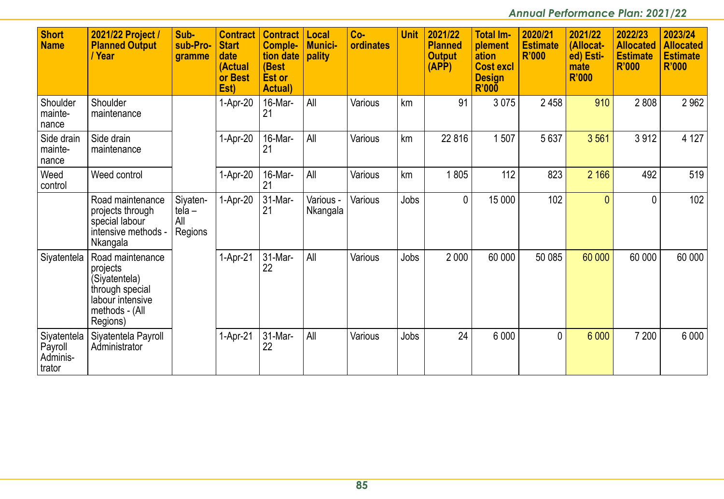| <b>Short</b><br>Name                         | 2021/22 Project /<br><b>Planned Output</b><br>/Year                                                                | Sub-<br>sub-Pro-<br>gramme          | <b>Contract</b><br><b>Start</b><br>date<br>(Actual<br>or Best<br>Est) | <b>Contract</b><br>Comple-<br>tion date<br>(Best<br><b>Est or</b><br>Actual) | Local<br><b>Munici-</b><br>pality | $Co-$<br>ordinates | <b>Unit</b> | 2021/22<br><b>Planned</b><br><b>Output</b><br>(APP) | <b>Total Im-</b><br>plement<br>ation<br><b>Cost excl</b><br><b>Design</b><br>R'000 | 2020/21<br><b>Estimate</b><br>R'000 | 2021/22<br>(Allocat-<br>ed) Esti-<br>mate<br>R'000 | 2022/23<br><b>Allocated</b><br><b>Estimate</b><br>R'000 | 2023/24<br><b>Allocated</b><br><b>Estimate</b><br>R'000 |
|----------------------------------------------|--------------------------------------------------------------------------------------------------------------------|-------------------------------------|-----------------------------------------------------------------------|------------------------------------------------------------------------------|-----------------------------------|--------------------|-------------|-----------------------------------------------------|------------------------------------------------------------------------------------|-------------------------------------|----------------------------------------------------|---------------------------------------------------------|---------------------------------------------------------|
| Shoulder<br>mainte-<br>nance                 | Shoulder<br>maintenance                                                                                            |                                     | 1-Apr-20                                                              | 16-Mar-<br>21                                                                | All                               | Various            | km          | 91                                                  | 3075                                                                               | 2458                                | 910                                                | 2808                                                    | 2 9 6 2                                                 |
| Side drain<br>mainte-<br>nance               | Side drain<br>maintenance                                                                                          |                                     | 1-Apr-20                                                              | 16-Mar-<br>21                                                                | All                               | Various            | km          | 22 816                                              | 1507                                                                               | 5637                                | 3561                                               | 3912                                                    | 4 1 2 7                                                 |
| Weed<br>control                              | Weed control                                                                                                       |                                     | 1-Apr-20                                                              | 16-Mar-<br>21                                                                | All                               | Various            | km          | 1805                                                | 112                                                                                | 823                                 | 2 166                                              | 492                                                     | 519                                                     |
|                                              | Road maintenance<br>projects through<br>special labour<br>intensive methods -<br>Nkangala                          | Siyaten-<br>tela-<br>All<br>Regions | 1-Apr-20                                                              | 31-Mar-<br>21                                                                | Various -<br>Nkangala             | Various            | Jobs        | 0                                                   | 15 000                                                                             | 102                                 | $\Omega$                                           | 0                                                       | 102                                                     |
| Siyatentela                                  | Road maintenance<br>projects<br>(Siyatentela)<br>through special<br>labour intensive<br>methods - (All<br>Regions) |                                     | 1-Apr-21                                                              | 31-Mar-<br>22                                                                | All                               | Various            | Jobs        | 2 0 0 0                                             | 60 000                                                                             | 50 085                              | 60 000                                             | 60 000                                                  | 60 000                                                  |
| Siyatentela<br>Payroll<br>Adminis-<br>trator | Siyatentela Payroll<br>Administrator                                                                               |                                     | 1-Apr-21                                                              | 31-Mar-<br>22                                                                | All                               | Various            | Jobs        | 24                                                  | 6 0 0 0                                                                            | 0                                   | 6 0 0 0                                            | 7 200                                                   | 6 000                                                   |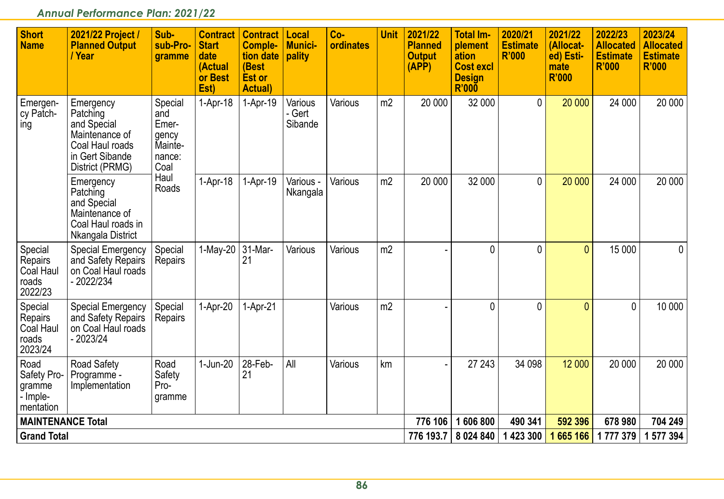**Short Name 2021/22 Project / Planned Output / Year** Sub-<br>sub-Pro**sub-Pro- gramme Contract Start date (Actual or Best Est) Contract Local Comple- tion date (Best Est or Actual) Munici- pality Coordinates Unit 2021/22 Planned Output (APP) Total Im- plement ation Cost excl Design R'000 2020/21 Estimate R'000 2021/22 (Allocat- ed) Esti- mate R'000 2022/23 Allocated Estimate R'000 2023/24 Allocated Estimate R'000** Emergen-<br>cy Patch-<br>ing **Emergency Patching** and Special Maintenance of Coal Haul roads in Gert Sibande District (PRMG) Special and<br>Emeraency Mainte-<br>
nance: Coal Haul Roads 1-Apr-18 1-Apr-19 Various - Gert Sibande Various | m2 | 20 000 | 32 000 | 0 <mark>| 20 000 |</mark> 24 000 | 20 000 Emergency Patching and Special Maintenance of Coal Haul roads in Nkangala District 1-Apr-18 1-Apr-19 Various - Nkangala Various | m2 | 20 000 | 32 000 | 0 <mark>| 20 000 |</mark> 24 000 | 20 000 Special **Repairs** Coal Haul roads 2022/23 Special Emergency and Safety Repairs on Coal Haul roads - 2022/234 Special **Repairs** 1-May-20 31-Mar-21 Various Various m2 - 0 0 0 15 000 0 Special **Repairs** Coal Haul roads 2023/24 Special Emergency and Safety Repairs on Coal Haul roads - 2023/24 Special **Repairs** 1-Apr-20 1-Apr-21 Various m2 - 0 0 0 0 10 000 Road Safety Pro-Programme gramme - Implementation Road Safety Implementation Road Safety Programme 1-Jun-20 28-Feb-21 All | Various | km | - | 27 243 | 34 098 | <mark>12 000 |</mark> 20 000 | 20 000 **MAINTENANCE Total 776 106 1 606 800 490 341 592 396 678 980 704 249 Grand Total 776 193.7 8 024 840 1 423 300 1 665 166 1 777 379 1 577 394**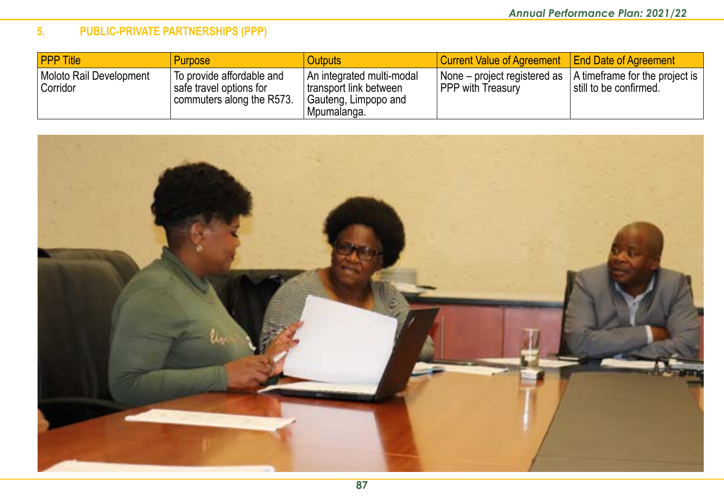# **5. PUBLIC-PRIVATE PARTNERSHIPS (PPP)**

| <b>PPP Title</b>                      | <b>Purpose</b>                                                                    | Outputs'                                                                                        | l Current Value of Agreement                      | <b>I End Date of Agreement</b>                               |
|---------------------------------------|-----------------------------------------------------------------------------------|-------------------------------------------------------------------------------------------------|---------------------------------------------------|--------------------------------------------------------------|
| l Moloto Rail Development<br>Corridor | To provide affordable and<br>safe travel options for<br>commuters along the R573. | l An integrated multi-modal<br>l transport link between_<br>Gauteng, Limpopo and<br>Mpumalanga. | None – project registered as<br>PPP with Treasury | A timeframe for the project is 1<br>l still to be confirmed. |

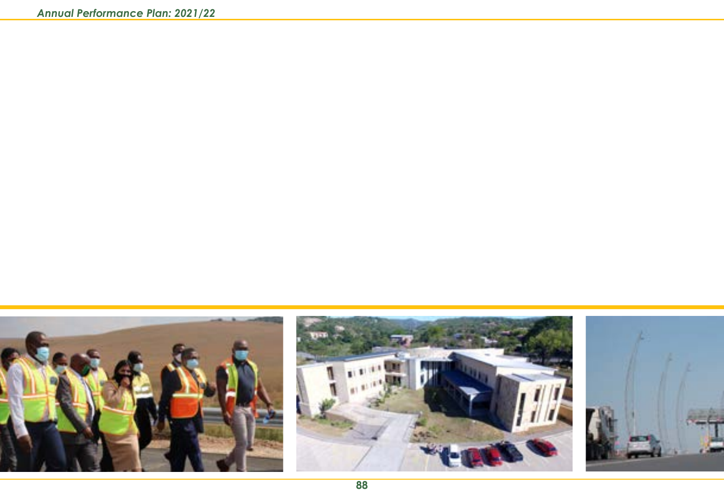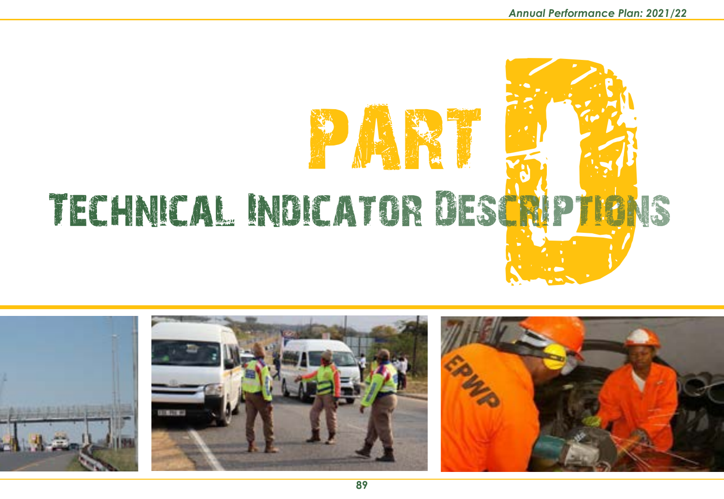# PART SECTION Technical Indicator Descriptions

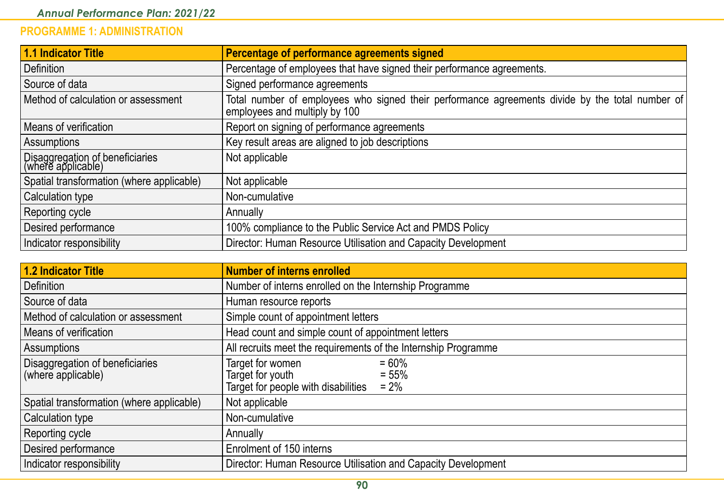# **PROGRAMME 1: ADMINISTRATION**

| 1.1 Indicator Title                                   | Percentage of performance agreements signed                                                                                      |
|-------------------------------------------------------|----------------------------------------------------------------------------------------------------------------------------------|
| Definition                                            | Percentage of employees that have signed their performance agreements.                                                           |
| Source of data                                        | Signed performance agreements                                                                                                    |
| Method of calculation or assessment                   | Total number of employees who signed their performance agreements divide by the total number of<br>employees and multiply by 100 |
| Means of verification                                 | Report on signing of performance agreements                                                                                      |
| Assumptions                                           | Key result areas are aligned to job descriptions                                                                                 |
| Disaggregation of beneficiaries<br>(where applicable) | Not applicable                                                                                                                   |
| Spatial transformation (where applicable)             | Not applicable                                                                                                                   |
| Calculation type                                      | Non-cumulative                                                                                                                   |
| Reporting cycle                                       | Annually                                                                                                                         |
| Desired performance                                   | 100% compliance to the Public Service Act and PMDS Policy                                                                        |
| Indicator responsibility                              | Director: Human Resource Utilisation and Capacity Development                                                                    |

| 1.2 Indicator Title                                   | <b>Number of interns enrolled</b>                                                                             |
|-------------------------------------------------------|---------------------------------------------------------------------------------------------------------------|
| Definition                                            | Number of interns enrolled on the Internship Programme                                                        |
| Source of data                                        | Human resource reports                                                                                        |
| Method of calculation or assessment                   | Simple count of appointment letters                                                                           |
| Means of verification                                 | Head count and simple count of appointment letters                                                            |
| Assumptions                                           | All recruits meet the requirements of the Internship Programme                                                |
| Disaggregation of beneficiaries<br>(where applicable) | Target for women<br>$= 60\%$<br>Target for youth<br>$= 55%$<br>Target for people with disabilities<br>$= 2\%$ |
| Spatial transformation (where applicable)             | Not applicable                                                                                                |
| Calculation type                                      | Non-cumulative                                                                                                |
| Reporting cycle                                       | Annually                                                                                                      |
| Desired performance                                   | Enrolment of 150 interns                                                                                      |
| Indicator responsibility                              | Director: Human Resource Utilisation and Capacity Development                                                 |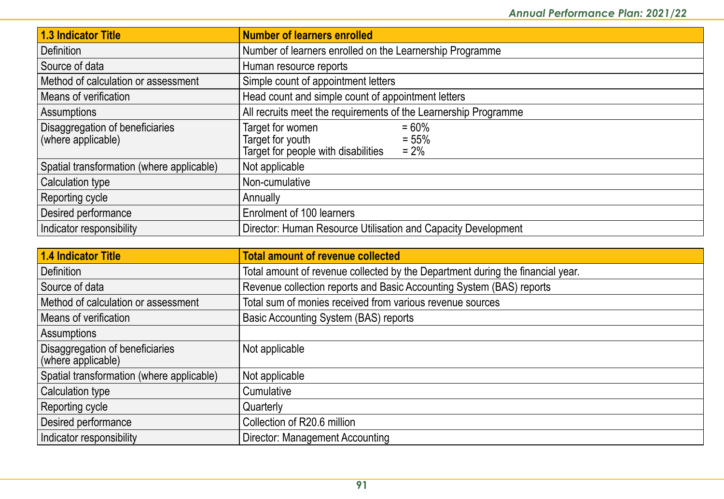| 1.3 Indicator Title                                   | <b>Number of learners enrolled</b>                                                                            |
|-------------------------------------------------------|---------------------------------------------------------------------------------------------------------------|
| Definition                                            | Number of learners enrolled on the Learnership Programme                                                      |
| Source of data                                        | Human resource reports                                                                                        |
| Method of calculation or assessment                   | Simple count of appointment letters                                                                           |
| Means of verification                                 | Head count and simple count of appointment letters                                                            |
| Assumptions                                           | All recruits meet the requirements of the Learnership Programme                                               |
| Disaggregation of beneficiaries<br>(where applicable) | Target for women<br>$= 60\%$<br>Target for youth<br>$= 55%$<br>Target for people with disabilities<br>$= 2\%$ |
| Spatial transformation (where applicable)             | Not applicable                                                                                                |
| Calculation type                                      | Non-cumulative                                                                                                |
| Reporting cycle                                       | Annually                                                                                                      |
| Desired performance                                   | Enrolment of 100 learners                                                                                     |
| Indicator responsibility                              | Director: Human Resource Utilisation and Capacity Development                                                 |

| 1.4 Indicator Title                                   | <b>Total amount of revenue collected</b>                                       |
|-------------------------------------------------------|--------------------------------------------------------------------------------|
| Definition                                            | Total amount of revenue collected by the Department during the financial year. |
| Source of data                                        | Revenue collection reports and Basic Accounting System (BAS) reports           |
| Method of calculation or assessment                   | Total sum of monies received from various revenue sources                      |
| Means of verification                                 | Basic Accounting System (BAS) reports                                          |
| Assumptions                                           |                                                                                |
| Disaggregation of beneficiaries<br>(where applicable) | Not applicable                                                                 |
| Spatial transformation (where applicable)             | Not applicable                                                                 |
| Calculation type                                      | Cumulative                                                                     |
| Reporting cycle                                       | Quarterly                                                                      |
| Desired performance                                   | Collection of R20.6 million                                                    |
| Indicator responsibility                              | Director: Management Accounting                                                |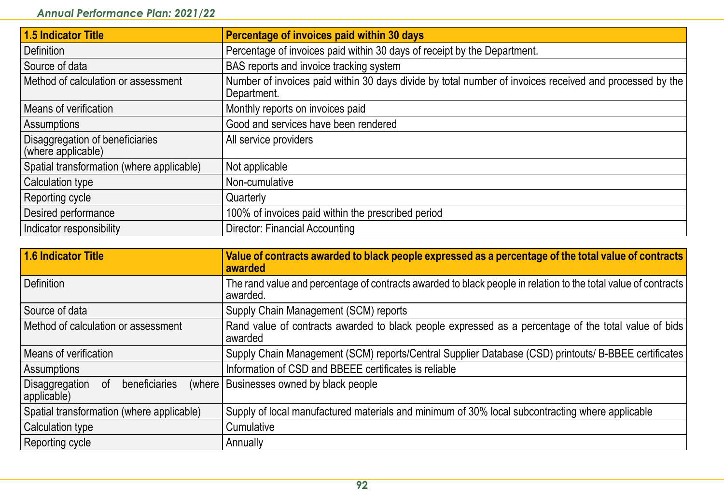| 1.5 Indicator Title                                   | Percentage of invoices paid within 30 days                                                                             |
|-------------------------------------------------------|------------------------------------------------------------------------------------------------------------------------|
| Definition                                            | Percentage of invoices paid within 30 days of receipt by the Department.                                               |
| Source of data                                        | BAS reports and invoice tracking system                                                                                |
| Method of calculation or assessment                   | Number of invoices paid within 30 days divide by total number of invoices received and processed by the<br>Department. |
| Means of verification                                 | Monthly reports on invoices paid                                                                                       |
| Assumptions                                           | Good and services have been rendered                                                                                   |
| Disaggregation of beneficiaries<br>(where applicable) | All service providers                                                                                                  |
| Spatial transformation (where applicable)             | Not applicable                                                                                                         |
| Calculation type                                      | Non-cumulative                                                                                                         |
| Reporting cycle                                       | Quarterly                                                                                                              |
| Desired performance                                   | 100% of invoices paid within the prescribed period                                                                     |
| Indicator responsibility                              | Director: Financial Accounting                                                                                         |

| 1.6 Indicator Title                                            | Value of contracts awarded to black people expressed as a percentage of the total value of contracts<br>awarded            |
|----------------------------------------------------------------|----------------------------------------------------------------------------------------------------------------------------|
| <b>Definition</b>                                              | The rand value and percentage of contracts awarded to black people in relation to the total value of contracts<br>awarded. |
| Source of data                                                 | Supply Chain Management (SCM) reports                                                                                      |
| Method of calculation or assessment                            | Rand value of contracts awarded to black people expressed as a percentage of the total value of bids<br>awarded            |
| Means of verification                                          | Supply Chain Management (SCM) reports/Central Supplier Database (CSD) printouts/ B-BBEE certificates                       |
| Assumptions                                                    | Information of CSD and BBEEE certificates is reliable                                                                      |
| Disaggregation<br>beneficiaries<br>(where<br>0f<br>applicable) | Businesses owned by black people                                                                                           |
| Spatial transformation (where applicable)                      | Supply of local manufactured materials and minimum of 30% local subcontracting where applicable                            |
| Calculation type                                               | Cumulative                                                                                                                 |
| Reporting cycle                                                | Annually                                                                                                                   |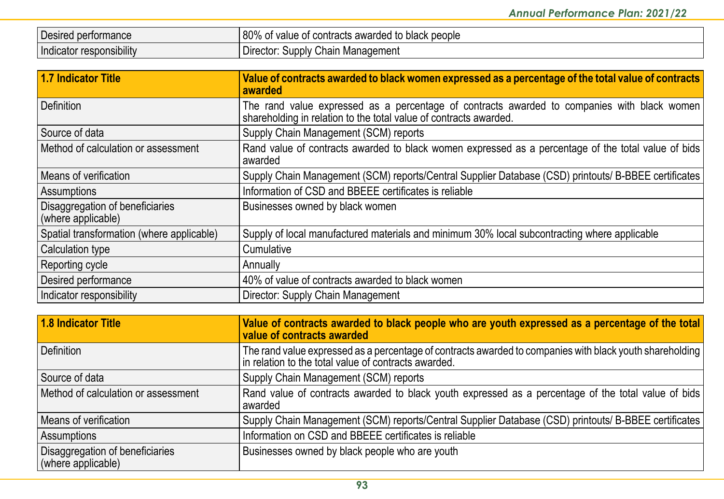| Desired<br>I performance       | ' 80% oi<br>e of contracts awarded to black people.<br>value |
|--------------------------------|--------------------------------------------------------------|
| <br>l Indicator responsibility | Chain<br>ו Manaɑement<br>Director:<br>Supply '               |

| 1.7 Indicator Title                                   | Value of contracts awarded to black women expressed as a percentage of the total value of contracts<br>awarded                                                   |
|-------------------------------------------------------|------------------------------------------------------------------------------------------------------------------------------------------------------------------|
| Definition                                            | The rand value expressed as a percentage of contracts awarded to companies with black women<br>shareholding in relation to the total value of contracts awarded. |
| Source of data                                        | Supply Chain Management (SCM) reports                                                                                                                            |
| Method of calculation or assessment                   | Rand value of contracts awarded to black women expressed as a percentage of the total value of bids<br>awarded                                                   |
| Means of verification                                 | Supply Chain Management (SCM) reports/Central Supplier Database (CSD) printouts/ B-BBEE certificates                                                             |
| Assumptions                                           | Information of CSD and BBEEE certificates is reliable                                                                                                            |
| Disaggregation of beneficiaries<br>(where applicable) | Businesses owned by black women                                                                                                                                  |
| Spatial transformation (where applicable)             | Supply of local manufactured materials and minimum 30% local subcontracting where applicable                                                                     |
| Calculation type                                      | Cumulative                                                                                                                                                       |
| Reporting cycle                                       | Annually                                                                                                                                                         |
| Desired performance                                   | 40% of value of contracts awarded to black women                                                                                                                 |
| Indicator responsibility                              | Director: Supply Chain Management                                                                                                                                |

| 1.8 Indicator Title                                   | Value of contracts awarded to black people who are youth expressed as a percentage of the total<br>value of contracts awarded                                    |
|-------------------------------------------------------|------------------------------------------------------------------------------------------------------------------------------------------------------------------|
| Definition                                            | The rand value expressed as a percentage of contracts awarded to companies with black youth shareholding<br>in relation to the total value of contracts awarded. |
| Source of data                                        | Supply Chain Management (SCM) reports                                                                                                                            |
| Method of calculation or assessment                   | Rand value of contracts awarded to black youth expressed as a percentage of the total value of bids<br>awarded                                                   |
| Means of verification                                 | Supply Chain Management (SCM) reports/Central Supplier Database (CSD) printouts/ B-BBEE certificates                                                             |
| Assumptions                                           | Information on CSD and BBEEE certificates is reliable                                                                                                            |
| Disaggregation of beneficiaries<br>(where applicable) | Businesses owned by black people who are youth                                                                                                                   |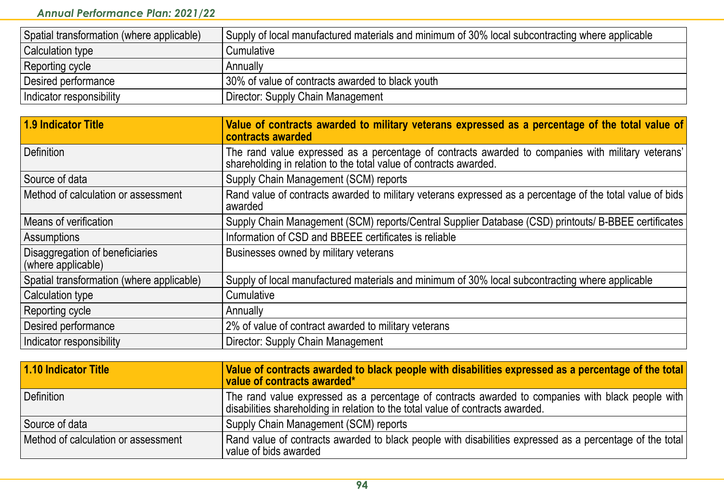| Spatial transformation (where applicable) | Supply of local manufactured materials and minimum of 30% local subcontracting where applicable |
|-------------------------------------------|-------------------------------------------------------------------------------------------------|
| Calculation type                          | Cumulative                                                                                      |
| Reporting cycle                           | Annually                                                                                        |
| Desired performance                       | 30% of value of contracts awarded to black youth                                                |
| Indicator responsibility                  | Director: Supply Chain Management                                                               |

| 1.9 Indicator Title                                   | Value of contracts awarded to military veterans expressed as a percentage of the total value of<br>contracts awarded                                                    |
|-------------------------------------------------------|-------------------------------------------------------------------------------------------------------------------------------------------------------------------------|
| Definition                                            | The rand value expressed as a percentage of contracts awarded to companies with military veterans'<br>shareholding in relation to the total value of contracts awarded. |
| Source of data                                        | Supply Chain Management (SCM) reports                                                                                                                                   |
| Method of calculation or assessment                   | Rand value of contracts awarded to military veterans expressed as a percentage of the total value of bids<br>awarded                                                    |
| Means of verification                                 | Supply Chain Management (SCM) reports/Central Supplier Database (CSD) printouts/ B-BBEE certificates                                                                    |
| Assumptions                                           | Information of CSD and BBEEE certificates is reliable                                                                                                                   |
| Disaggregation of beneficiaries<br>(where applicable) | Businesses owned by military veterans                                                                                                                                   |
| Spatial transformation (where applicable)             | Supply of local manufactured materials and minimum of 30% local subcontracting where applicable                                                                         |
| Calculation type                                      | Cumulative                                                                                                                                                              |
| Reporting cycle                                       | Annually                                                                                                                                                                |
| Desired performance                                   | 2% of value of contract awarded to military veterans                                                                                                                    |
| Indicator responsibility                              | Director: Supply Chain Management                                                                                                                                       |

| 1.10 Indicator Title                | Value of contracts awarded to black people with disabilities expressed as a percentage of the total<br>value of contracts awarded*                                                  |
|-------------------------------------|-------------------------------------------------------------------------------------------------------------------------------------------------------------------------------------|
| l Definition                        | The rand value expressed as a percentage of contracts awarded to companies with black people with<br>disabilities shareholding in relation to the total value of contracts awarded. |
| Source of data                      | Supply Chain Management (SCM) reports                                                                                                                                               |
| Method of calculation or assessment | Rand value of contracts awarded to black people with disabilities expressed as a percentage of the total<br>value of bids awarded                                                   |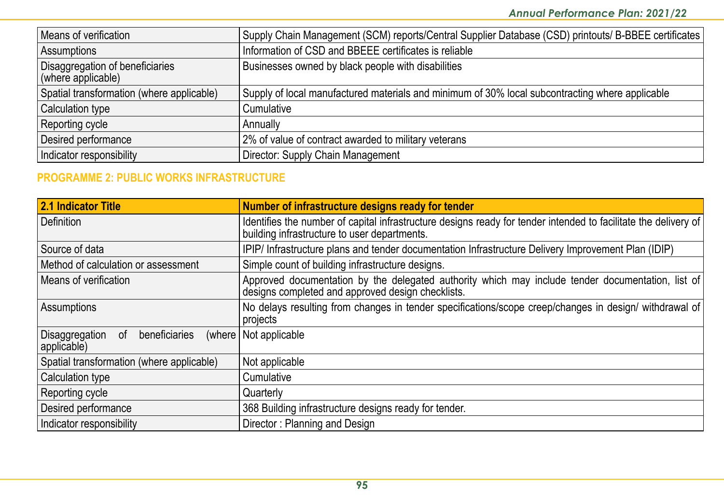| Means of verification                                 | Supply Chain Management (SCM) reports/Central Supplier Database (CSD) printouts/ B-BBEE certificates |
|-------------------------------------------------------|------------------------------------------------------------------------------------------------------|
| Assumptions                                           | Information of CSD and BBEEE certificates is reliable                                                |
| Disaggregation of beneficiaries<br>(where applicable) | Businesses owned by black people with disabilities                                                   |
| Spatial transformation (where applicable)             | Supply of local manufactured materials and minimum of 30% local subcontracting where applicable      |
| Calculation type                                      | Cumulative                                                                                           |
| Reporting cycle                                       | Annually                                                                                             |
| Desired performance                                   | 2% of value of contract awarded to military veterans                                                 |
| Indicator responsibility                              | Director: Supply Chain Management                                                                    |

# **PROGRAMME 2: PUBLIC WORKS INFRASTRUCTURE**

| 2.1 Indicator Title                                  | Number of infrastructure designs ready for tender                                                                                                               |
|------------------------------------------------------|-----------------------------------------------------------------------------------------------------------------------------------------------------------------|
| Definition                                           | Identifies the number of capital infrastructure designs ready for tender intended to facilitate the delivery of<br>building infrastructure to user departments. |
| Source of data                                       | IPIP/ Infrastructure plans and tender documentation Infrastructure Delivery Improvement Plan (IDIP)                                                             |
| Method of calculation or assessment                  | Simple count of building infrastructure designs.                                                                                                                |
| Means of verification                                | Approved documentation by the delegated authority which may include tender documentation, list of<br>designs completed and approved design checklists.          |
| Assumptions                                          | No delays resulting from changes in tender specifications/scope creep/changes in design/ withdrawal of<br>projects                                              |
| beneficiaries<br>Disaggregation<br>of<br>applicable) | (where   Not applicable                                                                                                                                         |
| Spatial transformation (where applicable)            | Not applicable                                                                                                                                                  |
| Calculation type                                     | Cumulative                                                                                                                                                      |
| Reporting cycle                                      | Quarterly                                                                                                                                                       |
| Desired performance                                  | 368 Building infrastructure designs ready for tender.                                                                                                           |
| Indicator responsibility                             | Director: Planning and Design                                                                                                                                   |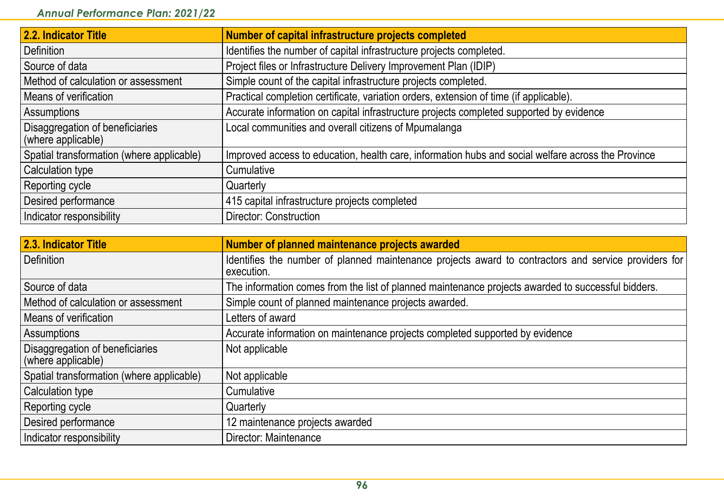| 2.2. Indicator Title                                  | Number of capital infrastructure projects completed                                                |
|-------------------------------------------------------|----------------------------------------------------------------------------------------------------|
| Definition                                            | Identifies the number of capital infrastructure projects completed.                                |
| Source of data                                        | Project files or Infrastructure Delivery Improvement Plan (IDIP)                                   |
| Method of calculation or assessment                   | Simple count of the capital infrastructure projects completed.                                     |
| Means of verification                                 | Practical completion certificate, variation orders, extension of time (if applicable).             |
| Assumptions                                           | Accurate information on capital infrastructure projects completed supported by evidence            |
| Disaggregation of beneficiaries<br>(where applicable) | Local communities and overall citizens of Mpumalanga                                               |
| Spatial transformation (where applicable)             | Improved access to education, health care, information hubs and social welfare across the Province |
| Calculation type                                      | Cumulative                                                                                         |
| Reporting cycle                                       | Quarterly                                                                                          |
| Desired performance                                   | 415 capital infrastructure projects completed                                                      |
| Indicator responsibility                              | Director: Construction                                                                             |

| 2.3. Indicator Title                                  | Number of planned maintenance projects awarded                                                                     |
|-------------------------------------------------------|--------------------------------------------------------------------------------------------------------------------|
| Definition                                            | Identifies the number of planned maintenance projects award to contractors and service providers for<br>execution. |
| Source of data                                        | The information comes from the list of planned maintenance projects awarded to successful bidders.                 |
| Method of calculation or assessment                   | Simple count of planned maintenance projects awarded.                                                              |
| Means of verification                                 | Letters of award                                                                                                   |
| Assumptions                                           | Accurate information on maintenance projects completed supported by evidence                                       |
| Disaggregation of beneficiaries<br>(where applicable) | Not applicable                                                                                                     |
| Spatial transformation (where applicable)             | Not applicable                                                                                                     |
| Calculation type                                      | Cumulative                                                                                                         |
| Reporting cycle                                       | Quarterly                                                                                                          |
| Desired performance                                   | 12 maintenance projects awarded                                                                                    |
| Indicator responsibility                              | Director: Maintenance                                                                                              |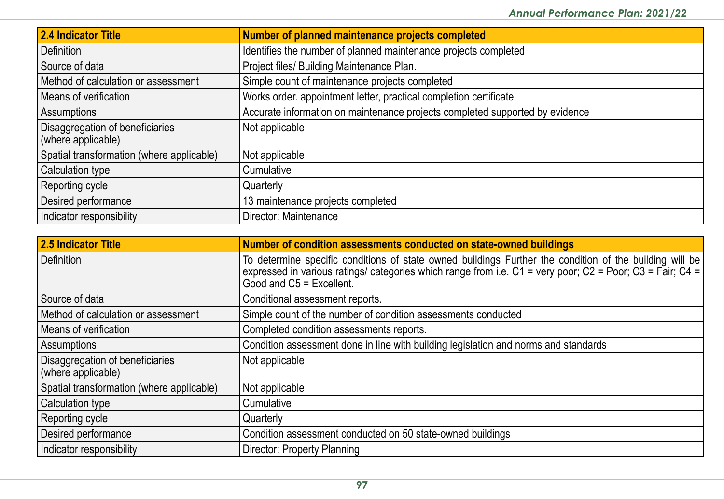| 2.4 Indicator Title                                   | Number of planned maintenance projects completed                             |
|-------------------------------------------------------|------------------------------------------------------------------------------|
| Definition                                            | Identifies the number of planned maintenance projects completed              |
| Source of data                                        | Project files/ Building Maintenance Plan.                                    |
| Method of calculation or assessment                   | Simple count of maintenance projects completed                               |
| Means of verification                                 | Works order. appointment letter, practical completion certificate            |
| Assumptions                                           | Accurate information on maintenance projects completed supported by evidence |
| Disaggregation of beneficiaries<br>(where applicable) | Not applicable                                                               |
| Spatial transformation (where applicable)             | Not applicable                                                               |
| Calculation type                                      | Cumulative                                                                   |
| Reporting cycle                                       | Quarterly                                                                    |
| Desired performance                                   | 13 maintenance projects completed                                            |
| Indicator responsibility                              | Director: Maintenance                                                        |

| 2.5 Indicator Title                                   | Number of condition assessments conducted on state-owned buildings                                                                                                                                                                                 |
|-------------------------------------------------------|----------------------------------------------------------------------------------------------------------------------------------------------------------------------------------------------------------------------------------------------------|
| Definition                                            | To determine specific conditions of state owned buildings Further the condition of the building will be<br>expressed in various ratings/ categories which range from i.e. C1 = very poor; C2 = Poor; C3 = Fair; C4 =<br>Good and $C5$ = Excellent. |
| Source of data                                        | Conditional assessment reports.                                                                                                                                                                                                                    |
| Method of calculation or assessment                   | Simple count of the number of condition assessments conducted                                                                                                                                                                                      |
| Means of verification                                 | Completed condition assessments reports.                                                                                                                                                                                                           |
| Assumptions                                           | Condition assessment done in line with building legislation and norms and standards                                                                                                                                                                |
| Disaggregation of beneficiaries<br>(where applicable) | Not applicable                                                                                                                                                                                                                                     |
| Spatial transformation (where applicable)             | Not applicable                                                                                                                                                                                                                                     |
| Calculation type                                      | Cumulative                                                                                                                                                                                                                                         |
| Reporting cycle                                       | Quarterly                                                                                                                                                                                                                                          |
| Desired performance                                   | Condition assessment conducted on 50 state-owned buildings                                                                                                                                                                                         |
| Indicator responsibility                              | Director: Property Planning                                                                                                                                                                                                                        |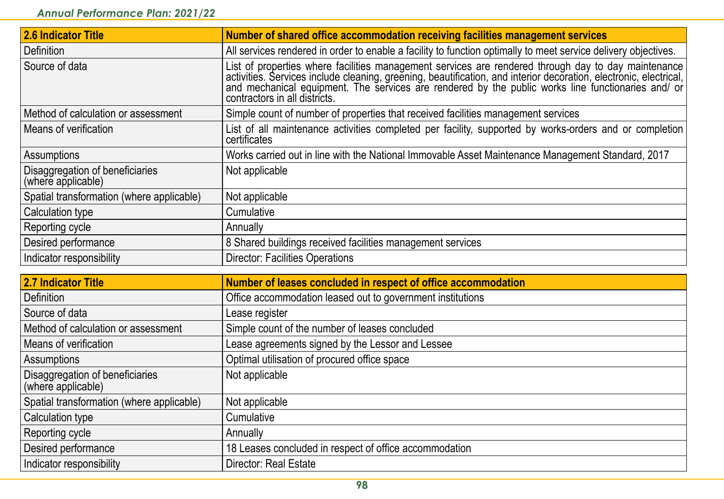| 2.6 Indicator Title                                   | Number of shared office accommodation receiving facilities management services                                                                                                                                                                                        |
|-------------------------------------------------------|-----------------------------------------------------------------------------------------------------------------------------------------------------------------------------------------------------------------------------------------------------------------------|
| Definition                                            | All services rendered in order to enable a facility to function optimally to meet service delivery objectives.                                                                                                                                                        |
| Source of data                                        | List of properties where facilities management services are rendered through day to day maintenance<br>activities. Services include cleaning, greening, beautification, and interior decoration, electronic, electrical,<br>and mech<br>contractors in all districts. |
| Method of calculation or assessment                   | Simple count of number of properties that received facilities management services                                                                                                                                                                                     |
| Means of verification                                 | List of all maintenance activities completed per facility, supported by works-orders and or completion<br>certificates                                                                                                                                                |
| Assumptions                                           | Works carried out in line with the National Immovable Asset Maintenance Management Standard, 2017                                                                                                                                                                     |
| Disaggregation of beneficiaries<br>(where applicable) | Not applicable                                                                                                                                                                                                                                                        |
| Spatial transformation (where applicable)             | Not applicable                                                                                                                                                                                                                                                        |
| Calculation type                                      | Cumulative                                                                                                                                                                                                                                                            |
| Reporting cycle                                       | Annually                                                                                                                                                                                                                                                              |
| Desired performance                                   | 8 Shared buildings received facilities management services                                                                                                                                                                                                            |
| Indicator responsibility                              | <b>Director: Facilities Operations</b>                                                                                                                                                                                                                                |

| 2.7 Indicator Title                                   | Number of leases concluded in respect of office accommodation |
|-------------------------------------------------------|---------------------------------------------------------------|
| Definition                                            | Office accommodation leased out to government institutions    |
| Source of data                                        | Lease register                                                |
| Method of calculation or assessment                   | Simple count of the number of leases concluded                |
| Means of verification                                 | Lease agreements signed by the Lessor and Lessee              |
| Assumptions                                           | Optimal utilisation of procured office space                  |
| Disaggregation of beneficiaries<br>(where applicable) | Not applicable                                                |
| Spatial transformation (where applicable)             | Not applicable                                                |
| Calculation type                                      | Cumulative                                                    |
| Reporting cycle                                       | Annually                                                      |
| Desired performance                                   | 18 Leases concluded in respect of office accommodation        |
| Indicator responsibility                              | Director: Real Estate                                         |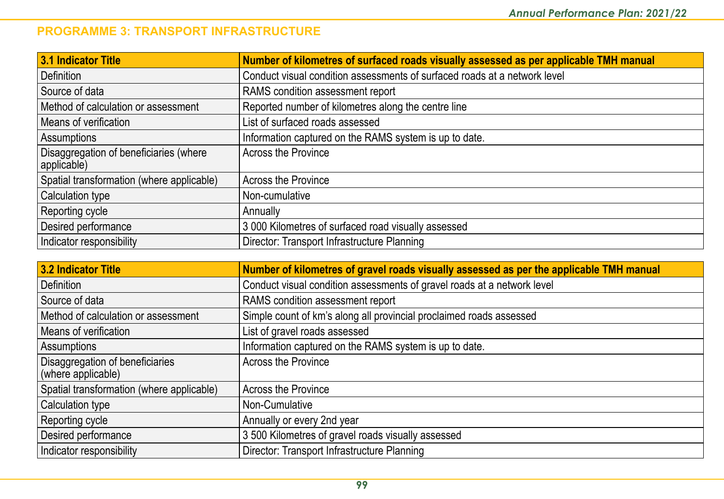# **PROGRAMME 3: TRANSPORT INFRASTRUCTURE**

| 3.1 Indicator Title                                   | Number of kilometres of surfaced roads visually assessed as per applicable TMH manual |
|-------------------------------------------------------|---------------------------------------------------------------------------------------|
| Definition                                            | Conduct visual condition assessments of surfaced roads at a network level             |
| Source of data                                        | RAMS condition assessment report                                                      |
| Method of calculation or assessment                   | Reported number of kilometres along the centre line                                   |
| Means of verification                                 | List of surfaced roads assessed                                                       |
| Assumptions                                           | Information captured on the RAMS system is up to date.                                |
| Disaggregation of beneficiaries (where<br>applicable) | Across the Province                                                                   |
| Spatial transformation (where applicable)             | Across the Province                                                                   |
| Calculation type                                      | Non-cumulative                                                                        |
| Reporting cycle                                       | Annually                                                                              |
| Desired performance                                   | 3 000 Kilometres of surfaced road visually assessed                                   |
| Indicator responsibility                              | Director: Transport Infrastructure Planning                                           |

| 3.2 Indicator Title                                   | Number of kilometres of gravel roads visually assessed as per the applicable TMH manual |
|-------------------------------------------------------|-----------------------------------------------------------------------------------------|
| Definition                                            | Conduct visual condition assessments of gravel roads at a network level                 |
| Source of data                                        | RAMS condition assessment report                                                        |
| Method of calculation or assessment                   | Simple count of km's along all provincial proclaimed roads assessed                     |
| Means of verification                                 | List of gravel roads assessed                                                           |
| Assumptions                                           | Information captured on the RAMS system is up to date.                                  |
| Disaggregation of beneficiaries<br>(where applicable) | Across the Province                                                                     |
| Spatial transformation (where applicable)             | Across the Province                                                                     |
| Calculation type                                      | Non-Cumulative                                                                          |
| Reporting cycle                                       | Annually or every 2nd year                                                              |
| Desired performance                                   | 3 500 Kilometres of gravel roads visually assessed                                      |
| Indicator responsibility                              | Director: Transport Infrastructure Planning                                             |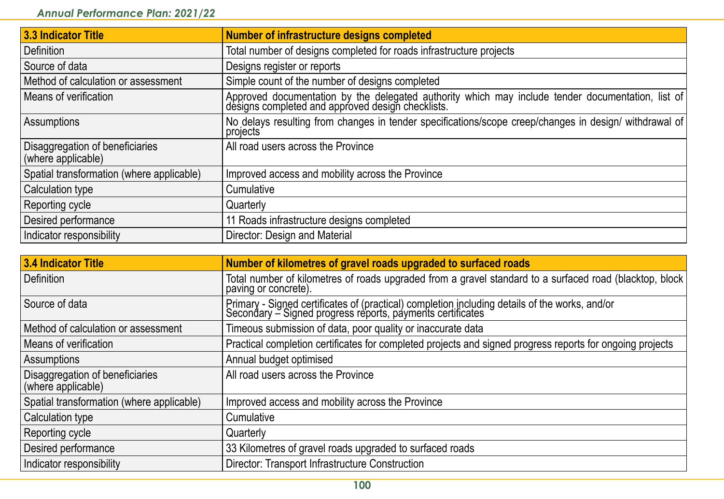| 3.3 Indicator Title                                   | Number of infrastructure designs completed                                                                                                          |
|-------------------------------------------------------|-----------------------------------------------------------------------------------------------------------------------------------------------------|
| Definition                                            | Total number of designs completed for roads infrastructure projects                                                                                 |
| Source of data                                        | Designs register or reports                                                                                                                         |
| Method of calculation or assessment                   | Simple count of the number of designs completed                                                                                                     |
| Means of verification                                 | Approved documentation by the delegated authority which may include tender documentation, list of designs completed and approved design checklists. |
| Assumptions                                           | No delays resulting from changes in tender specifications/scope creep/changes in design/ withdrawal of<br>projects                                  |
| Disaggregation of beneficiaries<br>(where applicable) | All road users across the Province                                                                                                                  |
| Spatial transformation (where applicable)             | Improved access and mobility across the Province                                                                                                    |
| Calculation type                                      | Cumulative                                                                                                                                          |
| Reporting cycle                                       | Quarterly                                                                                                                                           |
| Desired performance                                   | 11 Roads infrastructure designs completed                                                                                                           |
| Indicator responsibility                              | Director: Design and Material                                                                                                                       |

| <b>3.4 Indicator Title</b>                            | Number of kilometres of gravel roads upgraded to surfaced roads                                                                                              |
|-------------------------------------------------------|--------------------------------------------------------------------------------------------------------------------------------------------------------------|
| Definition                                            | Total number of kilometres of roads upgraded from a gravel standard to a surfaced road (blacktop, block)<br>paving or concrete).                             |
| Source of data                                        | Primary - Signed certificates of (practical) completion including details of the works, and/or<br>Secondary – Signed progress reports, payments certificates |
| Method of calculation or assessment                   | Timeous submission of data, poor quality or inaccurate data                                                                                                  |
| Means of verification                                 | Practical completion certificates for completed projects and signed progress reports for ongoing projects                                                    |
| Assumptions                                           | Annual budget optimised                                                                                                                                      |
| Disaggregation of beneficiaries<br>(where applicable) | All road users across the Province                                                                                                                           |
| Spatial transformation (where applicable)             | Improved access and mobility across the Province                                                                                                             |
| Calculation type                                      | Cumulative                                                                                                                                                   |
| Reporting cycle                                       | Quarterly                                                                                                                                                    |
| Desired performance                                   | 33 Kilometres of gravel roads upgraded to surfaced roads                                                                                                     |
| Indicator responsibility                              | Director: Transport Infrastructure Construction                                                                                                              |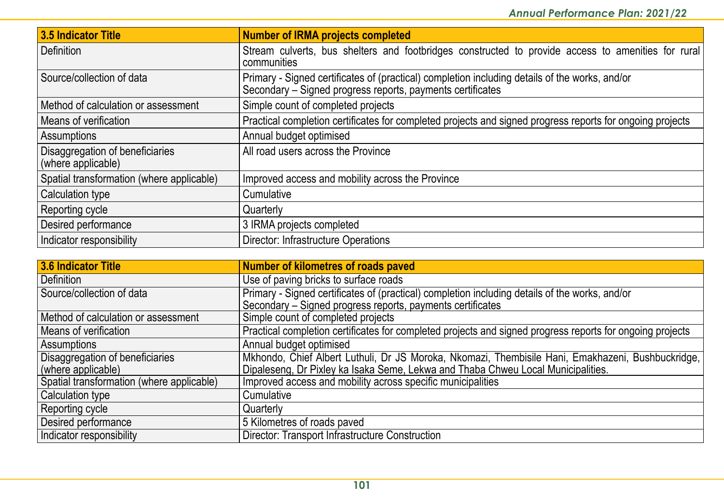| 3.5 Indicator Title                                   | <b>Number of IRMA projects completed</b>                                                                                                                     |
|-------------------------------------------------------|--------------------------------------------------------------------------------------------------------------------------------------------------------------|
| Definition                                            | Stream culverts, bus shelters and footbridges constructed to provide access to amenities for rural<br>communities                                            |
| Source/collection of data                             | Primary - Signed certificates of (practical) completion including details of the works, and/or<br>Secondary – Signed progress reports, payments certificates |
| Method of calculation or assessment                   | Simple count of completed projects                                                                                                                           |
| Means of verification                                 | Practical completion certificates for completed projects and signed progress reports for ongoing projects                                                    |
| Assumptions                                           | Annual budget optimised                                                                                                                                      |
| Disaggregation of beneficiaries<br>(where applicable) | All road users across the Province                                                                                                                           |
| Spatial transformation (where applicable)             | Improved access and mobility across the Province                                                                                                             |
| Calculation type                                      | Cumulative                                                                                                                                                   |
| Reporting cycle                                       | Quarterly                                                                                                                                                    |
| Desired performance                                   | 3 IRMA projects completed                                                                                                                                    |
| Indicator responsibility                              | Director: Infrastructure Operations                                                                                                                          |

| 3.6 Indicator Title                       | Number of kilometres of roads paved                                                                       |
|-------------------------------------------|-----------------------------------------------------------------------------------------------------------|
| Definition                                | Use of paving bricks to surface roads                                                                     |
| Source/collection of data                 | Primary - Signed certificates of (practical) completion including details of the works, and/or            |
|                                           | Secondary – Signed progress reports, payments certificates                                                |
| Method of calculation or assessment       | Simple count of completed projects                                                                        |
| Means of verification                     | Practical completion certificates for completed projects and signed progress reports for ongoing projects |
| Assumptions                               | Annual budget optimised                                                                                   |
| Disaggregation of beneficiaries           | Mkhondo, Chief Albert Luthuli, Dr JS Moroka, Nkomazi, Thembisile Hani, Emakhazeni, Bushbuckridge,         |
| (where applicable)                        | Dipaleseng, Dr Pixley ka Isaka Seme, Lekwa and Thaba Chweu Local Municipalities.                          |
| Spatial transformation (where applicable) | Improved access and mobility across specific municipalities                                               |
| Calculation type                          | Cumulative                                                                                                |
| Reporting cycle                           | Quarterly                                                                                                 |
| Desired performance                       | 5 Kilometres of roads paved                                                                               |
| Indicator responsibility                  | Director: Transport Infrastructure Construction                                                           |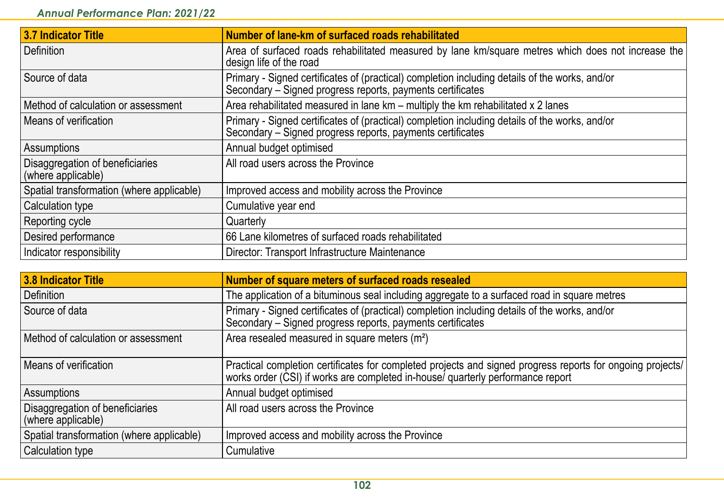| 3.7 Indicator Title                                   | Number of lane-km of surfaced roads rehabilitated                                                                                                            |
|-------------------------------------------------------|--------------------------------------------------------------------------------------------------------------------------------------------------------------|
| Definition                                            | Area of surfaced roads rehabilitated measured by lane km/square metres which does not increase the<br>design life of the road                                |
| Source of data                                        | Primary - Signed certificates of (practical) completion including details of the works, and/or<br>Secondary – Signed progress reports, payments certificates |
| Method of calculation or assessment                   | Area rehabilitated measured in lane $km -$ multiply the $km$ rehabilitated $x$ 2 lanes                                                                       |
| Means of verification                                 | Primary - Signed certificates of (practical) completion including details of the works, and/or<br>Secondary - Signed progress reports, payments certificates |
| Assumptions                                           | Annual budget optimised                                                                                                                                      |
| Disaggregation of beneficiaries<br>(where applicable) | All road users across the Province                                                                                                                           |
| Spatial transformation (where applicable)             | Improved access and mobility across the Province                                                                                                             |
| Calculation type                                      | Cumulative year end                                                                                                                                          |
| Reporting cycle                                       | Quarterly                                                                                                                                                    |
| Desired performance                                   | 66 Lane kilometres of surfaced roads rehabilitated                                                                                                           |
| Indicator responsibility                              | Director: Transport Infrastructure Maintenance                                                                                                               |

| 3.8 Indicator Title                                   | Number of square meters of surfaced roads resealed                                                                                                                                            |
|-------------------------------------------------------|-----------------------------------------------------------------------------------------------------------------------------------------------------------------------------------------------|
| Definition                                            | The application of a bituminous seal including aggregate to a surfaced road in square metres                                                                                                  |
| Source of data                                        | Primary - Signed certificates of (practical) completion including details of the works, and/or<br>Secondary – Signed progress reports, payments certificates                                  |
| Method of calculation or assessment                   | Area resealed measured in square meters (m <sup>2</sup> )                                                                                                                                     |
| Means of verification                                 | Practical completion certificates for completed projects and signed progress reports for ongoing projects/<br>works order (CSI) if works are completed in-house/ quarterly performance report |
| Assumptions                                           | Annual budget optimised                                                                                                                                                                       |
| Disaggregation of beneficiaries<br>(where applicable) | All road users across the Province                                                                                                                                                            |
| Spatial transformation (where applicable)             | Improved access and mobility across the Province                                                                                                                                              |
| Calculation type                                      | Cumulative                                                                                                                                                                                    |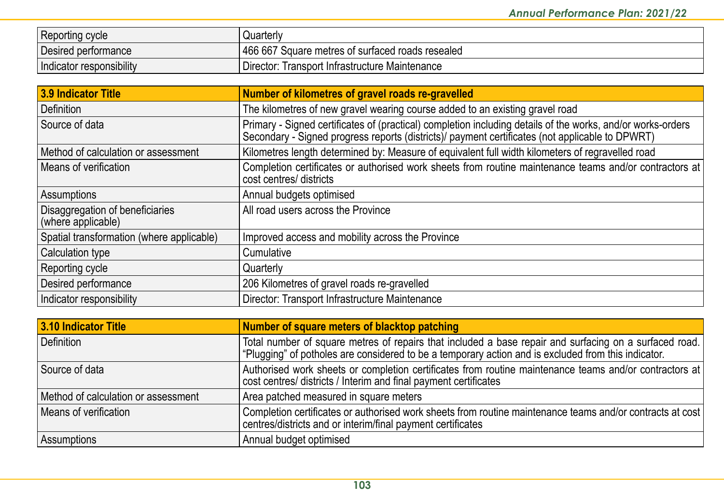| Reporting cycle          | Quarterly                                                                |
|--------------------------|--------------------------------------------------------------------------|
| Desired performance      | 466<br>667 <sup>-</sup> 667،<br>Square metres of surfaced roads resealed |
| Indicator responsibility | Transport Infrastructure Maintenance<br>Director:                        |

| 3.9 Indicator Title                                   | Number of kilometres of gravel roads re-gravelled                                                                                                                                                              |
|-------------------------------------------------------|----------------------------------------------------------------------------------------------------------------------------------------------------------------------------------------------------------------|
| Definition                                            | The kilometres of new gravel wearing course added to an existing gravel road                                                                                                                                   |
| Source of data                                        | Primary - Signed certificates of (practical) completion including details of the works, and/or works-orders<br>Secondary - Signed progress reports (districts)/ payment certificates (not applicable to DPWRT) |
| Method of calculation or assessment                   | Kilometres length determined by: Measure of equivalent full width kilometers of regravelled road                                                                                                               |
| Means of verification                                 | Completion certificates or authorised work sheets from routine maintenance teams and/or contractors at<br>cost centres/ districts                                                                              |
| Assumptions                                           | Annual budgets optimised                                                                                                                                                                                       |
| Disaggregation of beneficiaries<br>(where applicable) | All road users across the Province                                                                                                                                                                             |
| Spatial transformation (where applicable)             | Improved access and mobility across the Province                                                                                                                                                               |
| Calculation type                                      | Cumulative                                                                                                                                                                                                     |
| Reporting cycle                                       | Quarterly                                                                                                                                                                                                      |
| Desired performance                                   | 206 Kilometres of gravel roads re-gravelled                                                                                                                                                                    |
| Indicator responsibility                              | Director: Transport Infrastructure Maintenance                                                                                                                                                                 |

| 3.10 Indicator Title                | Number of square meters of blacktop patching                                                                                                                                                                  |
|-------------------------------------|---------------------------------------------------------------------------------------------------------------------------------------------------------------------------------------------------------------|
| Definition                          | Total number of square metres of repairs that included a base repair and surfacing on a surfaced road.<br>"Plugging" of potholes are considered to be a temporary action and is excluded from this indicator. |
| Source of data                      | Authorised work sheets or completion certificates from routine maintenance teams and/or contractors at<br>cost centres/ districts / Interim and final payment certificates                                    |
| Method of calculation or assessment | Area patched measured in square meters                                                                                                                                                                        |
| Means of verification               | Completion certificates or authorised work sheets from routine maintenance teams and/or contracts at cost<br>centres/districts and or interim/final payment certificates                                      |
| Assumptions                         | Annual budget optimised                                                                                                                                                                                       |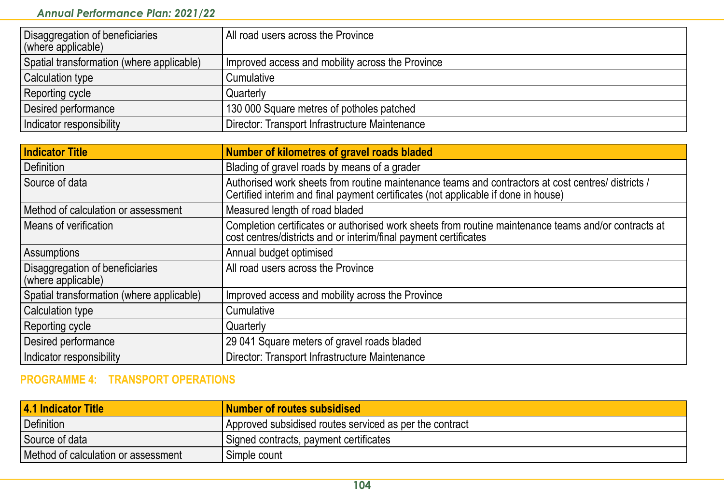| Disaggregation of beneficiaries<br>(where applicable) | All road users across the Province               |
|-------------------------------------------------------|--------------------------------------------------|
| Spatial transformation (where applicable)             | Improved access and mobility across the Province |
| Calculation type                                      | Cumulative                                       |
| Reporting cycle                                       | Quarterlv                                        |
| Desired performance                                   | 130 000 Square metres of potholes patched        |
| Indicator responsibility                              | Director: Transport Infrastructure Maintenance   |

| <b>Indicator Title</b>                                | Number of kilometres of gravel roads bladed                                                                                                                                              |
|-------------------------------------------------------|------------------------------------------------------------------------------------------------------------------------------------------------------------------------------------------|
| Definition                                            | Blading of gravel roads by means of a grader                                                                                                                                             |
| Source of data                                        | Authorised work sheets from routine maintenance teams and contractors at cost centres/ districts /<br>Certified interim and final payment certificates (not applicable if done in house) |
| Method of calculation or assessment                   | Measured length of road bladed                                                                                                                                                           |
| Means of verification                                 | Completion certificates or authorised work sheets from routine maintenance teams and/or contracts at<br>cost centres/districts and or interim/final payment certificates                 |
| Assumptions                                           | Annual budget optimised                                                                                                                                                                  |
| Disaggregation of beneficiaries<br>(where applicable) | All road users across the Province                                                                                                                                                       |
| Spatial transformation (where applicable)             | Improved access and mobility across the Province                                                                                                                                         |
| Calculation type                                      | Cumulative                                                                                                                                                                               |
| Reporting cycle                                       | Quarterly                                                                                                                                                                                |
| Desired performance                                   | 29 041 Square meters of gravel roads bladed                                                                                                                                              |
| Indicator responsibility                              | Director: Transport Infrastructure Maintenance                                                                                                                                           |

# **PROGRAMME 4: TRANSPORT OPERATIONS**

| 4.1 Indicator Title                 | Number of routes subsidised                             |
|-------------------------------------|---------------------------------------------------------|
| Definition                          | Approved subsidised routes serviced as per the contract |
| Source of data                      | Signed contracts, payment certificates                  |
| Method of calculation or assessment | Simple count                                            |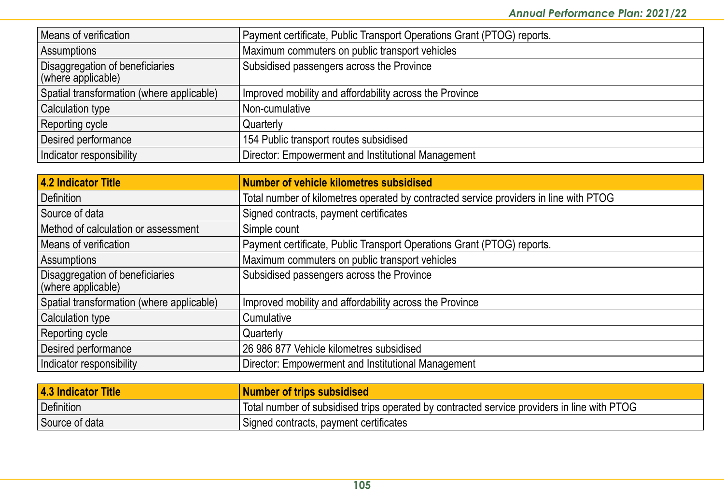| Payment certificate, Public Transport Operations Grant (PTOG) reports. |
|------------------------------------------------------------------------|
| Maximum commuters on public transport vehicles                         |
| Subsidised passengers across the Province                              |
| Improved mobility and affordability across the Province                |
| Non-cumulative                                                         |
| Quarterly                                                              |
| 154 Public transport routes subsidised                                 |
| Director: Empowerment and Institutional Management                     |
|                                                                        |

| 4.2 Indicator Title                                   | Number of vehicle kilometres subsidised                                               |
|-------------------------------------------------------|---------------------------------------------------------------------------------------|
| Definition                                            | Total number of kilometres operated by contracted service providers in line with PTOG |
| Source of data                                        | Signed contracts, payment certificates                                                |
| Method of calculation or assessment                   | Simple count                                                                          |
| Means of verification                                 | Payment certificate, Public Transport Operations Grant (PTOG) reports.                |
| Assumptions                                           | Maximum commuters on public transport vehicles                                        |
| Disaggregation of beneficiaries<br>(where applicable) | Subsidised passengers across the Province                                             |
| Spatial transformation (where applicable)             | Improved mobility and affordability across the Province                               |
| Calculation type                                      | Cumulative                                                                            |
| Reporting cycle                                       | Quarterly                                                                             |
| Desired performance                                   | 26 986 877 Vehicle kilometres subsidised                                              |
| Indicator responsibility                              | Director: Empowerment and Institutional Management                                    |

| 4.3 Indicator Title | Number of trips subsidised                                                                  |
|---------------------|---------------------------------------------------------------------------------------------|
| Definition          | Total number of subsidised trips operated by contracted service providers in line with PTOG |
| Source of data      | Signed contracts, payment certificates                                                      |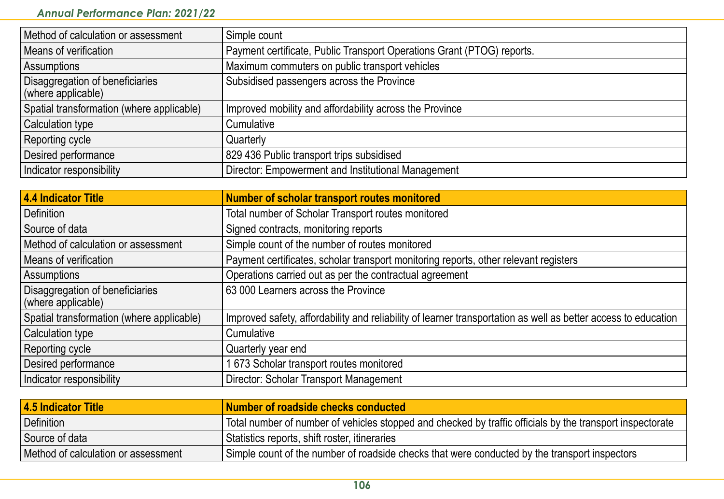| Method of calculation or assessment                   | Simple count                                                           |
|-------------------------------------------------------|------------------------------------------------------------------------|
| Means of verification                                 | Payment certificate, Public Transport Operations Grant (PTOG) reports. |
| Assumptions                                           | Maximum commuters on public transport vehicles                         |
| Disaggregation of beneficiaries<br>(where applicable) | Subsidised passengers across the Province                              |
| Spatial transformation (where applicable)             | Improved mobility and affordability across the Province                |
| Calculation type                                      | Cumulative                                                             |
| Reporting cycle                                       | Quarterly                                                              |
| Desired performance                                   | 829 436 Public transport trips subsidised                              |
| Indicator responsibility                              | Director: Empowerment and Institutional Management                     |

| <b>4.4 Indicator Title</b>                            | Number of scholar transport routes monitored                                                                   |
|-------------------------------------------------------|----------------------------------------------------------------------------------------------------------------|
| <b>Definition</b>                                     | Total number of Scholar Transport routes monitored                                                             |
| Source of data                                        | Signed contracts, monitoring reports                                                                           |
| Method of calculation or assessment                   | Simple count of the number of routes monitored                                                                 |
| Means of verification                                 | Payment certificates, scholar transport monitoring reports, other relevant registers                           |
| Assumptions                                           | Operations carried out as per the contractual agreement                                                        |
| Disaggregation of beneficiaries<br>(where applicable) | 63 000 Learners across the Province                                                                            |
| Spatial transformation (where applicable)             | Improved safety, affordability and reliability of learner transportation as well as better access to education |
| Calculation type                                      | Cumulative                                                                                                     |
| Reporting cycle                                       | Quarterly year end                                                                                             |
| Desired performance                                   | 1673 Scholar transport routes monitored                                                                        |
| Indicator responsibility                              | Director: Scholar Transport Management                                                                         |

| 4.5 Indicator Title                   | Number of roadside checks conducted                                                                       |
|---------------------------------------|-----------------------------------------------------------------------------------------------------------|
| Definition                            | Total number of number of vehicles stopped and checked by traffic officials by the transport inspectorate |
| l Source of data                      | Statistics reports, shift roster, itineraries                                                             |
| l Method of calculation or assessment | Simple count of the number of roadside checks that were conducted by the transport inspectors             |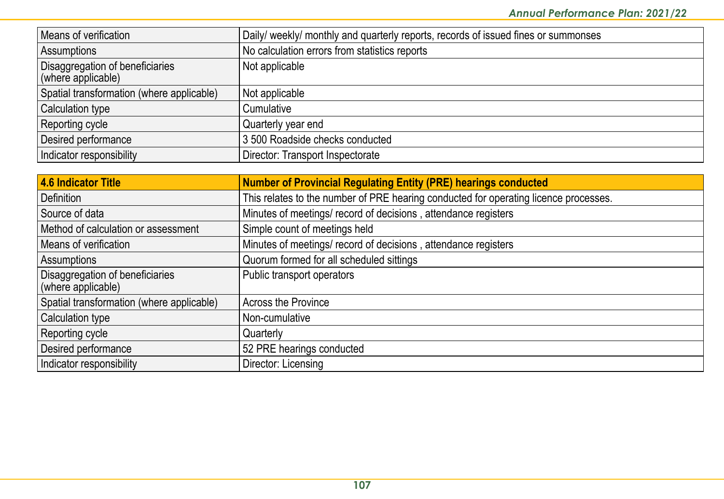| Means of verification                                 | Daily/ weekly/ monthly and quarterly reports, records of issued fines or summonses |
|-------------------------------------------------------|------------------------------------------------------------------------------------|
| Assumptions                                           | No calculation errors from statistics reports                                      |
| Disaggregation of beneficiaries<br>(where applicable) | Not applicable                                                                     |
| Spatial transformation (where applicable)             | Not applicable                                                                     |
| Calculation type                                      | Cumulative                                                                         |
| Reporting cycle                                       | Quarterly year end                                                                 |
| Desired performance                                   | 3 500 Roadside checks conducted                                                    |
| Indicator responsibility                              | Director: Transport Inspectorate                                                   |

| 4.6 Indicator Title                                   | <b>Number of Provincial Regulating Entity (PRE) hearings conducted</b>               |
|-------------------------------------------------------|--------------------------------------------------------------------------------------|
| Definition                                            | This relates to the number of PRE hearing conducted for operating licence processes. |
| Source of data                                        | Minutes of meetings/ record of decisions, attendance registers                       |
| Method of calculation or assessment                   | Simple count of meetings held                                                        |
| Means of verification                                 | Minutes of meetings/ record of decisions, attendance registers                       |
| Assumptions                                           | Quorum formed for all scheduled sittings                                             |
| Disaggregation of beneficiaries<br>(where applicable) | Public transport operators                                                           |
| Spatial transformation (where applicable)             | Across the Province                                                                  |
| Calculation type                                      | Non-cumulative                                                                       |
| Reporting cycle                                       | Quarterly                                                                            |
| Desired performance                                   | 52 PRE hearings conducted                                                            |
| Indicator responsibility                              | Director: Licensing                                                                  |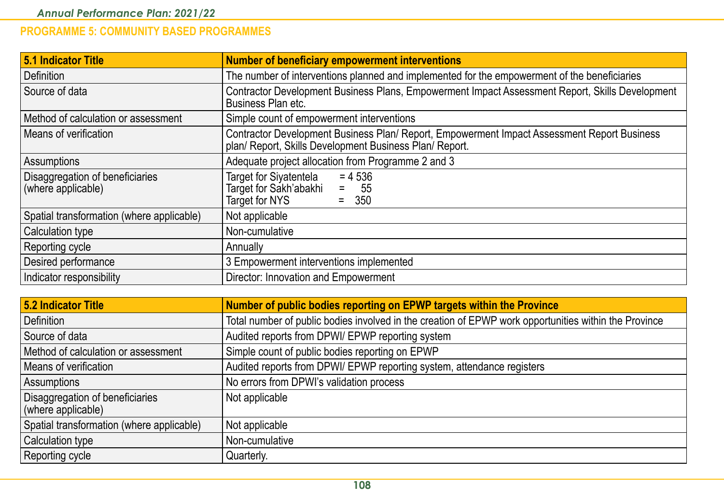## **PROGRAMME 5: COMMUNITY BASED PROGRAMMES**

| 5.1 Indicator Title                                   | <b>Number of beneficiary empowerment interventions</b>                                                                                              |
|-------------------------------------------------------|-----------------------------------------------------------------------------------------------------------------------------------------------------|
| Definition                                            | The number of interventions planned and implemented for the empowerment of the beneficiaries                                                        |
| Source of data                                        | Contractor Development Business Plans, Empowerment Impact Assessment Report, Skills Development<br>Business Plan etc.                               |
| Method of calculation or assessment                   | Simple count of empowerment interventions                                                                                                           |
| Means of verification                                 | Contractor Development Business Plan/ Report, Empowerment Impact Assessment Report Business plan/ Report, Skills Development Business Plan/ Report. |
| Assumptions                                           | Adequate project allocation from Programme 2 and 3                                                                                                  |
| Disaggregation of beneficiaries<br>(where applicable) | $= 4536$<br>Target for Siyatentela<br>Target for Sakh'abakhi<br>$= 55$<br>Target for NYS<br>- 350<br>$=$                                            |
| Spatial transformation (where applicable)             | Not applicable                                                                                                                                      |
| Calculation type                                      | Non-cumulative                                                                                                                                      |
| Reporting cycle                                       | Annually                                                                                                                                            |
| Desired performance                                   | 3 Empowerment interventions implemented                                                                                                             |
| Indicator responsibility                              | Director: Innovation and Empowerment                                                                                                                |

| 5.2 Indicator Title                                   | Number of public bodies reporting on EPWP targets within the Province                                 |
|-------------------------------------------------------|-------------------------------------------------------------------------------------------------------|
| Definition                                            | Total number of public bodies involved in the creation of EPWP work opportunities within the Province |
| Source of data                                        | Audited reports from DPWI/ EPWP reporting system                                                      |
| Method of calculation or assessment                   | Simple count of public bodies reporting on EPWP                                                       |
| Means of verification                                 | Audited reports from DPWI/ EPWP reporting system, attendance registers                                |
| Assumptions                                           | No errors from DPWI's validation process                                                              |
| Disaggregation of beneficiaries<br>(where applicable) | Not applicable                                                                                        |
| Spatial transformation (where applicable)             | Not applicable                                                                                        |
| Calculation type                                      | Non-cumulative                                                                                        |
| Reporting cycle                                       | Quarterly.                                                                                            |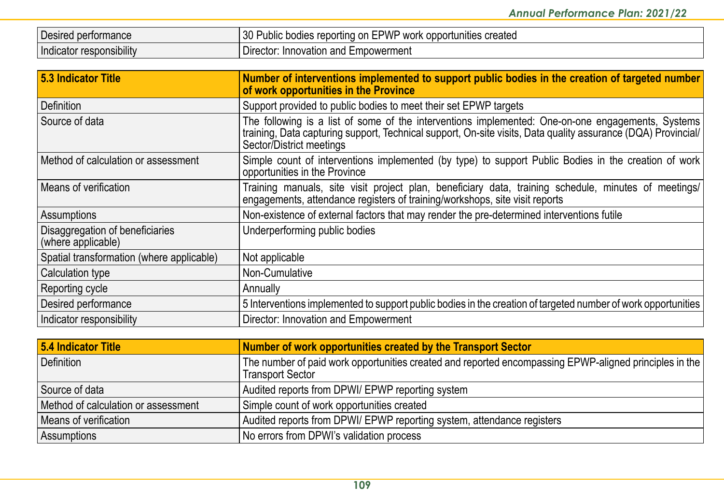| Desired<br>l pertormance       | =PWP<br>opportunities<br><b>POD</b><br>$\sim$ work<br>Public<br>reporting<br>$\sim$<br>bodies<br>created<br>υc |  |
|--------------------------------|----------------------------------------------------------------------------------------------------------------|--|
| <br>l Indicator responsibility | Empowerment<br>Innovation<br>Director<br>and                                                                   |  |

| 5.3 Indicator Title                                   | Number of interventions implemented to support public bodies in the creation of targeted number<br>of work opportunities in the Province                                                                                                       |  |  |  |
|-------------------------------------------------------|------------------------------------------------------------------------------------------------------------------------------------------------------------------------------------------------------------------------------------------------|--|--|--|
| Definition                                            | Support provided to public bodies to meet their set EPWP targets                                                                                                                                                                               |  |  |  |
| Source of data                                        | The following is a list of some of the interventions implemented: One-on-one engagements, Systems<br>training, Data capturing support, Technical support, On-site visits, Data quality assurance (DQA) Provincial/<br>Sector/District meetings |  |  |  |
| l Method of calculation or assessment                 | Simple count of interventions implemented (by type) to support Public Bodies in the creation of work<br>opportunities in the Province                                                                                                          |  |  |  |
| Means of verification                                 | Training manuals, site visit project plan, beneficiary data, training schedule, minutes of meetings/<br>engagements, attendance registers of training/workshops, site visit reports                                                            |  |  |  |
| Assumptions                                           | Non-existence of external factors that may render the pre-determined interventions futile                                                                                                                                                      |  |  |  |
| Disaggregation of beneficiaries<br>(where applicable) | Underperforming public bodies                                                                                                                                                                                                                  |  |  |  |
| Spatial transformation (where applicable)             | Not applicable                                                                                                                                                                                                                                 |  |  |  |
| Calculation type                                      | Non-Cumulative                                                                                                                                                                                                                                 |  |  |  |
| Reporting cycle                                       | Annually                                                                                                                                                                                                                                       |  |  |  |
| Desired performance                                   | 5 Interventions implemented to support public bodies in the creation of targeted number of work opportunities                                                                                                                                  |  |  |  |
| Indicator responsibility                              | Director: Innovation and Empowerment                                                                                                                                                                                                           |  |  |  |

| 5.4 Indicator Title                 | Number of work opportunities created by the Transport Sector                                                                      |
|-------------------------------------|-----------------------------------------------------------------------------------------------------------------------------------|
| Definition                          | The number of paid work opportunities created and reported encompassing EPWP-aligned principles in the<br><b>Transport Sector</b> |
| Source of data                      | Audited reports from DPWI/ EPWP reporting system                                                                                  |
| Method of calculation or assessment | Simple count of work opportunities created                                                                                        |
| Means of verification               | Audited reports from DPWI/ EPWP reporting system, attendance registers                                                            |
| Assumptions                         | No errors from DPWI's validation process                                                                                          |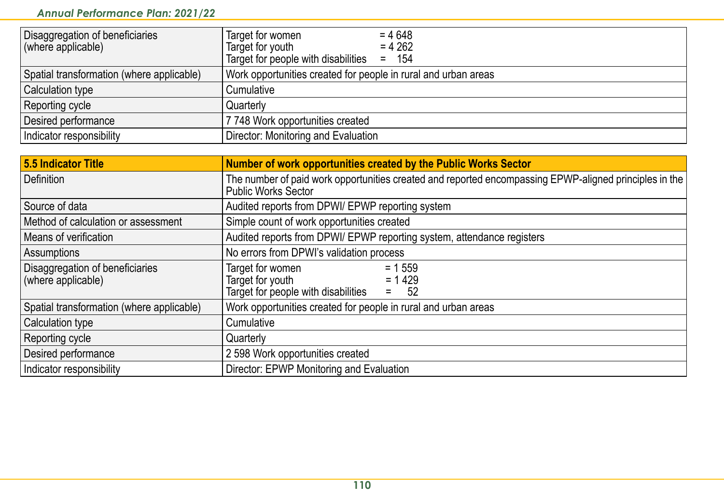| Disaggregation of beneficiaries<br>(where applicable) | $= 4648$<br>Target for women<br>$= 4.262$<br>Target for youth<br>Target for people with disabilities $= 154$ |  |  |
|-------------------------------------------------------|--------------------------------------------------------------------------------------------------------------|--|--|
| Spatial transformation (where applicable)             | Work opportunities created for people in rural and urban areas                                               |  |  |
| Calculation type                                      | Cumulative                                                                                                   |  |  |
| Reporting cycle                                       | Quarterly                                                                                                    |  |  |
| Desired performance                                   | 7 748 Work opportunities created                                                                             |  |  |
| Indicator responsibility                              | Director: Monitoring and Evaluation                                                                          |  |  |

| 5.5 Indicator Title                                   | Number of work opportunities created by the Public Works Sector                                                                      |  |  |  |
|-------------------------------------------------------|--------------------------------------------------------------------------------------------------------------------------------------|--|--|--|
| Definition                                            | The number of paid work opportunities created and reported encompassing EPWP-aligned principles in the<br><b>Public Works Sector</b> |  |  |  |
| Source of data                                        | Audited reports from DPWI/ EPWP reporting system                                                                                     |  |  |  |
| Method of calculation or assessment                   | Simple count of work opportunities created                                                                                           |  |  |  |
| Means of verification                                 | Audited reports from DPWI/ EPWP reporting system, attendance registers                                                               |  |  |  |
| Assumptions                                           | No errors from DPWI's validation process                                                                                             |  |  |  |
| Disaggregation of beneficiaries<br>(where applicable) | Target for women<br>$= 1.559$<br>Target for youth<br>$= 1429$<br>Target for people with disabilities<br>-52<br>$=$                   |  |  |  |
| Spatial transformation (where applicable)             | Work opportunities created for people in rural and urban areas                                                                       |  |  |  |
| Calculation type                                      | Cumulative                                                                                                                           |  |  |  |
| Reporting cycle                                       | Quarterly                                                                                                                            |  |  |  |
| Desired performance                                   | 2 598 Work opportunities created                                                                                                     |  |  |  |
| Indicator responsibility                              | Director: EPWP Monitoring and Evaluation                                                                                             |  |  |  |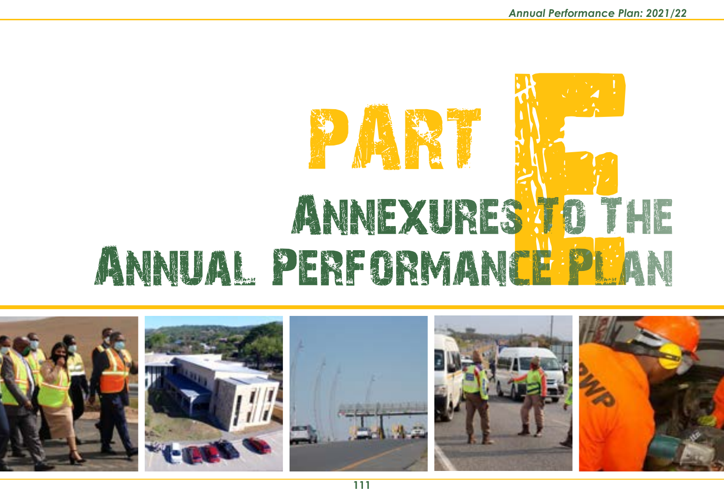# PART NEWS ANNEXURES OF THE ANNUAL PERFORMANCE PLAN

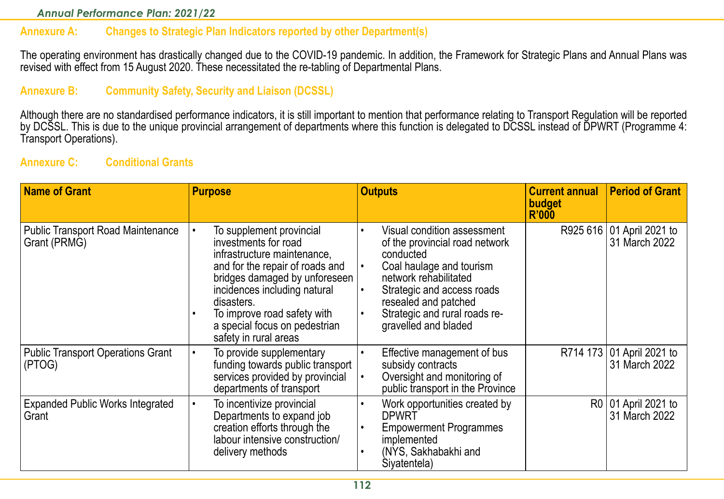#### *Annual Performance Plan: 2021/22*

# **Annexure A: Changes to Strategic Plan Indicators reported by other Department(s)**

The operating environment has drastically changed due to the COVID-19 pandemic. In addition, the Framework for Strategic Plans and Annual Plans was revised with effect from 15 August 2020. These necessitated the re-tabling of Departmental Plans.

# **Annexure B: Community Safety, Security and Liaison (DCSSL)**

Although there are no standardised performance indicators, it is still important to mention that performance relating to Transport Regulation will be reported by DCSSL. This is due to the unique provincial arrangement of departments where this function is delegated to DCSSL instead of DPWRT (Programme 4: Transport Operations).

**Annexure C: Conditional Grants**

| Name of Grant                                            | <b>Purpose</b>                                                                                                                                                                                                                                                                             | <b>Outputs</b>                                                                                                                                                                                                                                              | <b>Current annual</b><br>budget<br><b>R'000</b> | <b>Period of Grant</b>                     |
|----------------------------------------------------------|--------------------------------------------------------------------------------------------------------------------------------------------------------------------------------------------------------------------------------------------------------------------------------------------|-------------------------------------------------------------------------------------------------------------------------------------------------------------------------------------------------------------------------------------------------------------|-------------------------------------------------|--------------------------------------------|
| <b>Public Transport Road Maintenance</b><br>Grant (PRMG) | To supplement provincial<br>investments for road<br>infrastructure maintenance,<br>and for the repair of roads and<br>bridges damaged by unforeseen<br>incidences including natural<br>disasters.<br>To improve road safety with<br>a special focus on pedestrian<br>safety in rural areas | Visual condition assessment<br>$\bullet$<br>of the provincial road network<br>conducted<br>Coal haulage and tourism<br>network rehabilitated<br>Strategic and access roads<br>resealed and patched<br>Strategic and rural roads re-<br>gravelled and bladed |                                                 | R925 616 01 April 2021 to<br>31 March 2022 |
| <b>Public Transport Operations Grant</b><br>(PTOG)       | To provide supplementary<br>funding towards public transport<br>services provided by provincial<br>departments of transport                                                                                                                                                                | Effective management of bus<br>subsidy contracts<br>Oversight and monitoring of<br>public transport in the Province                                                                                                                                         |                                                 | R714 173 01 April 2021 to<br>31 March 2022 |
| <b>Expanded Public Works Integrated</b><br>Grant         | To incentivize provincial<br>Departments to expand job<br>creation efforts through the<br>labour intensive construction/<br>delivery methods                                                                                                                                               | Work opportunities created by<br><b>DPWRT</b><br><b>Empowerment Programmes</b><br>implemented<br>(NYS, Sakhabakhi and<br>$\bullet$<br>Siyatentela)                                                                                                          |                                                 | R0 01 April 2021 to<br>31 March 2022       |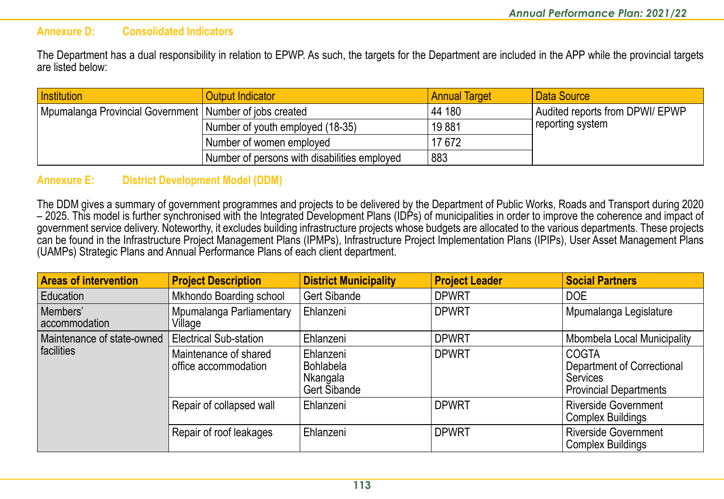## **Annexure D: Consolidated Indicators**

The Department has a dual responsibility in relation to EPWP. As such, the targets for the Department are included in the APP while the provincial targets are listed below:

| Institution                                               | Output Indicator                             | <b>Annual Target</b> | Data Source                     |  |
|-----------------------------------------------------------|----------------------------------------------|----------------------|---------------------------------|--|
| Mpumalanga Provincial Government   Number of jobs created |                                              | 44 180               | Audited reports from DPWI/ EPWP |  |
|                                                           | Number of youth employed (18-35)             | 19881                | reporting system                |  |
|                                                           | Number of women employed                     | 17 672               |                                 |  |
|                                                           | Number of persons with disabilities employed | 883                  |                                 |  |

### **Annexure E: District Development Model (DDM)**

The DDM gives a summary of government programmes and projects to be delivered by the Department of Public Works, Roads and Transport during 2020 – 2025. This model is further synchronised with the Integrated Development Plans (IDPs) of municipalities in order to improve the coherence and impact of government service delivery. Noteworthy, it excludes building infrastructure projects whose budgets are allocated to the various departments. These projects can be found in the Infrastructure Project Management Plans (IPMPs), Infrastructure Project Implementation Plans (IPIPs), User Asset Management Plans (UAMPs) Strategic Plans and Annual Performance Plans of each client department.

| <b>Areas of intervention</b> | <b>Project Description</b>                    | <b>District Municipality</b>                              | <b>Project Leader</b> | <b>Social Partners</b>                                                             |
|------------------------------|-----------------------------------------------|-----------------------------------------------------------|-----------------------|------------------------------------------------------------------------------------|
| Education                    | Mkhondo Boarding school                       | Gert Sibande                                              | <b>DPWRT</b>          | <b>DOE</b>                                                                         |
| Members'<br>accommodation    | Mpumalanga Parliamentary<br>Village           | Ehlanzeni                                                 | <b>DPWRT</b>          | Mpumalanga Legislature                                                             |
| Maintenance of state-owned   | <b>Electrical Sub-station</b>                 | Ehlanzeni                                                 | <b>DPWRT</b>          | Mbombela Local Municipality                                                        |
| l facilities                 | Maintenance of shared<br>office accommodation | Ehlanzeni<br><b>Bohlabela</b><br>Nkangala<br>Gert Sibande | <b>DPWRT</b>          | COGTA<br>Department of Correctional<br>. Services<br><b>Provincial Departments</b> |
|                              | Repair of collapsed wall                      | Ehlanzeni                                                 | <b>DPWRT</b>          | <b>Riverside Government</b><br>Complex Buildings                                   |
|                              | Repair of roof leakages                       | Ehlanzeni                                                 | <b>DPWRT</b>          | <b>Riverside Government</b><br>Complex Buildings                                   |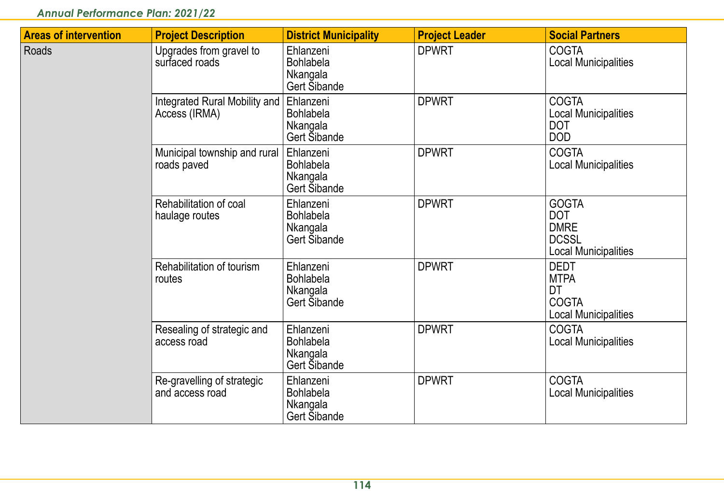| <b>Areas of intervention</b> | <b>Project Description</b>                     | <b>District Municipality</b>                              | <b>Project Leader</b> | <b>Social Partners</b>                                                            |
|------------------------------|------------------------------------------------|-----------------------------------------------------------|-----------------------|-----------------------------------------------------------------------------------|
| Roads                        | Upgrades from gravel to<br>surfaced roads      | Ehlanzeni<br><b>Bohlabela</b><br>Nkangala<br>Gert Sibande | <b>DPWRT</b>          | <b>COGTA</b><br>Local Municipalities                                              |
|                              | Integrated Rural Mobility and<br>Access (IRMA) | Ehlanzeni<br>Bohlabela<br>Nkangala<br>Gert Šibande        | <b>DPWRT</b>          | <b>COGTA</b><br>Local Municipalities<br><b>DOT</b><br><b>DOD</b>                  |
|                              | Municipal township and rural<br>roads paved    | Ehlanzeni<br><b>Bohlabela</b><br>Nkangala<br>Gert Sibande | <b>DPWRT</b>          | <b>COGTA</b><br>Local Municipalities                                              |
|                              | Rehabilitation of coal<br>haulage routes       | Ehlanzeni<br><b>Bohlabela</b><br>Nkangala<br>Gert Sibande | <b>DPWRT</b>          | <b>GOGTA</b><br><b>DOT</b><br><b>DMRE</b><br><b>DCSSL</b><br>Local Municipalities |
|                              | Rehabilitation of tourism<br>routes            | Ehlanzeni<br><b>Bohlabela</b><br>Nkangala<br>Gert Sibande | <b>DPWRT</b>          | <b>DEDT</b><br><b>MTPA</b><br>DT<br><b>COGTA</b><br>Local Municipalities          |
|                              | Resealing of strategic and<br>access road      | Ehlanzeni<br><b>Bohlabela</b><br>Nkangala<br>Gert Sibande | <b>DPWRT</b>          | <b>COGTA</b><br>Local Municipalities                                              |
|                              | Re-gravelling of strategic<br>and access road  | Ehlanzeni<br><b>Bohlabela</b><br>Nkangala<br>Gert Sibande | <b>DPWRT</b>          | <b>COGTA</b><br>Local Municipalities                                              |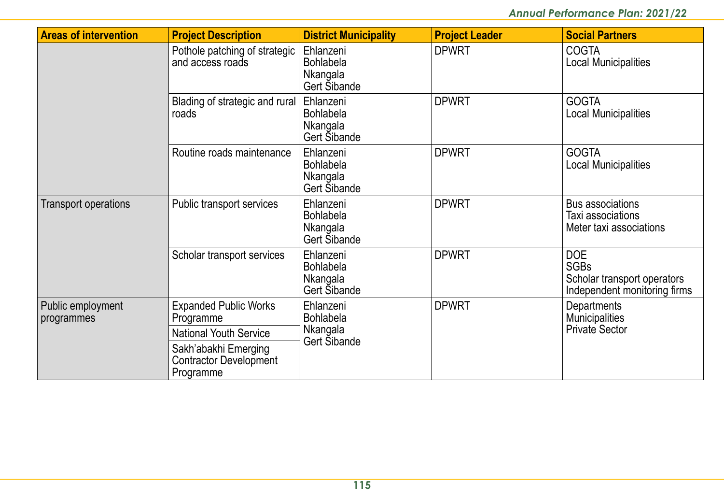| <b>Areas of intervention</b>    | <b>Project Description</b>                                         | <b>District Municipality</b>                              | <b>Project Leader</b> | <b>Social Partners</b>                                                                   |
|---------------------------------|--------------------------------------------------------------------|-----------------------------------------------------------|-----------------------|------------------------------------------------------------------------------------------|
|                                 | Pothole patching of strategic<br>and access roads                  | Ehlanzeni<br><b>Bohlabela</b><br>Nkangala<br>Gert Sibande | <b>DPWRT</b>          | <b>COGTA</b><br><b>Local Municipalities</b>                                              |
|                                 | Blading of strategic and rural<br>roads                            | Ehlanzeni<br>Bohlabela<br>Nkangala<br>Gert Sibande        | <b>DPWRT</b>          | <b>GOGTA</b><br>Local Municipalities                                                     |
|                                 | Routine roads maintenance                                          | Ehlanzeni<br><b>Bohlabela</b><br>Nkangala<br>Gert Sibande | <b>DPWRT</b>          | <b>GOGTA</b><br><b>Local Municipalities</b>                                              |
| <b>Transport operations</b>     | Public transport services                                          | Ehlanzeni<br><b>Bohlabela</b><br>Nkangala<br>Gert Sibande | <b>DPWRT</b>          | Bus associations<br>Taxi associations<br>Meter taxi associations                         |
|                                 | Scholar transport services                                         | Ehlanzeni<br><b>Bohlabela</b><br>Nkangala<br>Gert Sibande | <b>DPWRT</b>          | <b>DOE</b><br><b>SGBs</b><br>Scholar transport operators<br>Independent monitoring firms |
| Public employment<br>programmes | <b>Expanded Public Works</b><br>Programme                          | Ehlanzeni<br>Bohlabela                                    | <b>DPWRT</b>          | Departments<br>Municipalities                                                            |
|                                 | National Youth Service                                             | Nkangala                                                  |                       | <b>Private Sector</b>                                                                    |
|                                 | Sakh'abakhi Emerging<br><b>Contractor Development</b><br>Programme | Gert Šibande                                              |                       |                                                                                          |